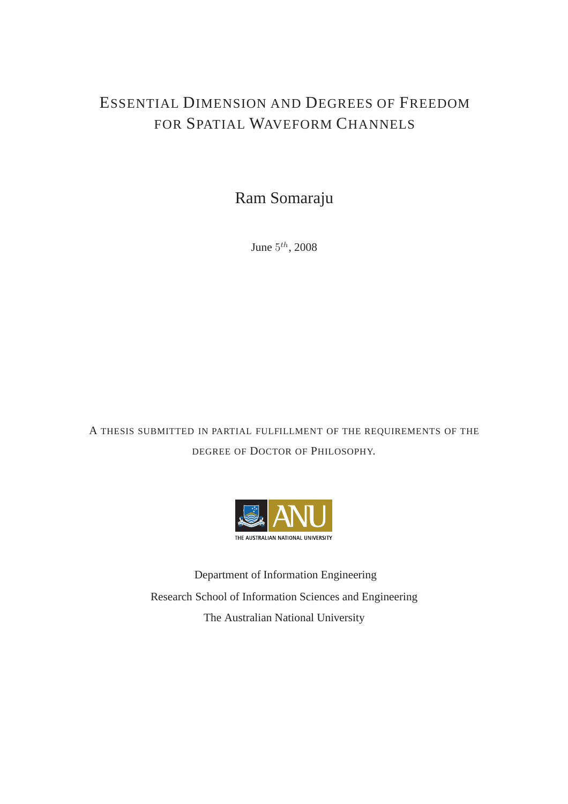#### ESSENTIAL DIMENSION AND DEGREES OF FREEDOM FOR SPATIAL WAVEFORM CHANNELS

Ram Somaraju

June  $5^{th}$ , 2008

A THESIS SUBMITTED IN PARTIAL FULFILLMENT OF THE REQUIREMENTS OF THE DEGREE OF DOCTOR OF PHILOSOPHY.



Department of Information Engineering Research School of Information Sciences and Engineering The Australian National University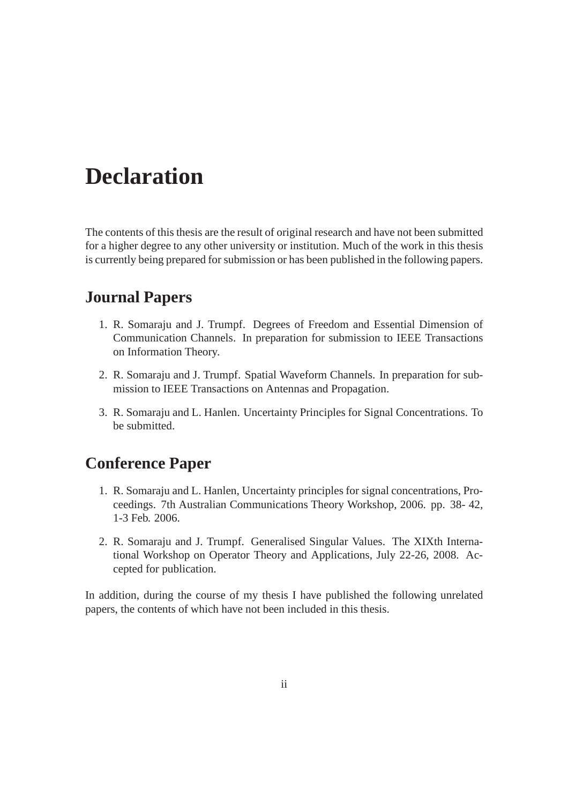## **Declaration**

The contents of this thesis are the result of original research and have not been submitted for a higher degree to any other university or institution. Much of the work in this thesis is currently being prepared for submission or has been published in the following papers.

#### **Journal Papers**

- 1. R. Somaraju and J. Trumpf. Degrees of Freedom and Essential Dimension of Communication Channels. In preparation for submission to IEEE Transactions on Information Theory.
- 2. R. Somaraju and J. Trumpf. Spatial Waveform Channels. In preparation for submission to IEEE Transactions on Antennas and Propagation.
- 3. R. Somaraju and L. Hanlen. Uncertainty Principles for Signal Concentrations. To be submitted.

#### **Conference Paper**

- 1. R. Somaraju and L. Hanlen, Uncertainty principles for signal concentrations, Proceedings. 7th Australian Communications Theory Workshop, 2006. pp. 38- 42, 1-3 Feb. 2006.
- 2. R. Somaraju and J. Trumpf. Generalised Singular Values. The XIXth International Workshop on Operator Theory and Applications, July 22-26, 2008. Accepted for publication.

In addition, during the course of my thesis I have published the following unrelated papers, the contents of which have not been included in this thesis.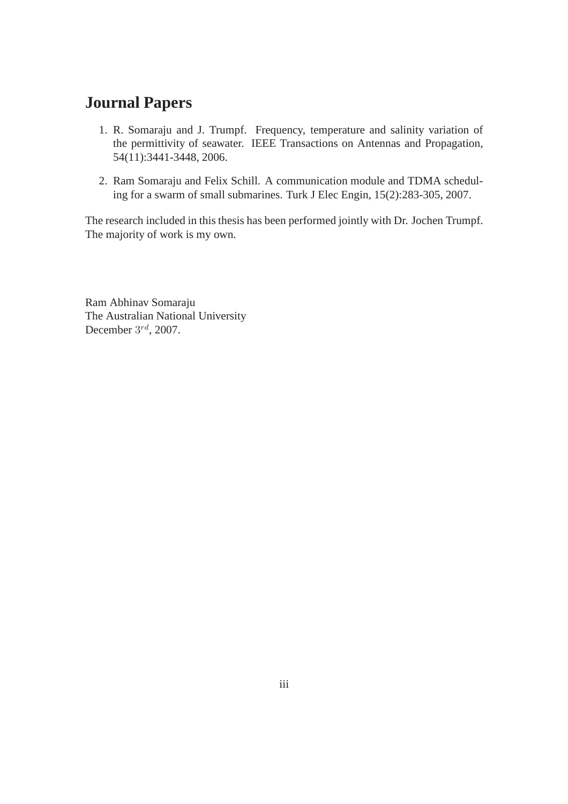#### **Journal Papers**

- 1. R. Somaraju and J. Trumpf. Frequency, temperature and salinity variation of the permittivity of seawater. IEEE Transactions on Antennas and Propagation, 54(11):3441-3448, 2006.
- 2. Ram Somaraju and Felix Schill. A communication module and TDMA scheduling for a swarm of small submarines. Turk J Elec Engin, 15(2):283-305, 2007.

The research included in this thesis has been performed jointly with Dr. Jochen Trumpf. The majority of work is my own.

Ram Abhinav Somaraju The Australian National University December  $3^{rd}$ , 2007.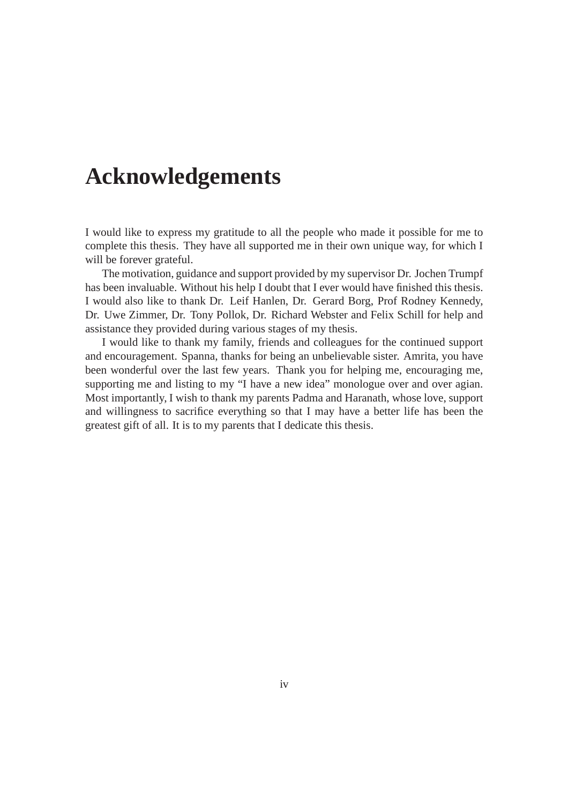## **Acknowledgements**

I would like to express my gratitude to all the people who made it possible for me to complete this thesis. They have all supported me in their own unique way, for which I will be forever grateful.

The motivation, guidance and support provided by my supervisor Dr. Jochen Trumpf has been invaluable. Without his help I doubt that I ever would have finished this thesis. I would also like to thank Dr. Leif Hanlen, Dr. Gerard Borg, Prof Rodney Kennedy, Dr. Uwe Zimmer, Dr. Tony Pollok, Dr. Richard Webster and Felix Schill for help and assistance they provided during various stages of my thesis.

I would like to thank my family, friends and colleagues for the continued support and encouragement. Spanna, thanks for being an unbelievable sister. Amrita, you have been wonderful over the last few years. Thank you for helping me, encouraging me, supporting me and listing to my "I have a new idea" monologue over and over agian. Most importantly, I wish to thank my parents Padma and Haranath, whose love, support and willingness to sacrifice everything so that I may have a better life has been the greatest gift of all. It is to my parents that I dedicate this thesis.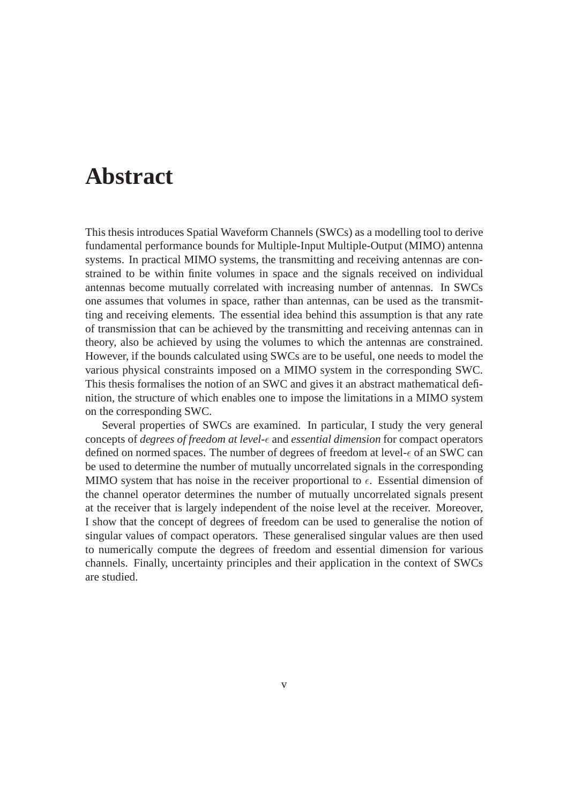### **Abstract**

This thesis introduces Spatial Waveform Channels (SWCs) as a modelling tool to derive fundamental performance bounds for Multiple-Input Multiple-Output (MIMO) antenna systems. In practical MIMO systems, the transmitting and receiving antennas are constrained to be within finite volumes in space and the signals received on individual antennas become mutually correlated with increasing number of antennas. In SWCs one assumes that volumes in space, rather than antennas, can be used as the transmitting and receiving elements. The essential idea behind this assumption is that any rate of transmission that can be achieved by the transmitting and receiving antennas can in theory, also be achieved by using the volumes to which the antennas are constrained. However, if the bounds calculated using SWCs are to be useful, one needs to model the various physical constraints imposed on a MIMO system in the corresponding SWC. This thesis formalises the notion of an SWC and gives it an abstract mathematical definition, the structure of which enables one to impose the limitations in a MIMO system on the corresponding SWC.

Several properties of SWCs are examined. In particular, I study the very general concepts of *degrees of freedom at level-* $\epsilon$  and *essential dimension* for compact operators defined on normed spaces. The number of degrees of freedom at level- $\epsilon$  of an SWC can be used to determine the number of mutually uncorrelated signals in the corresponding MIMO system that has noise in the receiver proportional to  $\epsilon$ . Essential dimension of the channel operator determines the number of mutually uncorrelated signals present at the receiver that is largely independent of the noise level at the receiver. Moreover, I show that the concept of degrees of freedom can be used to generalise the notion of singular values of compact operators. These generalised singular values are then used to numerically compute the degrees of freedom and essential dimension for various channels. Finally, uncertainty principles and their application in the context of SWCs are studied.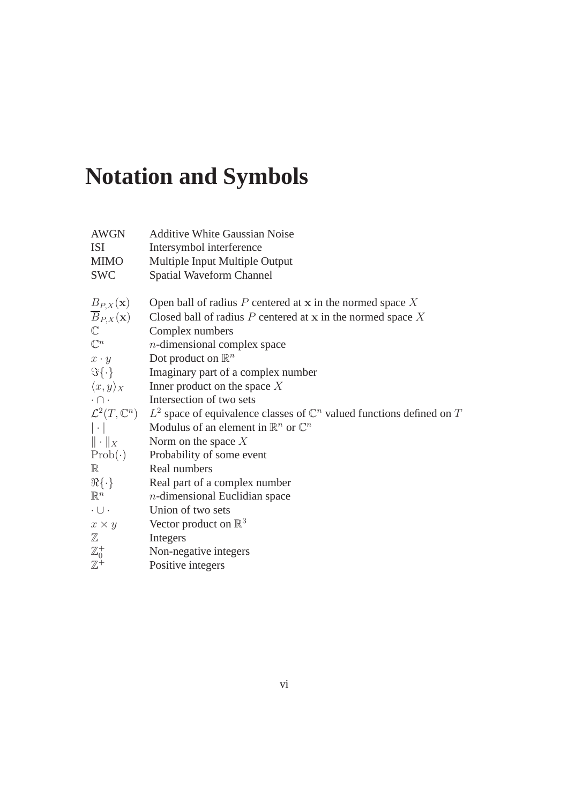# **Notation and Symbols**

| <b>AWGN</b>                      | <b>Additive White Gaussian Noise</b>                                               |
|----------------------------------|------------------------------------------------------------------------------------|
| <b>ISI</b>                       | Intersymbol interference                                                           |
| <b>MIMO</b>                      | Multiple Input Multiple Output                                                     |
| <b>SWC</b>                       | Spatial Waveform Channel                                                           |
| $B_{P,X}(\mathbf{x})$            | Open ball of radius $P$ centered at x in the normed space $X$                      |
| $\overline{B}_{P,X}(\mathbf{x})$ | Closed ball of radius $P$ centered at x in the normed space $X$                    |
| $\mathbb{C}$                     | Complex numbers                                                                    |
| $\mathbb{C}^n$                   | $n$ -dimensional complex space                                                     |
| $x \cdot y$                      | Dot product on $\mathbb{R}^n$                                                      |
| $\Im{\{\cdot\}}$                 | Imaginary part of a complex number                                                 |
| $\langle x,y\rangle_X$           | Inner product on the space $X$                                                     |
| $\cdot \cap \cdot$               | Intersection of two sets                                                           |
| $\mathcal{L}^2(T,\mathbb{C}^n)$  | $L^2$ space of equivalence classes of $\mathbb{C}^n$ valued functions defined on T |
| $ \cdot $                        | Modulus of an element in $\mathbb{R}^n$ or $\mathbb{C}^n$                          |
| $\ \cdot\ _X$                    | Norm on the space $X$                                                              |
| $Prob(\cdot)$                    | Probability of some event                                                          |
| $\mathbb R$                      | Real numbers                                                                       |
| $\Re{\{\cdot\}}$                 | Real part of a complex number                                                      |
| $\mathbb{R}^n$                   | $n$ -dimensional Euclidian space                                                   |
| $\cdot \cup \cdot$               | Union of two sets                                                                  |
| $x \times y$                     | Vector product on $\mathbb{R}^3$                                                   |
| $\mathbb Z$                      | Integers                                                                           |
| $\mathbb{Z}^+_0$                 | Non-negative integers                                                              |
| $\mathbb{Z}^+$                   | Positive integers                                                                  |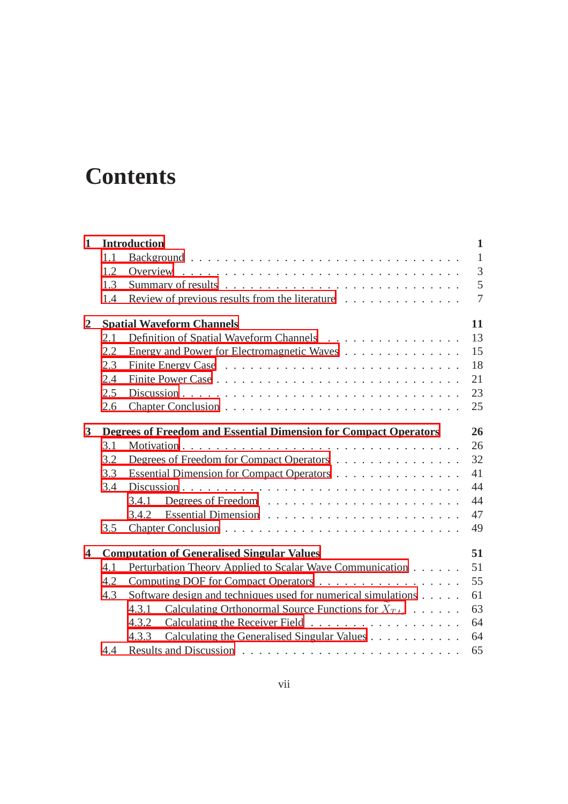## **Contents**

| $\mathbf{1}$            |     | <b>Introduction</b>                                                     | $\mathbf{1}$   |
|-------------------------|-----|-------------------------------------------------------------------------|----------------|
|                         | 1.1 |                                                                         | $\mathbf{1}$   |
|                         | 1.2 |                                                                         | $\overline{3}$ |
|                         | 1.3 |                                                                         | 5              |
|                         | 1.4 | Review of previous results from the literature                          | $\overline{7}$ |
| $\mathbf{2}$            |     | <b>Spatial Waveform Channels</b>                                        | 11             |
|                         | 2.1 | Definition of Spatial Waveform Channels                                 | 13             |
|                         | 2.2 | Energy and Power for Electromagnetic Waves                              | 15             |
|                         | 2.3 |                                                                         | 18             |
|                         | 2.4 |                                                                         | 21             |
|                         | 2.5 |                                                                         | 23             |
|                         | 2.6 |                                                                         | 25             |
| $\mathbf{3}$            |     | <b>Degrees of Freedom and Essential Dimension for Compact Operators</b> | 26             |
|                         | 3.1 |                                                                         | 26             |
|                         | 3.2 | Degrees of Freedom for Compact Operators                                | 32             |
|                         | 3.3 | Essential Dimension for Compact Operators                               | 41             |
|                         | 3.4 |                                                                         | 44             |
|                         |     | 3.4.1                                                                   | 44             |
|                         |     | 3.4.2                                                                   | 47             |
|                         | 3.5 |                                                                         | 49             |
| $\overline{\mathbf{4}}$ |     | <b>Computation of Generalised Singular Values</b>                       | 51             |
|                         | 4.1 | Perturbation Theory Applied to Scalar Wave Communication                | 51             |
|                         | 4.2 | Computing DOF for Compact Operators                                     | 55             |
|                         | 4.3 | Software design and techniques used for numerical simulations           | 61             |
|                         |     | Calculating Orthonormal Source Functions for $X_{T,t_0}$<br>4.3.1       | 63             |
|                         |     | 4.3.2                                                                   | 64             |
|                         |     | Calculating the Generalised Singular Values<br>4.3.3                    | 64             |
|                         | 4.4 |                                                                         | 65             |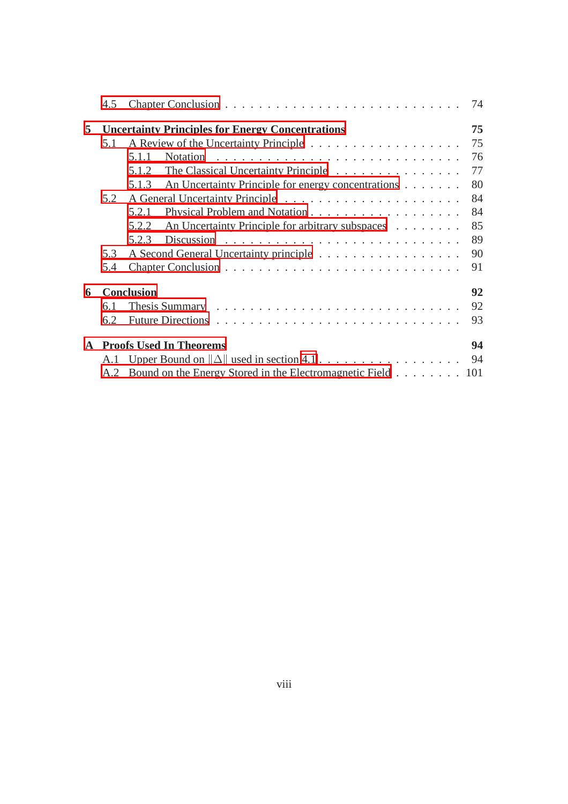| 4.5 |                                                             | 74                                                                                                                                                                                |
|-----|-------------------------------------------------------------|-----------------------------------------------------------------------------------------------------------------------------------------------------------------------------------|
|     |                                                             | 75                                                                                                                                                                                |
| 5.1 |                                                             | 75                                                                                                                                                                                |
|     | 5.1.1                                                       | 76                                                                                                                                                                                |
|     | The Classical Uncertainty Principle<br>5.1.2                | 77                                                                                                                                                                                |
|     | An Uncertainty Principle for energy concentrations<br>5.1.3 | 80                                                                                                                                                                                |
| 5.2 |                                                             | 84                                                                                                                                                                                |
|     | 5.2.1                                                       | 84                                                                                                                                                                                |
|     | An Uncertainty Principle for arbitrary subspaces<br>5.2.2   | 85                                                                                                                                                                                |
|     | 5.2.3                                                       | 89                                                                                                                                                                                |
| 5.3 |                                                             | 90                                                                                                                                                                                |
| 5.4 |                                                             | 91                                                                                                                                                                                |
|     |                                                             | 92                                                                                                                                                                                |
| 6.1 |                                                             | 92                                                                                                                                                                                |
| 6.2 |                                                             | 93                                                                                                                                                                                |
|     |                                                             | 94                                                                                                                                                                                |
|     |                                                             | 94                                                                                                                                                                                |
|     |                                                             |                                                                                                                                                                                   |
|     |                                                             | <b>Uncertainty Principles for Energy Concentrations</b><br><b>Conclusion</b><br><b>Proofs Used In Theorems</b><br>A.2 Bound on the Energy Stored in the Electromagnetic Field 101 |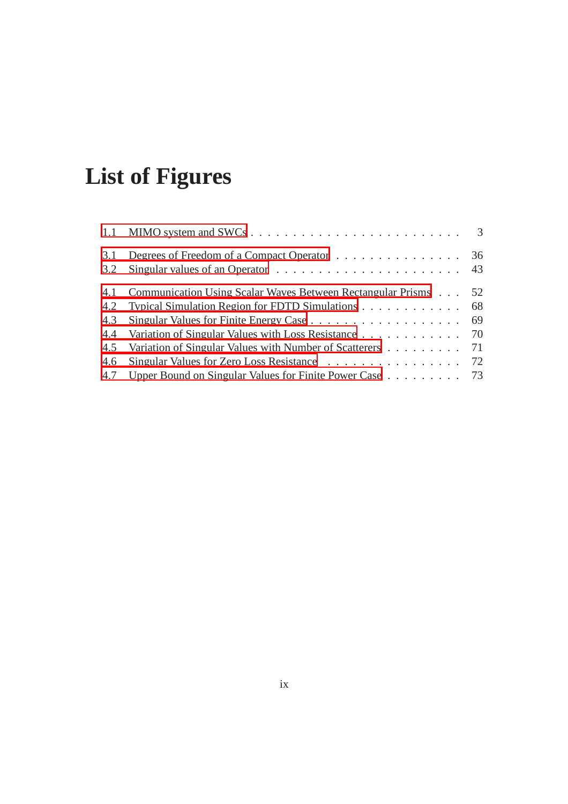# **List of Figures**

| 3.1 | Degrees of Freedom of a Compact Operator 36                        |  |
|-----|--------------------------------------------------------------------|--|
|     |                                                                    |  |
|     | 4.1 Communication Using Scalar Waves Between Rectangular Prisms 52 |  |
|     | 4.2 Typical Simulation Region for FDTD Simulations 68              |  |
| 4.3 |                                                                    |  |
|     | 4.4 Variation of Singular Values with Loss Resistance 70           |  |
|     | 4.5 Variation of Singular Values with Number of Scatterers 71      |  |
|     | 4.6 Singular Values for Zero Loss Resistance 72                    |  |
|     | 4.7 Upper Bound on Singular Values for Finite Power Case 73        |  |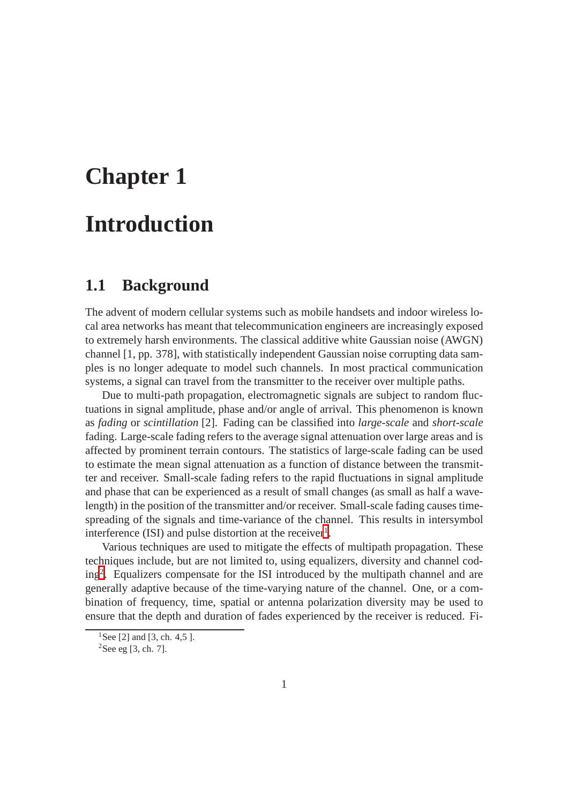# **Chapter 1 Introduction**

#### **1.1 Background**

The advent of modern cellular systems such as mobile handsets and indoor wireless local area networks has meant that telecommunication engineers are increasingly exposed to extremely harsh environments. The classical additive white Gaussian noise (AWGN) channel [1, pp. 378], with statistically independent Gaussian noise corrupting data samples is no longer adequate to model such channels. In most practical communication systems, a signal can travel from the transmitter to the receiver over multiple paths.

Due to multi-path propagation, electromagnetic signals are subject to random fluctuations in signal amplitude, phase and/or angle of arrival. This phenomenon is known as *fading* or *scintillation* [2]. Fading can be classified into *large-scale* and *short-scale* fading. Large-scale fading refers to the average signal attenuation over large areas and is affected by prominent terrain contours. The statistics of large-scale fading can be used to estimate the mean signal attenuation as a function of distance between the transmitter and receiver. Small-scale fading refers to the rapid fluctuations in signal amplitude and phase that can be experienced as a result of small changes (as small as half a wavelength) in the position of the transmitter and/or receiver. Small-scale fading causes timespreading of the signals and time-variance of the channel. This results in intersymbol interference (ISI) and pulse distortion at the receiver<sup>[1](#page-9-0)</sup>.

Various techniques are used to mitigate the effects of multipath propagation. These techniques include, but are not limited to, using equalizers, diversity and channel coding[2](#page-9-1) . Equalizers compensate for the ISI introduced by the multipath channel and are generally adaptive because of the time-varying nature of the channel. One, or a combination of frequency, time, spatial or antenna polarization diversity may be used to ensure that the depth and duration of fades experienced by the receiver is reduced. Fi-

<sup>&</sup>lt;sup>1</sup>See [2] and [3, ch. 4,5 ].

<span id="page-9-1"></span><span id="page-9-0"></span> ${}^{2}$ See eg [3, ch. 7].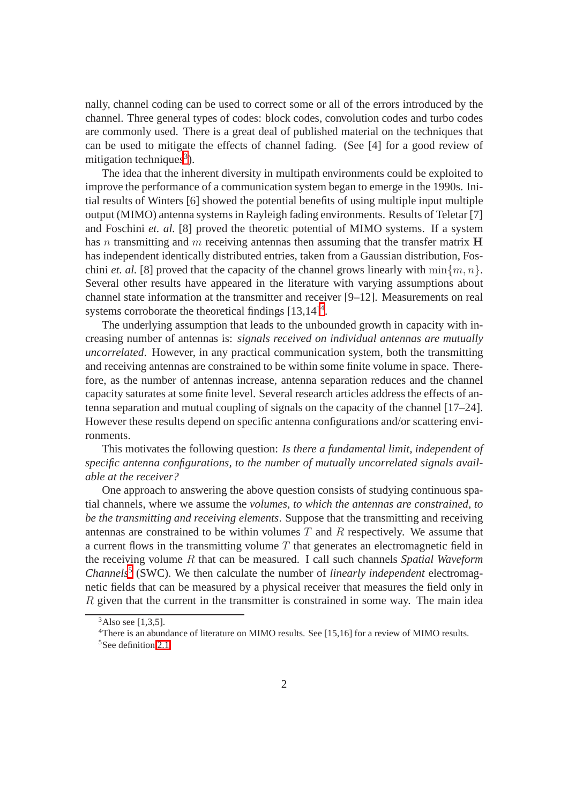nally, channel coding can be used to correct some or all of the errors introduced by the channel. Three general types of codes: block codes, convolution codes and turbo codes are commonly used. There is a great deal of published material on the techniques that can be used to mitigate the effects of channel fading. (See [4] for a good review of mitigation techniques<sup>[3](#page-10-0)</sup>).

The idea that the inherent diversity in multipath environments could be exploited to improve the performance of a communication system began to emerge in the 1990s. Initial results of Winters [6] showed the potential benefits of using multiple input multiple output (MIMO) antenna systems in Rayleigh fading environments. Results of Teletar [7] and Foschini *et. al.* [8] proved the theoretic potential of MIMO systems. If a system has n transmitting and m receiving antennas then assuming that the transfer matrix  $H$ has independent identically distributed entries, taken from a Gaussian distribution, Foschini *et. al.* [8] proved that the capacity of the channel grows linearly with  $\min\{m, n\}$ . Several other results have appeared in the literature with varying assumptions about channel state information at the transmitter and receiver [9–12]. Measurements on real systems corroborate the theoretical findings  $[13,14]^4$  $[13,14]^4$  $[13,14]^4$ .

The underlying assumption that leads to the unbounded growth in capacity with increasing number of antennas is: *signals received on individual antennas are mutually uncorrelated*. However, in any practical communication system, both the transmitting and receiving antennas are constrained to be within some finite volume in space. Therefore, as the number of antennas increase, antenna separation reduces and the channel capacity saturates at some finite level. Several research articles address the effects of antenna separation and mutual coupling of signals on the capacity of the channel [17–24]. However these results depend on specific antenna configurations and/or scattering environments.

This motivates the following question: *Is there a fundamental limit, independent of specific antenna configurations, to the number of mutually uncorrelated signals available at the receiver?*

One approach to answering the above question consists of studying continuous spatial channels, where we assume the *volumes, to which the antennas are constrained, to be the transmitting and receiving elements*. Suppose that the transmitting and receiving antennas are constrained to be within volumes  $T$  and  $R$  respectively. We assume that a current flows in the transmitting volume  $T$  that generates an electromagnetic field in the receiving volume R that can be measured. I call such channels *Spatial Waveform Channels*[5](#page-10-2) (SWC). We then calculate the number of *linearly independent* electromagnetic fields that can be measured by a physical receiver that measures the field only in R given that the current in the transmitter is constrained in some way. The main idea

 $3$ Also see [1,3,5].

<span id="page-10-2"></span><span id="page-10-1"></span><span id="page-10-0"></span><sup>4</sup>There is an abundance of literature on MIMO results. See [15,16] for a review of MIMO results. <sup>5</sup>See definition 2.1.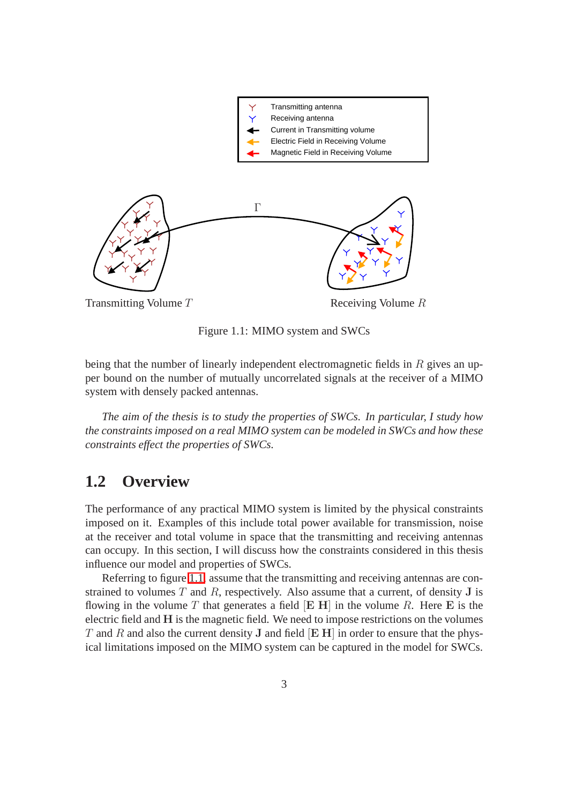

Figure 1.1: MIMO system and SWCs

being that the number of linearly independent electromagnetic fields in  $R$  gives an upper bound on the number of mutually uncorrelated signals at the receiver of a MIMO system with densely packed antennas.

*The aim of the thesis is to study the properties of SWCs. In particular, I study how the constraints imposed on a real MIMO system can be modeled in SWCs and how these constraints effect the properties of SWCs.*

#### **1.2 Overview**

The performance of any practical MIMO system is limited by the physical constraints imposed on it. Examples of this include total power available for transmission, noise at the receiver and total volume in space that the transmitting and receiving antennas can occupy. In this section, I will discuss how the constraints considered in this thesis influence our model and properties of SWCs.

Referring to figure 1.1, assume that the transmitting and receiving antennas are constrained to volumes  $T$  and  $R$ , respectively. Also assume that a current, of density  $J$  is flowing in the volume T that generates a field  $[**E H**]$  in the volume R. Here  **is the** electric field and H is the magnetic field. We need to impose restrictions on the volumes T and R and also the current density J and field  $[E H]$  in order to ensure that the physical limitations imposed on the MIMO system can be captured in the model for SWCs.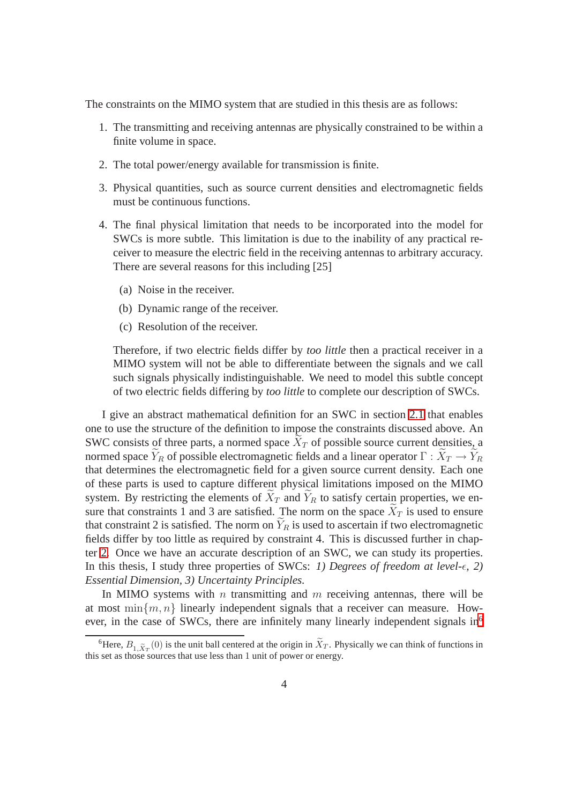The constraints on the MIMO system that are studied in this thesis are as follows:

- 1. The transmitting and receiving antennas are physically constrained to be within a finite volume in space.
- 2. The total power/energy available for transmission is finite.
- 3. Physical quantities, such as source current densities and electromagnetic fields must be continuous functions.
- 4. The final physical limitation that needs to be incorporated into the model for SWCs is more subtle. This limitation is due to the inability of any practical receiver to measure the electric field in the receiving antennas to arbitrary accuracy. There are several reasons for this including [25]
	- (a) Noise in the receiver.
	- (b) Dynamic range of the receiver.
	- (c) Resolution of the receiver.

Therefore, if two electric fields differ by *too little* then a practical receiver in a MIMO system will not be able to differentiate between the signals and we call such signals physically indistinguishable. We need to model this subtle concept of two electric fields differing by *too little* to complete our description of SWCs.

I give an abstract mathematical definition for an SWC in section 2.1 that enables one to use the structure of the definition to impose the constraints discussed above. An SWC consists of three parts, a normed space  $X_T$  of possible source current densities, a normed space  $Y_R$  of possible electromagnetic fields and a linear operator  $\Gamma : X_T \to Y_R$ that determines the electromagnetic field for a given source current density. Each one of these parts is used to capture different physical limitations imposed on the MIMO system. By restricting the elements of  $\tilde{X}_T$  and  $\tilde{Y}_R$  to satisfy certain properties, we ensure that constraints 1 and 3 are satisfied. The norm on the space  $\bar{X}_T$  is used to ensure that constraint 2 is satisfied. The norm on  $\tilde{Y}_R$  is used to ascertain if two electromagnetic fields differ by too little as required by constraint 4. This is discussed further in chapter 2. Once we have an accurate description of an SWC, we can study its properties. In this thesis, I study three properties of SWCs: *1) Degrees of freedom at level-* $\epsilon$ , 2) *Essential Dimension, 3) Uncertainty Principles.*

In MIMO systems with  $n$  transmitting and  $m$  receiving antennas, there will be at most  $\min\{m, n\}$  linearly independent signals that a receiver can measure. How-ever, in the case of SWCs, there are infinitely many linearly independent signals in<sup>[6](#page-12-0)</sup>

<span id="page-12-0"></span><sup>&</sup>lt;sup>6</sup>Here,  $B_{1,\widetilde{X}_T}(0)$  is the unit ball centered at the origin in  $\widetilde{X}_T$ . Physically we can think of functions in this set as those sources that use less than 1 unit of power or energy.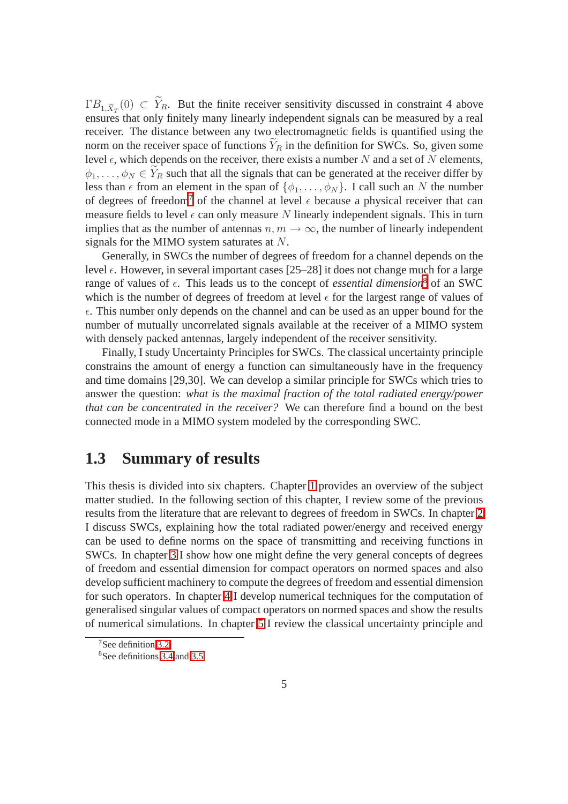$\Gamma B_{1,\tilde{X}_T}(0) \subset Y_R$ . But the finite receiver sensitivity discussed in constraint 4 above ensures that only finitely many linearly independent signals can be measured by a real receiver. The distance between any two electromagnetic fields is quantified using the norm on the receiver space of functions  $Y_R$  in the definition for SWCs. So, given some level  $\epsilon$ , which depends on the receiver, there exists a number N and a set of N elements,  $\phi_1, \ldots, \phi_N \in \tilde{Y}_R$  such that all the signals that can be generated at the receiver differ by less than  $\epsilon$  from an element in the span of  $\{\phi_1, \ldots, \phi_N\}$ . I call such an N the number of degrees of freedom<sup>[7](#page-13-0)</sup> of the channel at level  $\epsilon$  because a physical receiver that can measure fields to level  $\epsilon$  can only measure N linearly independent signals. This in turn implies that as the number of antennas  $n, m \to \infty$ , the number of linearly independent signals for the MIMO system saturates at N.

Generally, in SWCs the number of degrees of freedom for a channel depends on the level  $\epsilon$ . However, in several important cases [25–28] it does not change much for a large range of values of  $\epsilon$ . This leads us to the concept of *essential dimension*<sup>[8](#page-13-1)</sup> of an SWC which is the number of degrees of freedom at level  $\epsilon$  for the largest range of values of  $\epsilon$ . This number only depends on the channel and can be used as an upper bound for the number of mutually uncorrelated signals available at the receiver of a MIMO system with densely packed antennas, largely independent of the receiver sensitivity.

Finally, I study Uncertainty Principles for SWCs. The classical uncertainty principle constrains the amount of energy a function can simultaneously have in the frequency and time domains [29,30]. We can develop a similar principle for SWCs which tries to answer the question: *what is the maximal fraction of the total radiated energy/power that can be concentrated in the receiver?* We can therefore find a bound on the best connected mode in a MIMO system modeled by the corresponding SWC.

#### **1.3 Summary of results**

This thesis is divided into six chapters. Chapter 1 provides an overview of the subject matter studied. In the following section of this chapter, I review some of the previous results from the literature that are relevant to degrees of freedom in SWCs. In chapter 2 I discuss SWCs, explaining how the total radiated power/energy and received energy can be used to define norms on the space of transmitting and receiving functions in SWCs. In chapter 3 I show how one might define the very general concepts of degrees of freedom and essential dimension for compact operators on normed spaces and also develop sufficient machinery to compute the degrees of freedom and essential dimension for such operators. In chapter 4 I develop numerical techniques for the computation of generalised singular values of compact operators on normed spaces and show the results of numerical simulations. In chapter 5 I review the classical uncertainty principle and

 $7$ See definition 3.2.

<span id="page-13-1"></span><span id="page-13-0"></span><sup>8</sup>See definitions [3.4](#page-50-0) and 3.5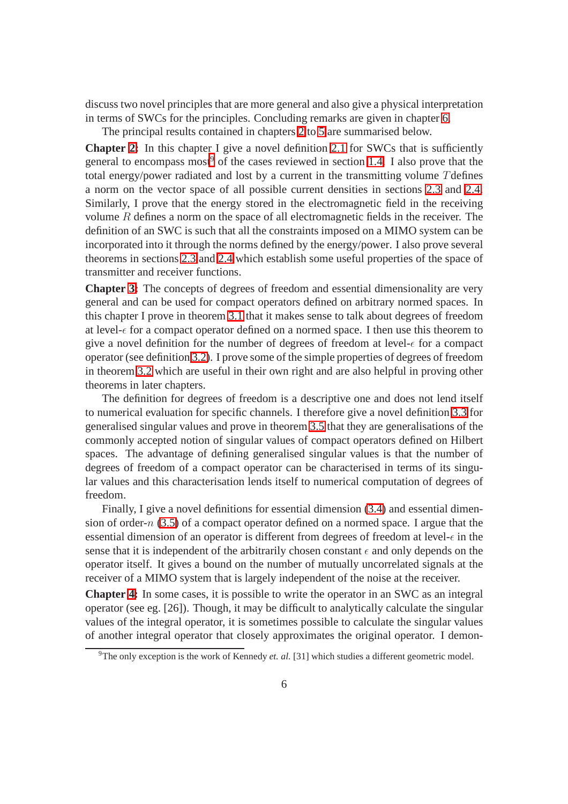discuss two novel principles that are more general and also give a physical interpretation in terms of SWCs for the principles. Concluding remarks are given in chapter 6.

The principal results contained in chapters 2 to 5 are summarised below.

**Chapter 2:** In this chapter I give a novel definition 2.1 for SWCs that is sufficiently general to encompass most<sup>[9](#page-14-0)</sup> of the cases reviewed in section 1.4. I also prove that the total energy/power radiated and lost by a current in the transmitting volume Tdefines a norm on the vector space of all possible current densities in sections 2.3 and 2.4. Similarly, I prove that the energy stored in the electromagnetic field in the receiving volume  $R$  defines a norm on the space of all electromagnetic fields in the receiver. The definition of an SWC is such that all the constraints imposed on a MIMO system can be incorporated into it through the norms defined by the energy/power. I also prove several theorems in sections 2.3 and 2.4 which establish some useful properties of the space of transmitter and receiver functions.

**Chapter 3:** The concepts of degrees of freedom and essential dimensionality are very general and can be used for compact operators defined on arbitrary normed spaces. In this chapter I prove in theorem 3.1 that it makes sense to talk about degrees of freedom at level- $\epsilon$  for a compact operator defined on a normed space. I then use this theorem to give a novel definition for the number of degrees of freedom at level- $\epsilon$  for a compact operator (see definition 3.2). I prove some of the simple properties of degrees of freedom in theorem 3.2 which are useful in their own right and are also helpful in proving other theorems in later chapters.

The definition for degrees of freedom is a descriptive one and does not lend itself to numerical evaluation for specific channels. I therefore give a novel definition 3.3 for generalised singular values and prove in theorem [3.5](#page-48-0) that they are generalisations of the commonly accepted notion of singular values of compact operators defined on Hilbert spaces. The advantage of defining generalised singular values is that the number of degrees of freedom of a compact operator can be characterised in terms of its singular values and this characterisation lends itself to numerical computation of degrees of freedom.

Finally, I give a novel definitions for essential dimension [\(3.4\)](#page-50-0) and essential dimension of order- $n$  (3.5) of a compact operator defined on a normed space. I argue that the essential dimension of an operator is different from degrees of freedom at level- $\epsilon$  in the sense that it is independent of the arbitrarily chosen constant  $\epsilon$  and only depends on the operator itself. It gives a bound on the number of mutually uncorrelated signals at the receiver of a MIMO system that is largely independent of the noise at the receiver.

**Chapter 4:** In some cases, it is possible to write the operator in an SWC as an integral operator (see eg. [26]). Though, it may be difficult to analytically calculate the singular values of the integral operator, it is sometimes possible to calculate the singular values of another integral operator that closely approximates the original operator. I demon-

<span id="page-14-0"></span><sup>&</sup>lt;sup>9</sup>The only exception is the work of Kennedy *et. al.* [31] which studies a different geometric model.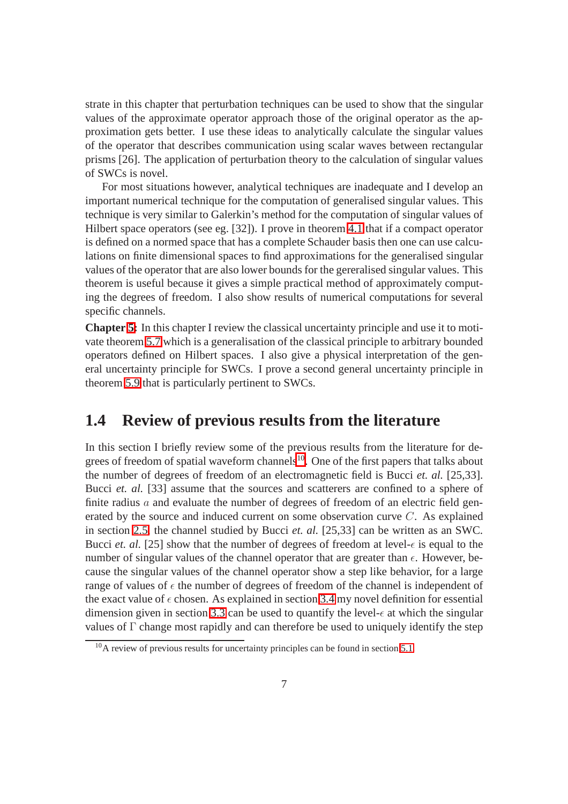strate in this chapter that perturbation techniques can be used to show that the singular values of the approximate operator approach those of the original operator as the approximation gets better. I use these ideas to analytically calculate the singular values of the operator that describes communication using scalar waves between rectangular prisms [26]. The application of perturbation theory to the calculation of singular values of SWCs is novel.

For most situations however, analytical techniques are inadequate and I develop an important numerical technique for the computation of generalised singular values. This technique is very similar to Galerkin's method for the computation of singular values of Hilbert space operators (see eg. [32]). I prove in theorem 4.1 that if a compact operator is defined on a normed space that has a complete Schauder basis then one can use calculations on finite dimensional spaces to find approximations for the generalised singular values of the operator that are also lower bounds for the gereralised singular values. This theorem is useful because it gives a simple practical method of approximately computing the degrees of freedom. I also show results of numerical computations for several specific channels.

**Chapter 5:** In this chapter I review the classical uncertainty principle and use it to motivate theorem 5.7 which is a generalisation of the classical principle to arbitrary bounded operators defined on Hilbert spaces. I also give a physical interpretation of the general uncertainty principle for SWCs. I prove a second general uncertainty principle in theorem 5.9 that is particularly pertinent to SWCs.

#### **1.4 Review of previous results from the literature**

In this section I briefly review some of the previous results from the literature for degrees of freedom of spatial waveform channels $10$ . One of the first papers that talks about the number of degrees of freedom of an electromagnetic field is Bucci *et. al.* [25,33]. Bucci *et. al.* [33] assume that the sources and scatterers are confined to a sphere of finite radius  $a$  and evaluate the number of degrees of freedom of an electric field generated by the source and induced current on some observation curve C. As explained in section 2.5, the channel studied by Bucci *et. al.* [25,33] can be written as an SWC. Bucci *et. al.* [25] show that the number of degrees of freedom at level- $\epsilon$  is equal to the number of singular values of the channel operator that are greater than  $\epsilon$ . However, because the singular values of the channel operator show a step like behavior, for a large range of values of  $\epsilon$  the number of degrees of freedom of the channel is independent of the exact value of  $\epsilon$  chosen. As explained in section 3.4 my novel definition for essential dimension given in section 3.3 can be used to quantify the level- $\epsilon$  at which the singular values of  $\Gamma$  change most rapidly and can therefore be used to uniquely identify the step

<span id="page-15-0"></span><sup>&</sup>lt;sup>10</sup>A review of previous results for uncertainty principles can be found in section 5.1.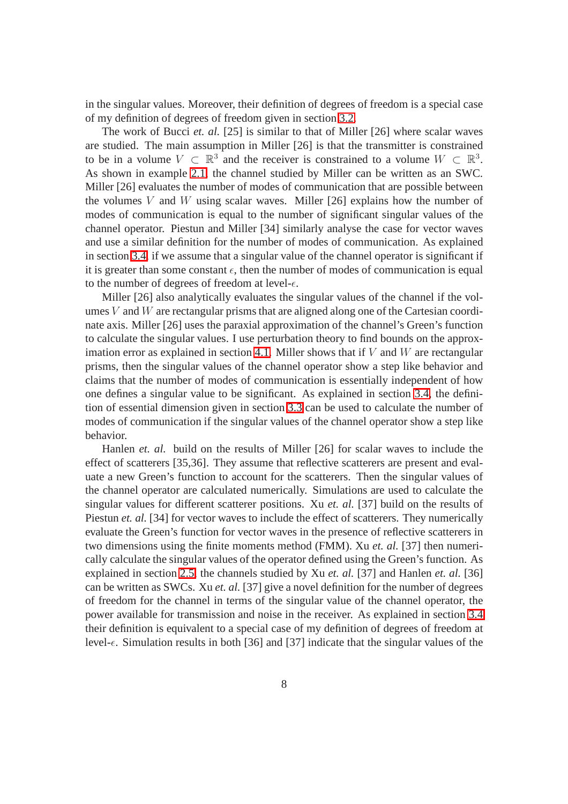in the singular values. Moreover, their definition of degrees of freedom is a special case of my definition of degrees of freedom given in section 3.2.

The work of Bucci *et. al.* [25] is similar to that of Miller [26] where scalar waves are studied. The main assumption in Miller [26] is that the transmitter is constrained to be in a volume  $V \subset \mathbb{R}^3$  and the receiver is constrained to a volume  $W \subset \mathbb{R}^3$ . As shown in example 2.1, the channel studied by Miller can be written as an SWC. Miller [26] evaluates the number of modes of communication that are possible between the volumes  $V$  and  $W$  using scalar waves. Miller [26] explains how the number of modes of communication is equal to the number of significant singular values of the channel operator. Piestun and Miller [34] similarly analyse the case for vector waves and use a similar definition for the number of modes of communication. As explained in section 3.4, if we assume that a singular value of the channel operator is significant if it is greater than some constant  $\epsilon$ , then the number of modes of communication is equal to the number of degrees of freedom at level- $\epsilon$ .

Miller [26] also analytically evaluates the singular values of the channel if the volumes  $V$  and  $W$  are rectangular prisms that are aligned along one of the Cartesian coordinate axis. Miller [26] uses the paraxial approximation of the channel's Green's function to calculate the singular values. I use perturbation theory to find bounds on the approximation error as explained in section 4.1. Miller shows that if  $V$  and  $W$  are rectangular prisms, then the singular values of the channel operator show a step like behavior and claims that the number of modes of communication is essentially independent of how one defines a singular value to be significant. As explained in section 3.4, the definition of essential dimension given in section 3.3 can be used to calculate the number of modes of communication if the singular values of the channel operator show a step like behavior.

Hanlen *et. al.* build on the results of Miller [26] for scalar waves to include the effect of scatterers [35,36]. They assume that reflective scatterers are present and evaluate a new Green's function to account for the scatterers. Then the singular values of the channel operator are calculated numerically. Simulations are used to calculate the singular values for different scatterer positions. Xu *et. al.* [37] build on the results of Piestun *et. al.* [34] for vector waves to include the effect of scatterers. They numerically evaluate the Green's function for vector waves in the presence of reflective scatterers in two dimensions using the finite moments method (FMM). Xu *et. al.* [37] then numerically calculate the singular values of the operator defined using the Green's function. As explained in section 2.5, the channels studied by Xu *et. al.* [37] and Hanlen *et. al.* [36] can be written as SWCs. Xu *et. al.* [37] give a novel definition for the number of degrees of freedom for the channel in terms of the singular value of the channel operator, the power available for transmission and noise in the receiver. As explained in section 3.4 their definition is equivalent to a special case of my definition of degrees of freedom at level- $\epsilon$ . Simulation results in both [36] and [37] indicate that the singular values of the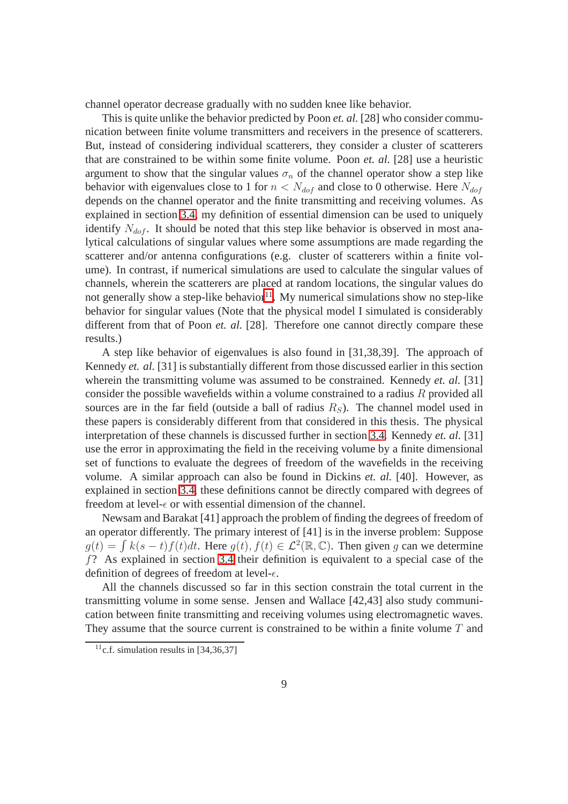channel operator decrease gradually with no sudden knee like behavior.

This is quite unlike the behavior predicted by Poon *et. al.* [28] who consider communication between finite volume transmitters and receivers in the presence of scatterers. But, instead of considering individual scatterers, they consider a cluster of scatterers that are constrained to be within some finite volume. Poon *et. al.* [28] use a heuristic argument to show that the singular values  $\sigma_n$  of the channel operator show a step like behavior with eigenvalues close to 1 for  $n < N_{dof}$  and close to 0 otherwise. Here  $N_{dof}$ depends on the channel operator and the finite transmitting and receiving volumes. As explained in section 3.4, my definition of essential dimension can be used to uniquely identify  $N_{dof}$ . It should be noted that this step like behavior is observed in most analytical calculations of singular values where some assumptions are made regarding the scatterer and/or antenna configurations (e.g. cluster of scatterers within a finite volume). In contrast, if numerical simulations are used to calculate the singular values of channels, wherein the scatterers are placed at random locations, the singular values do not generally show a step-like behavior<sup>[11](#page-17-0)</sup>. My numerical simulations show no step-like behavior for singular values (Note that the physical model I simulated is considerably different from that of Poon *et. al.* [28]. Therefore one cannot directly compare these results.)

A step like behavior of eigenvalues is also found in [31,38,39]. The approach of Kennedy *et. al.* [31] is substantially different from those discussed earlier in this section wherein the transmitting volume was assumed to be constrained. Kennedy *et. al.* [31] consider the possible wavefields within a volume constrained to a radius R provided all sources are in the far field (outside a ball of radius  $R<sub>S</sub>$ ). The channel model used in these papers is considerably different from that considered in this thesis. The physical interpretation of these channels is discussed further in section 3.4. Kennedy *et. al.* [31] use the error in approximating the field in the receiving volume by a finite dimensional set of functions to evaluate the degrees of freedom of the wavefields in the receiving volume. A similar approach can also be found in Dickins *et. al.* [40]. However, as explained in section 3.4, these definitions cannot be directly compared with degrees of freedom at level- $\epsilon$  or with essential dimension of the channel.

Newsam and Barakat [41] approach the problem of finding the degrees of freedom of an operator differently. The primary interest of [41] is in the inverse problem: Suppose  $g(t) = \int k(s-t)f(t)dt$ . Here  $g(t), f(t) \in \mathcal{L}^2(\mathbb{R}, \mathbb{C})$ . Then given g can we determine f? As explained in section 3.4 their definition is equivalent to a special case of the definition of degrees of freedom at level- $\epsilon$ .

All the channels discussed so far in this section constrain the total current in the transmitting volume in some sense. Jensen and Wallace [42,43] also study communication between finite transmitting and receiving volumes using electromagnetic waves. They assume that the source current is constrained to be within a finite volume  $T$  and

<span id="page-17-0"></span><sup>&</sup>lt;sup>11</sup>c.f. simulation results in  $[34,36,37]$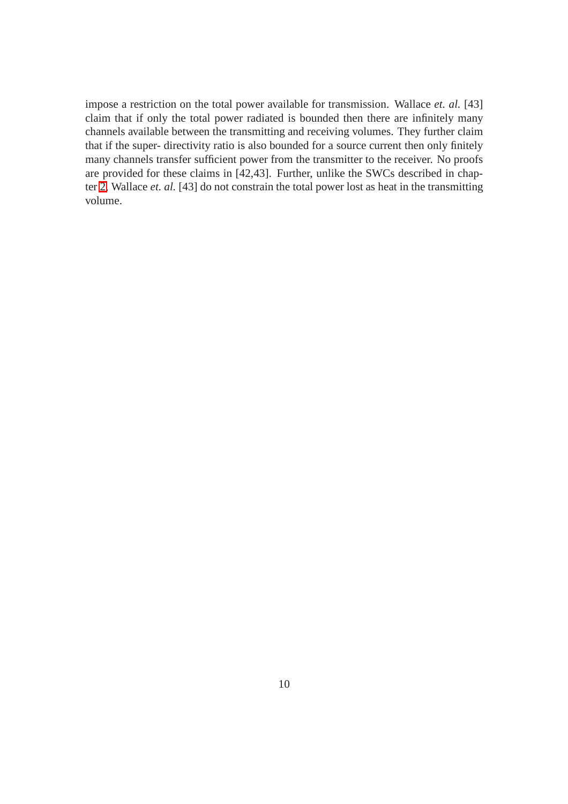impose a restriction on the total power available for transmission. Wallace *et. al.* [43] claim that if only the total power radiated is bounded then there are infinitely many channels available between the transmitting and receiving volumes. They further claim that if the super- directivity ratio is also bounded for a source current then only finitely many channels transfer sufficient power from the transmitter to the receiver. No proofs are provided for these claims in [42,43]. Further, unlike the SWCs described in chapter 2, Wallace *et. al.* [43] do not constrain the total power lost as heat in the transmitting volume.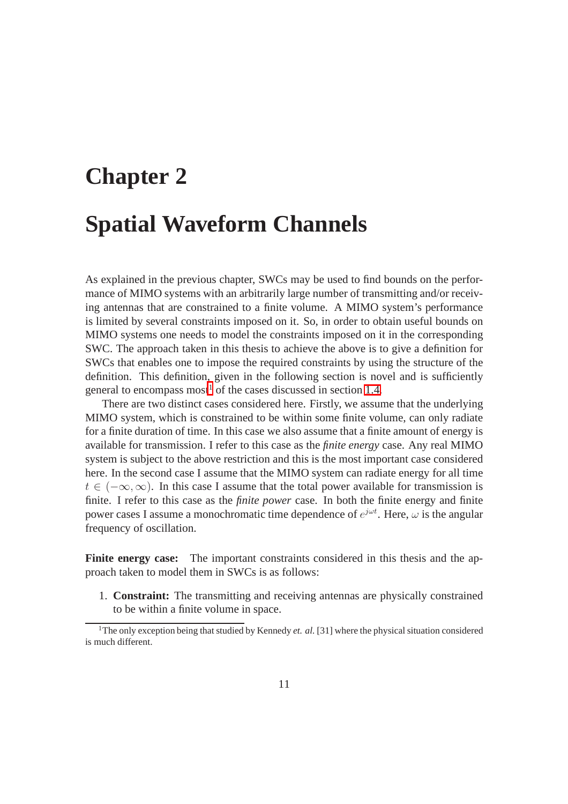# **Chapter 2 Spatial Waveform Channels**

As explained in the previous chapter, SWCs may be used to find bounds on the performance of MIMO systems with an arbitrarily large number of transmitting and/or receiving antennas that are constrained to a finite volume. A MIMO system's performance is limited by several constraints imposed on it. So, in order to obtain useful bounds on MIMO systems one needs to model the constraints imposed on it in the corresponding SWC. The approach taken in this thesis to achieve the above is to give a definition for SWCs that enables one to impose the required constraints by using the structure of the definition. This definition, given in the following section is novel and is sufficiently general to encompass most<sup>[1](#page-19-0)</sup> of the cases discussed in section 1.4.

There are two distinct cases considered here. Firstly, we assume that the underlying MIMO system, which is constrained to be within some finite volume, can only radiate for a finite duration of time. In this case we also assume that a finite amount of energy is available for transmission. I refer to this case as the *finite energy* case. Any real MIMO system is subject to the above restriction and this is the most important case considered here. In the second case I assume that the MIMO system can radiate energy for all time  $t \in (-\infty, \infty)$ . In this case I assume that the total power available for transmission is finite. I refer to this case as the *finite power* case. In both the finite energy and finite power cases I assume a monochromatic time dependence of  $e^{j\omega t}$ . Here,  $\omega$  is the angular frequency of oscillation.

**Finite energy case:** The important constraints considered in this thesis and the approach taken to model them in SWCs is as follows:

1. **Constraint:** The transmitting and receiving antennas are physically constrained to be within a finite volume in space.

<span id="page-19-0"></span><sup>&</sup>lt;sup>1</sup>The only exception being that studied by Kennedy *et. al.* [31] where the physical situation considered is much different.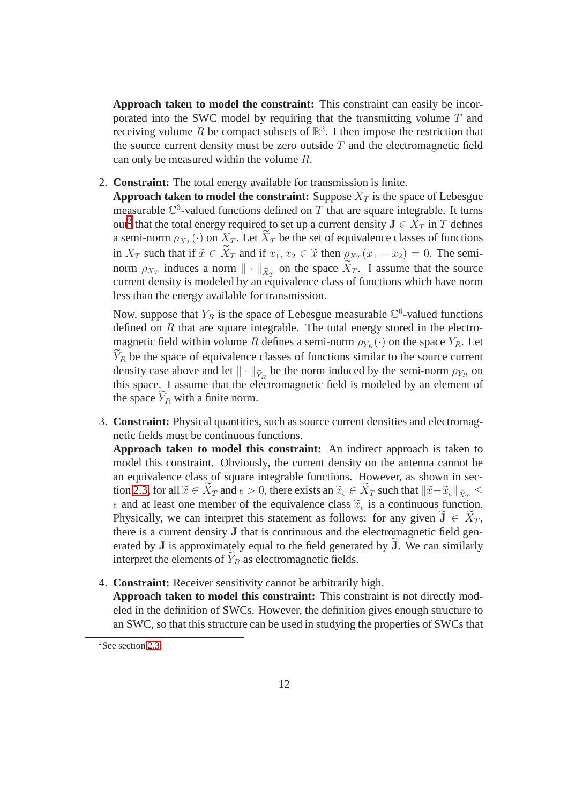**Approach taken to model the constraint:** This constraint can easily be incorporated into the SWC model by requiring that the transmitting volume T and receiving volume R be compact subsets of  $\mathbb{R}^3$ . I then impose the restriction that the source current density must be zero outside  $T$  and the electromagnetic field can only be measured within the volume R.

2. **Constraint:** The total energy available for transmission is finite.

**Approach taken to model the constraint:** Suppose  $X_T$  is the space of Lebesgue measurable  $\mathbb{C}^3$ -valued functions defined on T that are square integrable. It turns out<sup>[2](#page-20-0)</sup> that the total energy required to set up a current density  $J \in X_T$  in T defines a semi-norm  $\rho_{X_T}(\cdot)$  on  $X_T$ . Let  $X_T$  be the set of equivalence classes of functions in  $X_T$  such that if  $\tilde{x} \in X_T$  and if  $x_1, x_2 \in \tilde{x}$  then  $\rho_{X_T}(x_1 - x_2) = 0$ . The seminorm  $\rho_{X_T}$  induces a norm  $\|\cdot\|_{\tilde{X}_T}$  on the space  $X_T$ . I assume that the source current density is modeled by an equivalence class of functions which have norm less than the energy available for transmission.

Now, suppose that  $Y_R$  is the space of Lebesgue measurable  $\mathbb{C}^6$ -valued functions defined on  $R$  that are square integrable. The total energy stored in the electromagnetic field within volume R defines a semi-norm  $\rho_{Y_R}(\cdot)$  on the space  $Y_R$ . Let  $Y_R$  be the space of equivalence classes of functions similar to the source current density case above and let  $\|\cdot\|_{\tilde{Y}_R}$  be the norm induced by the semi-norm  $\rho_{Y_R}$  on this space. I assume that the electromagnetic field is modeled by an element of the space  $Y_R$  with a finite norm.

3. **Constraint:** Physical quantities, such as source current densities and electromagnetic fields must be continuous functions.

**Approach taken to model this constraint:** An indirect approach is taken to model this constraint. Obviously, the current density on the antenna cannot be an equivalence class of square integrable functions. However, as shown in section 2.3, for all  $\widetilde{x} \in X_T$  and  $\epsilon > 0$ , there exists an  $\widetilde{x}_{\epsilon} \in X_T$  such that  $\|\widetilde{x} - \widetilde{x}_{\epsilon}\|_{\widetilde{X}_T} \le$  $\epsilon$  and at least one member of the equivalence class  $\widetilde{x}_{\epsilon}$  is a continuous function. Physically, we can interpret this statement as follows: for any given  $J \in \tilde{X}_T$ , there is a current density J that is continuous and the electromagnetic field generated by  $J$  is approximately equal to the field generated by  $J$ . We can similarly interpret the elements of  $Y_R$  as electromagnetic fields.

4. **Constraint:** Receiver sensitivity cannot be arbitrarily high. **Approach taken to model this constraint:** This constraint is not directly modeled in the definition of SWCs. However, the definition gives enough structure to an SWC, so that this structure can be used in studying the properties of SWCs that

<span id="page-20-0"></span><sup>&</sup>lt;sup>2</sup>See section 2.3.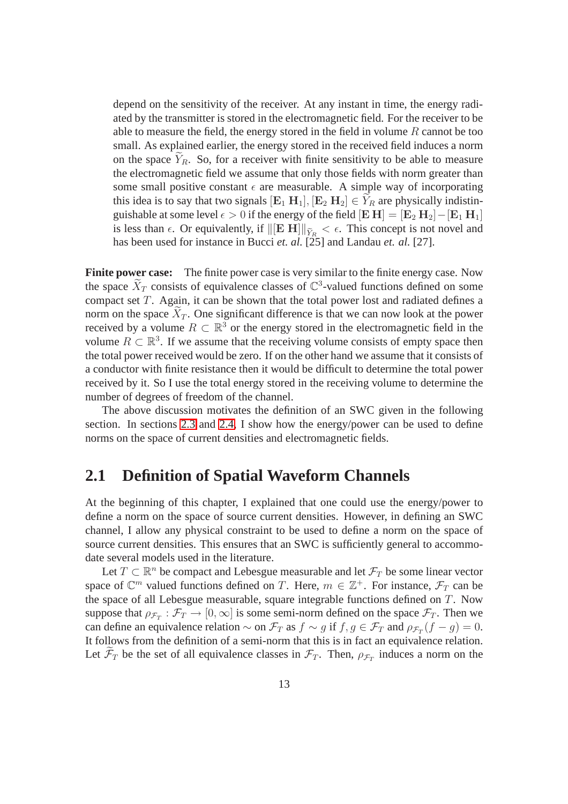depend on the sensitivity of the receiver. At any instant in time, the energy radiated by the transmitter is stored in the electromagnetic field. For the receiver to be able to measure the field, the energy stored in the field in volume  $R$  cannot be too small. As explained earlier, the energy stored in the received field induces a norm on the space  $Y_R$ . So, for a receiver with finite sensitivity to be able to measure the electromagnetic field we assume that only those fields with norm greater than some small positive constant  $\epsilon$  are measurable. A simple way of incorporating this idea is to say that two signals  $[\mathbf{E}_1 \ \mathbf{H}_1], [\mathbf{E}_2 \ \mathbf{H}_2] \in Y_R$  are physically indistinguishable at some level  $\epsilon > 0$  if the energy of the field  $[E H] = [E_2 H_2] - [E_1 H_1]$ is less than  $\epsilon$ . Or equivalently, if  $\Vert[\mathbf{E} \ \mathbf{H}]\Vert_{\widetilde{Y}_R} < \epsilon$ . This concept is not novel and has been used for instance in Bucci *et. al.* [25] and Landau *et. al.* [27].

**Finite power case:** The finite power case is very similar to the finite energy case. Now the space  $\widetilde{X}_T$  consists of equivalence classes of  $\mathbb{C}^3$ -valued functions defined on some compact set T. Again, it can be shown that the total power lost and radiated defines a norm on the space  $X_T$ . One significant difference is that we can now look at the power received by a volume  $R \subset \mathbb{R}^3$  or the energy stored in the electromagnetic field in the volume  $R \subset \mathbb{R}^3$ . If we assume that the receiving volume consists of empty space then the total power received would be zero. If on the other hand we assume that it consists of a conductor with finite resistance then it would be difficult to determine the total power received by it. So I use the total energy stored in the receiving volume to determine the number of degrees of freedom of the channel.

The above discussion motivates the definition of an SWC given in the following section. In sections 2.3 and 2.4, I show how the energy/power can be used to define norms on the space of current densities and electromagnetic fields.

#### **2.1 Definition of Spatial Waveform Channels**

At the beginning of this chapter, I explained that one could use the energy/power to define a norm on the space of source current densities. However, in defining an SWC channel, I allow any physical constraint to be used to define a norm on the space of source current densities. This ensures that an SWC is sufficiently general to accommodate several models used in the literature.

Let  $T \subset \mathbb{R}^n$  be compact and Lebesgue measurable and let  $\mathcal{F}_T$  be some linear vector space of  $\mathbb{C}^m$  valued functions defined on T. Here,  $m \in \mathbb{Z}^+$ . For instance,  $\mathcal{F}_T$  can be the space of all Lebesgue measurable, square integrable functions defined on T. Now suppose that  $\rho_{\mathcal{F}_T} : \mathcal{F}_T \to [0, \infty]$  is some semi-norm defined on the space  $\mathcal{F}_T$ . Then we can define an equivalence relation  $\sim$  on  $\mathcal{F}_T$  as  $f \sim g$  if  $f, g \in \mathcal{F}_T$  and  $\rho_{\mathcal{F}_T}(f - g) = 0$ . It follows from the definition of a semi-norm that this is in fact an equivalence relation. Let  $\mathcal{F}_T$  be the set of all equivalence classes in  $\mathcal{F}_T$ . Then,  $\rho_{\mathcal{F}_T}$  induces a norm on the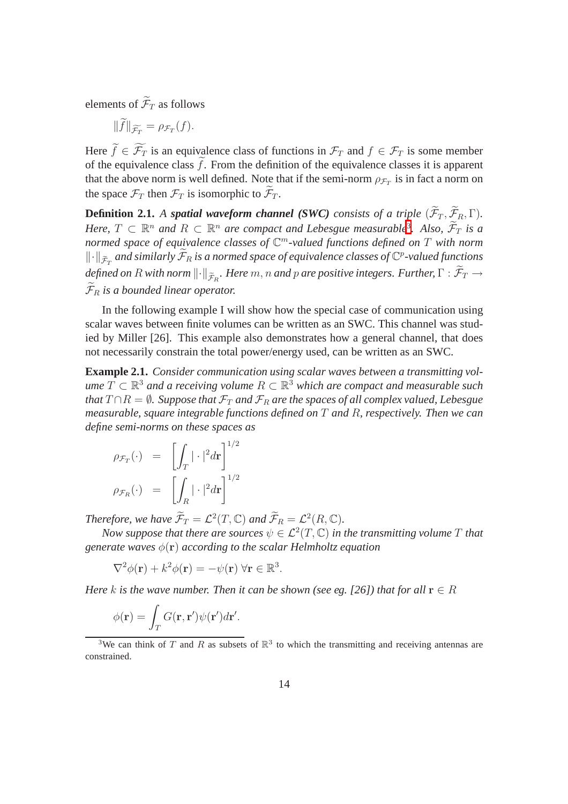elements of  $\widetilde{\mathcal{F}}_T$  as follows

$$
||f||_{\widetilde{\mathcal{F}_T}} = \rho_{\mathcal{F}_T}(f).
$$

Here  $\widetilde{f} \in \widetilde{\mathcal{F}}_T$  is an equivalence class of functions in  $\mathcal{F}_T$  and  $f \in \mathcal{F}_T$  is some member of the equivalence class  $\hat{f}$ . From the definition of the equivalence classes it is apparent that the above norm is well defined. Note that if the semi-norm  $\rho_{\mathcal{F}_T}$  is in fact a norm on the space  $\mathcal{F}_T$  then  $\mathcal{F}_T$  is isomorphic to  $\mathcal{F}_T$ .

**Definition 2.1.** *A spatial waveform channel (SWC) consists of a triple*  $(\widetilde{\mathcal{F}}_T, \widetilde{\mathcal{F}}_R, \Gamma)$ *. Here,*  $T \subset \mathbb{R}^n$  and  $R \subset \mathbb{R}^n$  are compact and Lebesgue measurable<sup>[3](#page-22-0)</sup>. Also,  $\widetilde{\mathcal{F}}_T$  is a *normed space of equivalence classes of* C <sup>m</sup>*-valued functions defined on* T *with norm*  $\|\cdot\|_{\widetilde{\mathcal{F}}_T}$  and similarly  $\widetilde{\mathcal{F}}_R$  is a normed space of equivalence classes of  $\mathbb{C}^p$ -valued functions  $d$ efined on  $R$  with norm  $\lVert \cdot \rVert_{\widetilde{\mathcal{F}}_R}.$  Here  $m,n$  and  $p$  are positive integers. Further,  $\Gamma: \mathcal{F}_T \to$  $\widetilde{\mathcal{F}}_R$  *is a bounded linear operator.* 

In the following example I will show how the special case of communication using scalar waves between finite volumes can be written as an SWC. This channel was studied by Miller [26]. This example also demonstrates how a general channel, that does not necessarily constrain the total power/energy used, can be written as an SWC.

**Example 2.1.** *Consider communication using scalar waves between a transmitting volume*  $T$  ⊂  $\mathbb{R}^3$  *and a receiving volume*  $R$  ⊂  $\mathbb{R}^3$  *which are compact and measurable such that*  $T \cap R = \emptyset$ *. Suppose that*  $\mathcal{F}_T$  *and*  $\mathcal{F}_R$  *are the spaces of all complex valued, Lebesgue measurable, square integrable functions defined on* T *and* R*, respectively. Then we can define semi-norms on these spaces as*

$$
\rho_{\mathcal{F}_T}(\cdot) = \left[ \int_T |\cdot|^2 d\mathbf{r} \right]^{1/2}
$$

$$
\rho_{\mathcal{F}_R}(\cdot) = \left[ \int_R |\cdot|^2 d\mathbf{r} \right]^{1/2}
$$

*Therefore, we have*  $\widetilde{\mathcal{F}}_T = \mathcal{L}^2(T, \mathbb{C})$  *and*  $\widetilde{\mathcal{F}}_R = \mathcal{L}^2(R, \mathbb{C})$ *.* 

*Now suppose that there are sources*  $\psi \in \mathcal{L}^2(T,\mathbb{C})$  *in the transmitting volume*  $T$  *that generate waves* φ(r) *according to the scalar Helmholtz equation*

$$
\nabla^2 \phi(\mathbf{r}) + k^2 \phi(\mathbf{r}) = -\psi(\mathbf{r}) \,\forall \mathbf{r} \in \mathbb{R}^3.
$$

*Here* k is the wave number. Then it can be shown (see eg. [26]) that for all  $\mathbf{r} \in R$ 

$$
\phi(\mathbf{r}) = \int_T G(\mathbf{r}, \mathbf{r}') \psi(\mathbf{r}') d\mathbf{r}'.
$$

<span id="page-22-0"></span><sup>3</sup>We can think of T and R as subsets of  $\mathbb{R}^3$  to which the transmitting and receiving antennas are constrained.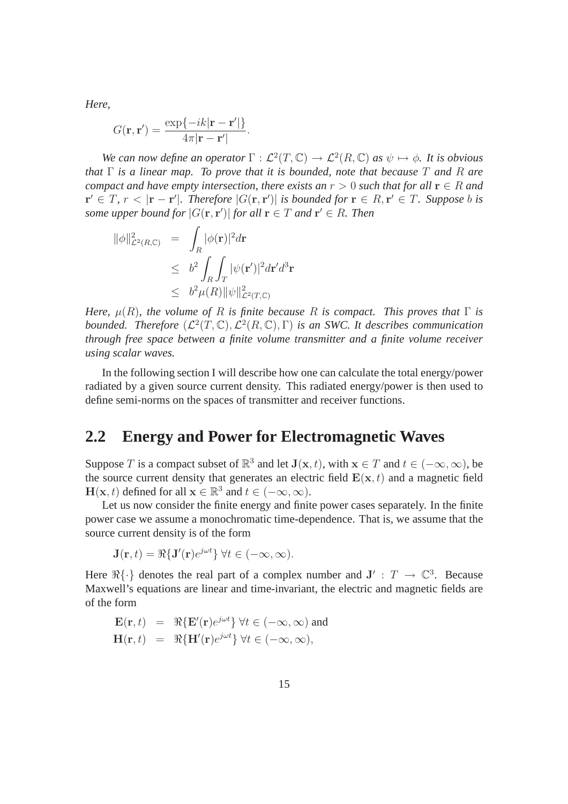*Here,*

$$
G(\mathbf{r}, \mathbf{r}') = \frac{\exp\{-ik|\mathbf{r} - \mathbf{r}'|\}}{4\pi|\mathbf{r} - \mathbf{r}'|}
$$

*We can now define an operator*  $\Gamma : \mathcal{L}^2(T, \mathbb{C}) \to \mathcal{L}^2(R, \mathbb{C})$  *as*  $\psi \mapsto \phi$ *. It is obvious that* Γ *is a linear map. To prove that it is bounded, note that because* T *and* R *are compact and have empty intersection, there exists an*  $r > 0$  *such that for all*  $r \in R$  *and*  $\mathbf{r}' \in T$ ,  $r < |\mathbf{r} - \mathbf{r}'|$ . Therefore  $|G(\mathbf{r}, \mathbf{r}')|$  *is bounded for*  $\mathbf{r} \in R$ ,  $\mathbf{r}' \in T$ . Suppose *b is some upper bound for*  $|G(\mathbf{r}, \mathbf{r}')|$  *for all*  $\mathbf{r} \in T$  *and*  $\mathbf{r}' \in R$ *. Then* 

.

$$
\begin{array}{rcl} \|\phi\|_{\mathcal{L}^2(R,\mathbb{C})}^2 &=& \displaystyle \int_R |\phi(\mathbf{r})|^2 d\mathbf{r} \\ &\leq & b^2 \displaystyle \int_R \int_T |\psi(\mathbf{r}')|^2 d\mathbf{r}' d^3 \mathbf{r} \\ &\leq & b^2 \mu(R) \|\psi\|_{\mathcal{L}^2(T,\mathbb{C})}^2 \end{array}
$$

*Here,*  $\mu(R)$ *, the volume of* R *is finite because* R *is compact. This proves that*  $\Gamma$  *is* bounded. Therefore  $(\mathcal{L}^2(T,\mathbb{C}),\mathcal{L}^2(R,\mathbb{C}),\Gamma)$  *is an SWC. It describes communication through free space between a finite volume transmitter and a finite volume receiver using scalar waves.*

In the following section I will describe how one can calculate the total energy/power radiated by a given source current density. This radiated energy/power is then used to define semi-norms on the spaces of transmitter and receiver functions.

#### **2.2 Energy and Power for Electromagnetic Waves**

Suppose T is a compact subset of  $\mathbb{R}^3$  and let  $J(\mathbf{x}, t)$ , with  $\mathbf{x} \in T$  and  $t \in (-\infty, \infty)$ , be the source current density that generates an electric field  $E(x, t)$  and a magnetic field  $\mathbf{H}(\mathbf{x}, t)$  defined for all  $\mathbf{x} \in \mathbb{R}^3$  and  $t \in (-\infty, \infty)$ .

Let us now consider the finite energy and finite power cases separately. In the finite power case we assume a monochromatic time-dependence. That is, we assume that the source current density is of the form

$$
\mathbf{J}(\mathbf{r},t) = \Re{\{\mathbf{J}'(\mathbf{r})e^{j\omega t}\}} \ \forall t \in (-\infty,\infty).
$$

Here  $\Re{\{\cdot\}}$  denotes the real part of a complex number and  $J' : T \to \mathbb{C}^3$ . Because Maxwell's equations are linear and time-invariant, the electric and magnetic fields are of the form

$$
\mathbf{E}(\mathbf{r},t) = \Re{\mathbf{E}'(\mathbf{r})e^{j\omega t}} \ \forall t \in (-\infty,\infty) \text{ and}
$$

$$
\mathbf{H}(\mathbf{r},t) = \Re{\mathbf{H}'(\mathbf{r})e^{j\omega t}} \ \forall t \in (-\infty,\infty),
$$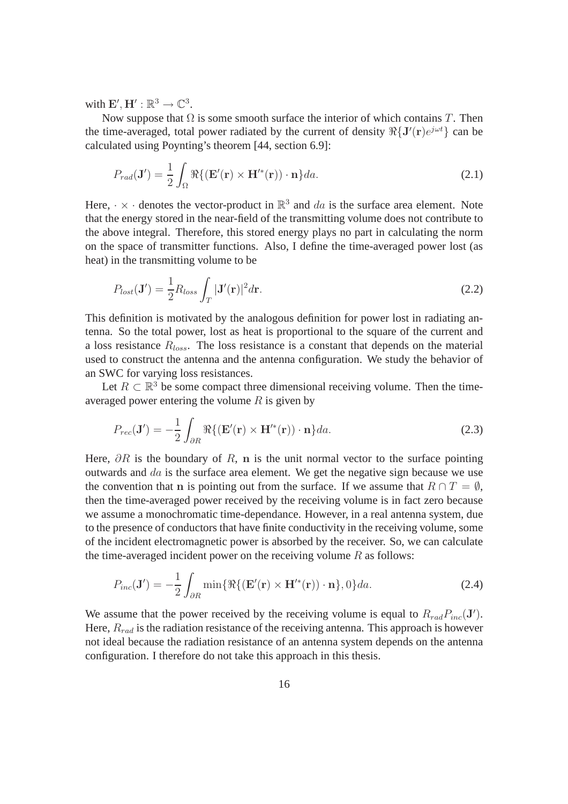with  $\mathbf{E}', \mathbf{H}' : \mathbb{R}^3 \to \mathbb{C}^3$ .

Now suppose that  $\Omega$  is some smooth surface the interior of which contains T. Then the time-averaged, total power radiated by the current of density  $\Re{\mathbf{J}'(\mathbf{r})e^{j\omega t}}$  can be calculated using Poynting's theorem [44, section 6.9]:

$$
P_{rad}(\mathbf{J}') = \frac{1}{2} \int_{\Omega} \Re\{ (\mathbf{E}'(\mathbf{r}) \times \mathbf{H}'^*(\mathbf{r})) \cdot \mathbf{n} \} da. \tag{2.1}
$$

Here,  $\cdot \times \cdot$  denotes the vector-product in  $\mathbb{R}^3$  and da is the surface area element. Note that the energy stored in the near-field of the transmitting volume does not contribute to the above integral. Therefore, this stored energy plays no part in calculating the norm on the space of transmitter functions. Also, I define the time-averaged power lost (as heat) in the transmitting volume to be

<span id="page-24-0"></span>
$$
P_{lost}(\mathbf{J}') = \frac{1}{2} R_{loss} \int_{T} |\mathbf{J}'(\mathbf{r})|^2 d\mathbf{r}.
$$
 (2.2)

This definition is motivated by the analogous definition for power lost in radiating antenna. So the total power, lost as heat is proportional to the square of the current and a loss resistance  $R_{loss}$ . The loss resistance is a constant that depends on the material used to construct the antenna and the antenna configuration. We study the behavior of an SWC for varying loss resistances.

Let  $R \subset \mathbb{R}^3$  be some compact three dimensional receiving volume. Then the timeaveraged power entering the volume  $R$  is given by

<span id="page-24-1"></span>
$$
P_{rec}(\mathbf{J}') = -\frac{1}{2} \int_{\partial R} \Re\{ (\mathbf{E}'(\mathbf{r}) \times \mathbf{H}'^*(\mathbf{r})) \cdot \mathbf{n} \} da.
$$
 (2.3)

Here,  $\partial R$  is the boundary of R, n is the unit normal vector to the surface pointing outwards and  $da$  is the surface area element. We get the negative sign because we use the convention that n is pointing out from the surface. If we assume that  $R \cap T = \emptyset$ , then the time-averaged power received by the receiving volume is in fact zero because we assume a monochromatic time-dependance. However, in a real antenna system, due to the presence of conductors that have finite conductivity in the receiving volume, some of the incident electromagnetic power is absorbed by the receiver. So, we can calculate the time-averaged incident power on the receiving volume  $R$  as follows:

$$
P_{inc}(\mathbf{J}') = -\frac{1}{2} \int_{\partial R} \min\{\Re\{(\mathbf{E}'(\mathbf{r}) \times \mathbf{H}'^*(\mathbf{r})) \cdot \mathbf{n}\}, 0\} da.
$$
 (2.4)

We assume that the power received by the receiving volume is equal to  $R_{rad}P_{inc}(\mathbf{J}')$ . Here,  $R_{rad}$  is the radiation resistance of the receiving antenna. This approach is however not ideal because the radiation resistance of an antenna system depends on the antenna configuration. I therefore do not take this approach in this thesis.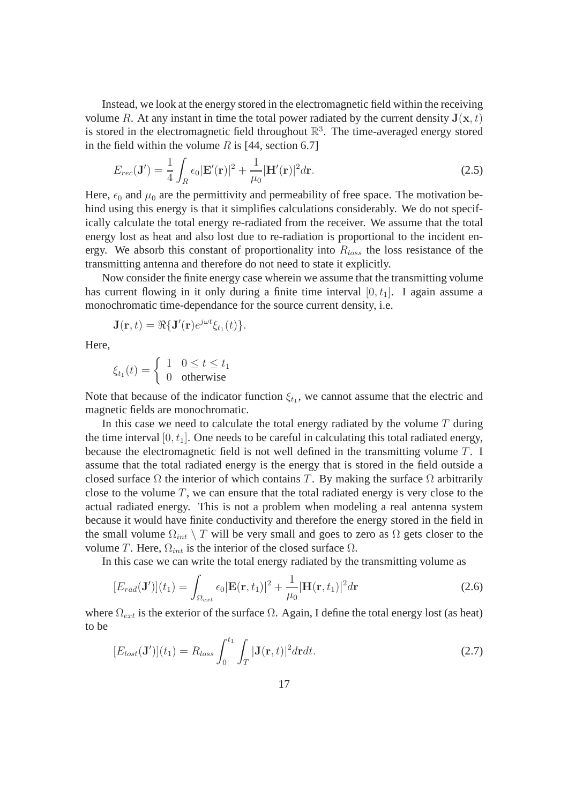Instead, we look at the energy stored in the electromagnetic field within the receiving volume R. At any instant in time the total power radiated by the current density  $J(x, t)$ is stored in the electromagnetic field throughout  $\mathbb{R}^3$ . The time-averaged energy stored in the field within the volume R is [44, section 6.7]

$$
E_{rec}(\mathbf{J}') = \frac{1}{4} \int_{R} \epsilon_0 |\mathbf{E}'(\mathbf{r})|^2 + \frac{1}{\mu_0} |\mathbf{H}'(\mathbf{r})|^2 d\mathbf{r}.
$$
 (2.5)

Here,  $\epsilon_0$  and  $\mu_0$  are the permittivity and permeability of free space. The motivation behind using this energy is that it simplifies calculations considerably. We do not specifically calculate the total energy re-radiated from the receiver. We assume that the total energy lost as heat and also lost due to re-radiation is proportional to the incident energy. We absorb this constant of proportionality into  $R_{loss}$  the loss resistance of the transmitting antenna and therefore do not need to state it explicitly.

Now consider the finite energy case wherein we assume that the transmitting volume has current flowing in it only during a finite time interval  $[0, t<sub>1</sub>]$ . I again assume a monochromatic time-dependance for the source current density, i.e.

$$
\mathbf{J}(\mathbf{r},t)=\Re{\{\mathbf{J}'(\mathbf{r})e^{j\omega t}\xi_{t_1}(t)\}}.
$$

Here,

$$
\xi_{t_1}(t) = \begin{cases} 1 & 0 \le t \le t_1 \\ 0 & \text{otherwise} \end{cases}
$$

Note that because of the indicator function  $\xi_{t_1}$ , we cannot assume that the electric and magnetic fields are monochromatic.

In this case we need to calculate the total energy radiated by the volume  $T$  during the time interval  $[0, t<sub>1</sub>]$ . One needs to be careful in calculating this total radiated energy, because the electromagnetic field is not well defined in the transmitting volume T. I assume that the total radiated energy is the energy that is stored in the field outside a closed surface  $\Omega$  the interior of which contains T. By making the surface  $\Omega$  arbitrarily close to the volume  $T$ , we can ensure that the total radiated energy is very close to the actual radiated energy. This is not a problem when modeling a real antenna system because it would have finite conductivity and therefore the energy stored in the field in the small volume  $\Omega_{int} \setminus T$  will be very small and goes to zero as  $\Omega$  gets closer to the volume T. Here,  $Ω<sub>int</sub>$  is the interior of the closed surface  $Ω$ .

In this case we can write the total energy radiated by the transmitting volume as

<span id="page-25-1"></span>
$$
[E_{rad}(\mathbf{J}')] (t_1) = \int_{\Omega_{ext}} \epsilon_0 |\mathbf{E}(\mathbf{r}, t_1)|^2 + \frac{1}{\mu_0} |\mathbf{H}(\mathbf{r}, t_1)|^2 d\mathbf{r}
$$
 (2.6)

<span id="page-25-0"></span>where  $\Omega_{ext}$  is the exterior of the surface  $\Omega$ . Again, I define the total energy lost (as heat) to be

$$
[E_{lost}(\mathbf{J}')] (t_1) = R_{loss} \int_0^{t_1} \int_T |\mathbf{J}(\mathbf{r}, t)|^2 d\mathbf{r} dt.
$$
 (2.7)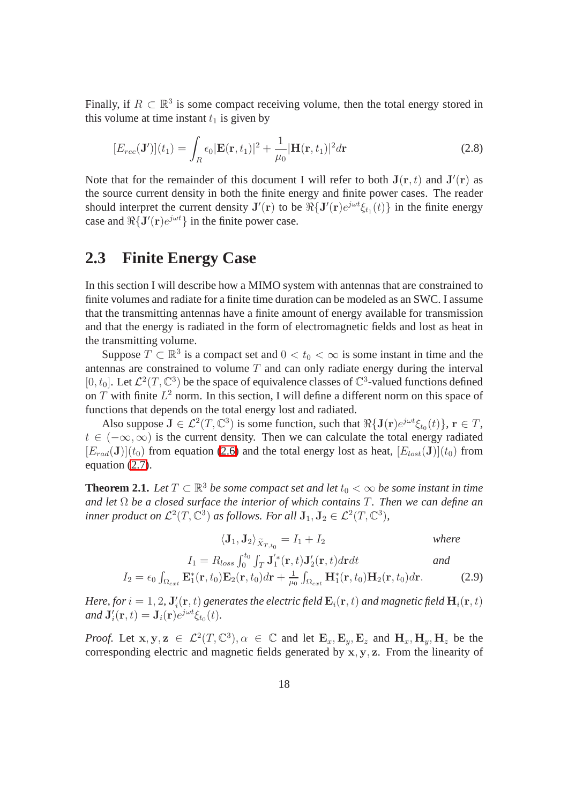Finally, if  $R \subset \mathbb{R}^3$  is some compact receiving volume, then the total energy stored in this volume at time instant  $t_1$  is given by

<span id="page-26-0"></span>
$$
[E_{rec}(\mathbf{J}')] (t_1) = \int_R \epsilon_0 |\mathbf{E}(\mathbf{r}, t_1)|^2 + \frac{1}{\mu_0} |\mathbf{H}(\mathbf{r}, t_1)|^2 d\mathbf{r}
$$
 (2.8)

Note that for the remainder of this document I will refer to both  $J(r, t)$  and  $J'(r)$  as the source current density in both the finite energy and finite power cases. The reader should interpret the current density  $J'(r)$  to be  $\Re\{J'(r)e^{j\omega t}\xi_{t_1}(t)\}\$  in the finite energy case and  $\Re\{J'(r)e^{j\omega t}\}\$  in the finite power case.

#### **2.3 Finite Energy Case**

In this section I will describe how a MIMO system with antennas that are constrained to finite volumes and radiate for a finite time duration can be modeled as an SWC. I assume that the transmitting antennas have a finite amount of energy available for transmission and that the energy is radiated in the form of electromagnetic fields and lost as heat in the transmitting volume.

Suppose  $T \subset \mathbb{R}^3$  is a compact set and  $0 < t_0 < \infty$  is some instant in time and the antennas are constrained to volume  $T$  and can only radiate energy during the interval [0, t<sub>0</sub>]. Let  $\mathcal{L}^2(T,\mathbb{C}^3)$  be the space of equivalence classes of  $\mathbb{C}^3$ -valued functions defined on T with finite  $L^2$  norm. In this section, I will define a different norm on this space of functions that depends on the total energy lost and radiated.

Also suppose  $J \in \mathcal{L}^2(T, \mathbb{C}^3)$  is some function, such that  $\Re{\{J(\mathbf{r})e^{j\omega t}\xi_{t_0}(t)\}}, \mathbf{r} \in T$ ,  $t \in (-\infty, \infty)$  is the current density. Then we can calculate the total energy radiated  $[E_{rad}(\mathbf{J})](t_0)$  from equation [\(2.6\)](#page-25-0) and the total energy lost as heat,  $[E_{lost}(\mathbf{J})](t_0)$  from equation [\(2.7\)](#page-26-0).

**Theorem 2.1.** *Let*  $T \subset \mathbb{R}^3$  *be some compact set and let*  $t_0 < \infty$  *be some instant in time and let* Ω *be a closed surface the interior of which contains* T*. Then we can define an inner product on*  $\mathcal{L}^2(T, \mathbb{C}^3)$  *as follows. For all*  $J_1, J_2 \in \mathcal{L}^2(T, \mathbb{C}^3)$ ,

$$
\langle \mathbf{J}_1, \mathbf{J}_2 \rangle_{\widetilde{X}_{T,t_0}} = I_1 + I_2 \qquad \qquad \text{where}
$$

$$
I_1 = R_{loss} \int_0^{t_0} \int_T \mathbf{J}'_1^*(\mathbf{r}, t) \mathbf{J}'_2(\mathbf{r}, t) d\mathbf{r} dt
$$
 and

$$
I_2 = \epsilon_0 \int_{\Omega_{ext}} \mathbf{E}_1^*(\mathbf{r}, t_0) \mathbf{E}_2(\mathbf{r}, t_0) d\mathbf{r} + \frac{1}{\mu_0} \int_{\Omega_{ext}} \mathbf{H}_1^*(\mathbf{r}, t_0) \mathbf{H}_2(\mathbf{r}, t_0) d\mathbf{r}.
$$
 (2.9)

Here, for  $i=1,2$ ,  ${\bf J}'_i({\bf r},t)$  generates the electric field  ${\bf E}_i({\bf r},t)$  and magnetic field  ${\bf H}_i({\bf r},t)$ *and*  $\mathbf{J}'_i(\mathbf{r}, t) = \mathbf{J}_i(\mathbf{r})e^{j\omega t}\xi_{t_0}(t)$ .

*Proof.* Let  $x, y, z \in L^2(T, \mathbb{C}^3), \alpha \in \mathbb{C}$  and let  $\mathbf{E}_x, \mathbf{E}_y, \mathbf{E}_z$  and  $\mathbf{H}_x, \mathbf{H}_y, \mathbf{H}_z$  be the corresponding electric and magnetic fields generated by x, y, z. From the linearity of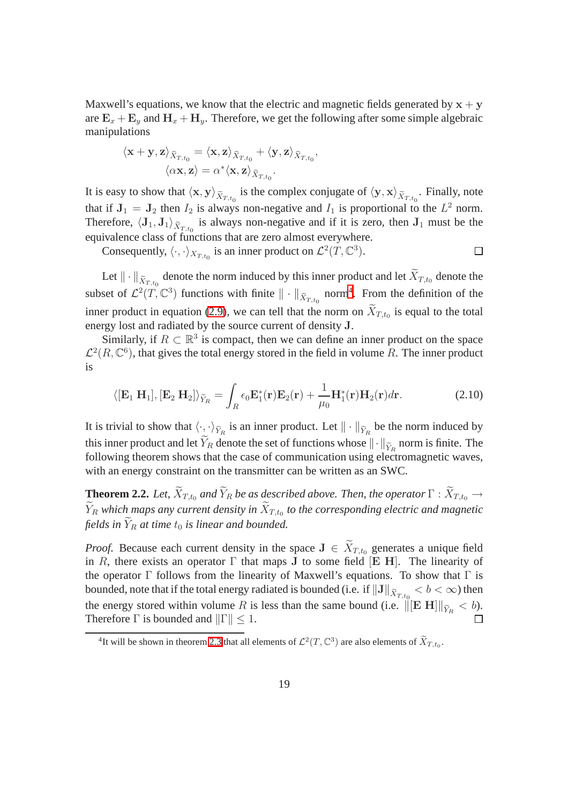Maxwell's equations, we know that the electric and magnetic fields generated by  $x + y$ are  $\mathbf{E}_x + \mathbf{E}_y$  and  $\mathbf{H}_x + \mathbf{H}_y$ . Therefore, we get the following after some simple algebraic manipulations

$$
\langle \mathbf{x} + \mathbf{y}, \mathbf{z} \rangle_{\widetilde{X}_{T,t_0}} = \langle \mathbf{x}, \mathbf{z} \rangle_{\widetilde{X}_{T,t_0}} + \langle \mathbf{y}, \mathbf{z} \rangle_{\widetilde{X}_{T,t_0}}, \langle \alpha \mathbf{x}, \mathbf{z} \rangle = \alpha^* \langle \mathbf{x}, \mathbf{z} \rangle_{\widetilde{X}_{T,t_0}}.
$$

It is easy to show that  $\langle x, y \rangle_{\tilde{X}_{T,t_0}}$  is the complex conjugate of  $\langle y, x \rangle_{\tilde{X}_{T,t_0}}$ . Finally, note that if  $J_1 = J_2$  then  $I_2$  is always non-negative and  $I_1$  is proportional to the  $L^2$  norm. Therefore,  $\langle J_1, J_1 \rangle_{\tilde{X}_T,t_0}$  is always non-negative and if it is zero, then  $J_1$  must be the equivalence class of functions that are zero almost everywhere.

Consequently,  $\langle \cdot, \cdot \rangle_{X_{T,t_0}}$  is an inner product on  $\mathcal{L}^2(T, \mathbb{C}^3)$ .  $\Box$ 

Let  $\|\cdot\|_{\tilde{X}_{T,t_0}}$  denote the norm induced by this inner product and let  $X_{T,t_0}$  denote the subset of  $\mathcal{L}^2(\tilde{T}, \mathbb{C}^3)$  functions with finite  $\|\cdot\|_{\tilde{X}_{T,t_0}}$  norm<sup>[4](#page-27-0)</sup>. From the definition of the inner product in equation (2.9), we can tell that the norm on  $X_{T,t_0}$  is equal to the total energy lost and radiated by the source current of density J.

Similarly, if  $R \subset \mathbb{R}^3$  is compact, then we can define an inner product on the space  $\mathcal{L}^2(R,\mathbb{C}^6)$ , that gives the total energy stored in the field in volume R. The inner product is

$$
\langle [\mathbf{E}_1 \mathbf{H}_1], [\mathbf{E}_2 \mathbf{H}_2] \rangle_{\widetilde{Y}_R} = \int_R \epsilon_0 \mathbf{E}_1^*(\mathbf{r}) \mathbf{E}_2(\mathbf{r}) + \frac{1}{\mu_0} \mathbf{H}_1^*(\mathbf{r}) \mathbf{H}_2(\mathbf{r}) d\mathbf{r}.
$$
 (2.10)

It is trivial to show that  $\langle \cdot, \cdot \rangle_{\tilde{Y}_R}$  is an inner product. Let  $\|\cdot\|_{\tilde{Y}_R}$  be the norm induced by this inner product and let  $Y_R$  denote the set of functions whose  $\|\cdot\|_{\widetilde{Y}_R}$  norm is finite. The following theorem shows that the case of communication using electromagnetic waves, with an energy constraint on the transmitter can be written as an SWC.

**Theorem 2.2.** *Let,*  $\widetilde{X}_{T,t_0}$  *and*  $\widetilde{Y}_R$  *be as described above. Then, the operator*  $\Gamma : \widetilde{X}_{T,t_0} \to$  $Y_R$  which maps any current density in  $X_{T,t_0}$  to the corresponding electric and magnetic *fields in*  $\tilde{Y}_R$  *at time*  $t_0$  *is linear and bounded.* 

*Proof.* Because each current density in the space  $J \in \widetilde{X}_{T,t_0}$  generates a unique field in R, there exists an operator  $\Gamma$  that maps J to some field [E H]. The linearity of the operator  $\Gamma$  follows from the linearity of Maxwell's equations. To show that  $\Gamma$  is bounded, note that if the total energy radiated is bounded (i.e. if  $\|\mathbf{J}\|_{\widetilde X_{T,t_{0}}}< b<\infty$ ) then the energy stored within volume R is less than the same bound (i.e.  $\|\begin{bmatrix} \mathbf{E} \ \mathbf{H} \end{bmatrix}\|_{\widetilde{Y}_R} < b$ ). Therefore  $\Gamma$  is bounded and  $\|\Gamma\| \leq 1$ .

<span id="page-27-0"></span><sup>&</sup>lt;sup>4</sup>It will be shown in theorem 2.3 that all elements of  $\mathcal{L}^2(T, \mathbb{C}^3)$  are also elements of  $\widetilde{X}_{T,t_0}$ .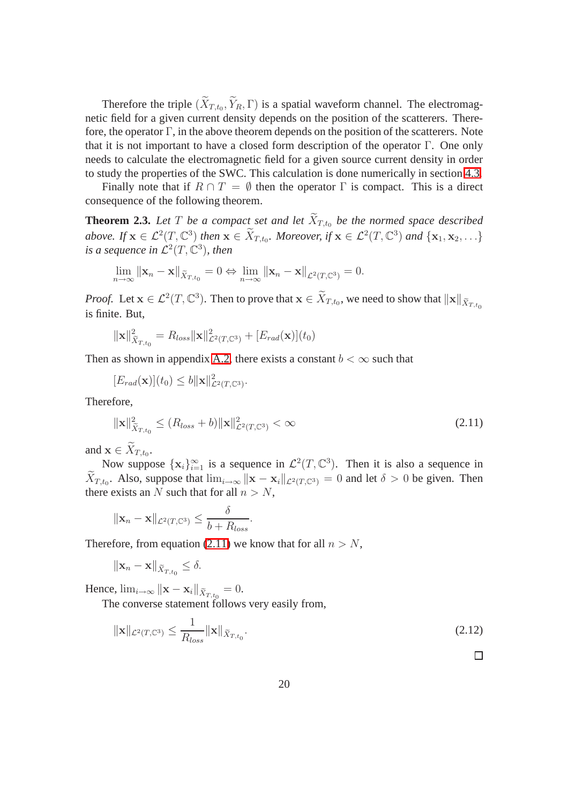Therefore the triple  $(X_{T,t_0}, Y_R, \Gamma)$  is a spatial waveform channel. The electromagnetic field for a given current density depends on the position of the scatterers. Therefore, the operator  $\Gamma$ , in the above theorem depends on the position of the scatterers. Note that it is not important to have a closed form description of the operator Γ. One only needs to calculate the electromagnetic field for a given source current density in order to study the properties of the SWC. This calculation is done numerically in section 4.3.

<span id="page-28-1"></span>Finally note that if  $R \cap T = \emptyset$  then the operator  $\Gamma$  is compact. This is a direct consequence of the following theorem.

**Theorem 2.3.** Let T be a compact set and let  $\widetilde{X}_{T,t_0}$  be the normed space described *above.* If  $\mathbf{x} \in \mathcal{L}^2(T, \mathbb{C}^3)$  then  $\mathbf{x} \in \widetilde{X}_{T,t_0}$ . Moreover, if  $\mathbf{x} \in \mathcal{L}^2(T, \mathbb{C}^3)$  and  $\{\mathbf{x}_1, \mathbf{x}_2, \ldots\}$ is a sequence in  $\mathcal{L}^2(T,\mathbb{C}^3)$ , then

$$
\lim_{n\to\infty} \|\mathbf{x}_n - \mathbf{x}\|_{\widetilde{X}_{T,t_0}} = 0 \Leftrightarrow \lim_{n\to\infty} \|\mathbf{x}_n - \mathbf{x}\|_{\mathcal{L}^2(T,\mathbb{C}^3)} = 0.
$$

*Proof.* Let  $\mathbf{x} \in \mathcal{L}^2(T, \mathbb{C}^3)$ . Then to prove that  $\mathbf{x} \in \widetilde{X}_{T,t_0}$ , we need to show that  $\|\mathbf{x}\|_{\widetilde{X}_{T,t_0}}$ is finite. But,

$$
\|\mathbf{x}\|_{\widetilde{X}_{T,t_0}}^2 = R_{loss} \|\mathbf{x}\|_{\mathcal{L}^2(T,\mathbb{C}^3)}^2 + [E_{rad}(\mathbf{x})](t_0)
$$

Then as shown in appendix A.2, there exists a constant  $b < \infty$  such that

 $[E_{rad}(\mathbf{x})](t_0) \leq b ||\mathbf{x}||^2_{\mathcal{L}^2(T,\mathbb{C}^3)}.$ 

Therefore,

$$
\|\mathbf{x}\|_{\widetilde{X}_{T,t_0}}^2 \le (R_{loss} + b) \|\mathbf{x}\|_{\mathcal{L}^2(T,\mathbb{C}^3)}^2 < \infty
$$
\n(2.11)

and  $\mathbf{x} \in X_{T,t_0}$ .

Now suppose  $\{x_i\}_{i=1}^{\infty}$  is a sequence in  $\mathcal{L}^2(T, \mathbb{C}^3)$ . Then it is also a sequence in  $X_{T,t_0}$ . Also, suppose that  $\lim_{i\to\infty} ||\mathbf{x} - \mathbf{x}_i||_{\mathcal{L}^2(T,\mathbb{C}^3)} = 0$  and let  $\delta > 0$  be given. Then there exists an N such that for all  $n > N$ ,

$$
\|\mathbf{x}_n - \mathbf{x}\|_{\mathcal{L}^2(T,\mathbb{C}^3)} \le \frac{\delta}{b + R_{loss}}
$$

Therefore, from equation [\(2.11\)](#page-28-0) we know that for all  $n > N$ ,

<span id="page-28-0"></span>.

$$
\|\mathbf{x}_n - \mathbf{x}\|_{\widetilde{X}_{T,t_0}} \le \delta.
$$

Hence,  $\lim_{i\to\infty} ||\mathbf{x} - \mathbf{x}_i||_{\widetilde{X}_{T,t_0}} = 0.$ 

The converse statement follows very easily from,

$$
\|\mathbf{x}\|_{\mathcal{L}^2(T,\mathbb{C}^3)} \le \frac{1}{R_{loss}} \|\mathbf{x}\|_{\widetilde{X}_{T,t_0}}.\tag{2.12}
$$

 $\Box$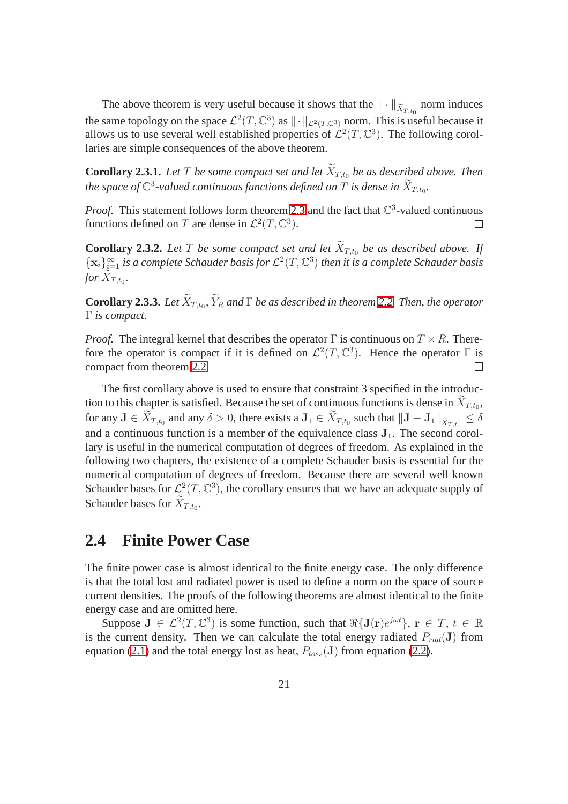The above theorem is very useful because it shows that the  $\|\cdot\|_{\tilde{X}_{T,t_0}}$  norm induces the same topology on the space  $\mathcal{L}^2(T,\mathbb{C}^3)$  as  $\|\cdot\|_{\mathcal{L}^2(T,\mathbb{C}^3)}$  norm. This is useful because it allows us to use several well established properties of  $\mathcal{L}^2(T,\mathbb{C}^3)$ . The following corollaries are simple consequences of the above theorem.

**Corollary 2.3.1.** Let T be some compact set and let  $X_{T,t_0}$  be as described above. Then the space of  $\mathbb{C}^3$ -valued continuous functions defined on  $T$  is dense in  $\widetilde{X}_{T,t_0}.$ 

*Proof.* This statement follows form theorem 2.3 and the fact that  $\mathbb{C}^3$ -valued continuous functions defined on T are dense in  $\mathcal{L}^2(T, \mathbb{C}^3)$ .  $\Box$ 

**Corollary 2.3.2.** Let T be some compact set and let  $\widetilde{X}_{T,t_0}$  be as described above. If  $\{x_i\}_{i=1}^{\infty}$  is a complete Schauder basis for  $\mathcal{L}^2(T,\mathbb{C}^3)$  then it is a complete Schauder basis for  $X_{T,t_0}$ .

**Corollary 2.3.3.** Let  $X_{T,t_0}$ ,  $Y_R$  and  $\Gamma$  be as described in theorem [2.2.](#page-28-1) Then, the operator Γ *is compact.*

*Proof.* The integral kernel that describes the operator  $\Gamma$  is continuous on  $T \times R$ . Therefore the operator is compact if it is defined on  $\mathcal{L}^2(T, \mathbb{C}^3)$ . Hence the operator  $\Gamma$  is compact from theorem [2.2.](#page-28-1)  $\Box$ 

The first corollary above is used to ensure that constraint 3 specified in the introduction to this chapter is satisfied. Because the set of continuous functions is dense in  $X_{T,t_0}$ , for any  $J \in X_{T,t_0}$  and any  $\delta > 0$ , there exists a  $J_1 \in X_{T,t_0}$  such that  $\|\mathbf{J} - \mathbf{J}_1\|_{\tilde{X}_{T,t_0}} \leq \delta$ and a continuous function is a member of the equivalence class  $J_1$ . The second corollary is useful in the numerical computation of degrees of freedom. As explained in the following two chapters, the existence of a complete Schauder basis is essential for the numerical computation of degrees of freedom. Because there are several well known Schauder bases for  $\mathcal{L}^2(\mathcal{T}, \mathbb{C}^3)$ , the corollary ensures that we have an adequate supply of Schauder bases for  $X_{T,t_0}$ .

#### **2.4 Finite Power Case**

The finite power case is almost identical to the finite energy case. The only difference is that the total lost and radiated power is used to define a norm on the space of source current densities. The proofs of the following theorems are almost identical to the finite energy case and are omitted here.

Suppose  $J \in \mathcal{L}^2(T, \mathbb{C}^3)$  is some function, such that  $\Re\{J(r)e^{j\omega t}\}, r \in T, t \in \mathbb{R}$ is the current density. Then we can calculate the total energy radiated  $P_{rad}(\mathbf{J})$  from equation [\(2.1\)](#page-24-0) and the total energy lost as heat,  $P_{loss}(\mathbf{J})$  from equation [\(2.2\)](#page-24-1).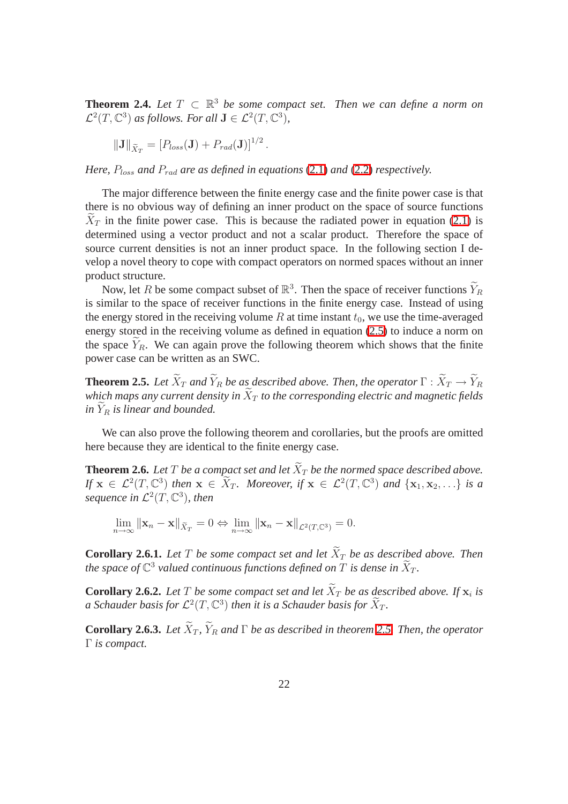**Theorem 2.4.** *Let*  $T \subset \mathbb{R}^3$  *be some compact set. Then we can define a norm on*  $\mathcal{L}^2(T, \mathbb{C}^3)$  as follows. For all  $\mathbf{J} \in \mathcal{L}^2(T, \mathbb{C}^3)$ ,

$$
\|\mathbf{J}\|_{\widetilde{X}_T}=[P_{loss}(\mathbf{J})+P_{rad}(\mathbf{J})]^{1/2}.
$$

*Here,*  $P_{loss}$  *and*  $P_{rad}$  *are as defined in equations* [\(2.1\)](#page-24-0) *and* [\(2.2\)](#page-24-1) *respectively.* 

The major difference between the finite energy case and the finite power case is that there is no obvious way of defining an inner product on the space of source functions  $X_T$  in the finite power case. This is because the radiated power in equation [\(2.1\)](#page-24-0) is determined using a vector product and not a scalar product. Therefore the space of source current densities is not an inner product space. In the following section I develop a novel theory to cope with compact operators on normed spaces without an inner product structure.

Now, let R be some compact subset of  $\mathbb{R}^3$ . Then the space of receiver functions  $\widetilde{Y}_R$ is similar to the space of receiver functions in the finite energy case. Instead of using the energy stored in the receiving volume  $R$  at time instant  $t_0$ , we use the time-averaged energy stored in the receiving volume as defined in equation [\(2.5\)](#page-25-1) to induce a norm on the space  $Y_R$ . We can again prove the following theorem which shows that the finite power case can be written as an SWC.

**Theorem 2.5.** *Let*  $\widetilde{X}_T$  *and*  $\widetilde{Y}_R$  *be as described above. Then, the operator*  $\Gamma : \widetilde{X}_T \to \widetilde{Y}_R$ *which maps any current density in*  $\widetilde{X}_T$  *to the corresponding electric and magnetic fields*  $in Y_R$  *is linear and bounded.* 

<span id="page-30-0"></span>We can also prove the following theorem and corollaries, but the proofs are omitted here because they are identical to the finite energy case.

**Theorem 2.6.** Let T be a compact set and let  $\widetilde{X}_T$  be the normed space described above. *If*  $\mathbf{x} \in \mathcal{L}^2(T, \mathbb{C}^3)$  *then*  $\mathbf{x} \in \widetilde{X}_T$ *. Moreover, if*  $\mathbf{x} \in \mathcal{L}^2(T, \mathbb{C}^3)$  *and*  $\{\mathbf{x}_1, \mathbf{x}_2, \ldots\}$  *is a sequence in*  $\mathcal{L}^2(T, \mathbb{C}^3)$ , then

$$
\lim_{n \to \infty} \|\mathbf{x}_n - \mathbf{x}\|_{\tilde{X}_T} = 0 \Leftrightarrow \lim_{n \to \infty} \|\mathbf{x}_n - \mathbf{x}\|_{\mathcal{L}^2(T,\mathbb{C}^3)} = 0.
$$

**Corollary 2.6.1.** Let T be some compact set and let  $\widetilde{X}_T$  be as described above. Then the space of  $\mathbb{C}^3$  valued continuous functions defined on  $T$  is dense in  $\widetilde{X}_T.$ 

**Corollary 2.6.2.** Let T be some compact set and let  $X_T$  be as described above. If  $\mathbf{x}_i$  is a Schauder basis for  $\mathcal{L}^2(T,\mathbb{C}^3)$  then it is a Schauder basis for  $\widetilde{X}_T.$ 

**Corollary 2.6.3.** *Let*  $\widetilde{X}_T$ ,  $\widetilde{Y}_R$  *and*  $\Gamma$  *be as described in theorem* [2.5.](#page-30-0) *Then, the operator* Γ *is compact.*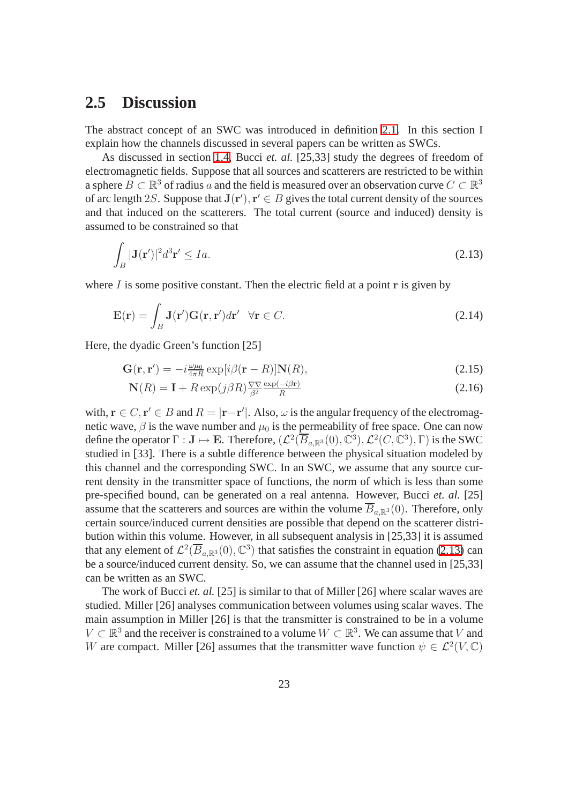#### **2.5 Discussion**

The abstract concept of an SWC was introduced in definition 2.1. In this section I explain how the channels discussed in several papers can be written as SWCs.

As discussed in section 1.4, Bucci *et. al.* [25,33] study the degrees of freedom of electromagnetic fields. Suppose that all sources and scatterers are restricted to be within a sphere  $B \subset \mathbb{R}^3$  of radius a and the field is measured over an observation curve  $C \subset \mathbb{R}^3$ of arc length 2S. Suppose that  $J(r')$ ,  $r' \in B$  gives the total current density of the sources and that induced on the scatterers. The total current (source and induced) density is assumed to be constrained so that

$$
\int_{B} |\mathbf{J}(\mathbf{r}')|^2 d^3 \mathbf{r}' \le Ia. \tag{2.13}
$$

where  $I$  is some positive constant. Then the electric field at a point  $r$  is given by

<span id="page-31-0"></span>
$$
\mathbf{E}(\mathbf{r}) = \int_{B} \mathbf{J}(\mathbf{r}') \mathbf{G}(\mathbf{r}, \mathbf{r}') d\mathbf{r}' \quad \forall \mathbf{r} \in C.
$$
 (2.14)

Here, the dyadic Green's function [25]

$$
\mathbf{G}(\mathbf{r}, \mathbf{r}') = -i \frac{\omega \mu_0}{4\pi R} \exp[i\beta(\mathbf{r} - R)] \mathbf{N}(R), \tag{2.15}
$$

$$
\mathbf{N}(R) = \mathbf{I} + R \exp(j\beta R) \frac{\nabla \nabla}{\beta^2} \frac{\exp(-i\beta \mathbf{r})}{R}
$$
\n(2.16)

with,  $\mathbf{r} \in C$ ,  $\mathbf{r}' \in B$  and  $R = |\mathbf{r} - \mathbf{r}'|$ . Also,  $\omega$  is the angular frequency of the electromagnetic wave,  $\beta$  is the wave number and  $\mu_0$  is the permeability of free space. One can now define the operator  $\Gamma : \mathbf{J} \mapsto \mathbf{E}$ . Therefore,  $(\mathcal{L}^2(\overline{B}_{a,\mathbb{R}^3}(0), \mathbb{C}^3), \mathcal{L}^2(C, \mathbb{C}^3), \Gamma)$  is the SWC studied in [33]. There is a subtle difference between the physical situation modeled by this channel and the corresponding SWC. In an SWC, we assume that any source current density in the transmitter space of functions, the norm of which is less than some pre-specified bound, can be generated on a real antenna. However, Bucci *et. al.* [25] assume that the scatterers and sources are within the volume  $\overline{B}_{a,\mathbb{R}^3}(0)$ . Therefore, only certain source/induced current densities are possible that depend on the scatterer distribution within this volume. However, in all subsequent analysis in [25,33] it is assumed that any element of  $\mathcal{L}^2(\overline{B}_{a,\mathbb{R}^3}(0), \mathbb{C}^3)$  that satisfies the constraint in equation [\(2.13\)](#page-31-0) can be a source/induced current density. So, we can assume that the channel used in [25,33] can be written as an SWC.

The work of Bucci *et. al.* [25] is similar to that of Miller [26] where scalar waves are studied. Miller [26] analyses communication between volumes using scalar waves. The main assumption in Miller [26] is that the transmitter is constrained to be in a volume  $V \subset \mathbb{R}^3$  and the receiver is constrained to a volume  $W \subset \mathbb{R}^3$ . We can assume that V and W are compact. Miller [26] assumes that the transmitter wave function  $\psi \in \mathcal{L}^2(V, \mathbb{C})$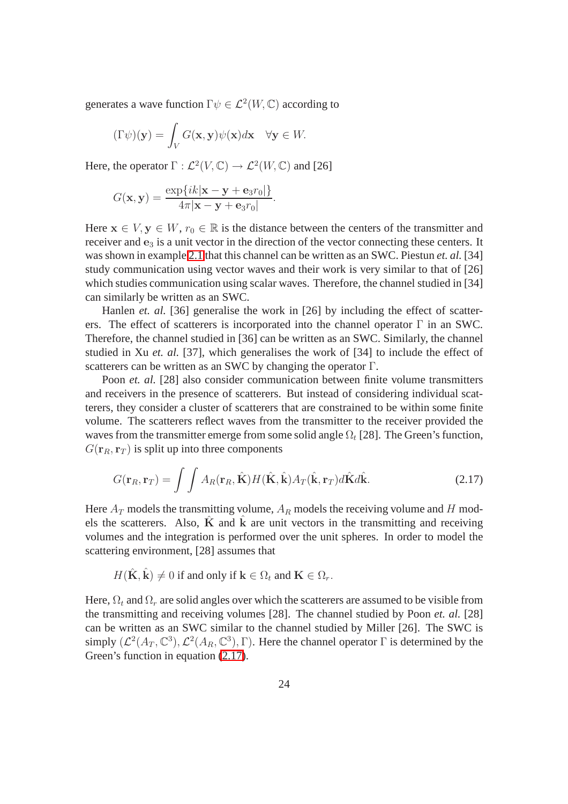generates a wave function  $\Gamma \psi \in \mathcal{L}^2(W, \mathbb{C})$  according to

$$
(\Gamma \psi)(\mathbf{y}) = \int_V G(\mathbf{x}, \mathbf{y}) \psi(\mathbf{x}) d\mathbf{x} \quad \forall \mathbf{y} \in W.
$$

Here, the operator  $\Gamma : \mathcal{L}^2(V, \mathbb{C}) \to \mathcal{L}^2(W, \mathbb{C})$  and [26]

$$
G(\mathbf{x}, \mathbf{y}) = \frac{\exp\{ik|\mathbf{x} - \mathbf{y} + \mathbf{e}_3 r_0|\}}{4\pi|\mathbf{x} - \mathbf{y} + \mathbf{e}_3 r_0|}.
$$

Here  $x \in V$ ,  $y \in W$ ,  $r_0 \in \mathbb{R}$  is the distance between the centers of the transmitter and receiver and  $e_3$  is a unit vector in the direction of the vector connecting these centers. It was shown in example 2.1 that this channel can be written as an SWC. Piestun *et. al.* [34] study communication using vector waves and their work is very similar to that of [26] which studies communication using scalar waves. Therefore, the channel studied in [34] can similarly be written as an SWC.

Hanlen *et. al.* [36] generalise the work in [26] by including the effect of scatterers. The effect of scatterers is incorporated into the channel operator  $\Gamma$  in an SWC. Therefore, the channel studied in [36] can be written as an SWC. Similarly, the channel studied in Xu *et. al.* [37], which generalises the work of [34] to include the effect of scatterers can be written as an SWC by changing the operator Γ.

Poon *et. al.* [28] also consider communication between finite volume transmitters and receivers in the presence of scatterers. But instead of considering individual scatterers, they consider a cluster of scatterers that are constrained to be within some finite volume. The scatterers reflect waves from the transmitter to the receiver provided the waves from the transmitter emerge from some solid angle  $\Omega_t$  [28]. The Green's function,  $G(\mathbf{r}_R, \mathbf{r}_T)$  is split up into three components

$$
G(\mathbf{r}_R, \mathbf{r}_T) = \int \int A_R(\mathbf{r}_R, \hat{\mathbf{K}}) H(\hat{\mathbf{K}}, \hat{\mathbf{k}}) A_T(\hat{\mathbf{k}}, \mathbf{r}_T) d\hat{\mathbf{K}} d\hat{\mathbf{k}}.
$$
 (2.17)

Here  $A_T$  models the transmitting volume,  $A_R$  models the receiving volume and H models the scatterers. Also,  $\tilde{K}$  and  $\tilde{k}$  are unit vectors in the transmitting and receiving volumes and the integration is performed over the unit spheres. In order to model the scattering environment, [28] assumes that

$$
H(\hat{\mathbf{K}}, \hat{\mathbf{k}}) \neq 0 \text{ if and only if } \mathbf{k} \in \Omega_t \text{ and } \mathbf{K} \in \Omega_r.
$$

Here,  $\Omega_t$  and  $\Omega_r$  are solid angles over which the scatterers are assumed to be visible from the transmitting and receiving volumes [28]. The channel studied by Poon *et. al.* [28] can be written as an SWC similar to the channel studied by Miller [26]. The SWC is simply  $(\mathcal{L}^2(A_T, \mathbb{C}^3), \mathcal{L}^2(A_R, \mathbb{C}^3), \Gamma)$ . Here the channel operator  $\Gamma$  is determined by the Green's function in equation  $(2.17)$ .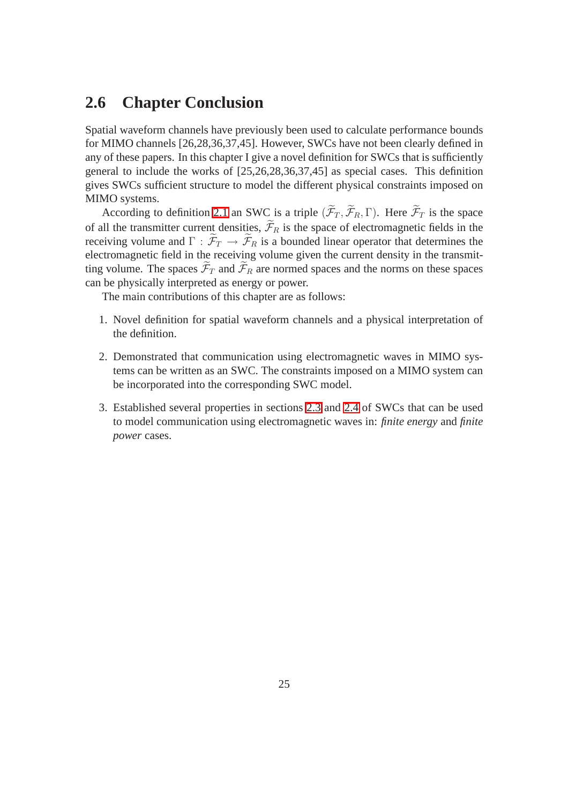#### **2.6 Chapter Conclusion**

Spatial waveform channels have previously been used to calculate performance bounds for MIMO channels [26,28,36,37,45]. However, SWCs have not been clearly defined in any of these papers. In this chapter I give a novel definition for SWCs that is sufficiently general to include the works of [25,26,28,36,37,45] as special cases. This definition gives SWCs sufficient structure to model the different physical constraints imposed on MIMO systems.

According to definition 2.1 an SWC is a triple  $(\widetilde{\mathcal{F}}_T, \widetilde{\mathcal{F}}_R, \Gamma)$ . Here  $\widetilde{\mathcal{F}}_T$  is the space of all the transmitter current densities,  $\widetilde{\mathcal{F}}_R$  is the space of electromagnetic fields in the receiving volume and  $\Gamma : \widetilde{\mathcal{F}}_T \to \widetilde{\mathcal{F}}_R$  is a bounded linear operator that determines the electromagnetic field in the receiving volume given the current density in the transmitting volume. The spaces  $\widetilde{\mathcal{F}}_T$  and  $\widetilde{\mathcal{F}}_R$  are normed spaces and the norms on these spaces can be physically interpreted as energy or power.

The main contributions of this chapter are as follows:

- 1. Novel definition for spatial waveform channels and a physical interpretation of the definition.
- 2. Demonstrated that communication using electromagnetic waves in MIMO systems can be written as an SWC. The constraints imposed on a MIMO system can be incorporated into the corresponding SWC model.
- 3. Established several properties in sections 2.3 and 2.4 of SWCs that can be used to model communication using electromagnetic waves in: *finite energy* and *finite power* cases.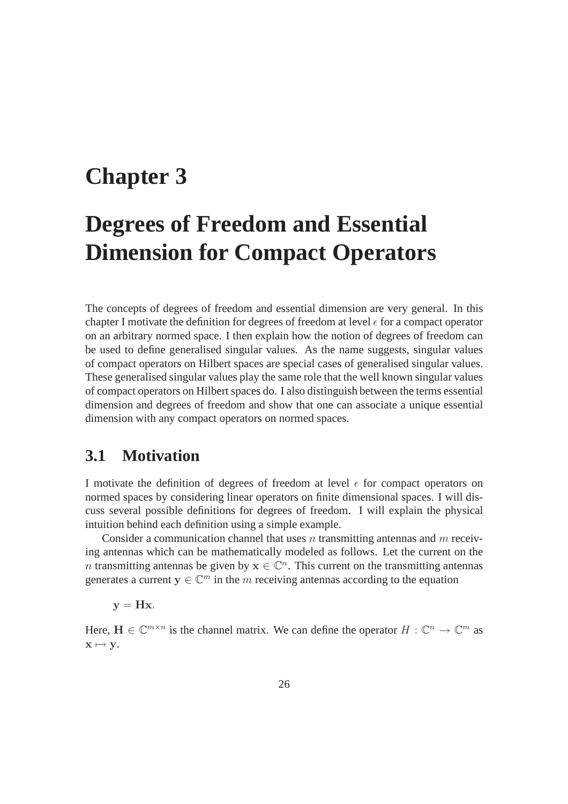## **Chapter 3**

## **Degrees of Freedom and Essential Dimension for Compact Operators**

The concepts of degrees of freedom and essential dimension are very general. In this chapter I motivate the definition for degrees of freedom at level  $\epsilon$  for a compact operator on an arbitrary normed space. I then explain how the notion of degrees of freedom can be used to define generalised singular values. As the name suggests, singular values of compact operators on Hilbert spaces are special cases of generalised singular values. These generalised singular values play the same role that the well known singular values of compact operators on Hilbert spaces do. I also distinguish between the terms essential dimension and degrees of freedom and show that one can associate a unique essential dimension with any compact operators on normed spaces.

#### **3.1 Motivation**

I motivate the definition of degrees of freedom at level  $\epsilon$  for compact operators on normed spaces by considering linear operators on finite dimensional spaces. I will discuss several possible definitions for degrees of freedom. I will explain the physical intuition behind each definition using a simple example.

Consider a communication channel that uses n transmitting antennas and  $m$  receiving antennas which can be mathematically modeled as follows. Let the current on the n transmitting antennas be given by  $x \in \mathbb{C}^n$ . This current on the transmitting antennas generates a current  $y \in \mathbb{C}^m$  in the m receiving antennas according to the equation

$$
\mathbf{y} = \mathbf{H}\mathbf{x}.
$$

Here,  $H \in \mathbb{C}^{m \times n}$  is the channel matrix. We can define the operator  $H : \mathbb{C}^n \to \mathbb{C}^m$  as  $x \mapsto y.$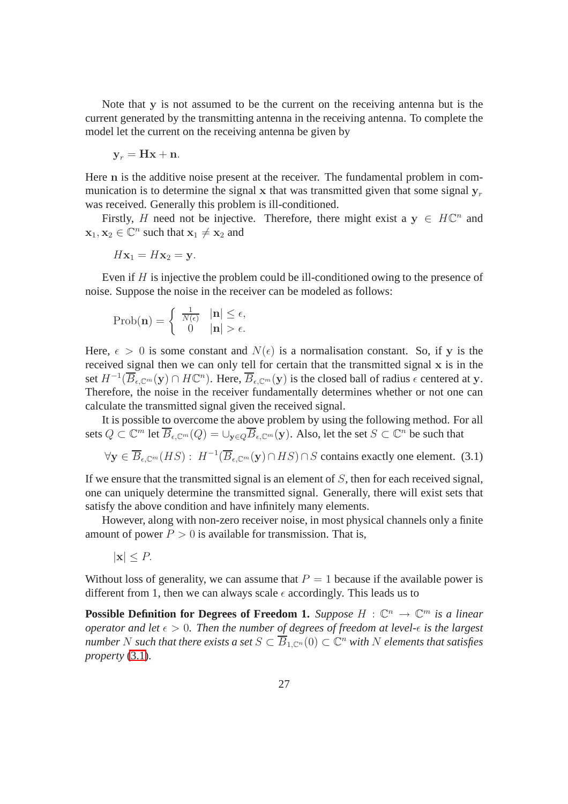Note that  $\bf{v}$  is not assumed to be the current on the receiving antenna but is the current generated by the transmitting antenna in the receiving antenna. To complete the model let the current on the receiving antenna be given by

$$
\mathbf{y}_r = \mathbf{Hx} + \mathbf{n}.
$$

Here n is the additive noise present at the receiver. The fundamental problem in communication is to determine the signal x that was transmitted given that some signal  $y_r$ was received. Generally this problem is ill-conditioned.

Firstly, H need not be injective. Therefore, there might exist a  $y \in H\mathbb{C}^n$  and  $\mathbf{x}_1, \mathbf{x}_2 \in \mathbb{C}^n$  such that  $\mathbf{x}_1 \neq \mathbf{x}_2$  and

$$
H\mathbf{x}_1 = H\mathbf{x}_2 = \mathbf{y}.
$$

Even if  $H$  is injective the problem could be ill-conditioned owing to the presence of noise. Suppose the noise in the receiver can be modeled as follows:

$$
\text{Prob}(\mathbf{n}) = \begin{cases} \frac{1}{N(\epsilon)} & |\mathbf{n}| \le \epsilon, \\ 0 & |\mathbf{n}| > \epsilon. \end{cases}
$$

Here,  $\epsilon > 0$  is some constant and  $N(\epsilon)$  is a normalisation constant. So, if y is the received signal then we can only tell for certain that the transmitted signal  $x$  is in the set  $H^{-1}(\overline{B}_{\epsilon,\mathbb{C}^m}(\mathbf{y}) \cap H\mathbb{C}^n)$ . Here,  $\overline{B}_{\epsilon,\mathbb{C}^m}(\mathbf{y})$  is the closed ball of radius  $\epsilon$  centered at y. Therefore, the noise in the receiver fundamentally determines whether or not one can calculate the transmitted signal given the received signal.

It is possible to overcome the above problem by using the following method. For all sets  $Q\subset\mathbb{C}^m$  let  $\overline{B}_{\epsilon,\mathbb{C}^m}(Q)=\cup_{\mathbf{y}\in Q}\overline{B}_{\epsilon,\mathbb{C}^m}(\mathbf{y}).$  Also, let the set  $S\subset\mathbb{C}^n$  be such that

$$
\forall \mathbf{y} \in \overline{B}_{\epsilon, \mathbb{C}^m}(HS): H^{-1}(\overline{B}_{\epsilon, \mathbb{C}^m}(\mathbf{y}) \cap HS) \cap S \text{ contains exactly one element. } (3.1)
$$

If we ensure that the transmitted signal is an element of  $S$ , then for each received signal, one can uniquely determine the transmitted signal. Generally, there will exist sets that satisfy the above condition and have infinitely many elements.

However, along with non-zero receiver noise, in most physical channels only a finite amount of power  $P > 0$  is available for transmission. That is,

$$
|\mathbf{x}| \leq P.
$$

Without loss of generality, we can assume that  $P = 1$  because if the available power is different from 1, then we can always scale  $\epsilon$  accordingly. This leads us to

**Possible Definition for Degrees of Freedom 1.** *Suppose*  $H : \mathbb{C}^n \to \mathbb{C}^m$  *is a linear operator and let*  $\epsilon > 0$ *. Then the number of degrees of freedom at level-* $\epsilon$  *is the largest*  $n$ umber  $N$  such that there exists a set  $S \subset \overline{B}_{1,\mathbb C^n}(0) \subset \mathbb C^n$  with  $N$  elements that satisfies *property* (3.1)*.*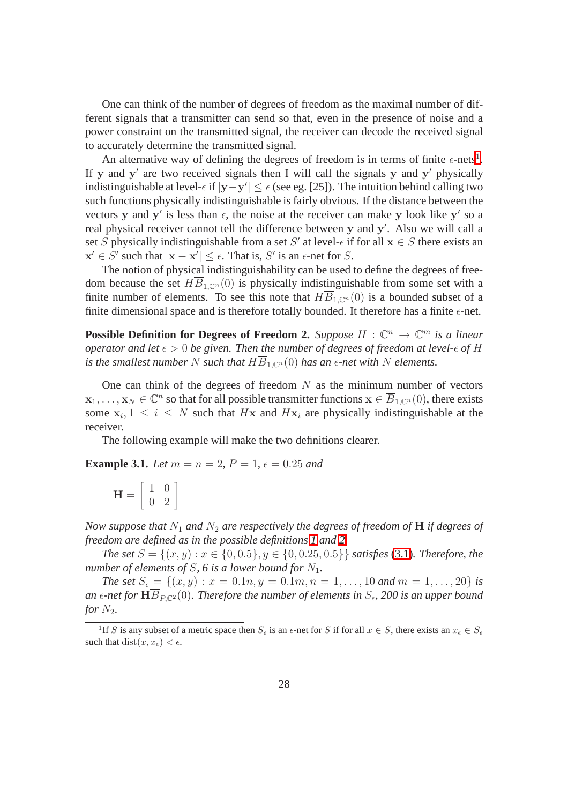One can think of the number of degrees of freedom as the maximal number of different signals that a transmitter can send so that, even in the presence of noise and a power constraint on the transmitted signal, the receiver can decode the received signal to accurately determine the transmitted signal.

An alternative way of defining the degrees of freedom is in terms of finite  $\epsilon$ -nets<sup>[1](#page-36-0)</sup>. If y and y' are two received signals then I will call the signals y and y' physically indistinguishable at level- $\epsilon$  if  $|y-y'| \leq \epsilon$  (see eg. [25]). The intuition behind calling two such functions physically indistinguishable is fairly obvious. If the distance between the vectors y and y' is less than  $\epsilon$ , the noise at the receiver can make y look like y' so a real physical receiver cannot tell the difference between y and y'. Also we will call a set S physically indistinguishable from a set S' at level- $\epsilon$  if for all  $x \in S$  there exists an  $\mathbf{x}' \in S'$  such that  $|\mathbf{x} - \mathbf{x}'| \leq \epsilon$ . That is, S' is an  $\epsilon$ -net for S.

The notion of physical indistinguishability can be used to define the degrees of freedom because the set  $H\overline{B}_{1,\mathbb{C}^n}(0)$  is physically indistinguishable from some set with a finite number of elements. To see this note that  $H\overline{B}_{1,\mathbb{C}^n}(0)$  is a bounded subset of a finite dimensional space and is therefore totally bounded. It therefore has a finite  $\epsilon$ -net.

**Possible Definition for Degrees of Freedom 2.** *Suppose*  $H : \mathbb{C}^n \to \mathbb{C}^m$  *is a linear operator and let*  $\epsilon > 0$  *be given. Then the number of degrees of freedom at level-* $\epsilon$  *of* H *is the smallest number* N *such that*  $H\overline{B}_{1,\mathbb{C}^n}(0)$  *has an*  $\epsilon$ *-net with* N *elements.* 

One can think of the degrees of freedom  $N$  as the minimum number of vectors  $\mathbf{x}_1,\ldots,\mathbf{x}_N\in\mathbb{C}^n$  so that for all possible transmitter functions  $\mathbf{x}\in\overline{B}_{1,\mathbb{C}^n}(0)$ , there exists some  $x_i, 1 \le i \le N$  such that  $Hx$  and  $Hx_i$  are physically indistinguishable at the receiver.

The following example will make the two definitions clearer.

**Example 3.1.** *Let*  $m = n = 2$ ,  $P = 1$ ,  $\epsilon = 0.25$  *and* 

$$
\mathbf{H} = \left[ \begin{array}{cc} 1 & 0 \\ 0 & 2 \end{array} \right]
$$

*Now suppose that*  $N_1$  *and*  $N_2$  *are respectively the degrees of freedom of* **H** *if degrees of freedom are defined as in the possible definitions 1 and 2*

*The set*  $S = \{(x, y) : x \in \{0, 0.5\}, y \in \{0, 0.25, 0.5\}\}\$  *satisfies* (3.1)*. Therefore, the number of elements of*  $S$ ,  $6$  *is a lower bound for*  $N_1$ *.* 

*The set*  $S_{\epsilon} = \{(x, y) : x = 0.1n, y = 0.1m, n = 1, \ldots, 10 \text{ and } m = 1, \ldots, 20\}$  *is* an  $\epsilon$ -net for  $\mathbf{H}B_{P,\mathbb{C}^2}(0).$  Therefore the number of elements in  $S_\epsilon$ , 200 is an upper bound *for*  $N_2$ *.* 

<span id="page-36-0"></span><sup>&</sup>lt;sup>1</sup>If S is any subset of a metric space then  $S_{\epsilon}$  is an  $\epsilon$ -net for S if for all  $x \in S$ , there exists an  $x_{\epsilon} \in S_{\epsilon}$ such that  $dist(x, x_{\epsilon}) < \epsilon$ .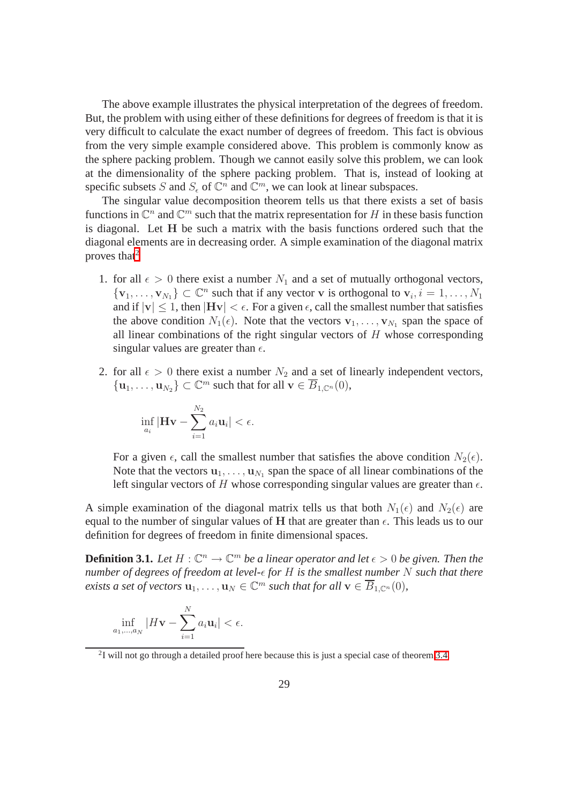The above example illustrates the physical interpretation of the degrees of freedom. But, the problem with using either of these definitions for degrees of freedom is that it is very difficult to calculate the exact number of degrees of freedom. This fact is obvious from the very simple example considered above. This problem is commonly know as the sphere packing problem. Though we cannot easily solve this problem, we can look at the dimensionality of the sphere packing problem. That is, instead of looking at specific subsets S and  $S_{\epsilon}$  of  $\mathbb{C}^n$  and  $\mathbb{C}^m$ , we can look at linear subspaces.

The singular value decomposition theorem tells us that there exists a set of basis functions in  $\mathbb{C}^n$  and  $\mathbb{C}^m$  such that the matrix representation for H in these basis function is diagonal. Let H be such a matrix with the basis functions ordered such that the diagonal elements are in decreasing order. A simple examination of the diagonal matrix proves that $2$ 

- 1. for all  $\epsilon > 0$  there exist a number  $N_1$  and a set of mutually orthogonal vectors,  $\{v_1, \ldots, v_{N_1}\} \subset \mathbb{C}^n$  such that if any vector v is orthogonal to  $v_i, i = 1, \ldots, N_1$ and if  $|v| \leq 1$ , then  $|Hv| < \epsilon$ . For a given  $\epsilon$ , call the smallest number that satisfies the above condition  $N_1(\epsilon)$ . Note that the vectors  $\mathbf{v}_1, \dots, \mathbf{v}_{N_1}$  span the space of all linear combinations of the right singular vectors of  $H$  whose corresponding singular values are greater than  $\epsilon$ .
- 2. for all  $\epsilon > 0$  there exist a number  $N_2$  and a set of linearly independent vectors,  $\{u_1, \ldots, u_{N_2}\} \subset \mathbb{C}^m$  such that for all  $\mathbf{v} \in \overline{B}_{1,\mathbb{C}^n}(0)$ ,

$$
\inf_{a_i} |\mathbf{H} \mathbf{v} - \sum_{i=1}^{N_2} a_i \mathbf{u}_i| < \epsilon.
$$

For a given  $\epsilon$ , call the smallest number that satisfies the above condition  $N_2(\epsilon)$ . Note that the vectors  $\mathbf{u}_1, \dots, \mathbf{u}_{N_1}$  span the space of all linear combinations of the left singular vectors of H whose corresponding singular values are greater than  $\epsilon$ .

A simple examination of the diagonal matrix tells us that both  $N_1(\epsilon)$  and  $N_2(\epsilon)$  are equal to the number of singular values of H that are greater than  $\epsilon$ . This leads us to our definition for degrees of freedom in finite dimensional spaces.

**Definition 3.1.** Let  $H: \mathbb{C}^n \to \mathbb{C}^m$  be a linear operator and let  $\epsilon > 0$  be given. Then the *number of degrees of freedom at level-* $\epsilon$  *for H is the smallest number* N *such that there exists a set of vectors*  $\mathbf{u}_1, \ldots, \mathbf{u}_N \in \mathbb{C}^m$  *such that for all*  $\mathbf{v} \in \overline{B}_{1,\mathbb{C}^n}(0)$ *,* 

$$
\inf_{a_1,\dots,a_N} |H\mathbf{v} - \sum_{i=1}^N a_i \mathbf{u}_i| < \epsilon.
$$

<span id="page-37-0"></span> $2I$  will not go through a detailed proof here because this is just a special case of theorem 3.4.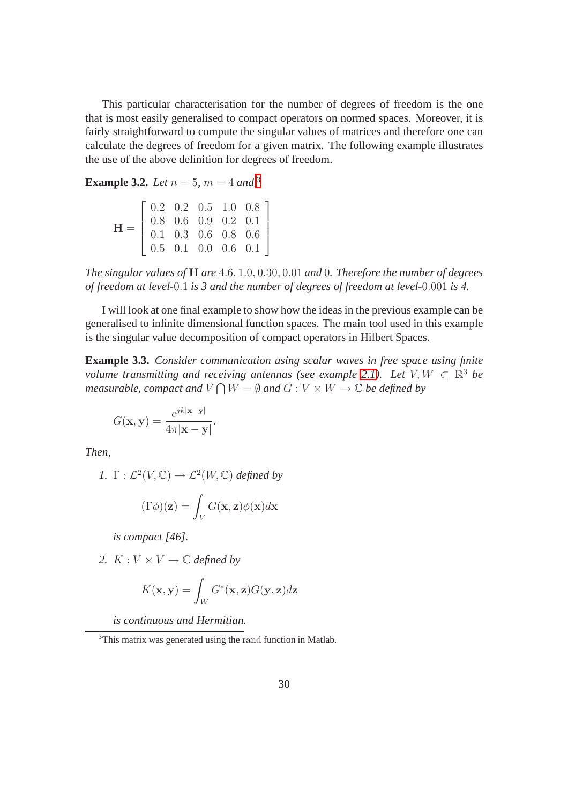This particular characterisation for the number of degrees of freedom is the one that is most easily generalised to compact operators on normed spaces. Moreover, it is fairly straightforward to compute the singular values of matrices and therefore one can calculate the degrees of freedom for a given matrix. The following example illustrates the use of the above definition for degrees of freedom.

**Example [3](#page-38-0).2.** *Let*  $n = 5$ *,*  $m = 4$  *and* <sup>3</sup>

$$
\mathbf{H} = \left[ \begin{array}{cccc} 0.2 & 0.2 & 0.5 & 1.0 & 0.8 \\ 0.8 & 0.6 & 0.9 & 0.2 & 0.1 \\ 0.1 & 0.3 & 0.6 & 0.8 & 0.6 \\ 0.5 & 0.1 & 0.0 & 0.6 & 0.1 \end{array} \right]
$$

*The singular values of* H *are* 4.6, 1.0, 0.30, 0.01 *and* 0*. Therefore the number of degrees of freedom at level-*0.1 *is 3 and the number of degrees of freedom at level-*0.001 *is 4.*

I will look at one final example to show how the ideas in the previous example can be generalised to infinite dimensional function spaces. The main tool used in this example is the singular value decomposition of compact operators in Hilbert Spaces.

**Example 3.3.** *Consider communication using scalar waves in free space using finite volume transmitting and receiving antennas (see example 2.1). Let*  $V, W \subset \mathbb{R}^3$  *be* measurable, compact and  $V\bigcap W=\emptyset$  and  $G:V\times W\to\mathbb{C}$  be defined by

$$
G(\mathbf{x}, \mathbf{y}) = \frac{e^{jk|\mathbf{x} - \mathbf{y}|}}{4\pi|\mathbf{x} - \mathbf{y}|}.
$$

*Then,*

$$
I. \ \Gamma: \mathcal{L}^2(V, \mathbb{C}) \to \mathcal{L}^2(W, \mathbb{C}) \ defined by
$$

$$
(\Gamma \phi)(\mathbf{z}) = \int_{V} G(\mathbf{x}, \mathbf{z}) \phi(\mathbf{x}) d\mathbf{x}
$$

*is compact [46].*

2.  $K: V \times V \rightarrow \mathbb{C}$  *defined by* 

$$
K(\mathbf{x}, \mathbf{y}) = \int_W G^*(\mathbf{x}, \mathbf{z}) G(\mathbf{y}, \mathbf{z}) d\mathbf{z}
$$

*is continuous and Hermitian.*

<span id="page-38-0"></span><sup>&</sup>lt;sup>3</sup>This matrix was generated using the rand function in Matlab.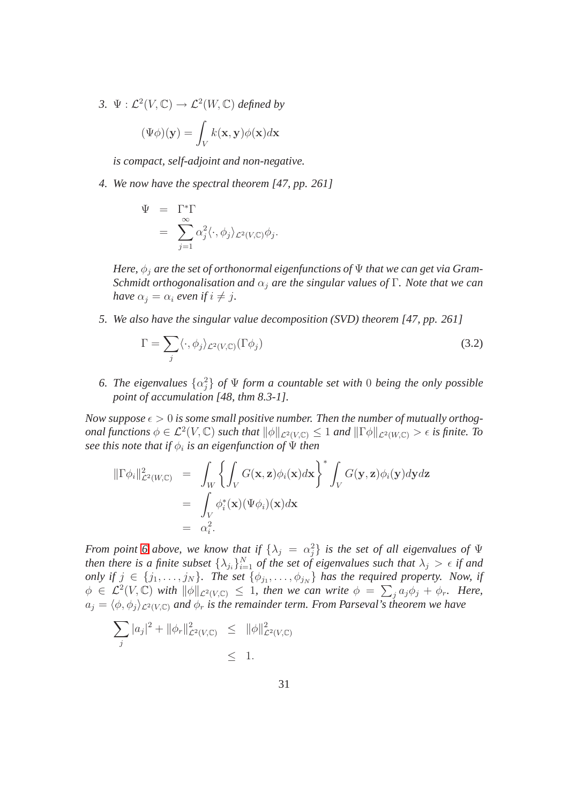3.  $\Psi : \mathcal{L}^2(V, \mathbb{C}) \to \mathcal{L}^2(W, \mathbb{C})$  *defined by* 

$$
(\Psi \phi)(\mathbf{y}) = \int_{V} k(\mathbf{x}, \mathbf{y}) \phi(\mathbf{x}) d\mathbf{x}
$$

*is compact, self-adjoint and non-negative.*

*4. We now have the spectral theorem [47, pp. 261]*

$$
\Psi = \Gamma^* \Gamma
$$
  
= 
$$
\sum_{j=1}^{\infty} \alpha_j^2 \langle \cdot, \phi_j \rangle_{\mathcal{L}^2(V,\mathbb{C})} \phi_j.
$$

*Here,*  $\phi_j$  *are the set of orthonormal eigenfunctions of*  $\Psi$  *that we can get via Gram-Schmidt orthogonalisation and* α<sup>j</sup> *are the singular values of* Γ*. Note that we can have*  $\alpha_i = \alpha_i$  *even if*  $i \neq j$ *.* 

*5. We also have the singular value decomposition (SVD) theorem [47, pp. 261]*

<span id="page-39-0"></span>
$$
\Gamma = \sum_{j} \langle \cdot, \phi_j \rangle_{\mathcal{L}^2(V,\mathbb{C})} (\Gamma \phi_j)
$$
\n(3.2)

6. The eigenvalues  $\{\alpha_j^2\}$  of  $\Psi$  form a countable set with 0 being the only possible *point of accumulation [48, thm 8.3-1].*

*Now suppose*  $\epsilon > 0$  *is some small positive number. Then the number of mutually orthogonal functions*  $\phi \in \mathcal{L}^2(V, \mathbb{C})$  *such that*  $\|\phi\|_{\mathcal{L}^2(V, \mathbb{C})} \leq 1$  *and*  $\|\Gamma\phi\|_{\mathcal{L}^2(W, \mathbb{C})} > \epsilon$  *is finite. To*  $\emph{see this note that if $\phi_i$ is an eigenfunction of $\Psi$ then}$ 

$$
\begin{array}{rcl}\n\|\Gamma \phi_i\|^2_{\mathcal{L}^2(W,\mathbb{C})} &=& \displaystyle\int_W \left\{ \int_V G(\mathbf{x},\mathbf{z}) \phi_i(\mathbf{x}) d\mathbf{x} \right\}^* \int_V G(\mathbf{y},\mathbf{z}) \phi_i(\mathbf{y}) d\mathbf{y} d\mathbf{z} \\
&=& \displaystyle\int_V \phi_i^*(\mathbf{x}) (\Psi \phi_i)(\mathbf{x}) d\mathbf{x} \\
&=& \alpha_i^2.\n\end{array}
$$

*From point* 6 above, we know that if  $\{\lambda_j = \alpha_j^2\}$  is the set of all eigenvalues of  $\Psi$ *then there is a finite subset*  $\{\lambda_{j_i}\}_{i=1}^N$  *of the set of eigenvalues such that*  $\lambda_j > \epsilon$  *if and only if*  $j \in \{j_1, \ldots, j_N\}$ . The set  $\{\phi_{j_1}, \ldots, \phi_{j_N}\}$  has the required property. Now, if  $\phi \in \mathcal{L}^2(V, \mathbb{C})$  with  $\|\phi\|_{\mathcal{L}^2(V,\mathbb{C})} \leq 1$ , then we can write  $\phi = \sum_j a_j \phi_j + \phi_r$ . Here,  $a_j = \langle \phi, \phi_j \rangle_{\mathcal{L}^2(V,\mathbb{C})}$  *and*  $\phi_r$  *is the remainder term. From Parseval's theorem we have* 

$$
\sum_{j} |a_{j}|^{2} + ||\phi_{r}||^{2}_{\mathcal{L}^{2}(V,\mathbb{C})} \leq ||\phi||^{2}_{\mathcal{L}^{2}(V,\mathbb{C})}
$$
  
\$\leq\$ 1.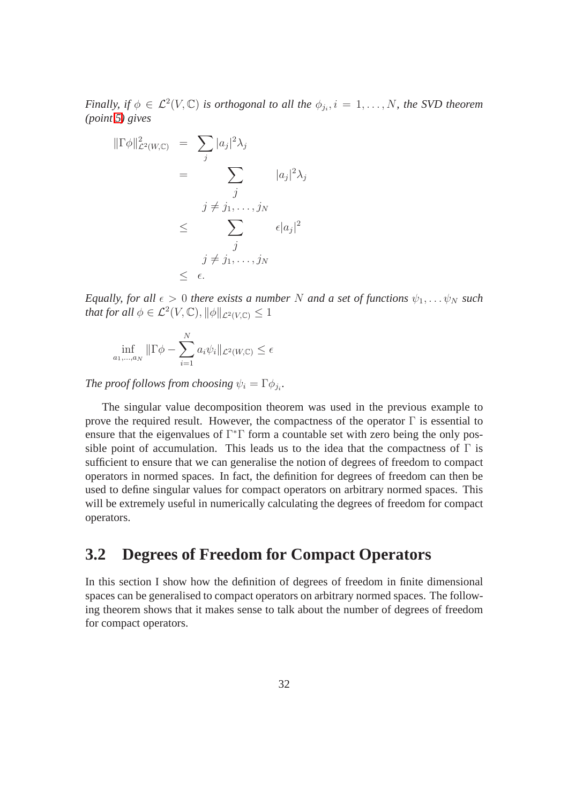*Finally, if*  $\phi \in \mathcal{L}^2(V, \mathbb{C})$  *is orthogonal to all the*  $\phi_{j_i}, i = 1, \ldots, N$ *, the SVD theorem (point [5\)](#page-39-0) gives*

$$
\|\Gamma \phi\|_{\mathcal{L}^2(W,\mathbb{C})}^2 = \sum_j |a_j|^2 \lambda_j
$$
  
= 
$$
\sum_j |a_j|^2 \lambda_j
$$
  

$$
j \neq j_1, \dots, j_N
$$
  

$$
\leq \sum_j \epsilon |a_j|^2
$$
  

$$
j \neq j_1, \dots, j_N
$$
  

$$
\leq \epsilon.
$$

*Equally, for all*  $\epsilon > 0$  *there exists a number* N *and a set of functions*  $\psi_1, \dots, \psi_N$  *such that for all*  $\phi \in \mathcal{L}^2(V, \mathbb{C}), ||\phi||_{\mathcal{L}^2(V, \mathbb{C})} \leq 1$ 

$$
\inf_{a_1,\dots,a_N} \|\Gamma \phi - \sum_{i=1}^N a_i \psi_i\|_{\mathcal{L}^2(W,\mathbb{C})} \le \epsilon
$$

*The proof follows from choosing*  $\psi_i = \Gamma \phi_{ji}$ *.* 

The singular value decomposition theorem was used in the previous example to prove the required result. However, the compactness of the operator  $\Gamma$  is essential to ensure that the eigenvalues of Γ <sup>∗</sup>Γ form a countable set with zero being the only possible point of accumulation. This leads us to the idea that the compactness of  $\Gamma$  is sufficient to ensure that we can generalise the notion of degrees of freedom to compact operators in normed spaces. In fact, the definition for degrees of freedom can then be used to define singular values for compact operators on arbitrary normed spaces. This will be extremely useful in numerically calculating the degrees of freedom for compact operators.

### **3.2 Degrees of Freedom for Compact Operators**

In this section I show how the definition of degrees of freedom in finite dimensional spaces can be generalised to compact operators on arbitrary normed spaces. The following theorem shows that it makes sense to talk about the number of degrees of freedom for compact operators.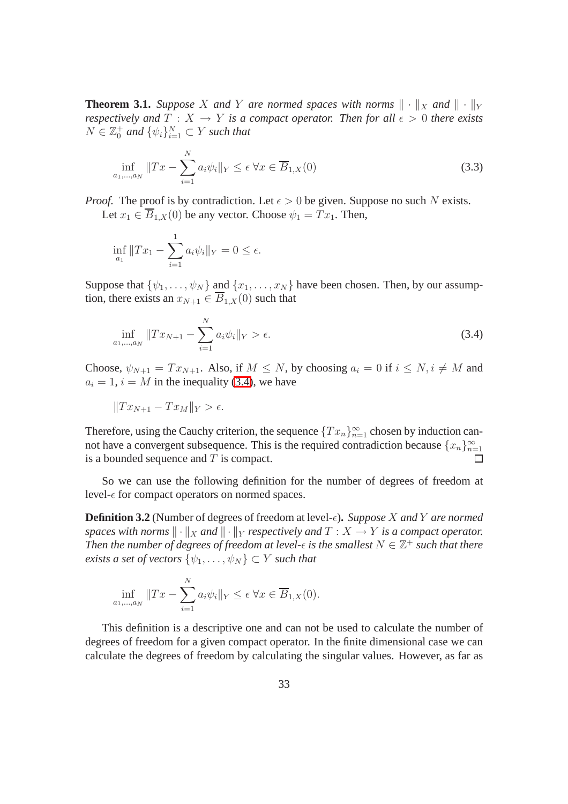**Theorem 3.1.** *Suppose* X and Y are normed spaces with norms  $\|\cdot\|_X$  and  $\|\cdot\|_Y$ *respectively and*  $T : X \to Y$  *is a compact operator. Then for all*  $\epsilon > 0$  *there exists*  $N \in \mathbb{Z}_0^+$  and  $\{\psi_i\}_{i=1}^N \subset Y$  such that

$$
\inf_{a_1,\dots,a_N} \|Tx - \sum_{i=1}^N a_i \psi_i\|_Y \le \epsilon \,\forall x \in \overline{B}_{1,X}(0)
$$
\n(3.3)

*Proof.* The proof is by contradiction. Let  $\epsilon > 0$  be given. Suppose no such N exists. Let  $x_1 \in \overline{B}_{1,X}(0)$  be any vector. Choose  $\psi_1 = Tx_1$ . Then,

$$
\inf_{a_1} \|Tx_1 - \sum_{i=1}^1 a_i \psi_i\|_Y = 0 \le \epsilon.
$$

Suppose that  $\{\psi_1, \ldots, \psi_N\}$  and  $\{x_1, \ldots, x_N\}$  have been chosen. Then, by our assumption, there exists an  $x_{N+1} \in \overline{B}_{1,X}(0)$  such that

$$
\inf_{a_1,\dots,a_N} \|Tx_{N+1} - \sum_{i=1}^N a_i \psi_i\|_Y > \epsilon.
$$
\n(3.4)

Choose,  $\psi_{N+1} = Tx_{N+1}$ . Also, if  $M \leq N$ , by choosing  $a_i = 0$  if  $i \leq N$ ,  $i \neq M$  and  $a_i = 1$ ,  $i = M$  in the inequality (3.4), we have

$$
||Tx_{N+1} - Tx_M||_Y > \epsilon.
$$

Therefore, using the Cauchy criterion, the sequence  ${Tx_n}_{n=1}^{\infty}$  chosen by induction cannot have a convergent subsequence. This is the required contradiction because  $\{x_n\}_{n=1}^{\infty}$ is a bounded sequence and  $T$  is compact.

So we can use the following definition for the number of degrees of freedom at level- $\epsilon$  for compact operators on normed spaces.

**Definition 3.2** (Number of degrees of freedom at level- $\epsilon$ ). *Suppose* X and Y are normed *spaces with norms*  $\|\cdot\|_X$  *and*  $\|\cdot\|_Y$  *respectively and*  $T : X \to Y$  *is a compact operator.* Then the number of degrees of freedom at level- $\epsilon$  is the smallest  $N \in \mathbb{Z}^+$  such that there *exists a set of vectors*  $\{\psi_1, \ldots, \psi_N\} \subset Y$  *such that* 

$$
\inf_{a_1,\dots,a_N} \|Tx - \sum_{i=1}^N a_i \psi_i\|_Y \le \epsilon \,\forall x \in \overline{B}_{1,X}(0).
$$

This definition is a descriptive one and can not be used to calculate the number of degrees of freedom for a given compact operator. In the finite dimensional case we can calculate the degrees of freedom by calculating the singular values. However, as far as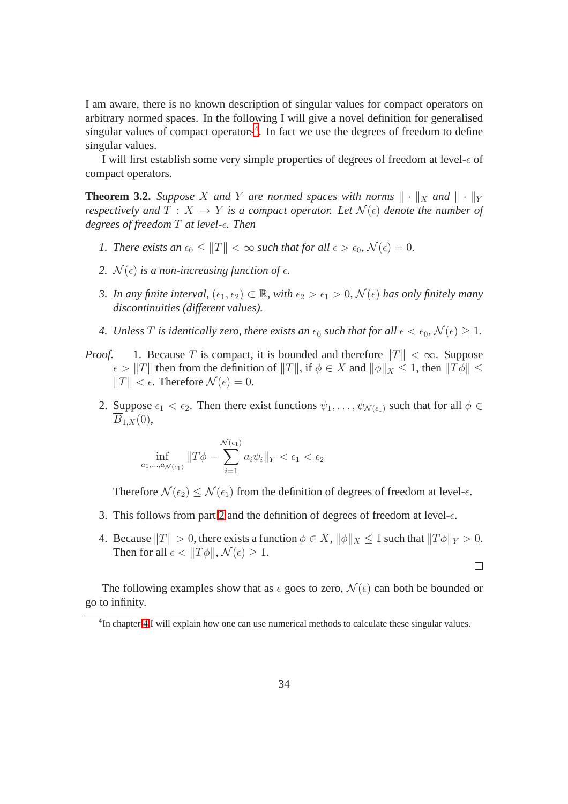I am aware, there is no known description of singular values for compact operators on arbitrary normed spaces. In the following I will give a novel definition for generalised singular values of compact operators<sup>[4](#page-42-0)</sup>. In fact we use the degrees of freedom to define singular values.

I will first establish some very simple properties of degrees of freedom at level- $\epsilon$  of compact operators.

**Theorem 3.2.** *Suppose* X *and* Y *are normed spaces with norms*  $\|\cdot\|_X$  *and*  $\|\cdot\|_Y$ *respectively and*  $T : X \to Y$  *is a compact operator. Let*  $\mathcal{N}(\epsilon)$  *denote the number of degrees of freedom* T *at level-*ǫ*. Then*

- *1. There exists an*  $\epsilon_0 \le ||T|| < \infty$  *such that for all*  $\epsilon > \epsilon_0$ ,  $\mathcal{N}(\epsilon) = 0$ .
- <span id="page-42-1"></span>*2.*  $\mathcal{N}(\epsilon)$  *is a non-increasing function of*  $\epsilon$ *.*
- *3. In any finite interval,*  $(\epsilon_1, \epsilon_2) \subset \mathbb{R}$ *, with*  $\epsilon_2 > \epsilon_1 > 0$ *,*  $\mathcal{N}(\epsilon)$  *has only finitely many discontinuities (different values).*
- *4. Unless* T *is identically zero, there exists an*  $\epsilon_0$  *such that for all*  $\epsilon < \epsilon_0$ ,  $\mathcal{N}(\epsilon) \geq 1$ *.*
- *Proof.* 1. Because T is compact, it is bounded and therefore  $||T|| < \infty$ . Suppose  $\epsilon > ||T||$  then from the definition of  $||T||$ , if  $\phi \in X$  and  $||\phi||_X \leq 1$ , then  $||T\phi|| \leq$  $||T|| < \epsilon$ . Therefore  $\mathcal{N}(\epsilon) = 0$ .
	- 2. Suppose  $\epsilon_1 < \epsilon_2$ . Then there exist functions  $\psi_1, \ldots, \psi_{\mathcal{N}(\epsilon_1)}$  such that for all  $\phi \in$  $B_{1,X}(0),$

$$
\inf_{a_1,\dots,a_{\mathcal{N}(\epsilon_1)}} \|T\phi - \sum_{i=1}^{\mathcal{N}(\epsilon_1)} a_i \psi_i\|_Y < \epsilon_1 < \epsilon_2
$$

Therefore  $\mathcal{N}(\epsilon_2) \leq \mathcal{N}(\epsilon_1)$  from the definition of degrees of freedom at level- $\epsilon$ .

- 3. This follows from part [2](#page-42-1) and the definition of degrees of freedom at level- $\epsilon$ .
- 4. Because  $||T|| > 0$ , there exists a function  $\phi \in X$ ,  $||\phi||_X \leq 1$  such that  $||T\phi||_Y > 0$ . Then for all  $\epsilon < ||T\phi||$ ,  $\mathcal{N}(\epsilon) > 1$ .

 $\Box$ 

The following examples show that as  $\epsilon$  goes to zero,  $\mathcal{N}(\epsilon)$  can both be bounded or go to infinity.

<span id="page-42-0"></span><sup>&</sup>lt;sup>4</sup>In chapter 4 I will explain how one can use numerical methods to calculate these singular values.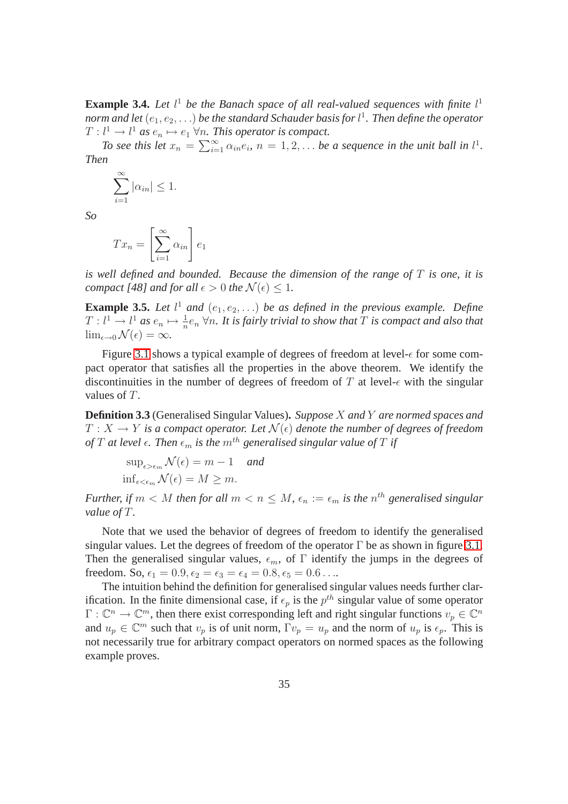**Example 3.4.** Let  $l^1$  be the Banach space of all real-valued sequences with finite  $l^1$ norm and let  $(e_1,e_2,\ldots)$  be the standard Schauder basis for l<sup>1</sup>. Then define the operator  $T: l<sup>1</sup> \to l<sup>1</sup>$  as  $e_n \mapsto e_1 \forall n$ . This operator is compact.

*To see this let*  $x_n = \sum_{i=1}^{\infty} \alpha_{in} e_i$ ,  $n = 1, 2, \ldots$  *be a sequence in the unit ball in*  $l^1$ *. Then*

$$
\sum_{i=1}^{\infty} |\alpha_{in}| \le 1.
$$

*So*

$$
Tx_n = \left[\sum_{i=1}^{\infty} \alpha_{in}\right] e_1
$$

*is well defined and bounded. Because the dimension of the range of* T *is one, it is compact [48] and for all*  $\epsilon > 0$  *the*  $\mathcal{N}(\epsilon) < 1$ *.* 

<span id="page-43-0"></span>**Example 3.5.** Let  $l^1$  and  $(e_1, e_2, \ldots)$  be as defined in the previous example. Define  $T: l^1 \to l^1$  as  $e_n \mapsto \frac{1}{n}e_n$   $\forall n$ . It is fairly trivial to show that  $T$  is compact and also that  $\lim_{\epsilon \to 0} \mathcal{N}(\epsilon) = \infty$ .

Figure 3.1 shows a typical example of degrees of freedom at level- $\epsilon$  for some compact operator that satisfies all the properties in the above theorem. We identify the discontinuities in the number of degrees of freedom of T at level- $\epsilon$  with the singular values of T.

**Definition 3.3** (Generalised Singular Values)**.** *Suppose* X *and* Y *are normed spaces and*  $T: X \to Y$  is a compact operator. Let  $\mathcal{N}(\epsilon)$  denote the number of degrees of freedom *of* T at level  $\epsilon$ . Then  $\epsilon_m$  is the  $m^{th}$  generalised singular value of T if

$$
\sup_{\epsilon > \epsilon_m} \mathcal{N}(\epsilon) = m - 1 \quad and
$$
  

$$
\inf_{\epsilon < \epsilon_m} \mathcal{N}(\epsilon) = M \ge m.
$$

*Further, if*  $m < M$  *then for all*  $m < n \leq M$ ,  $\epsilon_n := \epsilon_m$  *is the n*<sup>th</sup> generalised singular *value of* T*.*

Note that we used the behavior of degrees of freedom to identify the generalised singular values. Let the degrees of freedom of the operator  $\Gamma$  be as shown in figure 3.1. Then the generalised singular values,  $\epsilon_m$ , of  $\Gamma$  identify the jumps in the degrees of freedom. So,  $\epsilon_1 = 0.9, \epsilon_2 = \epsilon_3 = \epsilon_4 = 0.8, \epsilon_5 = 0.6 \ldots$ 

The intuition behind the definition for generalised singular values needs further clarification. In the finite dimensional case, if  $\epsilon_p$  is the  $p^{th}$  singular value of some operator  $\Gamma: \mathbb{C}^n \to \mathbb{C}^m$ , then there exist corresponding left and right singular functions  $v_p \in \mathbb{C}^n$ and  $u_p \in \mathbb{C}^m$  such that  $v_p$  is of unit norm,  $\Gamma v_p = u_p$  and the norm of  $u_p$  is  $\epsilon_p$ . This is not necessarily true for arbitrary compact operators on normed spaces as the following example proves.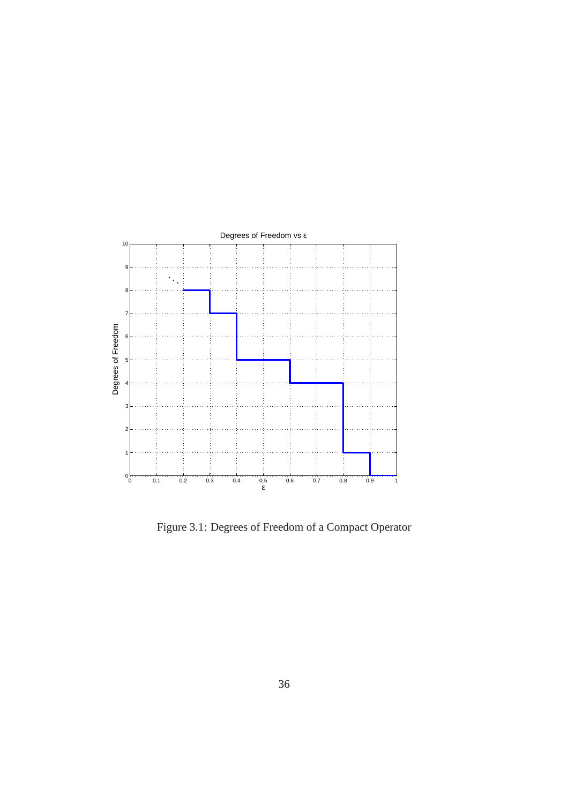

Figure 3.1: Degrees of Freedom of a Compact Operator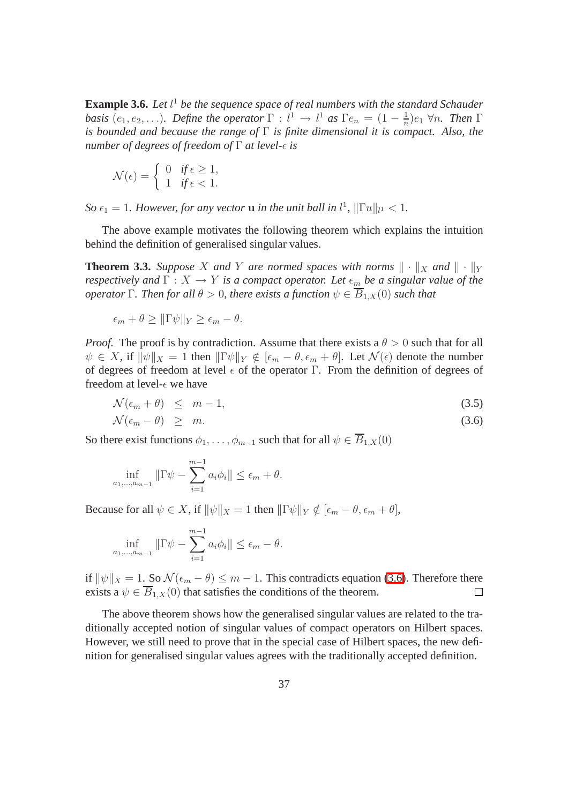**Example 3.6.** *Let* l <sup>1</sup> *be the sequence space of real numbers with the standard Schauder basis*  $(e_1, e_2, \ldots)$ *. Define the operator*  $\Gamma : l^1 \to l^1$  *as*  $\Gamma e_n = (1 - \frac{1}{n})$  $rac{1}{n}$ ) $e_1$   $\forall n$ . *Then* Γ *is bounded and because the range of* Γ *is finite dimensional it is compact. Also, the number of degrees of freedom of*  $\Gamma$  *at level-* $\epsilon$  *is* 

$$
\mathcal{N}(\epsilon) = \begin{cases} 0 & \text{if } \epsilon \ge 1, \\ 1 & \text{if } \epsilon < 1. \end{cases}
$$

*So*  $\epsilon_1 = 1$ *. However, for any vector* **u** *in the unit ball in*  $l^1$ *,*  $\|\Gamma u\|_{l^1} < 1$ *.* 

The above example motivates the following theorem which explains the intuition behind the definition of generalised singular values.

**Theorem 3.3.** *Suppose* X *and* Y *are normed spaces with norms*  $\|\cdot\|_X$  *and*  $\|\cdot\|_Y$ *respectively and*  $\Gamma: X \to Y$  *is a compact operator. Let*  $\epsilon_m$  *be a singular value of the operator* Γ*. Then for all*  $\theta > 0$ *, there exists a function*  $\psi \in \overline{B}_{1,X}(0)$  *such that* 

$$
\epsilon_m + \theta \geq \|\Gamma\psi\|_Y \geq \epsilon_m - \theta.
$$

*Proof.* The proof is by contradiction. Assume that there exists a  $\theta > 0$  such that for all  $\psi \in X$ , if  $\|\psi\|_X = 1$  then  $\|\Gamma \psi\|_Y \notin [\epsilon_m - \theta, \epsilon_m + \theta]$ . Let  $\mathcal{N}(\epsilon)$  denote the number of degrees of freedom at level  $\epsilon$  of the operator Γ. From the definition of degrees of freedom at level- $\epsilon$  we have

$$
\mathcal{N}(\epsilon_m + \theta) \leq m - 1,\tag{3.5}
$$

$$
\mathcal{N}(\epsilon_m - \theta) \geq m. \tag{3.6}
$$

So there exist functions  $\phi_1, \ldots, \phi_{m-1}$  such that for all  $\psi \in \overline{B}_{1,X}(0)$ 

$$
\inf_{a_1,\dots,a_{m-1}} \|\Gamma \psi - \sum_{i=1}^{m-1} a_i \phi_i\| \le \epsilon_m + \theta.
$$

Because for all  $\psi \in X$ , if  $\|\psi\|_X = 1$  then  $\|\Gamma \psi\|_Y \notin [\epsilon_m - \theta, \epsilon_m + \theta],$ 

$$
\inf_{a_1, ..., a_{m-1}} \|\Gamma \psi - \sum_{i=1}^{m-1} a_i \phi_i\| \le \epsilon_m - \theta.
$$

if  $\|\psi\|_X = 1$ . So  $\mathcal{N}(\epsilon_m - \theta) \leq m - 1$ . This contradicts equation (3.6). Therefore there exists a  $\psi \in \overline{B}_{1}$   $\chi(0)$  that satisfies the conditions of the theorem. exists a  $\psi \in \overline{B}_{1,X}(0)$  that satisfies the conditions of the theorem.

The above theorem shows how the generalised singular values are related to the traditionally accepted notion of singular values of compact operators on Hilbert spaces. However, we still need to prove that in the special case of Hilbert spaces, the new definition for generalised singular values agrees with the traditionally accepted definition.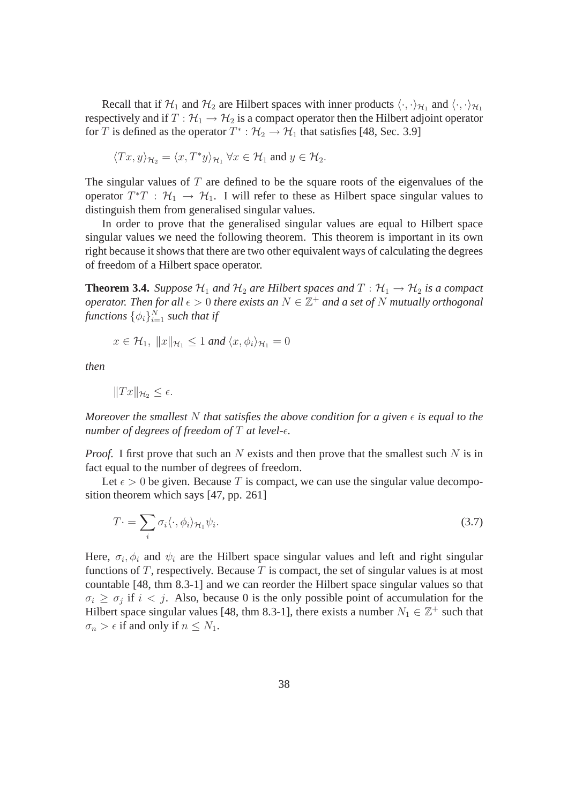Recall that if  $H_1$  and  $H_2$  are Hilbert spaces with inner products  $\langle \cdot, \cdot \rangle_{H_1}$  and  $\langle \cdot, \cdot \rangle_{H_1}$ respectively and if  $T : \mathcal{H}_1 \to \mathcal{H}_2$  is a compact operator then the Hilbert adjoint operator for T is defined as the operator  $T^* : \mathcal{H}_2 \to \mathcal{H}_1$  that satisfies [48, Sec. 3.9]

$$
\langle Tx, y \rangle_{\mathcal{H}_2} = \langle x, T^*y \rangle_{\mathcal{H}_1} \,\forall x \in \mathcal{H}_1 \text{ and } y \in \mathcal{H}_2.
$$

The singular values of  $T$  are defined to be the square roots of the eigenvalues of the operator  $T^*T$ :  $\mathcal{H}_1 \rightarrow \mathcal{H}_1$ . I will refer to these as Hilbert space singular values to distinguish them from generalised singular values.

In order to prove that the generalised singular values are equal to Hilbert space singular values we need the following theorem. This theorem is important in its own right because it shows that there are two other equivalent ways of calculating the degrees of freedom of a Hilbert space operator.

**Theorem 3.4.** *Suppose*  $H_1$  *and*  $H_2$  *are Hilbert spaces and*  $T : H_1 \rightarrow H_2$  *is a compact operator. Then for all*  $\epsilon > 0$  *there exists an*  $N \in \mathbb{Z}^+$  *and a set of* N *mutually orthogonal* functions  $\{\phi_i\}_{i=1}^N$  such that if

$$
x \in \mathcal{H}_1, \; \|x\|_{\mathcal{H}_1} \le 1 \; and \; \langle x, \phi_i \rangle_{\mathcal{H}_1} = 0
$$

*then*

$$
||Tx||_{\mathcal{H}_2} \leq \epsilon.
$$

*Moreover the smallest* N *that satisfies the above condition for a given*  $\epsilon$  *is equal to the number of degrees of freedom of*  $T$  *at level-* $\epsilon$ *.* 

*Proof.* I first prove that such an N exists and then prove that the smallest such N is in fact equal to the number of degrees of freedom.

Let  $\epsilon > 0$  be given. Because T is compact, we can use the singular value decomposition theorem which says [47, pp. 261]

$$
T = \sum_{i} \sigma_i \langle \cdot, \phi_i \rangle_{\mathcal{H}_1} \psi_i.
$$
\n(3.7)

Here,  $\sigma_i$ ,  $\phi_i$  and  $\psi_i$  are the Hilbert space singular values and left and right singular functions of  $T$ , respectively. Because  $T$  is compact, the set of singular values is at most countable [48, thm 8.3-1] and we can reorder the Hilbert space singular values so that  $\sigma_i \geq \sigma_j$  if  $i < j$ . Also, because 0 is the only possible point of accumulation for the Hilbert space singular values [48, thm 8.3-1], there exists a number  $N_1 \in \mathbb{Z}^+$  such that  $\sigma_n > \epsilon$  if and only if  $n \leq N_1$ .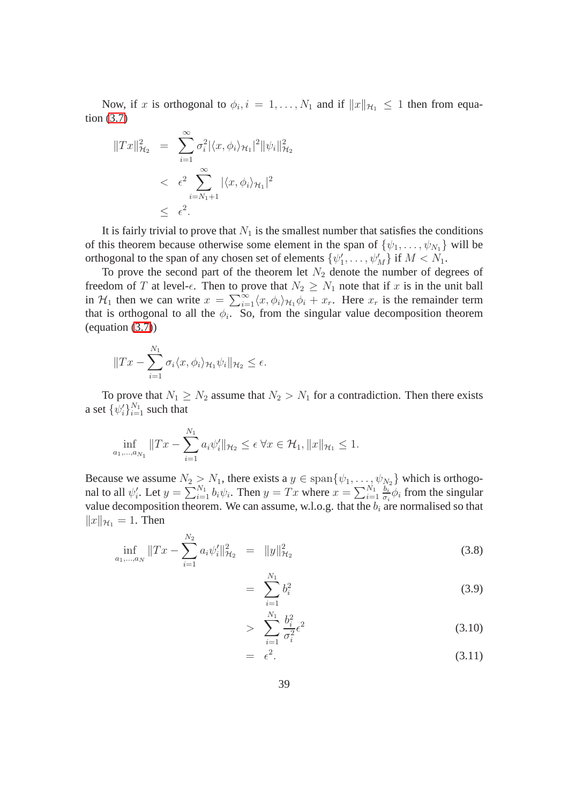Now, if x is orthogonal to  $\phi_i$ ,  $i = 1, ..., N_1$  and if  $||x||_{\mathcal{H}_1} \leq 1$  then from equation [\(3.7\)](#page-47-0)

$$
||Tx||_{\mathcal{H}_2}^2 = \sum_{i=1}^{\infty} \sigma_i^2 |\langle x, \phi_i \rangle_{\mathcal{H}_1}|^2 ||\psi_i||_{\mathcal{H}_2}^2
$$
  
<  $\epsilon^2 \sum_{i=N_1+1}^{\infty} |\langle x, \phi_i \rangle_{\mathcal{H}_1}|^2$   
 $\leq \epsilon^2$ .

It is fairly trivial to prove that  $N_1$  is the smallest number that satisfies the conditions of this theorem because otherwise some element in the span of  $\{\psi_1, \ldots, \psi_{N_1}\}\$  will be orthogonal to the span of any chosen set of elements  $\{\psi'_1, \dots, \psi'_M\}$  if  $M < N_1$ .

To prove the second part of the theorem let  $N_2$  denote the number of degrees of freedom of T at level- $\epsilon$ . Then to prove that  $N_2 \geq N_1$  note that if x is in the unit ball in  $\mathcal{H}_1$  then we can write  $x = \sum_{i=1}^{\infty} \langle x, \phi_i \rangle_{\mathcal{H}_1} \phi_i + x_r$ . Here  $x_r$  is the remainder term that is orthogonal to all the  $\phi_i$ . So, from the singular value decomposition theorem (equation [\(3.7\)](#page-47-0))

$$
||Tx - \sum_{i=1}^{N_1} \sigma_i \langle x, \phi_i \rangle_{\mathcal{H}_1} \psi_i||_{\mathcal{H}_2} \le \epsilon.
$$

To prove that  $N_1 \ge N_2$  assume that  $N_2 > N_1$  for a contradiction. Then there exists a set  $\{\psi_i'\}_{i=1}^{N_1}$  such that

$$
\inf_{a_1,\dots,a_{N_1}} \|Tx - \sum_{i=1}^{N_1} a_i \psi'_i\|_{\mathcal{H}_2} \le \epsilon \,\forall x \in \mathcal{H}_1, \|x\|_{\mathcal{H}_1} \le 1.
$$

Because we assume  $N_2 > N_1$ , there exists a  $y \in \text{span}\{\psi_1, \dots, \psi_{N_2}\}\$  which is orthogonal to all  $\psi'_i$ . Let  $y = \sum_{i=1}^{N_1} b_i \psi_i$ . Then  $y = Tx$  where  $x = \sum_{i=1}^{N_1} \frac{b_i}{\sigma_i}$  $\frac{b_i}{\sigma_i} \phi_i$  from the singular value decomposition theorem. We can assume, w.l.o.g. that the  $b_i$  are normalised so that  $||x||_{\mathcal{H}_1} = 1$ . Then

<span id="page-47-0"></span>
$$
\inf_{a_1,\dots,a_N} \|Tx - \sum_{i=1}^{N_2} a_i \psi_i'\|_{\mathcal{H}_2}^2 = \|y\|_{\mathcal{H}_2}^2 \tag{3.8}
$$

$$
= \sum_{i=1}^{N_1} b_i^2 \tag{3.9}
$$

$$
> \sum_{i=1}^{N_1} \frac{b_i^2}{\sigma_i^2} \epsilon^2 \tag{3.10}
$$

$$
= \epsilon^2. \tag{3.11}
$$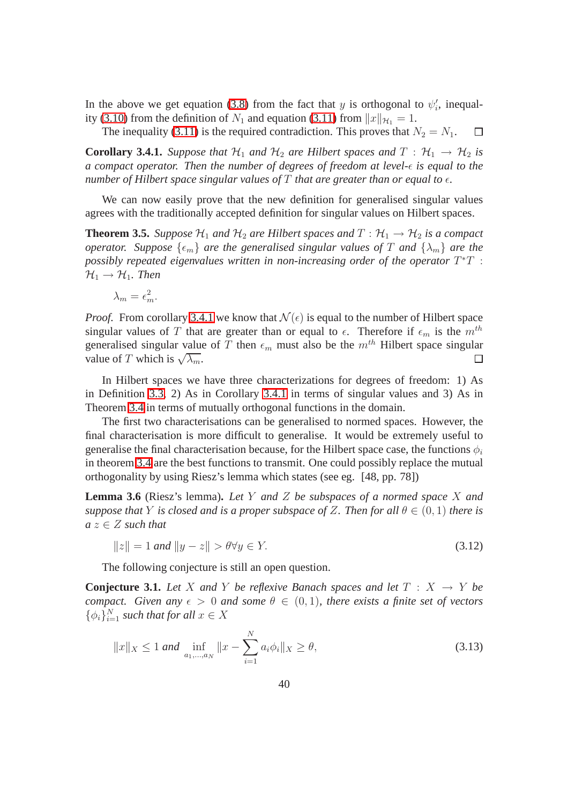In the above we get equation (3.8) from the fact that y is orthogonal to  $\psi'_i$ , inequality (3.10) from the definition of  $N_1$  and equation (3.11) from  $||x||_{\mathcal{H}_1} = 1$ .

The inequality (3.11) is the required contradiction. This proves that  $N_2 = N_1$ . П

**Corollary 3.4.1.** *Suppose that*  $H_1$  *and*  $H_2$  *are Hilbert spaces and*  $T : H_1 \rightarrow H_2$  *is a compact operator. Then the number of degrees of freedom at level-* $\epsilon$  *is equal to the number of Hilbert space singular values of* T *that are greater than or equal to*  $\epsilon$ *.* 

We can now easily prove that the new definition for generalised singular values agrees with the traditionally accepted definition for singular values on Hilbert spaces.

**Theorem 3.5.** *Suppose*  $H_1$  *and*  $H_2$  *are Hilbert spaces and*  $T : H_1 \rightarrow H_2$  *is a compact operator.* Suppose  $\{\epsilon_m\}$  *are the generalised singular values of* T *and*  $\{\lambda_m\}$  *are the* possibly repeated eigenvalues written in non-increasing order of the operator  $T^*T$  :  $\mathcal{H}_1 \rightarrow \mathcal{H}_1$ *. Then* 

$$
\lambda_m = \epsilon_m^2.
$$

*Proof.* From corollary 3.4.1 we know that  $\mathcal{N}(\epsilon)$  is equal to the number of Hilbert space singular values of T that are greater than or equal to  $\epsilon$ . Therefore if  $\epsilon_m$  is the  $m^{th}$ generalised singular value of T then  $\epsilon_m$  must also be the  $m^{th}$  Hilbert space singular value of T which is  $\sqrt{\lambda_m}$ .  $\Box$ 

In Hilbert spaces we have three characterizations for degrees of freedom: 1) As in Definition 3.3, 2) As in Corollary 3.4.1 in terms of singular values and 3) As in Theorem 3.4 in terms of mutually orthogonal functions in the domain.

The first two characterisations can be generalised to normed spaces. However, the final characterisation is more difficult to generalise. It would be extremely useful to generalise the final characterisation because, for the Hilbert space case, the functions  $\phi_i$ in theorem 3.4 are the best functions to transmit. One could possibly replace the mutual orthogonality by using Riesz's lemma which states (see eg. [48, pp. 78])

**Lemma 3.6** (Riesz's lemma)**.** *Let* Y *and* Z *be subspaces of a normed space* X *and suppose that* Y *is closed and is a proper subspace of Z. Then for all*  $\theta \in (0,1)$  *there is*  $a z \in Z$  *such that* 

$$
||z|| = 1 \text{ and } ||y - z|| > \theta \forall y \in Y. \tag{3.12}
$$

The following conjecture is still an open question.

**Conjecture 3.1.** Let X and Y be reflexive Banach spaces and let  $T : X \rightarrow Y$  be *compact.* Given any  $\epsilon > 0$  and some  $\theta \in (0, 1)$ , there exists a finite set of vectors  $\{\phi_i\}_{i=1}^N$  such that for all  $x \in X$ 

$$
||x||_X \le 1 \text{ and } \inf_{a_1, \dots, a_N} ||x - \sum_{i=1}^N a_i \phi_i||_X \ge \theta,
$$
\n(3.13)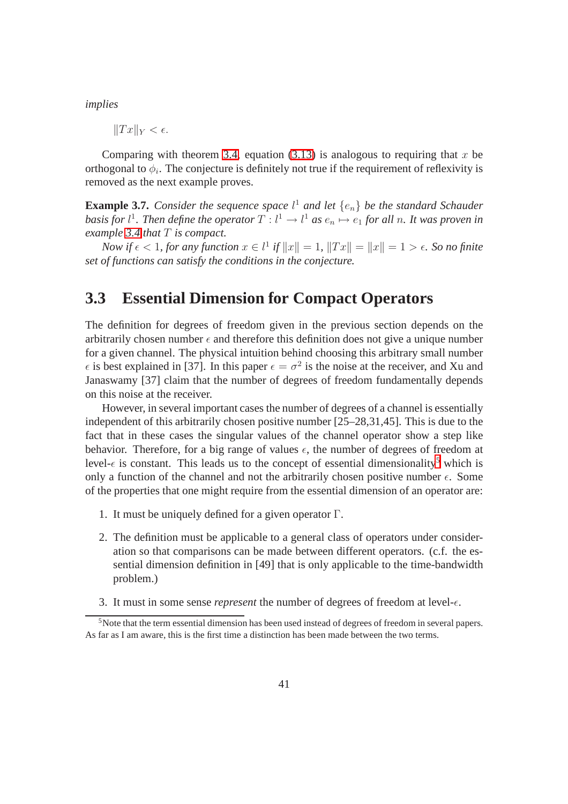*implies*

 $||Tx||_Y < \epsilon.$ 

Comparing with theorem 3.4, equation (3.13) is analogous to requiring that x be orthogonal to  $\phi_i$ . The conjecture is definitely not true if the requirement of reflexivity is removed as the next example proves.

**Example 3.7.** *Consider the sequence space*  $l^1$  *and let*  $\{e_n\}$  *be the standard Schauder basis for*  $l^1$ *. Then define the operator*  $T$  :  $l^1 \rightarrow l^1$  *as*  $e_n \mapsto e_1$  *for all n. It was proven in example [3.4](#page-43-0) that* T *is compact.*

*Now if*  $\epsilon < 1$ *, for any function*  $x \in l^1$  *if*  $||x|| = 1$ *,*  $||Tx|| = ||x|| = 1 > \epsilon$ *. So no finite set of functions can satisfy the conditions in the conjecture.*

### **3.3 Essential Dimension for Compact Operators**

The definition for degrees of freedom given in the previous section depends on the arbitrarily chosen number  $\epsilon$  and therefore this definition does not give a unique number for a given channel. The physical intuition behind choosing this arbitrary small number  $\epsilon$  is best explained in [37]. In this paper  $\epsilon = \sigma^2$  is the noise at the receiver, and Xu and Janaswamy [37] claim that the number of degrees of freedom fundamentally depends on this noise at the receiver.

However, in several important cases the number of degrees of a channel is essentially independent of this arbitrarily chosen positive number [25–28,31,45]. This is due to the fact that in these cases the singular values of the channel operator show a step like behavior. Therefore, for a big range of values  $\epsilon$ , the number of degrees of freedom at level- $\epsilon$  is constant. This leads us to the concept of essential dimensionality<sup>[5](#page-49-0)</sup> which is only a function of the channel and not the arbitrarily chosen positive number  $\epsilon$ . Some of the properties that one might require from the essential dimension of an operator are:

- 1. It must be uniquely defined for a given operator  $\Gamma$ .
- 2. The definition must be applicable to a general class of operators under consideration so that comparisons can be made between different operators. (c.f. the essential dimension definition in [49] that is only applicable to the time-bandwidth problem.)
- 3. It must in some sense *represent* the number of degrees of freedom at level- $\epsilon$ .

<span id="page-49-0"></span><sup>5</sup>Note that the term essential dimension has been used instead of degrees of freedom in several papers. As far as I am aware, this is the first time a distinction has been made between the two terms.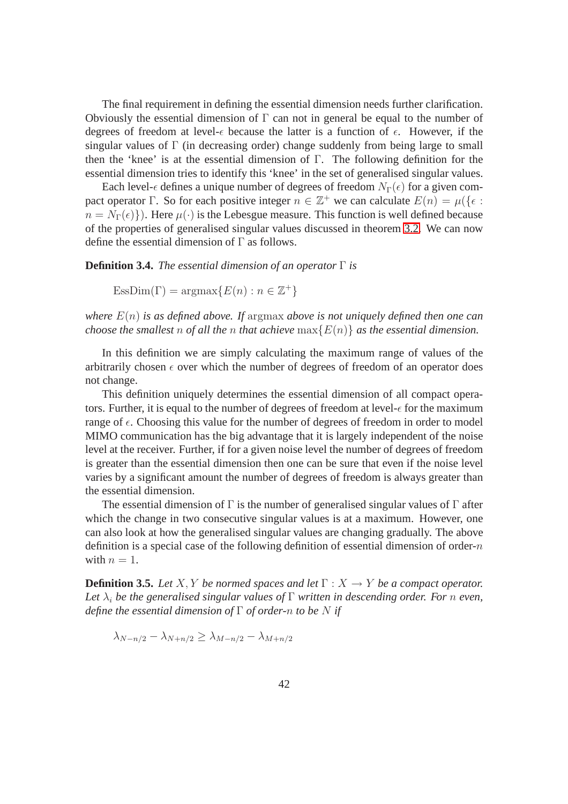The final requirement in defining the essential dimension needs further clarification. Obviously the essential dimension of  $\Gamma$  can not in general be equal to the number of degrees of freedom at level- $\epsilon$  because the latter is a function of  $\epsilon$ . However, if the singular values of  $\Gamma$  (in decreasing order) change suddenly from being large to small then the 'knee' is at the essential dimension of Γ. The following definition for the essential dimension tries to identify this 'knee' in the set of generalised singular values.

Each level- $\epsilon$  defines a unique number of degrees of freedom  $N_{\Gamma}(\epsilon)$  for a given compact operator Γ. So for each positive integer  $n \in \mathbb{Z}^+$  we can calculate  $E(n) = \mu(\{\epsilon :$  $n = N_{\Gamma}(\epsilon)$ . Here  $\mu(\cdot)$  is the Lebesgue measure. This function is well defined because of the properties of generalised singular values discussed in theorem 3.2. We can now define the essential dimension of Γ as follows.

**Definition 3.4.** *The essential dimension of an operator* Γ *is*

 $\text{EssDim}(\Gamma) = \text{argmax}\{E(n) : n \in \mathbb{Z}^+\}$ 

*where* E(n) *is as defined above. If* argmax *above is not uniquely defined then one can choose the smallest* n *of all the* n *that achieve*  $\max\{E(n)\}$  *as the essential dimension.* 

In this definition we are simply calculating the maximum range of values of the arbitrarily chosen  $\epsilon$  over which the number of degrees of freedom of an operator does not change.

This definition uniquely determines the essential dimension of all compact operators. Further, it is equal to the number of degrees of freedom at level- $\epsilon$  for the maximum range of  $\epsilon$ . Choosing this value for the number of degrees of freedom in order to model MIMO communication has the big advantage that it is largely independent of the noise level at the receiver. Further, if for a given noise level the number of degrees of freedom is greater than the essential dimension then one can be sure that even if the noise level varies by a significant amount the number of degrees of freedom is always greater than the essential dimension.

The essential dimension of  $\Gamma$  is the number of generalised singular values of  $\Gamma$  after which the change in two consecutive singular values is at a maximum. However, one can also look at how the generalised singular values are changing gradually. The above definition is a special case of the following definition of essential dimension of order- $n$ with  $n = 1$ .

<span id="page-50-0"></span>**Definition 3.5.** *Let*  $X, Y$  *be normed spaces and let*  $\Gamma : X \to Y$  *be a compact operator.* Let  $\lambda_i$  be the generalised singular values of  $\Gamma$  written in descending order. For n even, *define the essential dimension of* Γ *of order-*n *to be* N *if*

$$
\lambda_{N-n/2} - \lambda_{N+n/2} \ge \lambda_{M-n/2} - \lambda_{M+n/2}
$$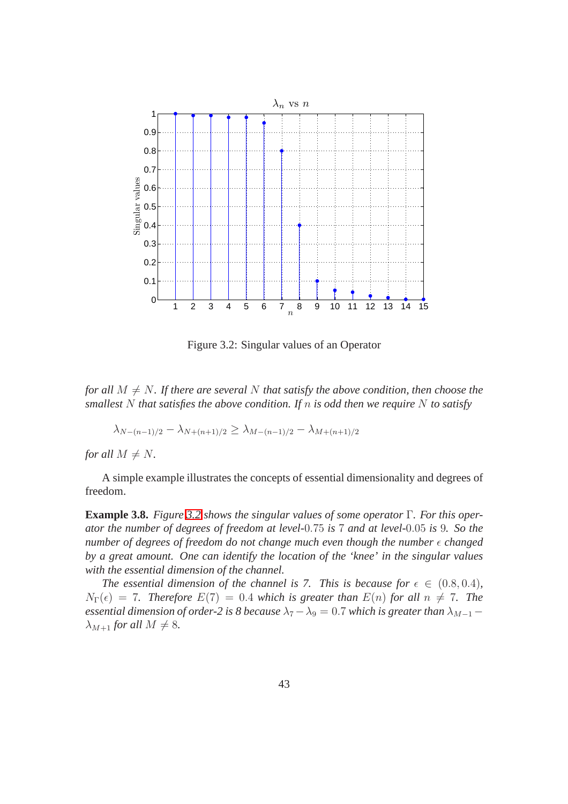

Figure 3.2: Singular values of an Operator

*for all*  $M \neq N$ *. If there are several* N *that satisfy the above condition, then choose the smallest* N *that satisfies the above condition. If* n *is odd then we require* N *to satisfy*

$$
\lambda_{N-(n-1)/2} - \lambda_{N+(n+1)/2} \ge \lambda_{M-(n-1)/2} - \lambda_{M+(n+1)/2}
$$

*for all*  $M \neq N$ *.* 

A simple example illustrates the concepts of essential dimensionality and degrees of freedom.

**Example 3.8.** *Figure 3.2 shows the singular values of some operator* Γ*. For this operator the number of degrees of freedom at level-*0.75 *is* 7 *and at level-*0.05 *is* 9*. So the number of degrees of freedom do not change much even though the number*  $\epsilon$  *changed by a great amount. One can identify the location of the 'knee' in the singular values with the essential dimension of the channel.*

*The essential dimension of the channel is 7. This is because for*  $\epsilon \in (0.8, 0.4)$ *,*  $N_{\Gamma}(\epsilon) = 7$ . Therefore  $E(7) = 0.4$  which is greater than  $E(n)$  for all  $n \neq 7$ . The *essential dimension of order-2 is 8 because*  $\lambda_7 - \lambda_9 = 0.7$  *which is greater than*  $\lambda_{M-1}$  –  $\lambda_{M+1}$  *for all*  $M \neq 8$ *.*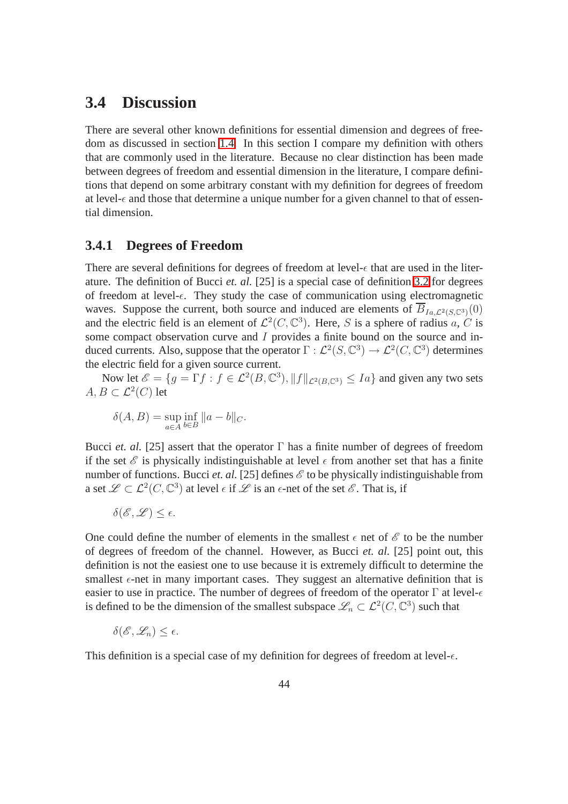### **3.4 Discussion**

There are several other known definitions for essential dimension and degrees of freedom as discussed in section 1.4. In this section I compare my definition with others that are commonly used in the literature. Because no clear distinction has been made between degrees of freedom and essential dimension in the literature, I compare definitions that depend on some arbitrary constant with my definition for degrees of freedom at level- $\epsilon$  and those that determine a unique number for a given channel to that of essential dimension.

### **3.4.1 Degrees of Freedom**

There are several definitions for degrees of freedom at level- $\epsilon$  that are used in the literature. The definition of Bucci *et. al.* [25] is a special case of definition 3.2 for degrees of freedom at level- $\epsilon$ . They study the case of communication using electromagnetic waves. Suppose the current, both source and induced are elements of  $\overline{B}_{Ia}$   $\overline{P}_{Ia}$   $\overline{P}_{Ia}$   $\overline{P}_{Ia}$ and the electric field is an element of  $\mathcal{L}^2(C, \mathbb{C}^3)$ . Here, S is a sphere of radius a, C is some compact observation curve and I provides a finite bound on the source and induced currents. Also, suppose that the operator  $\Gamma : \mathcal{L}^2(S, \mathbb{C}^3) \to \mathcal{L}^2(C, \mathbb{C}^3)$  determines the electric field for a given source current.

Now let  $\mathscr{E} = \{ g = \Gamma f : f \in \mathcal{L}^2(B, \mathbb{C}^3), \|f\|_{\mathcal{L}^2(B, \mathbb{C}^3)} \leq Ia \}$  and given any two sets  $A, B \subset \mathcal{L}^2(C)$  let

$$
\delta(A, B) = \sup_{a \in A} \inf_{b \in B} ||a - b||_{C}.
$$

Bucci *et. al.* [25] assert that the operator  $\Gamma$  has a finite number of degrees of freedom if the set  $\mathscr E$  is physically indistinguishable at level  $\epsilon$  from another set that has a finite number of functions. Bucci *et. al.* [25] defines  $\mathscr E$  to be physically indistinguishable from a set  $\mathscr{L} \subset \mathcal{L}^2(C,\mathbb{C}^3)$  at level  $\epsilon$  if  $\mathscr{L}$  is an  $\epsilon$ -net of the set  $\mathscr{E}$ . That is, if

$$
\delta(\mathscr{E},\mathscr{L})\leq \epsilon.
$$

One could define the number of elements in the smallest  $\epsilon$  net of  $\mathscr E$  to be the number of degrees of freedom of the channel. However, as Bucci *et. al.* [25] point out, this definition is not the easiest one to use because it is extremely difficult to determine the smallest  $\epsilon$ -net in many important cases. They suggest an alternative definition that is easier to use in practice. The number of degrees of freedom of the operator  $\Gamma$  at level- $\epsilon$ is defined to be the dimension of the smallest subspace  $\mathcal{L}_n \subset \mathcal{L}^2(C, \mathbb{C}^3)$  such that

$$
\delta(\mathscr{E},\mathscr{L}_n)\leq \epsilon.
$$

This definition is a special case of my definition for degrees of freedom at level- $\epsilon$ .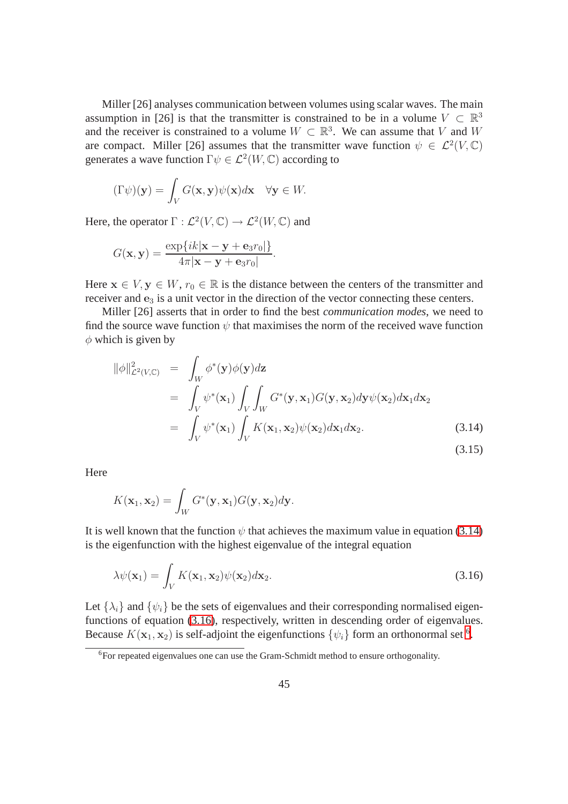Miller [26] analyses communication between volumes using scalar waves. The main assumption in [26] is that the transmitter is constrained to be in a volume  $V \subset \mathbb{R}^3$ and the receiver is constrained to a volume  $W \subset \mathbb{R}^3$ . We can assume that V and W are compact. Miller [26] assumes that the transmitter wave function  $\psi \in \mathcal{L}^2(V, \mathbb{C})$ generates a wave function  $\Gamma \psi \in \mathcal{L}^2(W, \mathbb{C})$  according to

$$
(\Gamma \psi)(\mathbf{y}) = \int_V G(\mathbf{x}, \mathbf{y}) \psi(\mathbf{x}) d\mathbf{x} \quad \forall \mathbf{y} \in W.
$$

Here, the operator  $\Gamma : \mathcal{L}^2(V, \mathbb{C}) \to \mathcal{L}^2(W, \mathbb{C})$  and

$$
G(\mathbf{x}, \mathbf{y}) = \frac{\exp\{ik|\mathbf{x} - \mathbf{y} + \mathbf{e}_3 r_0|\}}{4\pi|\mathbf{x} - \mathbf{y} + \mathbf{e}_3 r_0|}.
$$

Here  $x \in V$ ,  $y \in W$ ,  $r_0 \in \mathbb{R}$  is the distance between the centers of the transmitter and receiver and  $e_3$  is a unit vector in the direction of the vector connecting these centers.

Miller [26] asserts that in order to find the best *communication modes*, we need to find the source wave function  $\psi$  that maximises the norm of the received wave function  $\phi$  which is given by

$$
\|\phi\|_{\mathcal{L}^{2}(V,\mathbb{C})}^{2} = \int_{W} \phi^{*}(\mathbf{y})\phi(\mathbf{y})d\mathbf{z}
$$
  
\n
$$
= \int_{V} \psi^{*}(\mathbf{x}_{1}) \int_{V} \int_{W} G^{*}(\mathbf{y}, \mathbf{x}_{1})G(\mathbf{y}, \mathbf{x}_{2})d\mathbf{y}\psi(\mathbf{x}_{2})d\mathbf{x}_{1}d\mathbf{x}_{2}
$$
  
\n
$$
= \int_{V} \psi^{*}(\mathbf{x}_{1}) \int_{V} K(\mathbf{x}_{1}, \mathbf{x}_{2})\psi(\mathbf{x}_{2})d\mathbf{x}_{1}d\mathbf{x}_{2}. \qquad (3.14)
$$

**Here** 

$$
K(\mathbf{x}_1,\mathbf{x}_2)=\int_W G^*(\mathbf{y},\mathbf{x}_1)G(\mathbf{y},\mathbf{x}_2)d\mathbf{y}.
$$

It is well known that the function  $\psi$  that achieves the maximum value in equation [\(3.14\)](#page-53-0) is the eigenfunction with the highest eigenvalue of the integral equation

<span id="page-53-0"></span>
$$
\lambda \psi(\mathbf{x}_1) = \int_V K(\mathbf{x}_1, \mathbf{x}_2) \psi(\mathbf{x}_2) d\mathbf{x}_2.
$$
 (3.16)

Let  $\{\lambda_i\}$  and  $\{\psi_i\}$  be the sets of eigenvalues and their corresponding normalised eigenfunctions of equation (3.16), respectively, written in descending order of eigenvalues. Because  $K(\mathbf{x}_1, \mathbf{x}_2)$  is self-adjoint the eigenfunctions  $\{\psi_i\}$  form an orthonormal set <sup>[6](#page-53-1)</sup>.

<span id="page-53-1"></span> $6F$ or repeated eigenvalues one can use the Gram-Schmidt method to ensure orthogonality.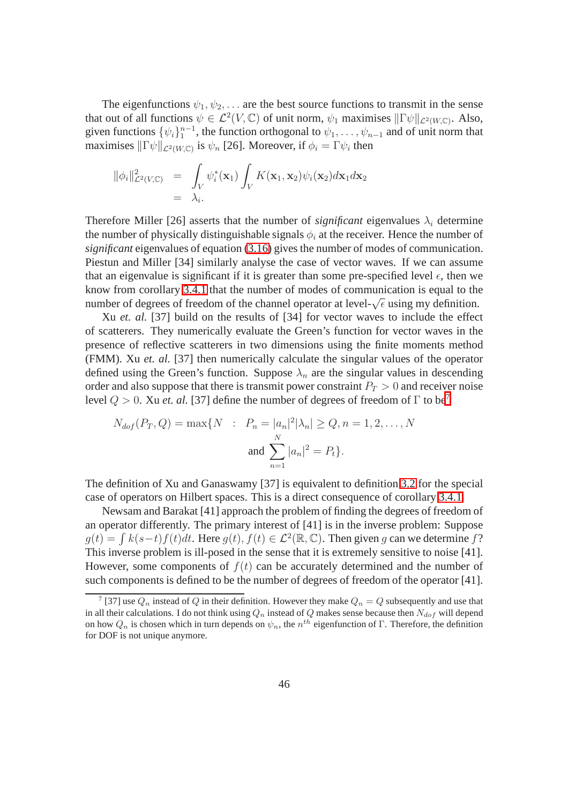The eigenfunctions  $\psi_1, \psi_2, \dots$  are the best source functions to transmit in the sense that out of all functions  $\psi \in \mathcal{L}^2(V, \mathbb{C})$  of unit norm,  $\psi_1$  maximises  $\|\Gamma\psi\|_{\mathcal{L}^2(W, \mathbb{C})}$ . Also, given functions  $\{\psi_i\}_1^{n-1}$ , the function orthogonal to  $\psi_1, \dots, \psi_{n-1}$  and of unit norm that maximises  $\|\Gamma\psi\|_{\mathcal{L}^2(W,\mathbb{C})}$  is  $\psi_n$  [26]. Moreover, if  $\phi_i = \Gamma\psi_i$  then

$$
\begin{array}{rcl}\n\|\phi_i\|^2_{\mathcal{L}^2(V,\mathbb{C})} &=& \int_V \psi_i^*(\mathbf{x}_1) \int_V K(\mathbf{x}_1,\mathbf{x}_2) \psi_i(\mathbf{x}_2) d\mathbf{x}_1 d\mathbf{x}_2 \\
&=& \lambda_i.\n\end{array}
$$

Therefore Miller [26] asserts that the number of *significant* eigenvalues  $\lambda_i$  determine the number of physically distinguishable signals  $\phi_i$  at the receiver. Hence the number of *significant* eigenvalues of equation (3.16) gives the number of modes of communication. Piestun and Miller [34] similarly analyse the case of vector waves. If we can assume that an eigenvalue is significant if it is greater than some pre-specified level  $\epsilon$ , then we know from corollary 3.4.1 that the number of modes of communication is equal to the number of degrees of freedom of the channel operator at level- $\sqrt{\epsilon}$  using my definition.

Xu *et. al.* [37] build on the results of [34] for vector waves to include the effect of scatterers. They numerically evaluate the Green's function for vector waves in the presence of reflective scatterers in two dimensions using the finite moments method (FMM). Xu *et. al.* [37] then numerically calculate the singular values of the operator defined using the Green's function. Suppose  $\lambda_n$  are the singular values in descending order and also suppose that there is transmit power constraint  $P_T > 0$  and receiver noise level  $Q > 0$ . Xu *et. al.* [3[7](#page-54-0)] define the number of degrees of freedom of  $\Gamma$  to be<sup>7</sup>

$$
N_{dof}(P_T, Q) = \max\{N : P_n = |a_n|^2 |\lambda_n| \ge Q, n = 1, 2, ..., N
$$
  
and 
$$
\sum_{n=1}^{N} |a_n|^2 = P_t\}.
$$

The definition of Xu and Ganaswamy [37] is equivalent to definition 3.2 for the special case of operators on Hilbert spaces. This is a direct consequence of corollary 3.4.1.

Newsam and Barakat [41] approach the problem of finding the degrees of freedom of an operator differently. The primary interest of [41] is in the inverse problem: Suppose  $g(t) = \int k(s-t)f(t)dt$ . Here  $g(t)$ ,  $f(t) \in \mathcal{L}^2(\mathbb{R}, \mathbb{C})$ . Then given g can we determine f? This inverse problem is ill-posed in the sense that it is extremely sensitive to noise [41]. However, some components of  $f(t)$  can be accurately determined and the number of such components is defined to be the number of degrees of freedom of the operator [41].

<span id="page-54-0"></span><sup>&</sup>lt;sup>7</sup> [37] use  $Q_n$  instead of  $Q$  in their definition. However they make  $Q_n = Q$  subsequently and use that in all their calculations. I do not think using  $Q_n$  instead of  $Q$  makes sense because then  $N_{dof}$  will depend on how  $Q_n$  is chosen which in turn depends on  $\psi_n$ , the  $n^{th}$  eigenfunction of  $\Gamma$ . Therefore, the definition for DOF is not unique anymore.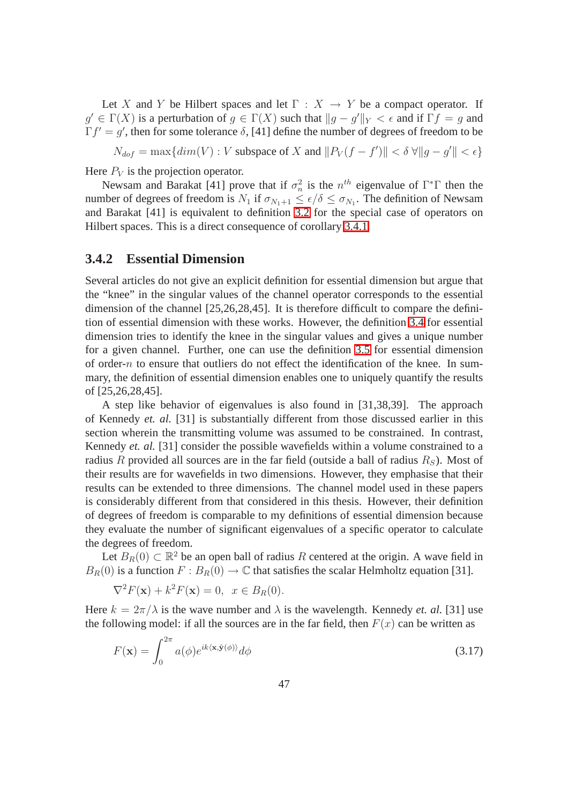Let X and Y be Hilbert spaces and let  $\Gamma : X \to Y$  be a compact operator. If  $g' \in \Gamma(X)$  is a perturbation of  $g \in \Gamma(X)$  such that  $||g - g'||_Y < \epsilon$  and if  $\Gamma f = g$  and  $\Gamma f' = g'$ , then for some tolerance  $\delta$ , [41] define the number of degrees of freedom to be

 $N_{dof} = \max\{dim(V) : V \text{ subspace of } X \text{ and } ||P_V(f - f')|| < \delta \forall ||g - g'|| < \epsilon\}$ 

Here  $P_V$  is the projection operator.

Newsam and Barakat [41] prove that if  $\sigma_n^2$  is the  $n^{th}$  eigenvalue of  $\Gamma^* \Gamma$  then the number of degrees of freedom is  $N_1$  if  $\sigma_{N_1+1} \leq \epsilon/\delta \leq \sigma_{N_1}$ . The definition of Newsam and Barakat [41] is equivalent to definition 3.2 for the special case of operators on Hilbert spaces. This is a direct consequence of corollary 3.4.1.

#### **3.4.2 Essential Dimension**

Several articles do not give an explicit definition for essential dimension but argue that the "knee" in the singular values of the channel operator corresponds to the essential dimension of the channel [25,26,28,45]. It is therefore difficult to compare the definition of essential dimension with these works. However, the definition [3.4](#page-50-0) for essential dimension tries to identify the knee in the singular values and gives a unique number for a given channel. Further, one can use the definition 3.5 for essential dimension of order-n to ensure that outliers do not effect the identification of the knee. In summary, the definition of essential dimension enables one to uniquely quantify the results of [25,26,28,45].

A step like behavior of eigenvalues is also found in [31,38,39]. The approach of Kennedy *et. al.* [31] is substantially different from those discussed earlier in this section wherein the transmitting volume was assumed to be constrained. In contrast, Kennedy *et. al.* [31] consider the possible wavefields within a volume constrained to a radius R provided all sources are in the far field (outside a ball of radius  $R<sub>S</sub>$ ). Most of their results are for wavefields in two dimensions. However, they emphasise that their results can be extended to three dimensions. The channel model used in these papers is considerably different from that considered in this thesis. However, their definition of degrees of freedom is comparable to my definitions of essential dimension because they evaluate the number of significant eigenvalues of a specific operator to calculate the degrees of freedom.

Let  $B_R(0) \subset \mathbb{R}^2$  be an open ball of radius R centered at the origin. A wave field in  $B_R(0)$  is a function  $F : B_R(0) \to \mathbb{C}$  that satisfies the scalar Helmholtz equation [31].

$$
\nabla^2 F(\mathbf{x}) + k^2 F(\mathbf{x}) = 0, \ \ x \in B_R(0).
$$

Here  $k = 2\pi/\lambda$  is the wave number and  $\lambda$  is the wavelength. Kennedy *et. al.* [31] use the following model: if all the sources are in the far field, then  $F(x)$  can be written as

$$
F(\mathbf{x}) = \int_0^{2\pi} a(\phi) e^{ik \langle \mathbf{x}, \hat{\mathbf{y}}(\phi) \rangle} d\phi \tag{3.17}
$$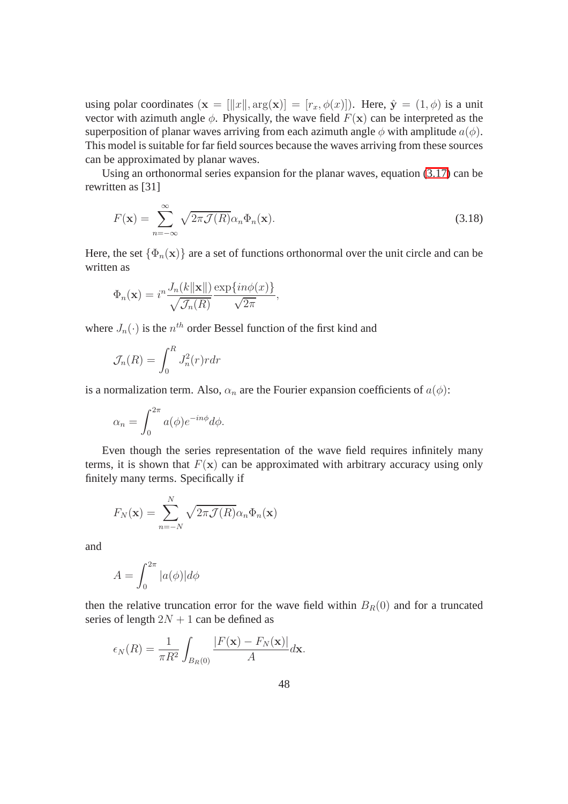using polar coordinates  $(\mathbf{x} = [\Vert x \Vert, \arg(\mathbf{x})] = [r_x, \phi(x)]$ . Here,  $\hat{\mathbf{y}} = (1, \phi)$  is a unit vector with azimuth angle  $\phi$ . Physically, the wave field  $F(\mathbf{x})$  can be interpreted as the superposition of planar waves arriving from each azimuth angle  $\phi$  with amplitude  $a(\phi)$ . This model is suitable for far field sources because the waves arriving from these sources can be approximated by planar waves.

<span id="page-56-0"></span>Using an orthonormal series expansion for the planar waves, equation [\(3.17\)](#page-56-0) can be rewritten as [31]

$$
F(\mathbf{x}) = \sum_{n=-\infty}^{\infty} \sqrt{2\pi \mathcal{J}(R)} \alpha_n \Phi_n(\mathbf{x}).
$$
\n(3.18)

Here, the set  $\{\Phi_n(\mathbf{x})\}$  are a set of functions orthonormal over the unit circle and can be written as

$$
\Phi_n(\mathbf{x}) = i^n \frac{J_n(k \|\mathbf{x}\|)}{\sqrt{\mathcal{J}_n(R)}} \frac{\exp\{in\phi(x)\}}{\sqrt{2\pi}},
$$

where  $J_n(\cdot)$  is the  $n^{th}$  order Bessel function of the first kind and

$$
\mathcal{J}_n(R) = \int_0^R J_n^2(r) r dr
$$

is a normalization term. Also,  $\alpha_n$  are the Fourier expansion coefficients of  $a(\phi)$ :

$$
\alpha_n = \int_0^{2\pi} a(\phi) e^{-in\phi} d\phi.
$$

Even though the series representation of the wave field requires infinitely many terms, it is shown that  $F(\mathbf{x})$  can be approximated with arbitrary accuracy using only finitely many terms. Specifically if

$$
F_N(\mathbf{x}) = \sum_{n=-N}^{N} \sqrt{2\pi \mathcal{J}(R)} \alpha_n \Phi_n(\mathbf{x})
$$

and

$$
A = \int_0^{2\pi} |a(\phi)| d\phi
$$

then the relative truncation error for the wave field within  $B_R(0)$  and for a truncated series of length  $2N + 1$  can be defined as

$$
\epsilon_N(R) = \frac{1}{\pi R^2} \int_{B_R(0)} \frac{|F(\mathbf{x}) - F_N(\mathbf{x})|}{A} d\mathbf{x}.
$$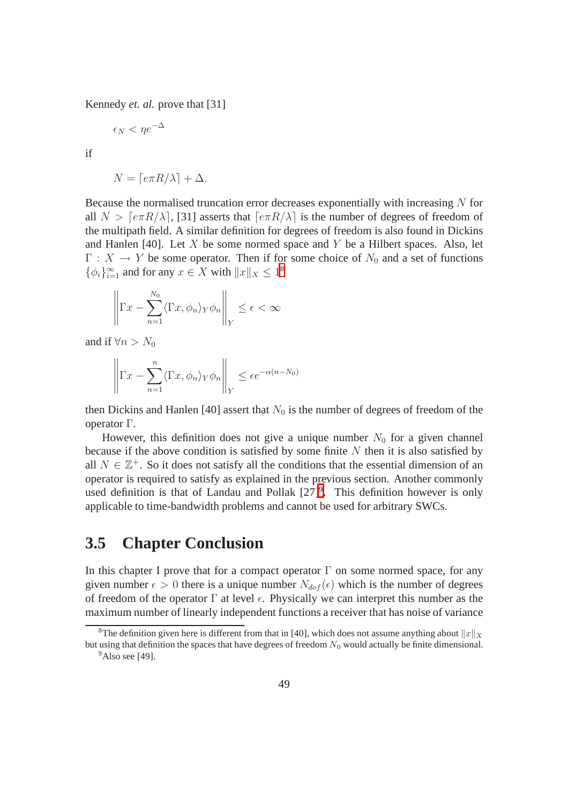Kennedy *et. al.* prove that [31]

$$
\epsilon_N < \eta e^{-\Delta}
$$

if

$$
N = \lceil e\pi R/\lambda \rceil + \Delta.
$$

Because the normalised truncation error decreases exponentially with increasing N for all  $N > \lceil e\pi R/\lambda \rceil$ , [31] asserts that  $\lceil e\pi R/\lambda \rceil$  is the number of degrees of freedom of the multipath field. A similar definition for degrees of freedom is also found in Dickins and Hanlen [40]. Let  $X$  be some normed space and  $Y$  be a Hilbert spaces. Also, let  $\Gamma : X \to Y$  be some operator. Then if for some choice of  $N_0$  and a set of functions  $\{\phi_i\}_{i=1}^{\infty}$  and for any  $x \in X$  with  $||x||_X \leq 1^8$  $||x||_X \leq 1^8$ 

$$
\left\| \Gamma x - \sum_{n=1}^{N_0} \langle \Gamma x, \phi_n \rangle_Y \phi_n \right\|_Y \le \epsilon < \infty
$$

and if  $\forall n > N_0$ 

$$
\left\| \Gamma x - \sum_{n=1}^{n} \langle \Gamma x, \phi_n \rangle_Y \phi_n \right\|_Y \le \epsilon e^{-\alpha (n - N_0)}
$$

then Dickins and Hanlen [40] assert that  $N_0$  is the number of degrees of freedom of the operator Γ.

However, this definition does not give a unique number  $N_0$  for a given channel because if the above condition is satisfied by some finite  $N$  then it is also satisfied by all  $N \in \mathbb{Z}^+$ . So it does not satisfy all the conditions that the essential dimension of an operator is required to satisfy as explained in the previous section. Another commonly used definition is that of Landau and Pollak  $[27]^9$  $[27]^9$ . This definition however is only applicable to time-bandwidth problems and cannot be used for arbitrary SWCs.

### **3.5 Chapter Conclusion**

In this chapter I prove that for a compact operator  $\Gamma$  on some normed space, for any given number  $\epsilon > 0$  there is a unique number  $N_{dof}(\epsilon)$  which is the number of degrees of freedom of the operator  $\Gamma$  at level  $\epsilon$ . Physically we can interpret this number as the maximum number of linearly independent functions a receiver that has noise of variance

<span id="page-57-1"></span><span id="page-57-0"></span><sup>&</sup>lt;sup>8</sup>The definition given here is different from that in [40], which does not assume anything about  $||x||_X$ but using that definition the spaces that have degrees of freedom  $N_0$  would actually be finite dimensional.  $9$ Also see [49].

<sup>49</sup>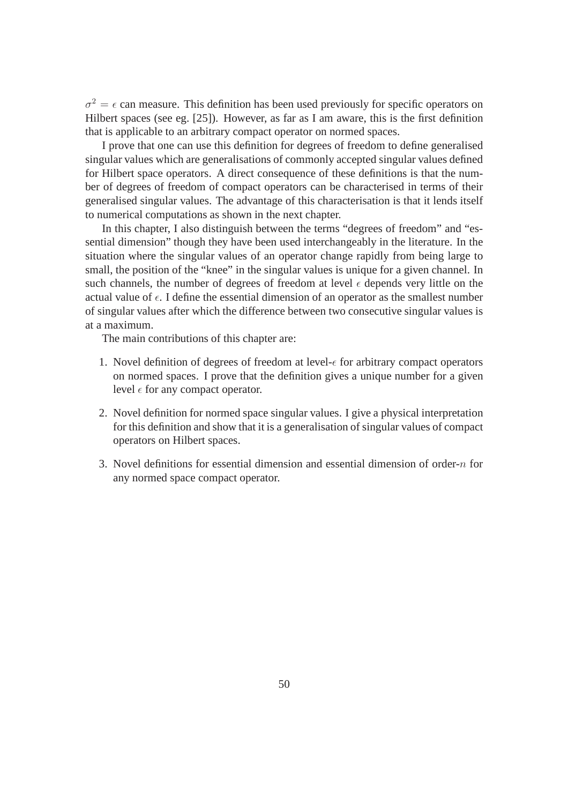$\sigma^2 = \epsilon$  can measure. This definition has been used previously for specific operators on Hilbert spaces (see eg. [25]). However, as far as I am aware, this is the first definition that is applicable to an arbitrary compact operator on normed spaces.

I prove that one can use this definition for degrees of freedom to define generalised singular values which are generalisations of commonly accepted singular values defined for Hilbert space operators. A direct consequence of these definitions is that the number of degrees of freedom of compact operators can be characterised in terms of their generalised singular values. The advantage of this characterisation is that it lends itself to numerical computations as shown in the next chapter.

In this chapter, I also distinguish between the terms "degrees of freedom" and "essential dimension" though they have been used interchangeably in the literature. In the situation where the singular values of an operator change rapidly from being large to small, the position of the "knee" in the singular values is unique for a given channel. In such channels, the number of degrees of freedom at level  $\epsilon$  depends very little on the actual value of  $\epsilon$ . I define the essential dimension of an operator as the smallest number of singular values after which the difference between two consecutive singular values is at a maximum.

The main contributions of this chapter are:

- 1. Novel definition of degrees of freedom at level- $\epsilon$  for arbitrary compact operators on normed spaces. I prove that the definition gives a unique number for a given level  $\epsilon$  for any compact operator.
- 2. Novel definition for normed space singular values. I give a physical interpretation for this definition and show that it is a generalisation of singular values of compact operators on Hilbert spaces.
- 3. Novel definitions for essential dimension and essential dimension of order-n for any normed space compact operator.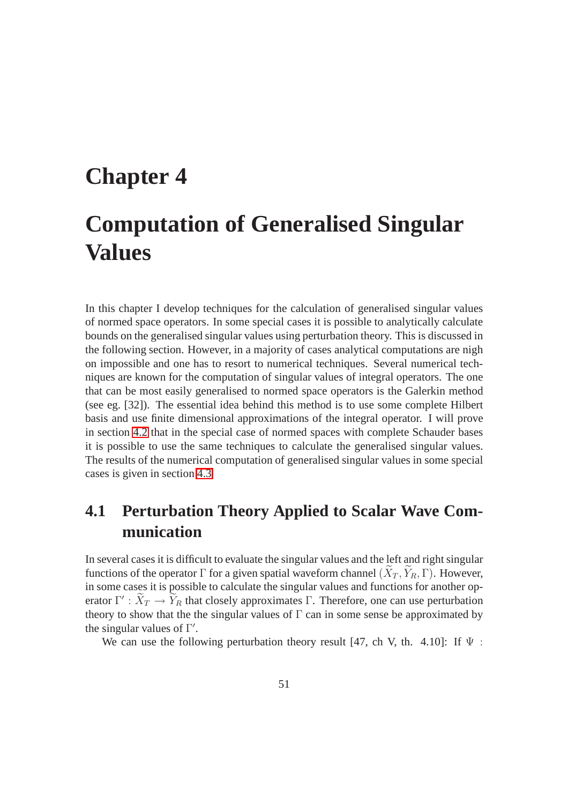# **Chapter 4 Computation of Generalised Singular Values**

In this chapter I develop techniques for the calculation of generalised singular values of normed space operators. In some special cases it is possible to analytically calculate bounds on the generalised singular values using perturbation theory. This is discussed in the following section. However, in a majority of cases analytical computations are nigh on impossible and one has to resort to numerical techniques. Several numerical techniques are known for the computation of singular values of integral operators. The one that can be most easily generalised to normed space operators is the Galerkin method (see eg. [32]). The essential idea behind this method is to use some complete Hilbert basis and use finite dimensional approximations of the integral operator. I will prove in section 4.2 that in the special case of normed spaces with complete Schauder bases it is possible to use the same techniques to calculate the generalised singular values. The results of the numerical computation of generalised singular values in some special cases is given in section 4.3

## **4.1 Perturbation Theory Applied to Scalar Wave Communication**

In several cases it is difficult to evaluate the singular values and the left and right singular functions of the operator Γ for a given spatial waveform channel  $(X_T, Y_R, \Gamma)$ . However, in some cases it is possible to calculate the singular values and functions for another operator  $\Gamma' : X_T \to Y_R$  that closely approximates  $\Gamma$ . Therefore, one can use perturbation theory to show that the the singular values of  $\Gamma$  can in some sense be approximated by the singular values of  $\Gamma'$ .

We can use the following perturbation theory result [47, ch V, th. 4.10]: If  $\Psi$ :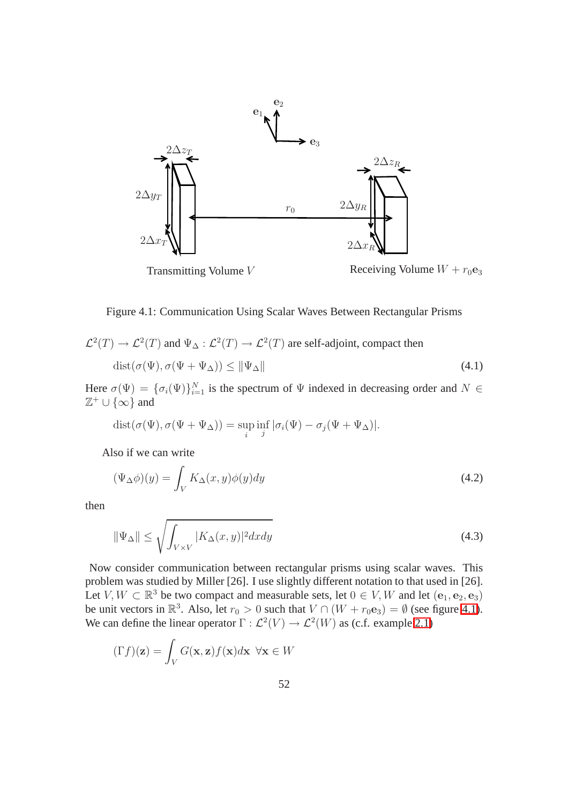

Figure 4.1: Communication Using Scalar Waves Between Rectangular Prisms

$$
\mathcal{L}^2(T) \to \mathcal{L}^2(T) \text{ and } \Psi_{\Delta} : \mathcal{L}^2(T) \to \mathcal{L}^2(T) \text{ are self-adjoint, compact then}
$$
  

$$
\text{dist}(\sigma(\Psi), \sigma(\Psi + \Psi_{\Delta})) \le ||\Psi_{\Delta}|| \tag{4.1}
$$

Here  $\sigma(\Psi) = {\{\sigma_i(\Psi)\}}_{i=1}^N$  is the spectrum of  $\Psi$  indexed in decreasing order and  $N \in$  $\mathbb{Z}^+ \cup {\infty}$  and

$$
dist(\sigma(\Psi), \sigma(\Psi + \Psi_{\Delta})) = \sup_{i} \inf_{j} |\sigma_i(\Psi) - \sigma_j(\Psi + \Psi_{\Delta})|.
$$

Also if we can write

$$
(\Psi_{\Delta}\phi)(y) = \int_{V} K_{\Delta}(x, y)\phi(y)dy
$$
\n(4.2)

then

$$
\|\Psi_{\Delta}\| \le \sqrt{\int_{V \times V} |K_{\Delta}(x, y)|^2 dx dy} \tag{4.3}
$$

Now consider communication between rectangular prisms using scalar waves. This problem was studied by Miller [26]. I use slightly different notation to that used in [26]. Let  $V, W \subset \mathbb{R}^3$  be two compact and measurable sets, let  $0 \in V, W$  and let  $(e_1, e_2, e_3)$ be unit vectors in  $\mathbb{R}^3$ . Also, let  $r_0 > 0$  such that  $V \cap (W + r_0 \mathbf{e}_3) = \emptyset$  (see figure 4.1). We can define the linear operator  $\Gamma : \mathcal{L}^2(V) \to \mathcal{L}^2(W)$  as (c.f. example 2.1)

$$
(\Gamma f)(\mathbf{z}) = \int_{V} G(\mathbf{x}, \mathbf{z}) f(\mathbf{x}) d\mathbf{x} \ \forall \mathbf{x} \in W
$$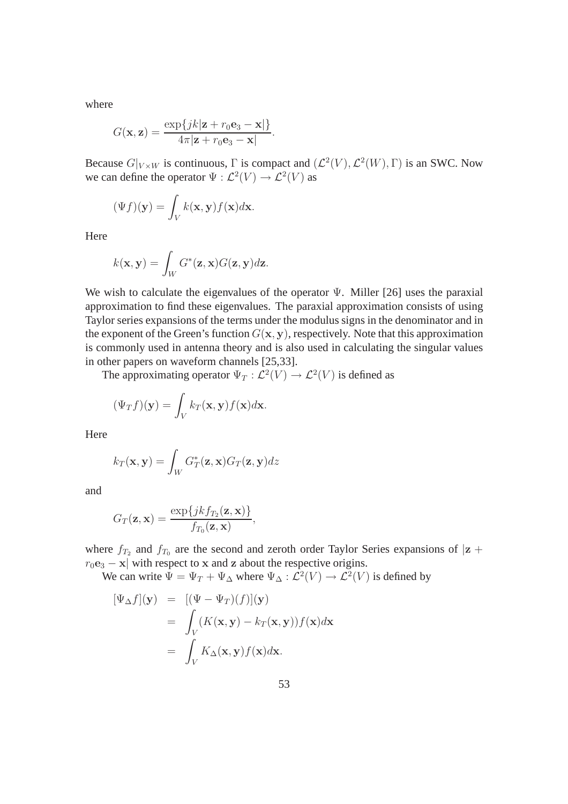where

$$
G(\mathbf{x}, \mathbf{z}) = \frac{\exp\{jk|\mathbf{z} + r_0 \mathbf{e}_3 - \mathbf{x}|\}}{4\pi|\mathbf{z} + r_0 \mathbf{e}_3 - \mathbf{x}|}
$$

Because  $G|_{V\times W}$  is continuous,  $\Gamma$  is compact and  $(\mathcal{L}^2(V), \mathcal{L}^2(W), \Gamma)$  is an SWC. Now we can define the operator  $\Psi : \mathcal{L}^2(V) \to \mathcal{L}^2(V)$  as

.

$$
(\Psi f)(\mathbf{y}) = \int_{V} k(\mathbf{x}, \mathbf{y}) f(\mathbf{x}) d\mathbf{x}.
$$

Here

$$
k(\mathbf{x}, \mathbf{y}) = \int_W G^*(\mathbf{z}, \mathbf{x}) G(\mathbf{z}, \mathbf{y}) d\mathbf{z}.
$$

We wish to calculate the eigenvalues of the operator  $\Psi$ . Miller [26] uses the paraxial approximation to find these eigenvalues. The paraxial approximation consists of using Taylor series expansions of the terms under the modulus signs in the denominator and in the exponent of the Green's function  $G(x, y)$ , respectively. Note that this approximation is commonly used in antenna theory and is also used in calculating the singular values in other papers on waveform channels [25,33].

The approximating operator  $\Psi_T : \mathcal{L}^2(V) \to \mathcal{L}^2(V)$  is defined as

$$
(\Psi_T f)(\mathbf{y}) = \int_V k_T(\mathbf{x}, \mathbf{y}) f(\mathbf{x}) d\mathbf{x}.
$$

Here

$$
k_T(\mathbf{x}, \mathbf{y}) = \int_W G_T^*(\mathbf{z}, \mathbf{x}) G_T(\mathbf{z}, \mathbf{y}) dz
$$

and

$$
G_T(\mathbf{z}, \mathbf{x}) = \frac{\exp\{jkf_{T_2}(\mathbf{z}, \mathbf{x})\}}{f_{T_0}(\mathbf{z}, \mathbf{x})},
$$

where  $f_{T_2}$  and  $f_{T_0}$  are the second and zeroth order Taylor Series expansions of  $|z + \rangle$  $r_0$ e<sub>3</sub> – x| with respect to x and z about the respective origins.

We can write  $\Psi = \Psi_T + \Psi_{\Delta}$  where  $\Psi_{\Delta} : \mathcal{L}^2(V) \to \mathcal{L}^2(V)$  is defined by

$$
[\Psi_{\Delta} f](\mathbf{y}) = [(\Psi - \Psi_T)(f)](\mathbf{y})
$$
  
= 
$$
\int_V (K(\mathbf{x}, \mathbf{y}) - k_T(\mathbf{x}, \mathbf{y})) f(\mathbf{x}) d\mathbf{x}
$$
  
= 
$$
\int_V K_{\Delta}(\mathbf{x}, \mathbf{y}) f(\mathbf{x}) d\mathbf{x}.
$$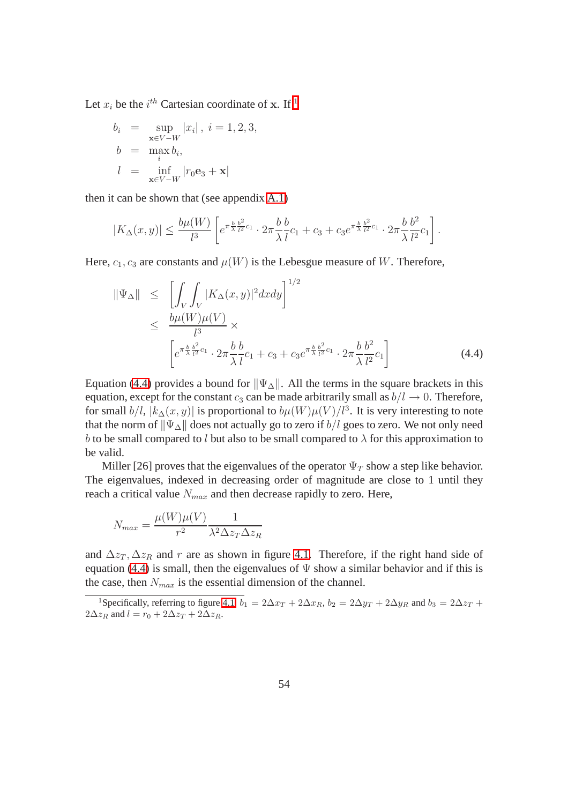Let  $x_i$  be the  $i^{th}$  Cartesian coordinate of x. If <sup>[1](#page-62-0)</sup>

$$
b_i = \sup_{\mathbf{x} \in V - W} |x_i|, i = 1, 2, 3,
$$
  
\n
$$
b = \max_i b_i,
$$
  
\n
$$
l = \inf_{\mathbf{x} \in V - W} |r_0 \mathbf{e}_3 + \mathbf{x}|
$$

then it can be shown that (see appendix A.1)

$$
|K_{\Delta}(x,y)| \leq \frac{b\mu(W)}{l^3} \left[ e^{\pi \frac{b}{\lambda} \frac{b^2}{l^2} c_1} \cdot 2\pi \frac{b}{\lambda} \frac{b}{l} c_1 + c_3 + c_3 e^{\pi \frac{b}{\lambda} \frac{b^2}{l^2} c_1} \cdot 2\pi \frac{b}{\lambda} \frac{b^2}{l^2} c_1 \right].
$$

Here,  $c_1, c_3$  are constants and  $\mu(W)$  is the Lebesgue measure of W. Therefore,

$$
\|\Psi_{\Delta}\| \leq \left[ \int_{V} \int_{V} |K_{\Delta}(x, y)|^{2} dx dy \right]^{1/2} \leq \frac{b\mu(W)\mu(V)}{l^{3}} \times \left[ e^{\pi \frac{b}{\lambda} \frac{b^{2}}{l^{2}} c_{1}} \cdot 2\pi \frac{b}{\lambda} \frac{b}{l} c_{1} + c_{3} + c_{3} e^{\pi \frac{b}{\lambda} \frac{b^{2}}{l^{2}} c_{1}} \cdot 2\pi \frac{b}{\lambda} \frac{b^{2}}{l^{2}} c_{1} \right]
$$
(4.4)

Equation (4.4) provides a bound for  $\|\Psi_{\Delta}\|$ . All the terms in the square brackets in this equation, except for the constant  $c_3$  can be made arbitrarily small as  $b/l \rightarrow 0$ . Therefore, for small  $b/l$ ,  $|k_{\Delta}(x, y)|$  is proportional to  $b\mu(W)\mu(V)/l^3$ . It is very interesting to note that the norm of  $\|\Psi_{\Delta}\|$  does not actually go to zero if  $b/l$  goes to zero. We not only need b to be small compared to l but also to be small compared to  $\lambda$  for this approximation to be valid.

Miller [26] proves that the eigenvalues of the operator  $\Psi_T$  show a step like behavior. The eigenvalues, indexed in decreasing order of magnitude are close to 1 until they reach a critical value  $N_{max}$  and then decrease rapidly to zero. Here,

$$
N_{max} = \frac{\mu(W)\mu(V)}{r^2} \frac{1}{\lambda^2 \Delta z_T \Delta z_R}
$$

and  $\Delta z_T$ ,  $\Delta z_R$  and r are as shown in figure 4.1. Therefore, if the right hand side of equation (4.4) is small, then the eigenvalues of  $\Psi$  show a similar behavior and if this is the case, then  $N_{max}$  is the essential dimension of the channel.

<span id="page-62-0"></span><sup>&</sup>lt;sup>1</sup>Specifically, referring to figure 4.1,  $b_1 = 2\Delta x_T + 2\Delta x_R$ ,  $b_2 = 2\Delta y_T + 2\Delta y_R$  and  $b_3 = 2\Delta z_T + 2\Delta y_R$  $2\Delta z_R$  and  $l = r_0 + 2\Delta z_T + 2\Delta z_R$ .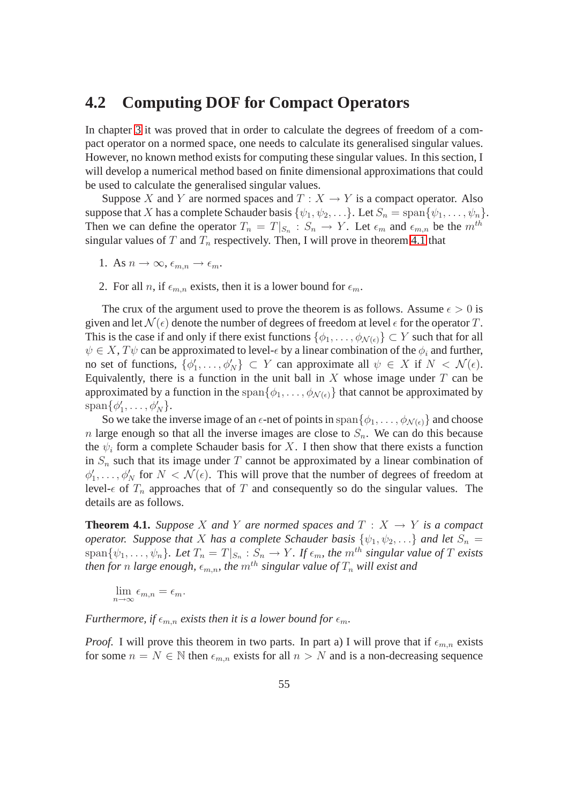### **4.2 Computing DOF for Compact Operators**

In chapter 3 it was proved that in order to calculate the degrees of freedom of a compact operator on a normed space, one needs to calculate its generalised singular values. However, no known method exists for computing these singular values. In this section, I will develop a numerical method based on finite dimensional approximations that could be used to calculate the generalised singular values.

Suppose X and Y are normed spaces and  $T : X \to Y$  is a compact operator. Also suppose that X has a complete Schauder basis  $\{\psi_1, \psi_2, \ldots\}$ . Let  $S_n = \text{span}\{\psi_1, \ldots, \psi_n\}$ . Then we can define the operator  $T_n = T|_{S_n} : S_n \to Y$ . Let  $\epsilon_m$  and  $\epsilon_{m,n}$  be the  $m^{th}$ singular values of T and  $T_n$  respectively. Then, I will prove in theorem 4.1 that

- 1. As  $n \to \infty$ ,  $\epsilon_{m,n} \to \epsilon_m$ .
- 2. For all n, if  $\epsilon_{m,n}$  exists, then it is a lower bound for  $\epsilon_m$ .

The crux of the argument used to prove the theorem is as follows. Assume  $\epsilon > 0$  is given and let  $\mathcal{N}(\epsilon)$  denote the number of degrees of freedom at level  $\epsilon$  for the operator T. This is the case if and only if there exist functions  $\{\phi_1, \ldots, \phi_{\mathcal{N}(\epsilon)}\} \subset Y$  such that for all  $\psi \in X$ ,  $T\psi$  can be approximated to level- $\epsilon$  by a linear combination of the  $\phi_i$  and further, no set of functions,  $\{\phi'_1, \ldots, \phi'_N\} \subset Y$  can approximate all  $\psi \in X$  if  $N < \mathcal{N}(\epsilon)$ . Equivalently, there is a function in the unit ball in  $X$  whose image under  $T$  can be approximated by a function in the span $\{\phi_1, \ldots, \phi_{N(\epsilon)}\}$  that cannot be approximated by  $\text{span}\{\phi'_1,\ldots,\phi'_N\}.$ 

So we take the inverse image of an  $\epsilon$ -net of points in span $\{\phi_1, \ldots, \phi_{\mathcal{N}(\epsilon)}\}$  and choose n large enough so that all the inverse images are close to  $S_n$ . We can do this because the  $\psi_i$  form a complete Schauder basis for X. I then show that there exists a function in  $S_n$  such that its image under T cannot be approximated by a linear combination of  $\phi'_1, \ldots, \phi'_N$  for  $N < \mathcal{N}(\epsilon)$ . This will prove that the number of degrees of freedom at level- $\epsilon$  of  $T_n$  approaches that of T and consequently so do the singular values. The details are as follows.

**Theorem 4.1.** *Suppose* X and Y are normed spaces and  $T : X \rightarrow Y$  is a compact *operator.* Suppose that X has a complete Schauder basis  $\{\psi_1, \psi_2, \ldots\}$  and let  $S_n =$  $\text{span}\{\psi_1,\ldots,\psi_n\}$ . Let  $T_n = T|_{S_n} : S_n \to Y$ . If  $\epsilon_m$ , the  $m^{th}$  singular value of T exists *then for n large enough,*  $\epsilon_{m,n}$ *, the*  $m^{th}$  *singular value of*  $T_n$  *will exist and* 

$$
\lim_{n \to \infty} \epsilon_{m,n} = \epsilon_m.
$$

*Furthermore, if*  $\epsilon_{m,n}$  *exists then it is a lower bound for*  $\epsilon_m$ *.* 

*Proof.* I will prove this theorem in two parts. In part a) I will prove that if  $\epsilon_{m,n}$  exists for some  $n = N \in \mathbb{N}$  then  $\epsilon_{m,n}$  exists for all  $n > N$  and is a non-decreasing sequence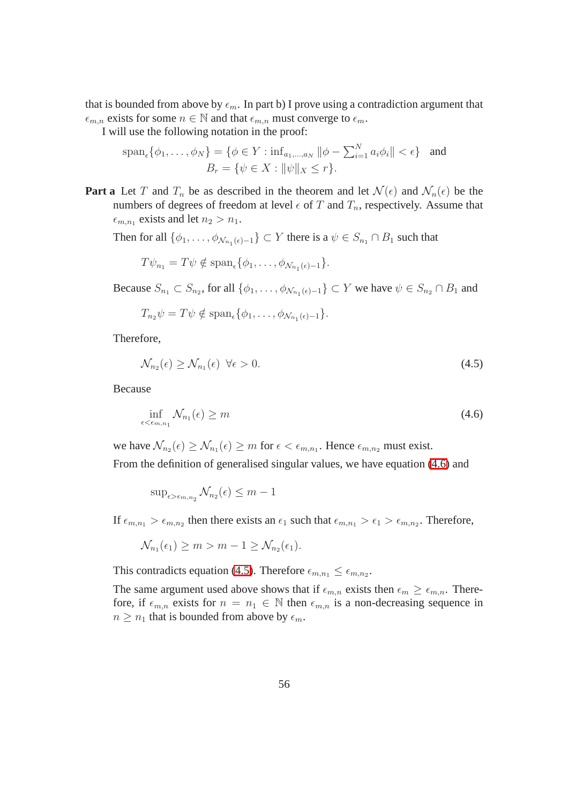that is bounded from above by  $\epsilon_m$ . In part b) I prove using a contradiction argument that  $\epsilon_{m,n}$  exists for some  $n \in \mathbb{N}$  and that  $\epsilon_{m,n}$  must converge to  $\epsilon_m$ .

I will use the following notation in the proof:

$$
\text{span}_{\epsilon}\{\phi_1, \dots, \phi_N\} = \{\phi \in Y : \text{inf}_{a_1, \dots, a_N} \|\phi - \sum_{i=1}^N a_i \phi_i\| < \epsilon\} \quad \text{and} \quad B_r = \{\psi \in X : \|\psi\|_X \le r\}.
$$

**Part a** Let T and  $T_n$  be as described in the theorem and let  $\mathcal{N}(\epsilon)$  and  $\mathcal{N}_n(\epsilon)$  be the numbers of degrees of freedom at level  $\epsilon$  of T and  $T_n$ , respectively. Assume that  $\epsilon_{m,n_1}$  exists and let  $n_2 > n_1$ .

Then for all  $\{\phi_1, \ldots, \phi_{\mathcal{N}_{n_1}(\epsilon)-1}\} \subset Y$  there is a  $\psi \in S_{n_1} \cap B_1$  such that

$$
T\psi_{n_1} = T\psi \notin \text{span}_{\epsilon}\{\phi_1,\ldots,\phi_{\mathcal{N}_{n_1}(\epsilon)-1}\}.
$$

Because  $S_{n_1} \subset S_{n_2}$ , for all  $\{\phi_1, \ldots, \phi_{N_{n_1}(\epsilon)-1}\} \subset Y$  we have  $\psi \in S_{n_2} \cap B_1$  and

$$
T_{n_2}\psi = T\psi \notin \mathrm{span}_{\epsilon}\{\phi_1,\ldots,\phi_{\mathcal{N}_{n_1}(\epsilon)-1}\}.
$$

Therefore,

$$
\mathcal{N}_{n_2}(\epsilon) \ge \mathcal{N}_{n_1}(\epsilon) \quad \forall \epsilon > 0. \tag{4.5}
$$

<span id="page-64-0"></span>Because

$$
\inf_{\epsilon < \epsilon_{m,n_1}} \mathcal{N}_{n_1}(\epsilon) \ge m \tag{4.6}
$$

we have  $\mathcal{N}_{n_2}(\epsilon) \ge \mathcal{N}_{n_1}(\epsilon) \ge m$  for  $\epsilon < \epsilon_{m,n_1}$ . Hence  $\epsilon_{m,n_2}$  must exist.

From the definition of generalised singular values, we have equation [\(4.6\)](#page-65-0) and

$$
\sup\nolimits_{\epsilon > \epsilon_{m,n_2}} \mathcal{N}_{n_2}(\epsilon) \le m - 1
$$

If  $\epsilon_{m,n_1} > \epsilon_{m,n_2}$  then there exists an  $\epsilon_1$  such that  $\epsilon_{m,n_1} > \epsilon_1 > \epsilon_{m,n_2}$ . Therefore,

$$
\mathcal{N}_{n_1}(\epsilon_1) \geq m > m - 1 \geq \mathcal{N}_{n_2}(\epsilon_1).
$$

This contradicts equation [\(4.5\)](#page-64-0). Therefore  $\epsilon_{m,n_1} \leq \epsilon_{m,n_2}$ .

The same argument used above shows that if  $\epsilon_{m,n}$  exists then  $\epsilon_m \geq \epsilon_{m,n}$ . Therefore, if  $\epsilon_{m,n}$  exists for  $n = n_1 \in \mathbb{N}$  then  $\epsilon_{m,n}$  is a non-decreasing sequence in  $n \geq n_1$  that is bounded from above by  $\epsilon_m$ .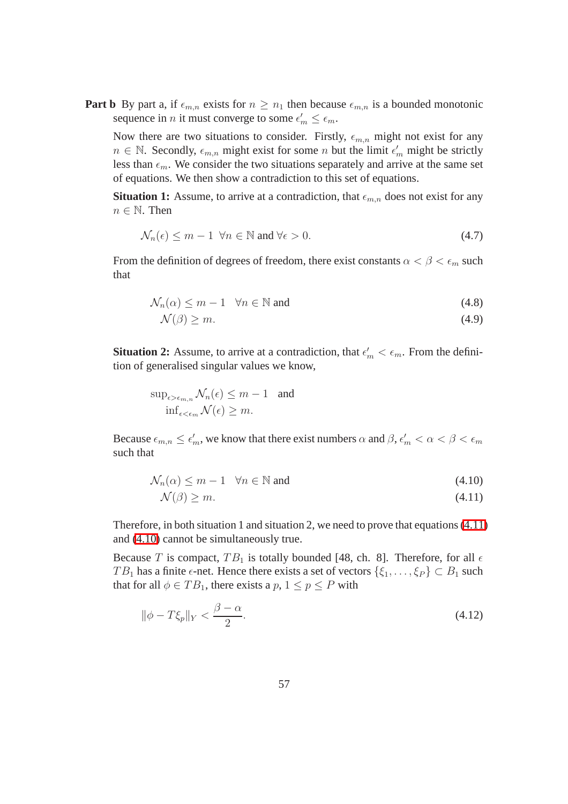**Part b** By part a, if  $\epsilon_{m,n}$  exists for  $n \geq n_1$  then because  $\epsilon_{m,n}$  is a bounded monotonic sequence in *n* it must converge to some  $\epsilon'_m \leq \epsilon_m$ .

Now there are two situations to consider. Firstly,  $\epsilon_{m,n}$  might not exist for any  $n \in \mathbb{N}$ . Secondly,  $\epsilon_{m,n}$  might exist for some n but the limit  $\epsilon'_m$  might be strictly less than  $\epsilon_m$ . We consider the two situations separately and arrive at the same set of equations. We then show a contradiction to this set of equations.

<span id="page-65-0"></span>**Situation 1:** Assume, to arrive at a contradiction, that  $\epsilon_{m,n}$  does not exist for any  $n \in \mathbb{N}$ . Then

$$
\mathcal{N}_n(\epsilon) \le m - 1 \ \forall n \in \mathbb{N} \text{ and } \forall \epsilon > 0. \tag{4.7}
$$

From the definition of degrees of freedom, there exist constants  $\alpha < \beta < \epsilon_m$  such that

$$
\mathcal{N}_n(\alpha) \le m - 1 \quad \forall n \in \mathbb{N} \text{ and } \tag{4.8}
$$

$$
\mathcal{N}(\beta) \ge m. \tag{4.9}
$$

**Situation 2:** Assume, to arrive at a contradiction, that  $\epsilon'_m < \epsilon_m$ . From the definition of generalised singular values we know,

$$
\sup_{\epsilon > \epsilon_{m,n}} \mathcal{N}_n(\epsilon) \le m - 1 \quad \text{and}
$$
  

$$
\inf_{\epsilon < \epsilon_m} \mathcal{N}(\epsilon) \ge m.
$$

Because  $\epsilon_{m,n} \leq \epsilon'_m$ , we know that there exist numbers  $\alpha$  and  $\beta$ ,  $\epsilon'_m < \alpha < \beta < \epsilon_m$ such that

$$
\mathcal{N}_n(\alpha) \le m - 1 \quad \forall n \in \mathbb{N} \text{ and } \tag{4.10}
$$

$$
\mathcal{N}(\beta) \ge m. \tag{4.11}
$$

Therefore, in both situation 1 and situation 2, we need to prove that equations [\(4.11\)](#page-65-1) and [\(4.10\)](#page-65-1) cannot be simultaneously true.

Because T is compact,  $TB_1$  is totally bounded [48, ch. 8]. Therefore, for all  $\epsilon$ TB<sub>1</sub> has a finite  $\epsilon$ -net. Hence there exists a set of vectors  $\{\xi_1, \ldots, \xi_P\} \subset B_1$  such that for all  $\phi \in TB_1$ , there exists a  $p, 1 \leq p \leq P$  with

<span id="page-65-1"></span>
$$
\|\phi - T\xi_p\|_Y < \frac{\beta - \alpha}{2}.\tag{4.12}
$$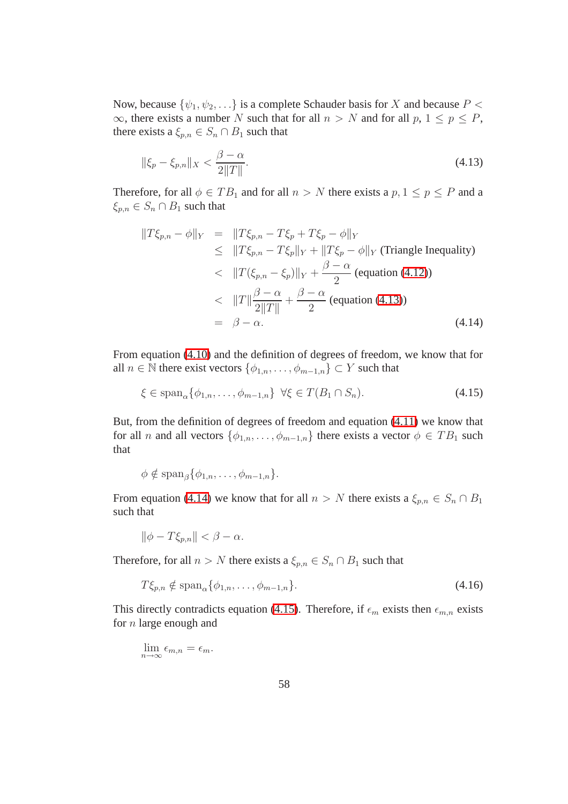Now, because  $\{\psi_1, \psi_2, \ldots\}$  is a complete Schauder basis for X and because  $P <$  $\infty$ , there exists a number N such that for all  $n > N$  and for all  $p, 1 \le p \le P$ , there exists a  $\xi_{p,n} \in S_n \cap B_1$  such that

<span id="page-66-0"></span>
$$
\|\xi_p - \xi_{p,n}\|_X < \frac{\beta - \alpha}{2\|T\|}.\tag{4.13}
$$

<span id="page-66-1"></span>Therefore, for all  $\phi \in TB_1$  and for all  $n > N$  there exists a  $p, 1 \leq p \leq P$  and a  $\xi_{p,n} \in S_n \cap B_1$  such that

$$
||T\xi_{p,n} - \phi||_Y = ||T\xi_{p,n} - T\xi_p + T\xi_p - \phi||_Y
$$
  
\n
$$
\leq ||T\xi_{p,n} - T\xi_p||_Y + ||T\xi_p - \phi||_Y \text{ (Triangle Inequality)}
$$
  
\n
$$
< ||T(\xi_{p,n} - \xi_p)||_Y + \frac{\beta - \alpha}{2} \text{ (equation (4.12))}
$$
  
\n
$$
< ||T|| \frac{\beta - \alpha}{2||T||} + \frac{\beta - \alpha}{2} \text{ (equation (4.13))}
$$
  
\n
$$
= \beta - \alpha. \qquad (4.14)
$$

From equation [\(4.10\)](#page-65-1) and the definition of degrees of freedom, we know that for all  $n \in \mathbb{N}$  there exist vectors  $\{\phi_{1,n}, \ldots, \phi_{m-1,n}\} \subset Y$  such that

<span id="page-66-2"></span>
$$
\xi \in \text{span}_{\alpha} \{ \phi_{1,n}, \dots, \phi_{m-1,n} \} \ \forall \xi \in T(B_1 \cap S_n). \tag{4.15}
$$

But, from the definition of degrees of freedom and equation [\(4.11\)](#page-65-1) we know that for all *n* and all vectors  $\{\phi_{1,n}, \ldots, \phi_{m-1,n}\}\$  there exists a vector  $\phi \in TB_1$  such that

$$
\phi \notin \mathrm{span}_{\beta}\{\phi_{1,n},\ldots,\phi_{m-1,n}\}.
$$

From equation [\(4.14\)](#page-66-2) we know that for all  $n > N$  there exists a  $\xi_{p,n} \in S_n \cap B_1$ such that

<span id="page-66-3"></span>
$$
\|\phi - T\xi_{p,n}\| < \beta - \alpha.
$$

Therefore, for all  $n > N$  there exists a  $\xi_{p,n} \in S_n \cap B_1$  such that

$$
T\xi_{p,n} \notin \text{span}_{\alpha} \{ \phi_{1,n}, \dots, \phi_{m-1,n} \}. \tag{4.16}
$$

This directly contradicts equation [\(4.15\)](#page-66-3). Therefore, if  $\epsilon_m$  exists then  $\epsilon_{m,n}$  exists for  $n$  large enough and

$$
\lim_{n \to \infty} \epsilon_{m,n} = \epsilon_m.
$$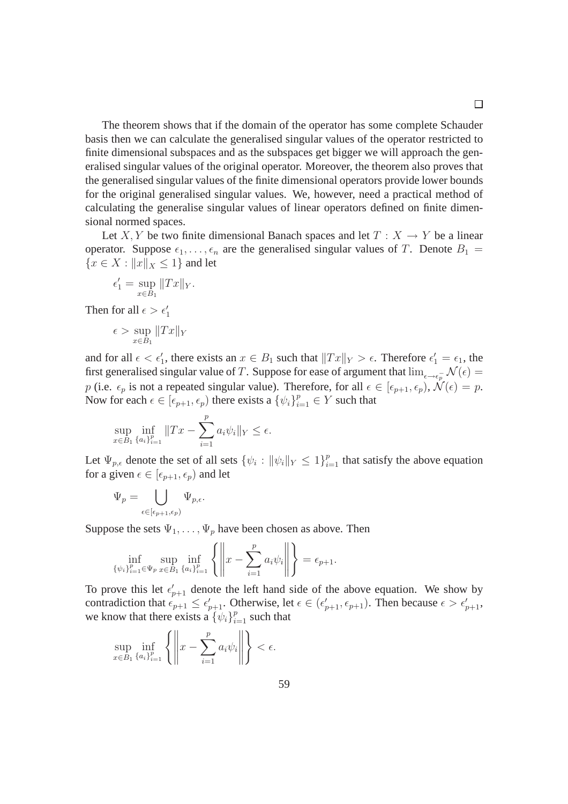The theorem shows that if the domain of the operator has some complete Schauder basis then we can calculate the generalised singular values of the operator restricted to finite dimensional subspaces and as the subspaces get bigger we will approach the generalised singular values of the original operator. Moreover, the theorem also proves that the generalised singular values of the finite dimensional operators provide lower bounds for the original generalised singular values. We, however, need a practical method of calculating the generalise singular values of linear operators defined on finite dimensional normed spaces.

Let X, Y be two finite dimensional Banach spaces and let  $T : X \to Y$  be a linear operator. Suppose  $\epsilon_1, \ldots, \epsilon_n$  are the generalised singular values of T. Denote  $B_1 =$  ${x \in X : ||x||_X \leq 1}$  and let

$$
\epsilon_1' = \sup_{x \in B_1} ||Tx||_Y.
$$

Then for all  $\epsilon > \epsilon'_1$ 

$$
\epsilon > \sup_{x \in B_1} ||Tx||_Y
$$

and for all  $\epsilon < \epsilon'_1$ , there exists an  $x \in B_1$  such that  $||Tx||_Y > \epsilon$ . Therefore  $\epsilon'_1 = \epsilon_1$ , the first generalised singular value of T. Suppose for ease of argument that  $\lim_{\epsilon \to \epsilon_p^-} \mathcal{N}(\epsilon) =$ p (i.e.  $\epsilon_p$  is not a repeated singular value). Therefore, for all  $\epsilon \in [\epsilon_{p+1}, \epsilon_p)$ ,  $\mathcal{N}(\epsilon) = p$ . Now for each  $\epsilon \in [\epsilon_{p+1}, \epsilon_p)$  there exists a  $\{\psi_i\}_{i=1}^p \in Y$  such that

$$
\sup_{x \in B_1} \inf_{\{a_i\}_{i=1}^p} \|Tx - \sum_{i=1}^p a_i \psi_i\|_Y \le \epsilon.
$$

Let  $\Psi_{p,\epsilon}$  denote the set of all sets  $\{\psi_i : ||\psi_i||_Y \leq 1\}_{i=1}^p$  that satisfy the above equation for a given  $\epsilon \in [\epsilon_{p+1}, \epsilon_p)$  and let

$$
\Psi_p=\bigcup_{\epsilon\in [\epsilon_{p+1},\epsilon_p)} \Psi_{p,\epsilon}.
$$

Suppose the sets  $\Psi_1, \ldots, \Psi_p$  have been chosen as above. Then

$$
\inf_{\{\psi_i\}_{i=1}^p \in \Psi_p} \sup_{x \in B_1} \inf_{\{a_i\}_{i=1}^p} \left\{ \left\| x - \sum_{i=1}^p a_i \psi_i \right\| \right\} = \epsilon_{p+1}.
$$

To prove this let  $\epsilon'_{p+1}$  denote the left hand side of the above equation. We show by contradiction that  $\epsilon_{p+1} \leq \epsilon'_{p+1}$ . Otherwise, let  $\epsilon \in (\epsilon'_{p+1}, \epsilon_{p+1})$ . Then because  $\epsilon > \epsilon'_{p+1}$ , we know that there exists a  $\{\psi_i\}_{i=1}^p$  such that

$$
\sup_{x \in B_1} \inf_{\{a_i\}_{i=1}^p} \left\{ \left\| x - \sum_{i=1}^p a_i \psi_i \right\| \right\} < \epsilon.
$$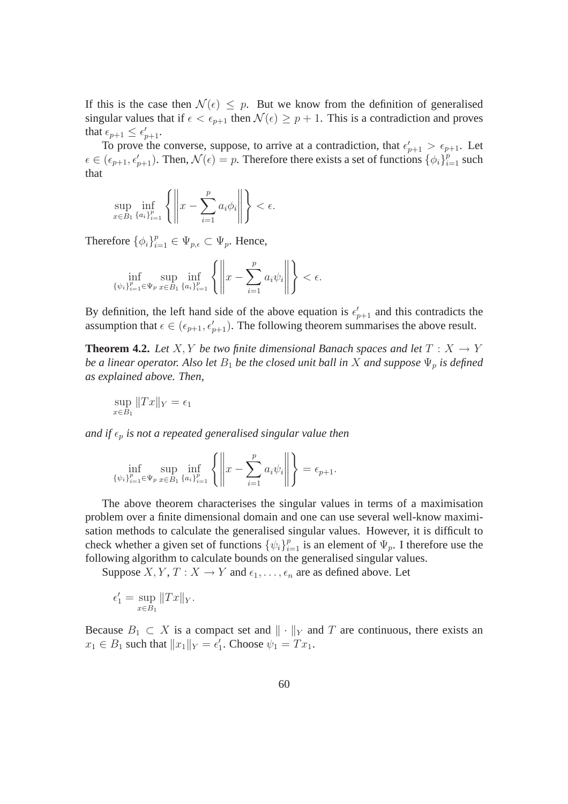If this is the case then  $\mathcal{N}(\epsilon) \leq p$ . But we know from the definition of generalised singular values that if  $\epsilon < \epsilon_{p+1}$  then  $\mathcal{N}(\epsilon) \geq p+1$ . This is a contradiction and proves that  $\epsilon_{p+1} \leq \epsilon'_{p+1}$ .

To prove the converse, suppose, to arrive at a contradiction, that  $\epsilon'_{p+1} > \epsilon_{p+1}$ . Let  $\epsilon \in (\epsilon_{p+1}, \epsilon'_{p+1})$ . Then,  $\mathcal{N}(\epsilon) = p$ . Therefore there exists a set of functions  $\{\phi_i\}_{i=1}^p$  such that

$$
\sup_{x \in B_1} \inf_{\{a_i\}_{i=1}^p} \left\{ \left\| x - \sum_{i=1}^p a_i \phi_i \right\| \right\} < \epsilon.
$$

Therefore  $\{\phi_i\}_{i=1}^p \in \Psi_{p,\epsilon} \subset \Psi_p$ . Hence,

$$
\inf_{\{\psi_i\}_{i=1}^p \in \Psi_p} \sup_{x \in B_1} \inf_{\{a_i\}_{i=1}^p} \left\{ \left\| x - \sum_{i=1}^p a_i \psi_i \right\| \right\} < \epsilon.
$$

By definition, the left hand side of the above equation is  $\epsilon'_{p+1}$  and this contradicts the assumption that  $\epsilon \in (\epsilon_{p+1}, \epsilon'_{p+1})$ . The following theorem summarises the above result.

**Theorem 4.2.** Let  $X, Y$  be two finite dimensional Banach spaces and let  $T : X \to Y$ *be a linear operator. Also let*  $B_1$  *be the closed unit ball in* X *and suppose*  $\Psi_p$  *is defined as explained above. Then,*

$$
\sup_{x \in B_1} \|Tx\|_Y = \epsilon_1
$$

*and if*  $\epsilon_p$  *is not a repeated generalised singular value then* 

$$
\inf_{\{\psi_i\}_{i=1}^p \in \Psi_p} \sup_{x \in B_1} \inf_{\{a_i\}_{i=1}^p} \left\{ \left\| x - \sum_{i=1}^p a_i \psi_i \right\| \right\} = \epsilon_{p+1}.
$$

The above theorem characterises the singular values in terms of a maximisation problem over a finite dimensional domain and one can use several well-know maximisation methods to calculate the generalised singular values. However, it is difficult to check whether a given set of functions  $\{\psi_i\}_{i=1}^p$  is an element of  $\Psi_p$ . I therefore use the following algorithm to calculate bounds on the generalised singular values.

Suppose  $X, Y, T : X \to Y$  and  $\epsilon_1, \ldots, \epsilon_n$  are as defined above. Let

$$
\epsilon_1' = \sup_{x \in B_1} ||Tx||_Y.
$$

Because  $B_1 \subset X$  is a compact set and  $\|\cdot\|_Y$  and T are continuous, there exists an  $x_1 \in B_1$  such that  $||x_1||_Y = \epsilon'_1$ . Choose  $\psi_1 = Tx_1$ .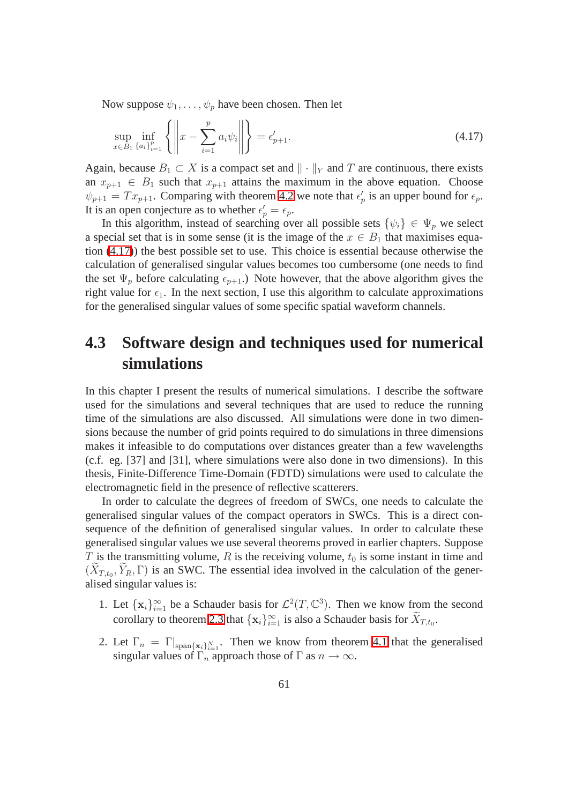Now suppose  $\psi_1, \ldots, \psi_p$  have been chosen. Then let

$$
\sup_{x \in B_1} \inf_{\{a_i\}_{i=1}^p} \left\{ \left\| x - \sum_{i=1}^p a_i \psi_i \right\| \right\} = \epsilon'_{p+1}.
$$
\n(4.17)

Again, because  $B_1 \subset X$  is a compact set and  $\|\cdot\|_Y$  and T are continuous, there exists an  $x_{p+1} \in B_1$  such that  $x_{p+1}$  attains the maximum in the above equation. Choose  $\psi_{p+1} = Tx_{p+1}$ . Comparing with theorem 4.2 we note that  $\epsilon'_p$  is an upper bound for  $\epsilon_p$ . It is an open conjecture as to whether  $\epsilon'_p = \epsilon_p$ .

In this algorithm, instead of searching over all possible sets  $\{\psi_i\} \in \Psi_p$  we select a special set that is in some sense (it is the image of the  $x \in B_1$  that maximises equation (4.17)) the best possible set to use. This choice is essential because otherwise the calculation of generalised singular values becomes too cumbersome (one needs to find the set  $\Psi_p$  before calculating  $\epsilon_{p+1}$ .) Note however, that the above algorithm gives the right value for  $\epsilon_1$ . In the next section, I use this algorithm to calculate approximations for the generalised singular values of some specific spatial waveform channels.

## **4.3 Software design and techniques used for numerical simulations**

In this chapter I present the results of numerical simulations. I describe the software used for the simulations and several techniques that are used to reduce the running time of the simulations are also discussed. All simulations were done in two dimensions because the number of grid points required to do simulations in three dimensions makes it infeasible to do computations over distances greater than a few wavelengths (c.f. eg. [37] and [31], where simulations were also done in two dimensions). In this thesis, Finite-Difference Time-Domain (FDTD) simulations were used to calculate the electromagnetic field in the presence of reflective scatterers.

In order to calculate the degrees of freedom of SWCs, one needs to calculate the generalised singular values of the compact operators in SWCs. This is a direct consequence of the definition of generalised singular values. In order to calculate these generalised singular values we use several theorems proved in earlier chapters. Suppose  $T$  is the transmitting volume,  $R$  is the receiving volume,  $t_0$  is some instant in time and  $(X_{T,t_0}, Y_R, \Gamma)$  is an SWC. The essential idea involved in the calculation of the generalised singular values is:

- 1. Let  $\{x_i\}_{i=1}^{\infty}$  be a Schauder basis for  $\mathcal{L}^2(T, \mathbb{C}^3)$ . Then we know from the second corollary to theorem 2.3 that  $\{x_i\}_{i=1}^{\infty}$  is also a Schauder basis for  $X_{T,t_0}$ .
- 2. Let  $\Gamma_n = \Gamma_{\text{span}\{\mathbf{x}_i\}_{i=1}^N}$ . Then we know from theorem 4.1 that the generalised singular values of  $\Gamma_n$  approach those of  $\Gamma$  as  $n \to \infty$ .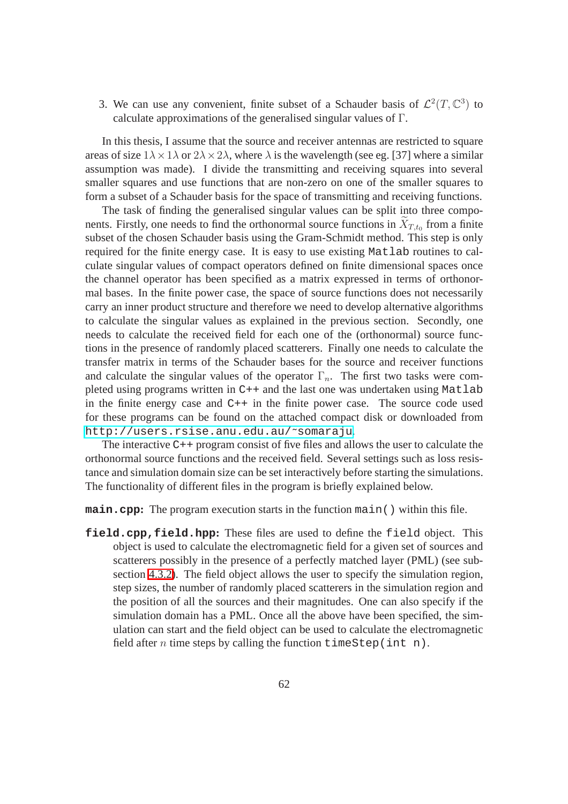3. We can use any convenient, finite subset of a Schauder basis of  $\mathcal{L}^2(T,\mathbb{C}^3)$  to calculate approximations of the generalised singular values of Γ.

In this thesis, I assume that the source and receiver antennas are restricted to square areas of size  $1\lambda \times 1\lambda$  or  $2\lambda \times 2\lambda$ , where  $\lambda$  is the wavelength (see eg. [37] where a similar assumption was made). I divide the transmitting and receiving squares into several smaller squares and use functions that are non-zero on one of the smaller squares to form a subset of a Schauder basis for the space of transmitting and receiving functions.

The task of finding the generalised singular values can be split into three components. Firstly, one needs to find the orthonormal source functions in  $X_{T,t_0}$  from a finite subset of the chosen Schauder basis using the Gram-Schmidt method. This step is only required for the finite energy case. It is easy to use existing Matlab routines to calculate singular values of compact operators defined on finite dimensional spaces once the channel operator has been specified as a matrix expressed in terms of orthonormal bases. In the finite power case, the space of source functions does not necessarily carry an inner product structure and therefore we need to develop alternative algorithms to calculate the singular values as explained in the previous section. Secondly, one needs to calculate the received field for each one of the (orthonormal) source functions in the presence of randomly placed scatterers. Finally one needs to calculate the transfer matrix in terms of the Schauder bases for the source and receiver functions and calculate the singular values of the operator  $\Gamma_n$ . The first two tasks were completed using programs written in C++ and the last one was undertaken using Matlab in the finite energy case and  $C_{++}$  in the finite power case. The source code used for these programs can be found on the attached compact disk or downloaded from [http://users.rsise.anu.edu.au/˜somaraju](http://users.rsise.anu.edu.au/~somaraju).

The interactive C++ program consist of five files and allows the user to calculate the orthonormal source functions and the received field. Several settings such as loss resistance and simulation domain size can be set interactively before starting the simulations. The functionality of different files in the program is briefly explained below.

**main.cpp:** The program execution starts in the function main() within this file.

**field.cpp,field.hpp:** These files are used to define the field object. This object is used to calculate the electromagnetic field for a given set of sources and scatterers possibly in the presence of a perfectly matched layer (PML) (see subsection 4.3.2). The field object allows the user to specify the simulation region, step sizes, the number of randomly placed scatterers in the simulation region and the position of all the sources and their magnitudes. One can also specify if the simulation domain has a PML. Once all the above have been specified, the simulation can start and the field object can be used to calculate the electromagnetic field after n time steps by calling the function timeStep(int n).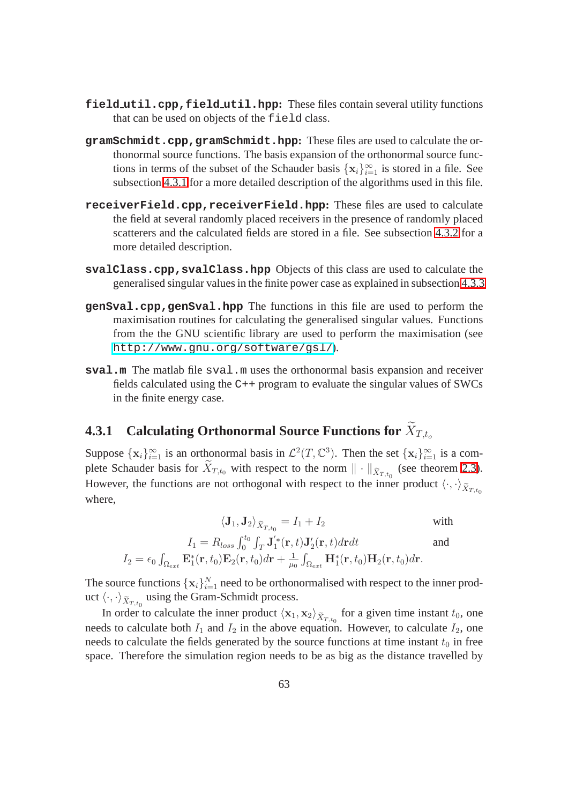- **field util.cpp,field util.hpp:** These files contain several utility functions that can be used on objects of the field class.
- **gramSchmidt.cpp,gramSchmidt.hpp:** These files are used to calculate the orthonormal source functions. The basis expansion of the orthonormal source functions in terms of the subset of the Schauder basis  $\{x_i\}_{i=1}^{\infty}$  is stored in a file. See subsection [4.3.1](#page-72-0) for a more detailed description of the algorithms used in this file.
- **receiverField.cpp,receiverField.hpp:** These files are used to calculate the field at several randomly placed receivers in the presence of randomly placed scatterers and the calculated fields are stored in a file. See subsection 4.3.2 for a more detailed description.
- **svalClass.cpp,svalClass.hpp** Objects of this class are used to calculate the generalised singular values in the finite power case as explained in subsection 4.3.3
- **genSval.cpp,genSval.hpp** The functions in this file are used to perform the maximisation routines for calculating the generalised singular values. Functions from the the GNU scientific library are used to perform the maximisation (see <http://www.gnu.org/software/gsl/>).
- **sval.m** The matlab file sval.m uses the orthonormal basis expansion and receiver fields calculated using the C++ program to evaluate the singular values of SWCs in the finite energy case.

### **4.3.1 Calculating Orthonormal Source Functions for**  $\widetilde{X}_{T,t_o}$

Suppose  $\{x_i\}_{i=1}^{\infty}$  is an orthonormal basis in  $\mathcal{L}^2(T,\mathbb{C}^3)$ . Then the set  $\{x_i\}_{i=1}^{\infty}$  is a complete Schauder basis for  $X_{T,t_0}$  with respect to the norm  $\|\cdot\|_{\tilde{X}_{T,t_0}}$  (see theorem 2.3). However, the functions are not orthogonal with respect to the inner product  $\langle \cdot, \cdot \rangle_{\tilde{X}_{T,t}}$ where,

$$
\langle \mathbf{J}_1, \mathbf{J}_2 \rangle_{\widetilde{X}_{T,t_0}} = I_1 + I_2 \qquad \text{with}
$$

$$
I_1 = R_{loss} \int_0^{t_0} \int_T \mathbf{J}'_1^*(\mathbf{r}, t) \mathbf{J}'_2(\mathbf{r}, t) d\mathbf{r} dt \qquad \text{and}
$$

$$
I_2 = \epsilon_0 \int_{\Omega_{ext}} \mathbf{E}_1^*(\mathbf{r}, t_0) \mathbf{E}_2(\mathbf{r}, t_0) d\mathbf{r} + \frac{1}{\mu_0} \int_{\Omega_{ext}} \mathbf{H}_1^*(\mathbf{r}, t_0) \mathbf{H}_2(\mathbf{r}, t_0) d\mathbf{r}.
$$

The source functions  $\{x_i\}_{i=1}^N$  need to be orthonormalised with respect to the inner product  $\langle \cdot, \cdot \rangle_{\tilde{X}_{T,t_0}}$  using the Gram-Schmidt process.

In order to calculate the inner product  $\langle \mathbf{x}_1, \mathbf{x}_2 \rangle_{\tilde{X}_{T,t_0}}$  for a given time instant  $t_0$ , one needs to calculate both  $I_1$  and  $I_2$  in the above equation. However, to calculate  $I_2$ , one needs to calculate the fields generated by the source functions at time instant  $t_0$  in free space. Therefore the simulation region needs to be as big as the distance travelled by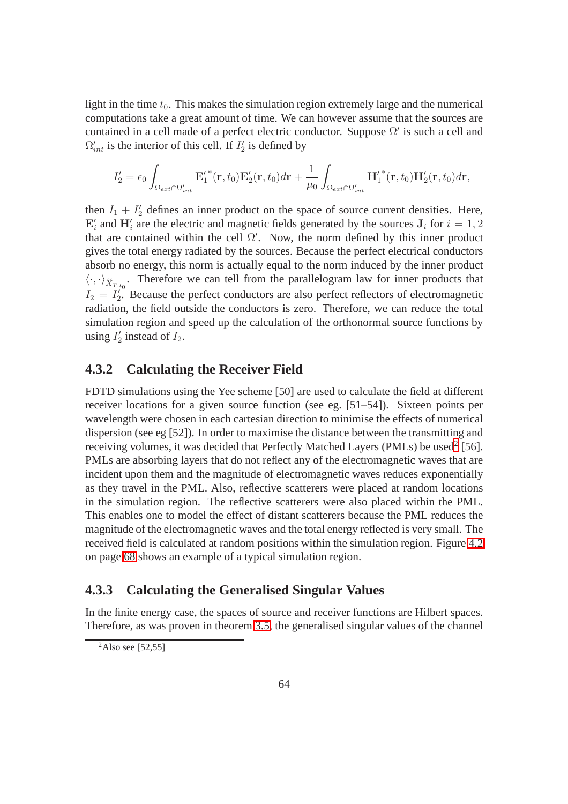light in the time  $t_0$ . This makes the simulation region extremely large and the numerical computations take a great amount of time. We can however assume that the sources are contained in a cell made of a perfect electric conductor. Suppose  $\Omega'$  is such a cell and  $\Omega'_{int}$  is the interior of this cell. If  $I'_2$  is defined by

$$
I_2' = \epsilon_0 \int_{\Omega_{ext} \cap \Omega'_{int}} \mathbf{E}'_1^*(\mathbf{r}, t_0) \mathbf{E}'_2(\mathbf{r}, t_0) d\mathbf{r} + \frac{1}{\mu_0} \int_{\Omega_{ext} \cap \Omega'_{int}} {\mathbf{H}'_1}^*(\mathbf{r}, t_0) \mathbf{H}'_2(\mathbf{r}, t_0) d\mathbf{r},
$$

then  $I_1 + I_2'$  defines an inner product on the space of source current densities. Here,  $\mathbf{E}'_i$  and  $\mathbf{H}'_i$  are the electric and magnetic fields generated by the sources  $\mathbf{J}_i$  for  $i = 1, 2$ that are contained within the cell  $\Omega'$ . Now, the norm defined by this inner product gives the total energy radiated by the sources. Because the perfect electrical conductors absorb no energy, this norm is actually equal to the norm induced by the inner product  $\langle \cdot, \cdot \rangle_{\tilde{X}_{T,t_0}}$ . Therefore we can tell from the parallelogram law for inner products that  $I_2 = I_2^{\prime}$ . Because the perfect conductors are also perfect reflectors of electromagnetic radiation, the field outside the conductors is zero. Therefore, we can reduce the total simulation region and speed up the calculation of the orthonormal source functions by using  $I'_2$  instead of  $I_2$ .

## **4.3.2 Calculating the Receiver Field**

FDTD simulations using the Yee scheme [50] are used to calculate the field at different receiver locations for a given source function (see eg. [51–54]). Sixteen points per wavelength were chosen in each cartesian direction to minimise the effects of numerical dispersion (see eg [52]). In order to maximise the distance between the transmitting and receiving volumes, it was decided that Perfectly Matched Layers (PMLs) be used<sup>[2](#page-72-0)</sup> [56]. PMLs are absorbing layers that do not reflect any of the electromagnetic waves that are incident upon them and the magnitude of electromagnetic waves reduces exponentially as they travel in the PML. Also, reflective scatterers were placed at random locations in the simulation region. The reflective scatterers were also placed within the PML. This enables one to model the effect of distant scatterers because the PML reduces the magnitude of the electromagnetic waves and the total energy reflected is very small. The received field is calculated at random positions within the simulation region. Figure [4.2](#page-77-0) on page [68](#page-77-0) shows an example of a typical simulation region.

### **4.3.3 Calculating the Generalised Singular Values**

In the finite energy case, the spaces of source and receiver functions are Hilbert spaces. Therefore, as was proven in theorem [3.5,](#page-48-0) the generalised singular values of the channel

<span id="page-72-0"></span> $^{2}$ Also see [52,55]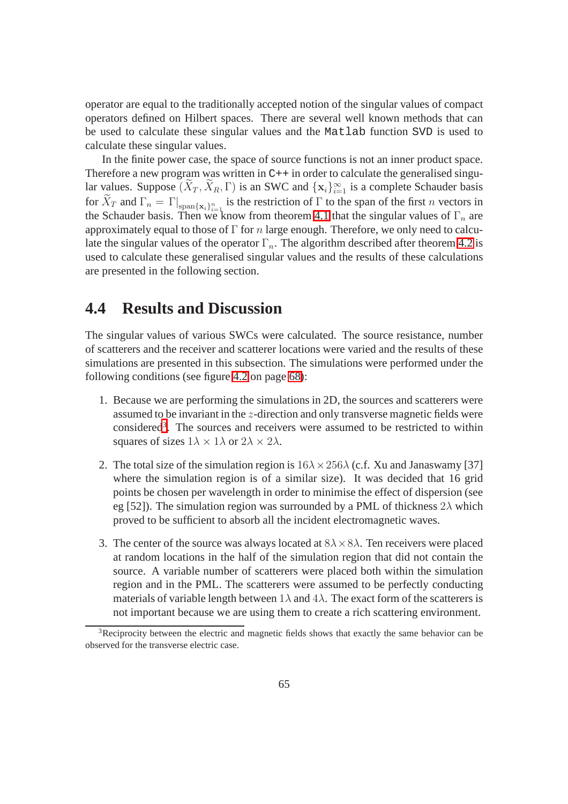operator are equal to the traditionally accepted notion of the singular values of compact operators defined on Hilbert spaces. There are several well known methods that can be used to calculate these singular values and the Matlab function SVD is used to calculate these singular values.

In the finite power case, the space of source functions is not an inner product space. Therefore a new program was written in  $C_{++}$  in order to calculate the generalised singular values. Suppose  $(\overline{X}_T, \overline{X}_R, \Gamma)$  is an SWC and  $\{x_i\}_{i=1}^{\infty}$  is a complete Schauder basis for  $X_T$  and  $\Gamma_n = \Gamma|_{\text{span}\{\mathbf{x}_i\}_{i=1}^n}$  is the restriction of  $\Gamma$  to the span of the first n vectors in the Schauder basis. Then we know from theorem 4.1 that the singular values of  $\Gamma_n$  are approximately equal to those of  $\Gamma$  for n large enough. Therefore, we only need to calculate the singular values of the operator  $\Gamma_n$ . The algorithm described after theorem 4.2 is used to calculate these generalised singular values and the results of these calculations are presented in the following section.

## **4.4 Results and Discussion**

The singular values of various SWCs were calculated. The source resistance, number of scatterers and the receiver and scatterer locations were varied and the results of these simulations are presented in this subsection. The simulations were performed under the following conditions (see figure [4.2](#page-77-0) on page [68\)](#page-77-0):

- 1. Because we are performing the simulations in 2D, the sources and scatterers were assumed to be invariant in the z-direction and only transverse magnetic fields were considered<sup>[3](#page-73-0)</sup>. The sources and receivers were assumed to be restricted to within squares of sizes  $1\lambda \times 1\lambda$  or  $2\lambda \times 2\lambda$ .
- 2. The total size of the simulation region is  $16\lambda \times 256\lambda$  (c.f. Xu and Janaswamy [37] where the simulation region is of a similar size). It was decided that 16 grid points be chosen per wavelength in order to minimise the effect of dispersion (see eg [52]). The simulation region was surrounded by a PML of thickness  $2\lambda$  which proved to be sufficient to absorb all the incident electromagnetic waves.
- 3. The center of the source was always located at  $8\lambda \times 8\lambda$ . Ten receivers were placed at random locations in the half of the simulation region that did not contain the source. A variable number of scatterers were placed both within the simulation region and in the PML. The scatterers were assumed to be perfectly conducting materials of variable length between  $1\lambda$  and  $4\lambda$ . The exact form of the scatterers is not important because we are using them to create a rich scattering environment.

<span id="page-73-0"></span><sup>&</sup>lt;sup>3</sup>Reciprocity between the electric and magnetic fields shows that exactly the same behavior can be observed for the transverse electric case.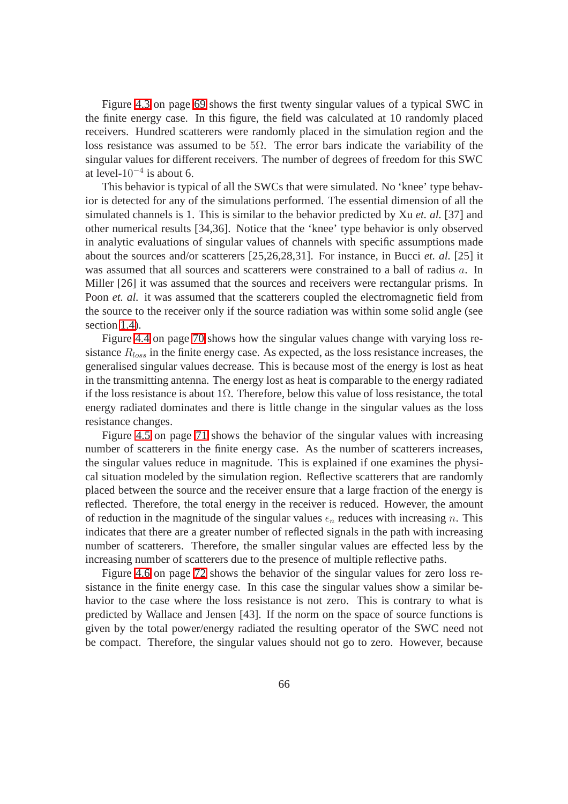Figure [4.3](#page-78-0) on page [69](#page-78-0) shows the first twenty singular values of a typical SWC in the finite energy case. In this figure, the field was calculated at 10 randomly placed receivers. Hundred scatterers were randomly placed in the simulation region and the loss resistance was assumed to be  $5\Omega$ . The error bars indicate the variability of the singular values for different receivers. The number of degrees of freedom for this SWC at level- $10^{-4}$  is about 6.

This behavior is typical of all the SWCs that were simulated. No 'knee' type behavior is detected for any of the simulations performed. The essential dimension of all the simulated channels is 1. This is similar to the behavior predicted by Xu *et. al.* [37] and other numerical results [34,36]. Notice that the 'knee' type behavior is only observed in analytic evaluations of singular values of channels with specific assumptions made about the sources and/or scatterers [25,26,28,31]. For instance, in Bucci *et. al.* [25] it was assumed that all sources and scatterers were constrained to a ball of radius a. In Miller [26] it was assumed that the sources and receivers were rectangular prisms. In Poon *et. al.* it was assumed that the scatterers coupled the electromagnetic field from the source to the receiver only if the source radiation was within some solid angle (see section 1.4).

Figure [4.4](#page-79-0) on page [70](#page-79-0) shows how the singular values change with varying loss resistance  $R_{loss}$  in the finite energy case. As expected, as the loss resistance increases, the generalised singular values decrease. This is because most of the energy is lost as heat in the transmitting antenna. The energy lost as heat is comparable to the energy radiated if the loss resistance is about  $1\Omega$ . Therefore, below this value of loss resistance, the total energy radiated dominates and there is little change in the singular values as the loss resistance changes.

Figure [4.5](#page-80-0) on page [71](#page-80-0) shows the behavior of the singular values with increasing number of scatterers in the finite energy case. As the number of scatterers increases, the singular values reduce in magnitude. This is explained if one examines the physical situation modeled by the simulation region. Reflective scatterers that are randomly placed between the source and the receiver ensure that a large fraction of the energy is reflected. Therefore, the total energy in the receiver is reduced. However, the amount of reduction in the magnitude of the singular values  $\epsilon_n$  reduces with increasing n. This indicates that there are a greater number of reflected signals in the path with increasing number of scatterers. Therefore, the smaller singular values are effected less by the increasing number of scatterers due to the presence of multiple reflective paths.

Figure [4.6](#page-81-0) on page [72](#page-81-0) shows the behavior of the singular values for zero loss resistance in the finite energy case. In this case the singular values show a similar behavior to the case where the loss resistance is not zero. This is contrary to what is predicted by Wallace and Jensen [43]. If the norm on the space of source functions is given by the total power/energy radiated the resulting operator of the SWC need not be compact. Therefore, the singular values should not go to zero. However, because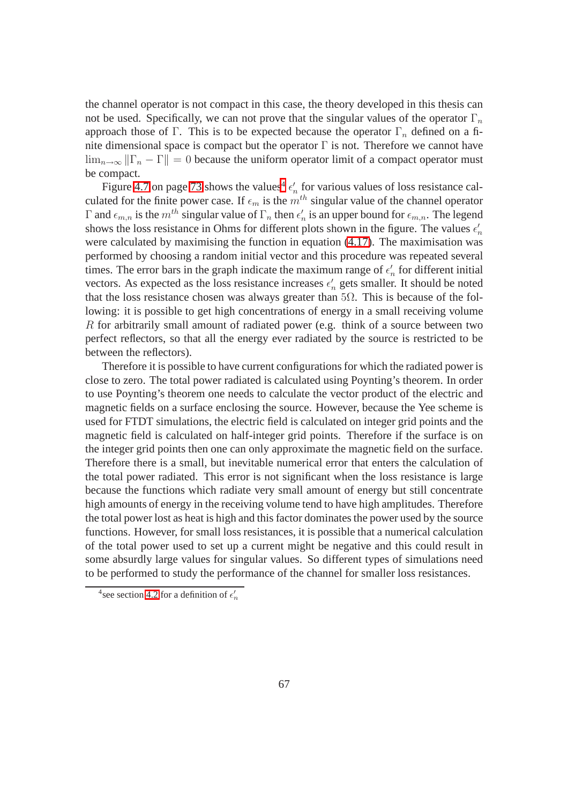the channel operator is not compact in this case, the theory developed in this thesis can not be used. Specifically, we can not prove that the singular values of the operator  $\Gamma_n$ approach those of Γ. This is to be expected because the operator  $\Gamma_n$  defined on a finite dimensional space is compact but the operator  $\Gamma$  is not. Therefore we cannot have  $\lim_{n\to\infty}$   $||\Gamma_n - \Gamma|| = 0$  because the uniform operator limit of a compact operator must be compact.

Figure [4](#page-75-0).7 on page 73 shows the values<sup>4</sup>  $\epsilon'_n$  for various values of loss resistance calculated for the finite power case. If  $\epsilon_m$  is the  $m$ <sup>th</sup> singular value of the channel operator Γ and  $\epsilon_{m,n}$  is the  $m^{th}$  singular value of  $\Gamma_n$  then  $\epsilon'_n$  is an upper bound for  $\epsilon_{m,n}$ . The legend shows the loss resistance in Ohms for different plots shown in the figure. The values  $\epsilon'_n$ were calculated by maximising the function in equation (4.17). The maximisation was performed by choosing a random initial vector and this procedure was repeated several times. The error bars in the graph indicate the maximum range of  $\epsilon'_n$  for different initial vectors. As expected as the loss resistance increases  $\epsilon'_n$  gets smaller. It should be noted that the loss resistance chosen was always greater than  $5\Omega$ . This is because of the following: it is possible to get high concentrations of energy in a small receiving volume R for arbitrarily small amount of radiated power (e.g. think of a source between two perfect reflectors, so that all the energy ever radiated by the source is restricted to be between the reflectors).

Therefore it is possible to have current configurations for which the radiated power is close to zero. The total power radiated is calculated using Poynting's theorem. In order to use Poynting's theorem one needs to calculate the vector product of the electric and magnetic fields on a surface enclosing the source. However, because the Yee scheme is used for FTDT simulations, the electric field is calculated on integer grid points and the magnetic field is calculated on half-integer grid points. Therefore if the surface is on the integer grid points then one can only approximate the magnetic field on the surface. Therefore there is a small, but inevitable numerical error that enters the calculation of the total power radiated. This error is not significant when the loss resistance is large because the functions which radiate very small amount of energy but still concentrate high amounts of energy in the receiving volume tend to have high amplitudes. Therefore the total power lost as heat is high and this factor dominates the power used by the source functions. However, for small loss resistances, it is possible that a numerical calculation of the total power used to set up a current might be negative and this could result in some absurdly large values for singular values. So different types of simulations need to be performed to study the performance of the channel for smaller loss resistances.

<span id="page-75-0"></span><sup>&</sup>lt;sup>4</sup> see section 4.2 for a definition of  $\epsilon'_n$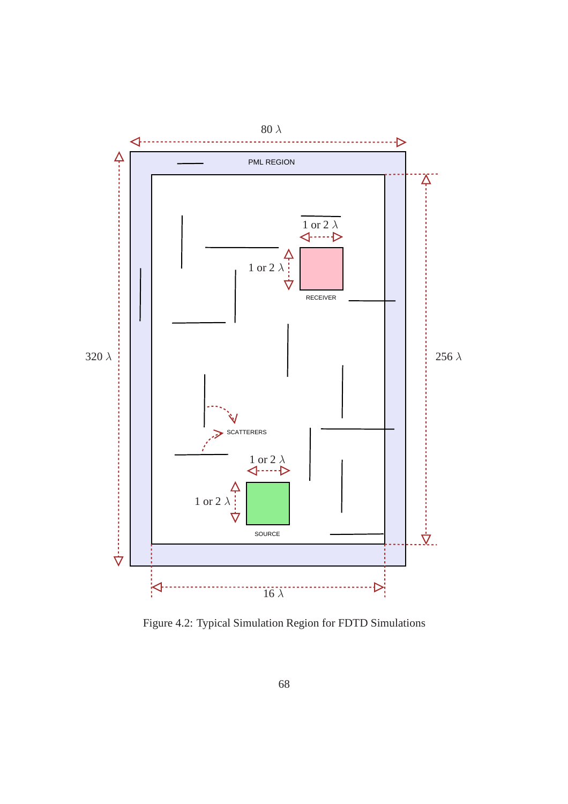

Figure 4.2: Typical Simulation Region for FDTD Simulations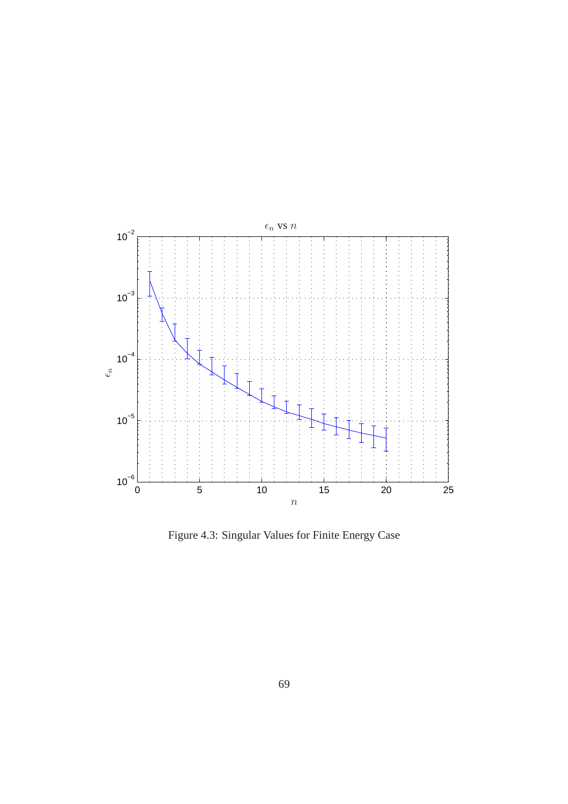

<span id="page-77-0"></span>Figure 4.3: Singular Values for Finite Energy Case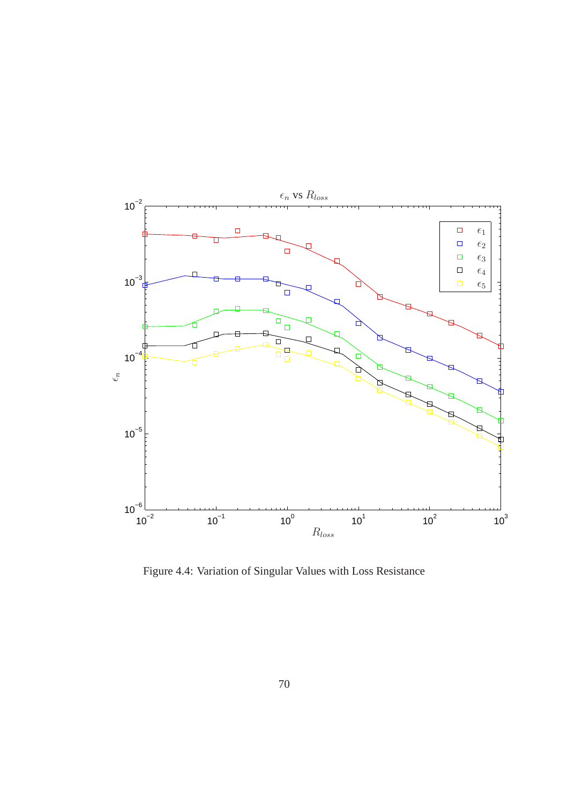

<span id="page-78-0"></span>Figure 4.4: Variation of Singular Values with Loss Resistance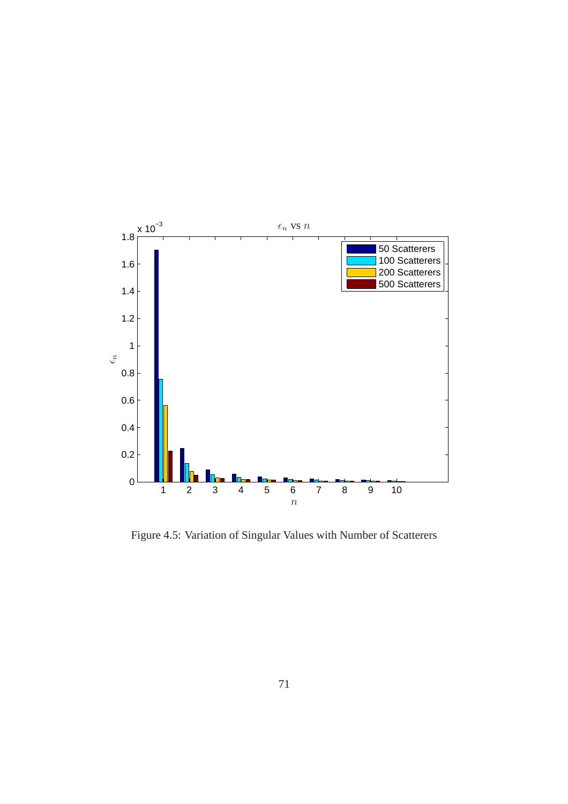

<span id="page-79-0"></span>Figure 4.5: Variation of Singular Values with Number of Scatterers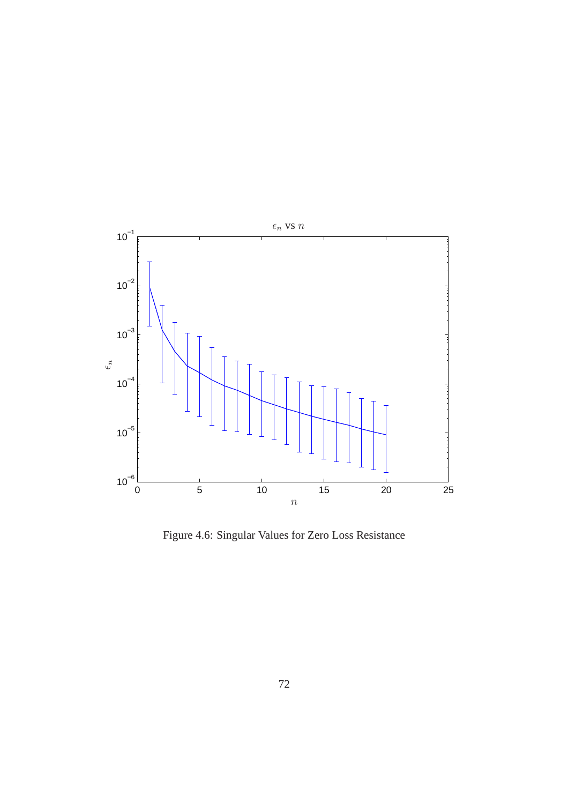

<span id="page-80-0"></span>Figure 4.6: Singular Values for Zero Loss Resistance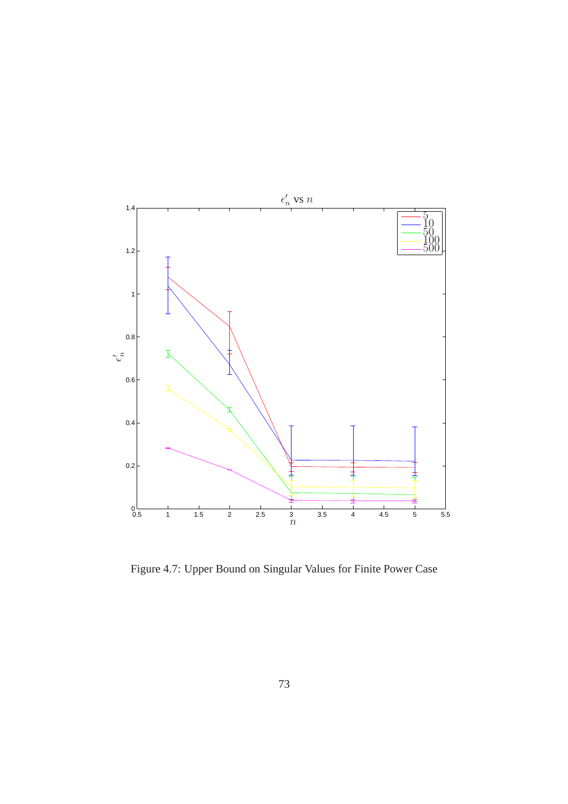

<span id="page-81-0"></span>Figure 4.7: Upper Bound on Singular Values for Finite Power Case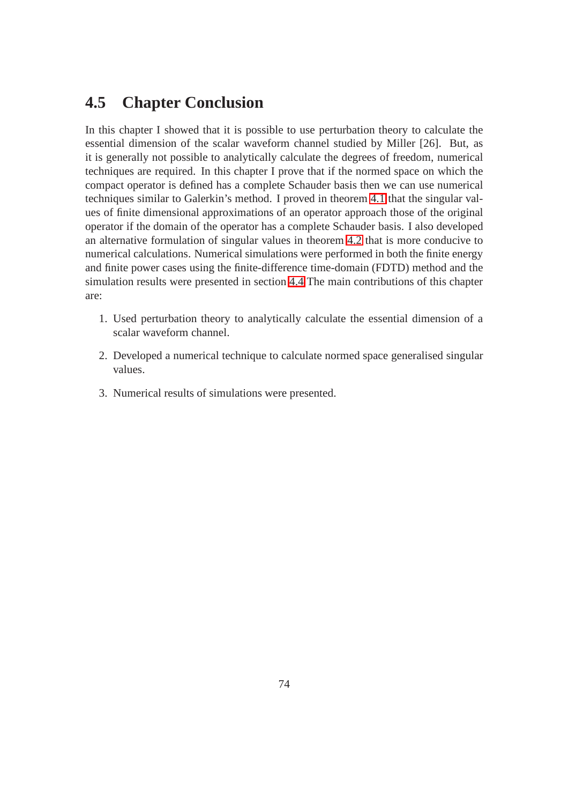## **4.5 Chapter Conclusion**

In this chapter I showed that it is possible to use perturbation theory to calculate the essential dimension of the scalar waveform channel studied by Miller [26]. But, as it is generally not possible to analytically calculate the degrees of freedom, numerical techniques are required. In this chapter I prove that if the normed space on which the compact operator is defined has a complete Schauder basis then we can use numerical techniques similar to Galerkin's method. I proved in theorem 4.1 that the singular values of finite dimensional approximations of an operator approach those of the original operator if the domain of the operator has a complete Schauder basis. I also developed an alternative formulation of singular values in theorem 4.2 that is more conducive to numerical calculations. Numerical simulations were performed in both the finite energy and finite power cases using the finite-difference time-domain (FDTD) method and the simulation results were presented in section 4.4 The main contributions of this chapter are:

- 1. Used perturbation theory to analytically calculate the essential dimension of a scalar waveform channel.
- 2. Developed a numerical technique to calculate normed space generalised singular values.
- 3. Numerical results of simulations were presented.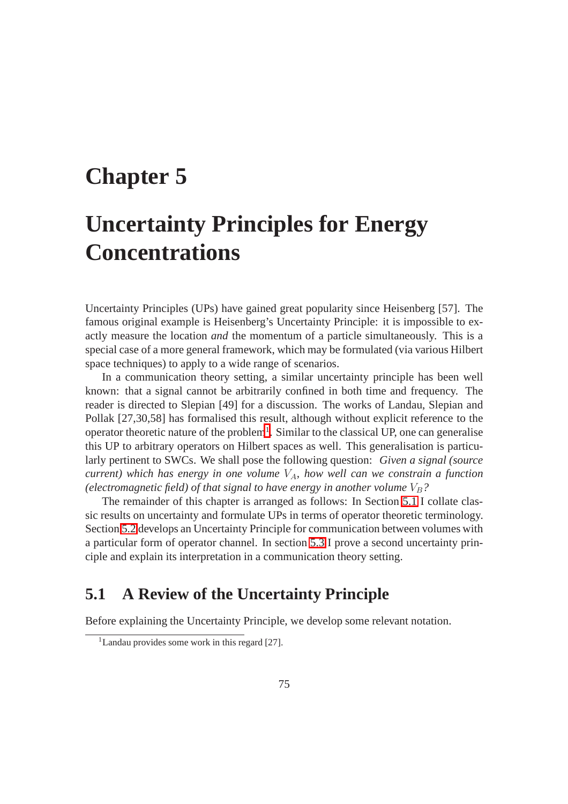# **Chapter 5**

# **Uncertainty Principles for Energy Concentrations**

Uncertainty Principles (UPs) have gained great popularity since Heisenberg [57]. The famous original example is Heisenberg's Uncertainty Principle: it is impossible to exactly measure the location *and* the momentum of a particle simultaneously. This is a special case of a more general framework, which may be formulated (via various Hilbert space techniques) to apply to a wide range of scenarios.

In a communication theory setting, a similar uncertainty principle has been well known: that a signal cannot be arbitrarily confined in both time and frequency. The reader is directed to Slepian [49] for a discussion. The works of Landau, Slepian and Pollak [27,30,58] has formalised this result, although without explicit reference to the operator theoretic nature of the problem<sup>[1](#page-83-0)</sup>. Similar to the classical UP, one can generalise this UP to arbitrary operators on Hilbert spaces as well. This generalisation is particularly pertinent to SWCs. We shall pose the following question: *Given a signal (source current*) which has energy in one volume  $V_A$ , how well can we constrain a function *(electromagnetic field) of that signal to have energy in another volume*  $V_B$ ?

The remainder of this chapter is arranged as follows: In Section 5.1 I collate classic results on uncertainty and formulate UPs in terms of operator theoretic terminology. Section 5.2 develops an Uncertainty Principle for communication between volumes with a particular form of operator channel. In section 5.3 I prove a second uncertainty principle and explain its interpretation in a communication theory setting.

## **5.1 A Review of the Uncertainty Principle**

<span id="page-83-0"></span>Before explaining the Uncertainty Principle, we develop some relevant notation.

<sup>&</sup>lt;sup>1</sup>Landau provides some work in this regard [27].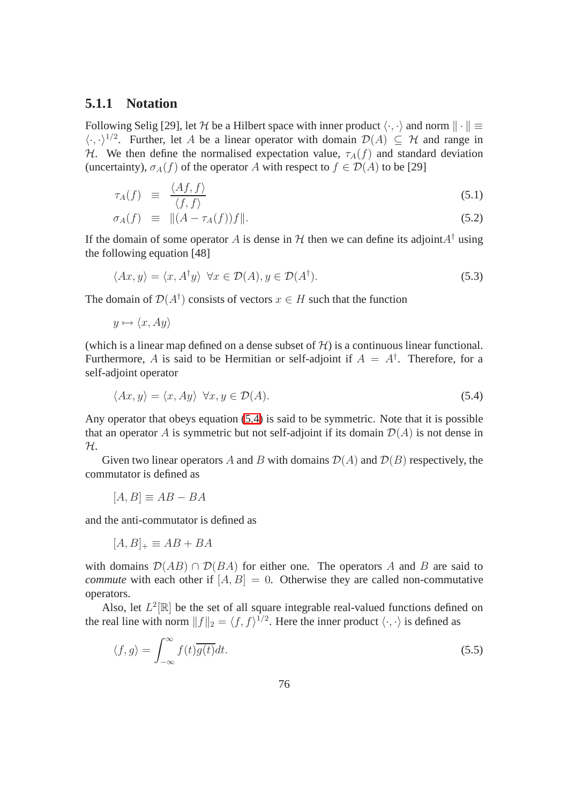### **5.1.1 Notation**

Following Selig [29], let H be a Hilbert space with inner product  $\langle \cdot, \cdot \rangle$  and norm  $\|\cdot\|$   $\equiv$  $\langle \cdot, \cdot \rangle^{1/2}$ . Further, let A be a linear operator with domain  $\mathcal{D}(A) \subseteq \mathcal{H}$  and range in H. We then define the normalised expectation value,  $\tau_A(f)$  and standard deviation (uncertainty),  $\sigma_A(f)$  of the operator A with respect to  $f \in \mathcal{D}(A)$  to be [29]

$$
\tau_A(f) \equiv \frac{\langle Af, f \rangle}{\langle f, f \rangle} \tag{5.1}
$$

$$
\sigma_A(f) \equiv ||(A - \tau_A(f))f||. \tag{5.2}
$$

If the domain of some operator A is dense in  $H$  then we can define its adjoint  $A^{\dagger}$  using the following equation [48]

$$
\langle Ax, y \rangle = \langle x, A^{\dagger} y \rangle \ \forall x \in \mathcal{D}(A), y \in \mathcal{D}(A^{\dagger}). \tag{5.3}
$$

The domain of  $\mathcal{D}(A^{\dagger})$  consists of vectors  $x \in H$  such that the function

$$
y \mapsto \langle x, Ay \rangle
$$

(which is a linear map defined on a dense subset of  $H$ ) is a continuous linear functional. Furthermore, A is said to be Hermitian or self-adjoint if  $A = A^{\dagger}$ . Therefore, for a self-adjoint operator

$$
\langle Ax, y \rangle = \langle x, Ay \rangle \ \forall x, y \in \mathcal{D}(A). \tag{5.4}
$$

Any operator that obeys equation [\(5.4\)](#page-84-0) is said to be symmetric. Note that it is possible that an operator A is symmetric but not self-adjoint if its domain  $\mathcal{D}(A)$  is not dense in H.

Given two linear operators A and B with domains  $\mathcal{D}(A)$  and  $\mathcal{D}(B)$  respectively, the commutator is defined as

$$
[A, B] \equiv AB - BA
$$

and the anti-commutator is defined as

$$
[A, B]_+ \equiv AB + BA
$$

with domains  $\mathcal{D}(AB) \cap \mathcal{D}(BA)$  for either one. The operators A and B are said to *commute* with each other if  $[A, B] = 0$ . Otherwise they are called non-commutative operators.

Also, let  $L^2[\mathbb{R}]$  be the set of all square integrable real-valued functions defined on the real line with norm  $||f||_2 = \langle f, f \rangle^{1/2}$ . Here the inner product  $\langle \cdot, \cdot \rangle$  is defined as

<span id="page-84-0"></span>
$$
\langle f, g \rangle = \int_{-\infty}^{\infty} f(t) \overline{g(t)} dt.
$$
 (5.5)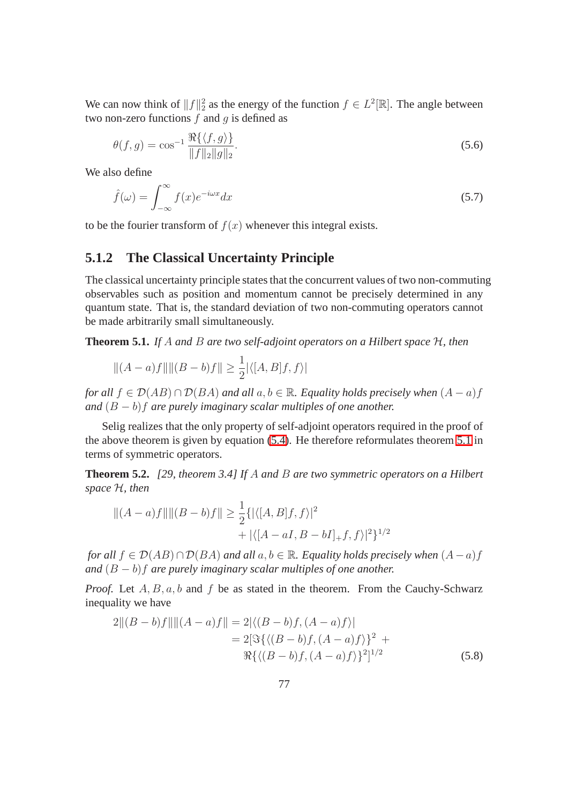We can now think of  $||f||_2^2$  as the energy of the function  $f \in L^2[\mathbb{R}]$ . The angle between two non-zero functions  $f$  and  $g$  is defined as

$$
\theta(f,g) = \cos^{-1} \frac{\Re\{\langle f,g \rangle\}}{\|f\|_2 \|g\|_2}.
$$
\n(5.6)

We also define

$$
\hat{f}(\omega) = \int_{-\infty}^{\infty} f(x)e^{-i\omega x} dx
$$
\n(5.7)

to be the fourier transform of  $f(x)$  whenever this integral exists.

## **5.1.2 The Classical Uncertainty Principle**

The classical uncertainty principle states that the concurrent values of two non-commuting observables such as position and momentum cannot be precisely determined in any quantum state. That is, the standard deviation of two non-commuting operators cannot be made arbitrarily small simultaneously.

**Theorem 5.1.** *If* A *and* B *are two self-adjoint operators on a Hilbert space* H*, then*

$$
||(A - a)f||||(B - b)f|| \ge \frac{1}{2}|\langle [A, B]f, f \rangle|
$$

*for all*  $f \in \mathcal{D}(AB) \cap \mathcal{D}(BA)$  *and all*  $a, b \in \mathbb{R}$ *. Equality holds precisely when*  $(A - a)f$ *and* (B − b)f *are purely imaginary scalar multiples of one another.*

Selig realizes that the only property of self-adjoint operators required in the proof of the above theorem is given by equation [\(5.4\)](#page-84-0). He therefore reformulates theorem [5.1](#page-85-0) in terms of symmetric operators.

<span id="page-85-0"></span>**Theorem 5.2.** *[29, theorem 3.4] If* A *and* B *are two symmetric operators on a Hilbert space* H*, then*

$$
||(A - a)f||||(B - b)f|| \ge \frac{1}{2} \{ |\langle [A, B]f, f \rangle|^2 + |\langle [A - aI, B - bI]_+ f, f \rangle|^2 \}^{1/2}
$$

*for all*  $f \in \mathcal{D}(AB) \cap \mathcal{D}(BA)$  *and all*  $a, b \in \mathbb{R}$ *. Equality holds precisely when*  $(A - a)f$ *and* (B − b)f *are purely imaginary scalar multiples of one another.*

*Proof.* Let  $A, B, a, b$  and  $f$  be as stated in the theorem. From the Cauchy-Schwarz inequality we have

$$
2||(B - b)f||||(A - a)f|| = 2|\langle (B - b)f, (A - a)f \rangle|
$$
  
= 2[ $\Im\{ \langle (B - b)f, (A - a)f \rangle \}^2$  +  
 $\Re\{ \langle (B - b)f, (A - a)f \rangle \}^2$ ]<sup>1/2</sup> (5.8)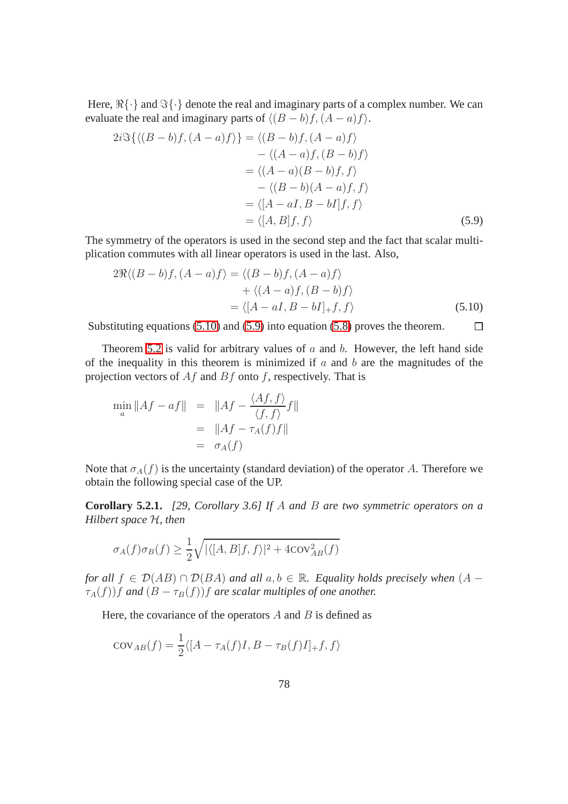<span id="page-86-1"></span>Here,  $\mathbb{R}\{\cdot\}$  and  $\Im{\{\cdot\}}$  denote the real and imaginary parts of a complex number. We can evaluate the real and imaginary parts of  $\langle (B - b)f, (A - a)f \rangle$ .

$$
2i\Im\{\langle (B-b)f, (A-a)f \rangle\} = \langle (B-b)f, (A-a)f \rangle
$$
  
 
$$
- \langle (A-a)f, (B-b)f \rangle
$$
  
 
$$
= \langle (A-a)(B-b)f, f \rangle
$$
  
 
$$
- \langle (B-b)(A-a)f, f \rangle
$$
  
 
$$
= \langle [A-aI, B-bI]f, f \rangle
$$
  
 
$$
= \langle [A, B]f, f \rangle
$$
 (5.9)

<span id="page-86-0"></span>The symmetry of the operators is used in the second step and the fact that scalar multiplication commutes with all linear operators is used in the last. Also,

$$
2\Re\langle (B-b)f, (A-a)f \rangle = \langle (B-b)f, (A-a)f \rangle
$$
  
+ \langle (A-a)f, (B-b)f \rangle  
= \langle [A-aI, B-bI]\_+ f, f \rangle (5.10)

Substituting equations (5.10) and [\(5.9\)](#page-86-0) into equation [\(5.8\)](#page-86-1) proves the theorem.  $\Box$ 

Theorem 5.2 is valid for arbitrary values of  $a$  and  $b$ . However, the left hand side of the inequality in this theorem is minimized if  $a$  and  $b$  are the magnitudes of the projection vectors of  $Af$  and  $Bf$  onto f, respectively. That is

$$
\min_{a} \|Af - af\| = \|Af - \frac{\langle Af, f \rangle}{\langle f, f \rangle} f\|
$$

$$
= \|Af - \tau_A(f)f\|
$$

$$
= \sigma_A(f)
$$

Note that  $\sigma_A(f)$  is the uncertainty (standard deviation) of the operator A. Therefore we obtain the following special case of the UP.

**Corollary 5.2.1.** *[29, Corollary 3.6] If* A *and* B *are two symmetric operators on a Hilbert space* H*, then*

$$
\sigma_A(f)\sigma_B(f) \ge \frac{1}{2}\sqrt{|\langle [A,B]f,f\rangle|^2 + 4\text{cov}_{AB}^2(f)}
$$

*for all*  $f \in \mathcal{D}(AB) \cap \mathcal{D}(BA)$  *and all*  $a, b \in \mathbb{R}$ *. Equality holds precisely when*  $(A \tau_A(f)$  *f* and  $(B - \tau_B(f))$  *f* are scalar multiples of one another.

Here, the covariance of the operators  $A$  and  $B$  is defined as

$$
cov_{AB}(f) = \frac{1}{2} \langle [A - \tau_A(f)I, B - \tau_B(f)I]_+ f, f \rangle
$$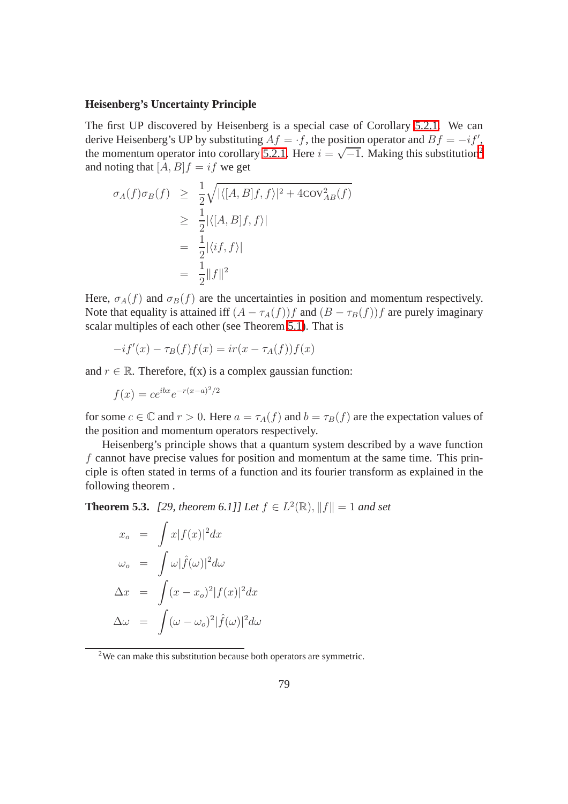#### **Heisenberg's Uncertainty Principle**

The first UP discovered by Heisenberg is a special case of Corollary 5.2.1. We can derive Heisenberg's UP by substituting  $Af = \cdot f$ , the position operator and  $Bf = -if'$ , the momentum operator into corollary 5.[2](#page-87-0).1. Here  $i = \sqrt{-1}$ . Making this substitution<sup>2</sup> and noting that  $[A, B]f = if$  we get

$$
\sigma_A(f)\sigma_B(f) \geq \frac{1}{2}\sqrt{|\langle [A, B]f, f \rangle|^2 + 4\text{COV}_{AB}^2(f)}
$$
  
\n
$$
\geq \frac{1}{2}|\langle [A, B]f, f \rangle|
$$
  
\n
$$
= \frac{1}{2}|\langle if, f \rangle|
$$
  
\n
$$
= \frac{1}{2}||f||^2
$$

Here,  $\sigma_A(f)$  and  $\sigma_B(f)$  are the uncertainties in position and momentum respectively. Note that equality is attained iff  $(A - \tau_A(f))f$  and  $(B - \tau_B(f))f$  are purely imaginary scalar multiples of each other (see Theorem [5.1\)](#page-85-0). That is

$$
-if'(x) - \tau_B(f)f(x) = ir(x - \tau_A(f))f(x)
$$

and  $r \in \mathbb{R}$ . Therefore,  $f(x)$  is a complex gaussian function:

$$
f(x) = ce^{ibx}e^{-r(x-a)^2/2}
$$

for some  $c \in \mathbb{C}$  and  $r > 0$ . Here  $a = \tau_A(f)$  and  $b = \tau_B(f)$  are the expectation values of the position and momentum operators respectively.

Heisenberg's principle shows that a quantum system described by a wave function  $f$  cannot have precise values for position and momentum at the same time. This principle is often stated in terms of a function and its fourier transform as explained in the following theorem .

**Theorem 5.3.** [29, theorem 6.1]] Let  $f \in L^2(\mathbb{R}), ||f|| = 1$  and set

$$
x_o = \int x|f(x)|^2 dx
$$
  
\n
$$
\omega_o = \int \omega |\hat{f}(\omega)|^2 d\omega
$$
  
\n
$$
\Delta x = \int (x - x_o)^2 |f(x)|^2 dx
$$
  
\n
$$
\Delta \omega = \int (\omega - \omega_o)^2 |\hat{f}(\omega)|^2 d\omega
$$

<span id="page-87-0"></span><sup>&</sup>lt;sup>2</sup>We can make this substitution because both operators are symmetric.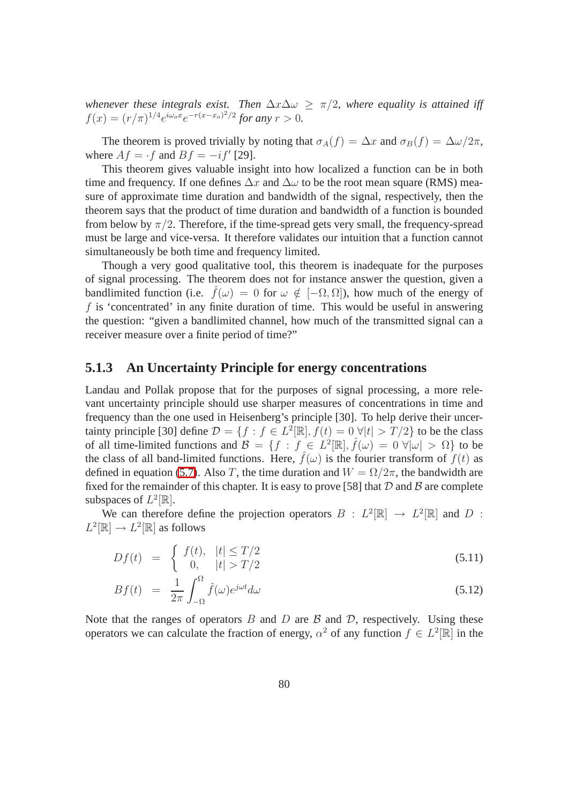*whenever these integrals exist. Then*  $\Delta x \Delta \omega > \pi/2$ *, where equality is attained iff*  $f(x) = (r/\pi)^{1/4} e^{i\omega_o x} e^{-r(x-x_o)^2/2}$  for any  $r > 0$ .

The theorem is proved trivially by noting that  $\sigma_A(f) = \Delta x$  and  $\sigma_B(f) = \Delta \omega / 2\pi$ , where  $Af = \cdot f$  and  $Bf = -if'$  [29].

This theorem gives valuable insight into how localized a function can be in both time and frequency. If one defines  $\Delta x$  and  $\Delta \omega$  to be the root mean square (RMS) measure of approximate time duration and bandwidth of the signal, respectively, then the theorem says that the product of time duration and bandwidth of a function is bounded from below by  $\pi/2$ . Therefore, if the time-spread gets very small, the frequency-spread must be large and vice-versa. It therefore validates our intuition that a function cannot simultaneously be both time and frequency limited.

Though a very good qualitative tool, this theorem is inadequate for the purposes of signal processing. The theorem does not for instance answer the question, given a bandlimited function (i.e.  $\hat{f}(\omega) = 0$  for  $\omega \notin [-\Omega, \Omega]$ ), how much of the energy of  $f$  is 'concentrated' in any finite duration of time. This would be useful in answering the question: "given a bandlimited channel, how much of the transmitted signal can a receiver measure over a finite period of time?"

#### **5.1.3 An Uncertainty Principle for energy concentrations**

Landau and Pollak propose that for the purposes of signal processing, a more relevant uncertainty principle should use sharper measures of concentrations in time and frequency than the one used in Heisenberg's principle [30]. To help derive their uncertainty principle [30] define  $\mathcal{D} = \{f : f \in L^2[\mathbb{R}], f(t) = 0 \,\forall |t| > T/2\}$  to be the class of all time-limited functions and  $\mathcal{B} = \{f : f \in L^2[\mathbb{R}], \hat{f}(\omega) = 0 \,\forall |\omega| > \Omega\}$  to be the class of all band-limited functions. Here,  $\hat{f}(\omega)$  is the fourier transform of  $f(t)$  as defined in equation (5.7). Also T, the time duration and  $W = \Omega/2\pi$ , the bandwidth are fixed for the remainder of this chapter. It is easy to prove [58] that  $D$  and  $B$  are complete subspaces of  $L^2[\mathbb{R}]$ .

We can therefore define the projection operators  $B : L^2[\mathbb{R}] \to L^2[\mathbb{R}]$  and D :  $L^2[\mathbb{R}] \to L^2[\mathbb{R}]$  as follows

$$
Df(t) = \begin{cases} f(t), & |t| \le T/2 \\ 0, & |t| > T/2 \end{cases}
$$
\n(5.11)

$$
Bf(t) = \frac{1}{2\pi} \int_{-\Omega}^{\Omega} \hat{f}(\omega) e^{j\omega t} d\omega \tag{5.12}
$$

Note that the ranges of operators  $B$  and  $D$  are  $B$  and  $D$ , respectively. Using these operators we can calculate the fraction of energy,  $\alpha^2$  of any function  $f \in L^2[\mathbb{R}]$  in the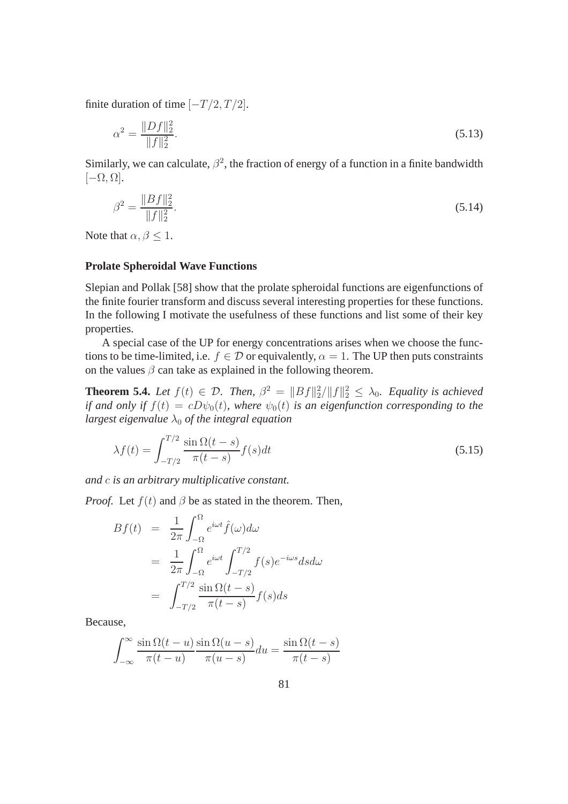finite duration of time  $[-T/2, T/2]$ .

<span id="page-89-0"></span>
$$
\alpha^2 = \frac{\|Df\|_2^2}{\|f\|_2^2}.\tag{5.13}
$$

Similarly, we can calculate,  $\beta^2$ , the fraction of energy of a function in a finite bandwidth  $[-\Omega, \Omega].$ 

$$
\beta^2 = \frac{\|Bf\|_2^2}{\|f\|_2^2}.\tag{5.14}
$$

Note that  $\alpha, \beta \leq 1$ .

#### **Prolate Spheroidal Wave Functions**

Slepian and Pollak [58] show that the prolate spheroidal functions are eigenfunctions of the finite fourier transform and discuss several interesting properties for these functions. In the following I motivate the usefulness of these functions and list some of their key properties.

A special case of the UP for energy concentrations arises when we choose the functions to be time-limited, i.e.  $f \in \mathcal{D}$  or equivalently,  $\alpha = 1$ . The UP then puts constraints on the values  $\beta$  can take as explained in the following theorem.

**Theorem 5.4.** Let  $f(t) \in \mathcal{D}$ . Then,  $\beta^2 = ||Bf||_2^2/||f||_2^2 \leq \lambda_0$ . Equality is achieved *if and only if*  $f(t) = cD\psi_0(t)$ *, where*  $\psi_0(t)$  *is an eigenfunction corresponding to the largest eigenvalue*  $\lambda_0$  *of the integral equation* 

$$
\lambda f(t) = \int_{-T/2}^{T/2} \frac{\sin \Omega(t - s)}{\pi(t - s)} f(s) dt
$$
\n(5.15)

*and* c *is an arbitrary multiplicative constant.*

*Proof.* Let  $f(t)$  and  $\beta$  be as stated in the theorem. Then,

$$
Bf(t) = \frac{1}{2\pi} \int_{-\Omega}^{\Omega} e^{i\omega t} \hat{f}(\omega) d\omega
$$
  

$$
= \frac{1}{2\pi} \int_{-\Omega}^{\Omega} e^{i\omega t} \int_{-T/2}^{T/2} f(s) e^{-i\omega s} ds d\omega
$$
  

$$
= \int_{-T/2}^{T/2} \frac{\sin \Omega(t-s)}{\pi(t-s)} f(s) ds
$$

Because,

$$
\int_{-\infty}^{\infty} \frac{\sin \Omega(t - u)}{\pi(t - u)} \frac{\sin \Omega(u - s)}{\pi(u - s)} du = \frac{\sin \Omega(t - s)}{\pi(t - s)}
$$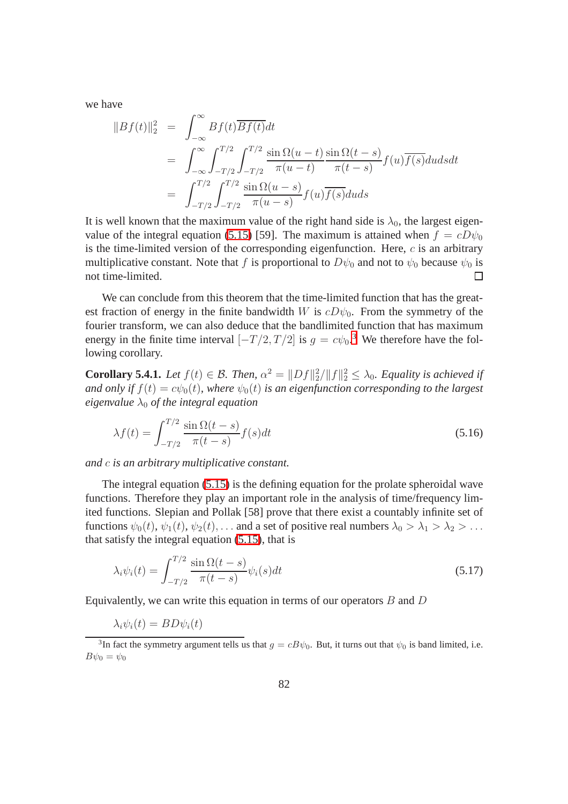we have

$$
||Bf(t)||_2^2 = \int_{-\infty}^{\infty} Bf(t) \overline{Bf(t)} dt
$$
  
= 
$$
\int_{-\infty}^{\infty} \int_{-T/2}^{T/2} \int_{-T/2}^{T/2} \frac{\sin \Omega(u-t)}{\pi(u-t)} \frac{\sin \Omega(t-s)}{\pi(t-s)} f(u) \overline{f(s)} du ds dt
$$
  
= 
$$
\int_{-T/2}^{T/2} \int_{-T/2}^{T/2} \frac{\sin \Omega(u-s)}{\pi(u-s)} f(u) \overline{f(s)} du ds
$$

It is well known that the maximum value of the right hand side is  $\lambda_0$ , the largest eigenvalue of the integral equation (5.15) [59]. The maximum is attained when  $f = cD\psi_0$ is the time-limited version of the corresponding eigenfunction. Here,  $c$  is an arbitrary multiplicative constant. Note that f is proportional to  $D\psi_0$  and not to  $\psi_0$  because  $\psi_0$  is not time-limited.  $\Box$ 

We can conclude from this theorem that the time-limited function that has the greatest fraction of energy in the finite bandwidth W is  $cD\psi_0$ . From the symmetry of the fourier transform, we can also deduce that the bandlimited function that has maximum energy in the finite time interval  $[-T/2, T/2]$  is  $g = c\psi_0$ <sup>[3](#page-90-0)</sup>. We therefore have the following corollary.

**Corollary 5.4.1.** *Let*  $f(t) \in \mathcal{B}$ *. Then,*  $\alpha^2 = ||Df||_2^2 / ||f||_2^2 \leq \lambda_0$ *. Equality is achieved if and only if*  $f(t) = c\psi_0(t)$ *, where*  $\psi_0(t)$  *is an eigenfunction corresponding to the largest eigenvalue*  $\lambda_0$  *of the integral equation* 

$$
\lambda f(t) = \int_{-T/2}^{T/2} \frac{\sin \Omega(t - s)}{\pi(t - s)} f(s) dt
$$
\n(5.16)

*and* c *is an arbitrary multiplicative constant.*

The integral equation (5.15) is the defining equation for the prolate spheroidal wave functions. Therefore they play an important role in the analysis of time/frequency limited functions. Slepian and Pollak [58] prove that there exist a countably infinite set of functions  $\psi_0(t)$ ,  $\psi_1(t)$ ,  $\psi_2(t)$ , ... and a set of positive real numbers  $\lambda_0 > \lambda_1 > \lambda_2 > \ldots$ that satisfy the integral equation (5.15), that is

$$
\lambda_i \psi_i(t) = \int_{-T/2}^{T/2} \frac{\sin \Omega(t-s)}{\pi(t-s)} \psi_i(s) dt \tag{5.17}
$$

Equivalently, we can write this equation in terms of our operators  $B$  and  $D$ 

$$
\lambda_i \psi_i(t) = BD\psi_i(t)
$$

<span id="page-90-0"></span><sup>&</sup>lt;sup>3</sup>In fact the symmetry argument tells us that  $g = cB\psi_0$ . But, it turns out that  $\psi_0$  is band limited, i.e.  $B\psi_0 = \psi_0$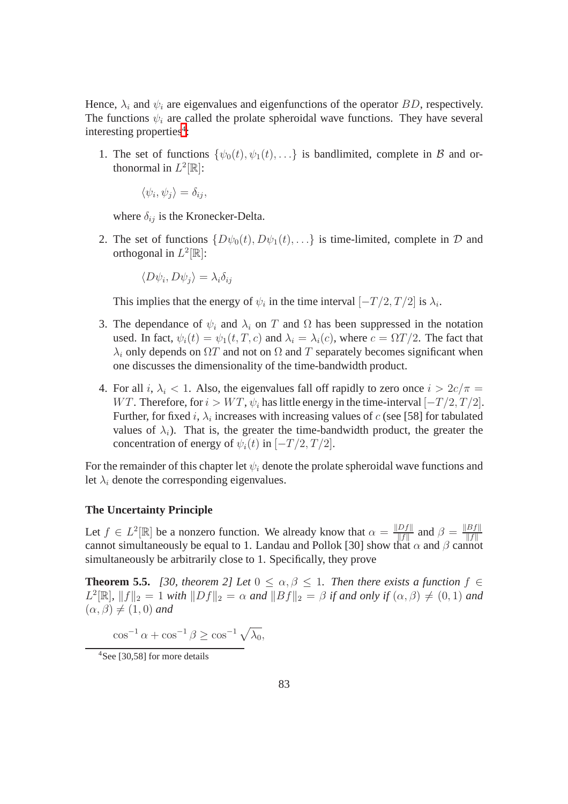Hence,  $\lambda_i$  and  $\psi_i$  are eigenvalues and eigenfunctions of the operator BD, respectively. The functions  $\psi_i$  are called the prolate spheroidal wave functions. They have several interesting properties<sup>[4](#page-91-0)</sup>:

1. The set of functions  $\{\psi_0(t), \psi_1(t), \ldots\}$  is bandlimited, complete in B and orthonormal in  $L^2[\mathbb{R}]$ :

$$
\langle \psi_i, \psi_j \rangle = \delta_{ij},
$$

where  $\delta_{ij}$  is the Kronecker-Delta.

2. The set of functions  $\{D\psi_0(t), D\psi_1(t), \ldots\}$  is time-limited, complete in  $D$  and orthogonal in  $L^2[\mathbb{R}]$ :

$$
\langle D\psi_i, D\psi_j \rangle = \lambda_i \delta_{ij}
$$

This implies that the energy of  $\psi_i$  in the time interval  $[-T/2, T/2]$  is  $\lambda_i$ .

- 3. The dependance of  $\psi_i$  and  $\lambda_i$  on T and  $\Omega$  has been suppressed in the notation used. In fact,  $\psi_i(t) = \psi_1(t, T, c)$  and  $\lambda_i = \lambda_i(c)$ , where  $c = \Omega T/2$ . The fact that  $\lambda_i$  only depends on  $\Omega T$  and not on  $\Omega$  and T separately becomes significant when one discusses the dimensionality of the time-bandwidth product.
- 4. For all i,  $\lambda_i$  < 1. Also, the eigenvalues fall off rapidly to zero once  $i > 2c/\pi$  = WT. Therefore, for  $i > WT$ ,  $\psi_i$  has little energy in the time-interval  $[-T/2, T/2]$ . Further, for fixed i,  $\lambda_i$  increases with increasing values of c (see [58] for tabulated values of  $\lambda_i$ ). That is, the greater the time-bandwidth product, the greater the concentration of energy of  $\psi_i(t)$  in  $[-T/2, T/2]$ .

For the remainder of this chapter let  $\psi_i$  denote the prolate spheroidal wave functions and let  $\lambda_i$  denote the corresponding eigenvalues.

#### **The Uncertainty Principle**

Let  $f \in L^2[\mathbb{R}]$  be a nonzero function. We already know that  $\alpha = \frac{\|Df\|}{\|f\|}$  $\frac{Df\|}{\|f\|}$  and  $\beta = \frac{\|Bf\|}{\|f\|}$ cannot simultaneously be equal to 1. Landau and Pollok [30] show that  $\alpha$  and  $\beta$  cannot simultaneously be arbitrarily close to 1. Specifically, they prove

**Theorem 5.5.** *[30, theorem 2] Let*  $0 \leq \alpha, \beta \leq 1$ *. Then there exists a function*  $f \in$  $L^2[\mathbb{R}]$ ,  $||f||_2 = 1$  *with*  $||Df||_2 = \alpha$  *and*  $||Bf||_2 = \beta$  *if and only if*  $(\alpha, \beta) \neq (0, 1)$  *and*  $(\alpha, \beta) \neq (1, 0)$  *and* 

 $\cos^{-1} \alpha + \cos^{-1} \beta \ge \cos^{-1} \sqrt{\lambda_0},$ 

<span id="page-91-0"></span><sup>&</sup>lt;sup>4</sup>See [30,58] for more details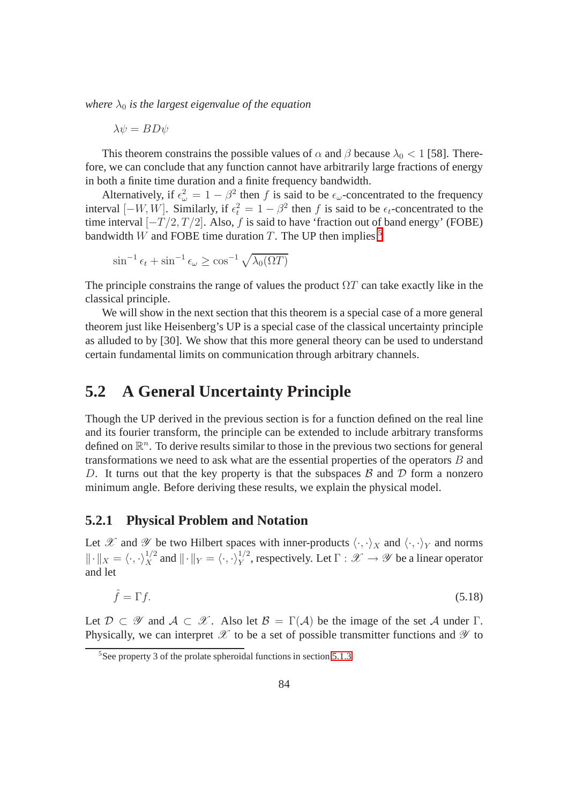*where*  $\lambda_0$  *is the largest eigenvalue of the equation* 

 $\lambda \psi = BD\psi$ 

This theorem constrains the possible values of  $\alpha$  and  $\beta$  because  $\lambda_0 < 1$  [58]. Therefore, we can conclude that any function cannot have arbitrarily large fractions of energy in both a finite time duration and a finite frequency bandwidth.

Alternatively, if  $\epsilon_{\omega}^2 = 1 - \beta^2$  then f is said to be  $\epsilon_{\omega}$ -concentrated to the frequency interval  $[-W, W]$ . Similarly, if  $\epsilon_t^2 = 1 - \beta^2$  then f is said to be  $\epsilon_t$ -concentrated to the time interval  $[-T/2, T/2]$ . Also, f is said to have 'fraction out of band energy' (FOBE) bandwidth W and FOBE time duration T. The UP then implies  $5$ 

$$
\sin^{-1} \epsilon_t + \sin^{-1} \epsilon_\omega \ge \cos^{-1} \sqrt{\lambda_0(\Omega T)}
$$

The principle constrains the range of values the product  $\Omega T$  can take exactly like in the classical principle.

We will show in the next section that this theorem is a special case of a more general theorem just like Heisenberg's UP is a special case of the classical uncertainty principle as alluded to by [30]. We show that this more general theory can be used to understand certain fundamental limits on communication through arbitrary channels.

## **5.2 A General Uncertainty Principle**

Though the UP derived in the previous section is for a function defined on the real line and its fourier transform, the principle can be extended to include arbitrary transforms defined on  $\mathbb{R}^n$ . To derive results similar to those in the previous two sections for general transformations we need to ask what are the essential properties of the operators B and D. It turns out that the key property is that the subspaces  $\beta$  and  $\mathcal D$  form a nonzero minimum angle. Before deriving these results, we explain the physical model.

#### **5.2.1 Physical Problem and Notation**

Let X and Y be two Hilbert spaces with inner-products  $\langle \cdot, \cdot \rangle_X$  and  $\langle \cdot, \cdot \rangle_Y$  and norms  $\|\cdot\|_X = \langle \cdot, \cdot \rangle_X^{1/2}$  and  $\|\cdot\|_Y = \langle \cdot, \cdot \rangle_Y^{1/2}$ , respectively. Let  $\Gamma : \mathscr{X} \to \mathscr{Y}$  be a linear operator and let

$$
\hat{f} = \Gamma f. \tag{5.18}
$$

Let  $\mathcal{D} \subset \mathcal{Y}$  and  $\mathcal{A} \subset \mathcal{X}$ . Also let  $\mathcal{B} = \Gamma(\mathcal{A})$  be the image of the set A under  $\Gamma$ . Physically, we can interpret  $\mathscr X$  to be a set of possible transmitter functions and  $\mathscr Y$  to

<span id="page-92-0"></span> $5$ See property 3 of the prolate spheroidal functions in section 5.1.3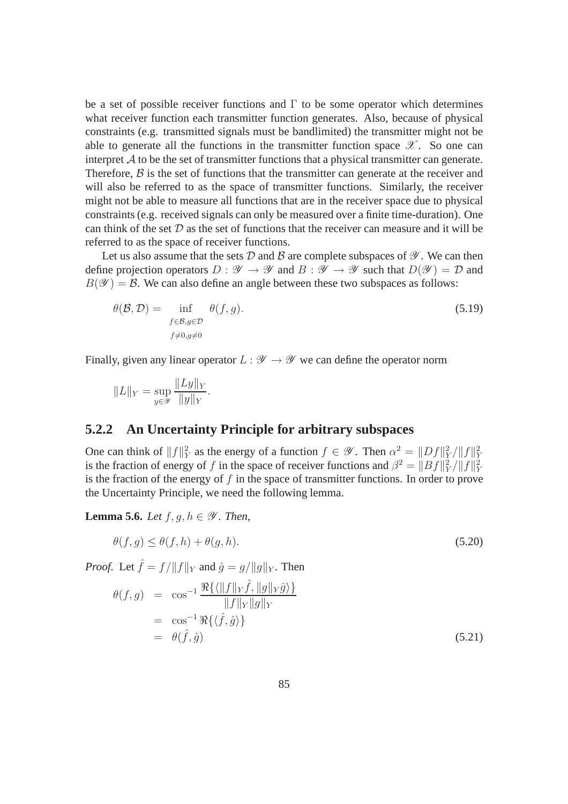be a set of possible receiver functions and  $\Gamma$  to be some operator which determines what receiver function each transmitter function generates. Also, because of physical constraints (e.g. transmitted signals must be bandlimited) the transmitter might not be able to generate all the functions in the transmitter function space  $\mathscr{X}$ . So one can interpret  $\mathcal A$  to be the set of transmitter functions that a physical transmitter can generate. Therefore,  $\beta$  is the set of functions that the transmitter can generate at the receiver and will also be referred to as the space of transmitter functions. Similarly, the receiver might not be able to measure all functions that are in the receiver space due to physical constraints (e.g. received signals can only be measured over a finite time-duration). One can think of the set  $D$  as the set of functions that the receiver can measure and it will be referred to as the space of receiver functions.

Let us also assume that the sets D and B are complete subspaces of  $\mathscr Y$ . We can then define projection operators  $D : \mathscr{Y} \to \mathscr{Y}$  and  $B : \mathscr{Y} \to \mathscr{Y}$  such that  $D(\mathscr{Y}) = \mathscr{D}$  and  $B(\mathscr{Y}) = \mathcal{B}$ . We can also define an angle between these two subspaces as follows:

$$
\theta(\mathcal{B}, \mathcal{D}) = \inf_{\substack{f \in \mathcal{B}, g \in \mathcal{D} \\ f \neq 0, g \neq 0}} \theta(f, g). \tag{5.19}
$$

Finally, given any linear operator  $L : \mathscr{Y} \to \mathscr{Y}$  we can define the operator norm

$$
||L||_Y = \sup_{y \in \mathcal{Y}} \frac{||Ly||_Y}{||y||_Y}.
$$

#### **5.2.2 An Uncertainty Principle for arbitrary subspaces**

One can think of  $||f||_Y^2$  as the energy of a function  $f \in \mathscr{Y}$ . Then  $\alpha^2 = ||Df||_Y^2/||f||_Y^2$ is the fraction of energy of f in the space of receiver functions and  $\beta^2 = ||Bf||_Y^2/||f||_Y^2$ is the fraction of the energy of  $f$  in the space of transmitter functions. In order to prove the Uncertainty Principle, we need the following lemma.

**Lemma 5.6.** *Let*  $f, g, h \in \mathcal{Y}$ *. Then,* 

$$
\theta(f,g) \le \theta(f,h) + \theta(g,h). \tag{5.20}
$$

*Proof.* Let  $\hat{f} = f/||f||_Y$  and  $\hat{g} = g/||g||_Y$ . Then

$$
\theta(f,g) = \cos^{-1} \frac{\Re\{\langle \|f\|_Y \hat{f}, \|g\|_Y \hat{g}\rangle\}}{\|f\|_Y \|g\|_Y}
$$
  
=  $\cos^{-1} \Re\{\langle \hat{f}, \hat{g}\rangle\}$   
=  $\theta(\hat{f}, \hat{g})$  (5.21)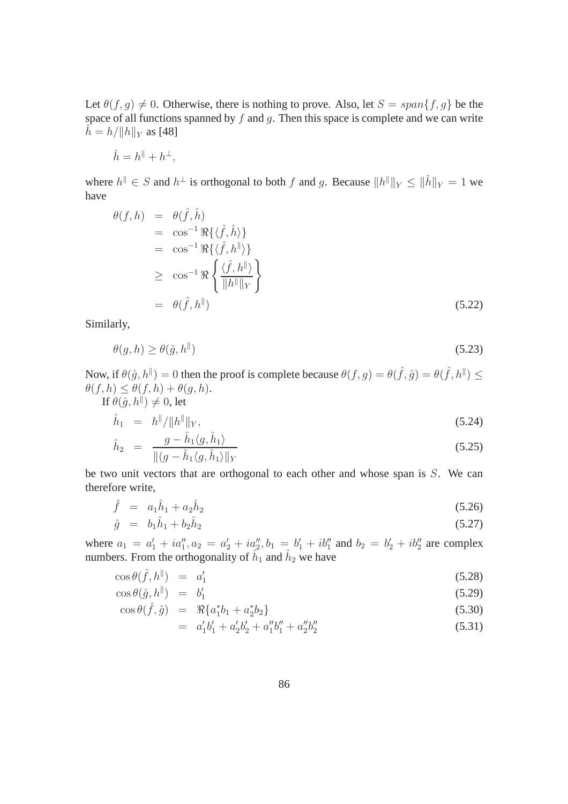Let  $\theta(f, g) \neq 0$ . Otherwise, there is nothing to prove. Also, let  $S = span{f, g}$  be the space of all functions spanned by  $f$  and  $g$ . Then this space is complete and we can write  $\hat{h} = h / ||h||_Y$  as [48]

$$
\hat{h} = h^{\parallel} + h^{\perp},
$$

<span id="page-94-2"></span>where  $h^{\parallel} \in S$  and  $h^{\perp}$  is orthogonal to both f and g. Because  $||h^{\parallel}||_Y \le ||\hat{h}||_Y = 1$  we have

$$
\begin{aligned}\n\theta(f, h) &= \theta(\hat{f}, \hat{h}) \\
&= \cos^{-1} \Re \{ \langle \hat{f}, \hat{h} \rangle \} \\
&= \cos^{-1} \Re \{ \langle \hat{f}, h^{\parallel} \rangle \} \\
&\ge \cos^{-1} \Re \left\{ \frac{\langle \hat{f}, h^{\parallel} \rangle}{\|h^{\parallel}\|_{Y}} \right\} \\
&= \theta(\hat{f}, h^{\parallel})\n\end{aligned}
$$
\n(5.22)

<span id="page-94-0"></span>Similarly,

$$
\theta(g, h) \ge \theta(\hat{g}, h^{\parallel}) \tag{5.23}
$$

Now, if  $\theta(\hat{g}, h^{\parallel}) = 0$  then the proof is complete because  $\theta(f, g) = \theta(\hat{f}, \hat{g}) = \theta(\hat{f}, h^{\parallel}) \le$  $\theta(f, h) \leq \theta(f, h) + \theta(g, h).$ 

<span id="page-94-1"></span>If 
$$
\theta(\hat{g}, h^{\parallel}) \neq 0
$$
, let  
\n
$$
\hat{h}_1 = h^{\parallel}/\|h^{\parallel}\|_Y,
$$
\n(5.24)

$$
\hat{h}_2 = \frac{g - \hat{h}_1 \langle g, \hat{h}_1 \rangle}{\|(g - \hat{h}_1 \langle g, \hat{h}_1 \rangle\|_Y)}
$$
(5.25)

be two unit vectors that are orthogonal to each other and whose span is S. We can therefore write,

$$
\hat{f} = a_1 \hat{h}_1 + a_2 \hat{h}_2 \tag{5.26}
$$

$$
\hat{g} = b_1 \hat{h}_1 + b_2 \hat{h}_2 \tag{5.27}
$$

where  $a_1 = a'_1 + ia''_1$ ,  $a_2 = a'_2 + ia''_2$ ,  $b_1 = b'_1 + ib''_1$  and  $b_2 = b'_2 + ib''_2$  are complex numbers. From the orthogonality of  $\hat{h}_1$  and  $\hat{h}_2$  we have

$$
\cos\theta(\hat{f}, h^{\parallel}) = a'_1 \tag{5.28}
$$

$$
\cos \theta(\hat{g}, h^{\parallel}) = b'_1 \tag{5.29}
$$

$$
\cos \theta(\hat{f}, \hat{g}) = \Re\{a_1^* b_1 + a_2^* b_2\} \tag{5.30}
$$

$$
= a'_1b'_1 + a'_2b'_2 + a''_1b''_1 + a''_2b''_2 \tag{5.31}
$$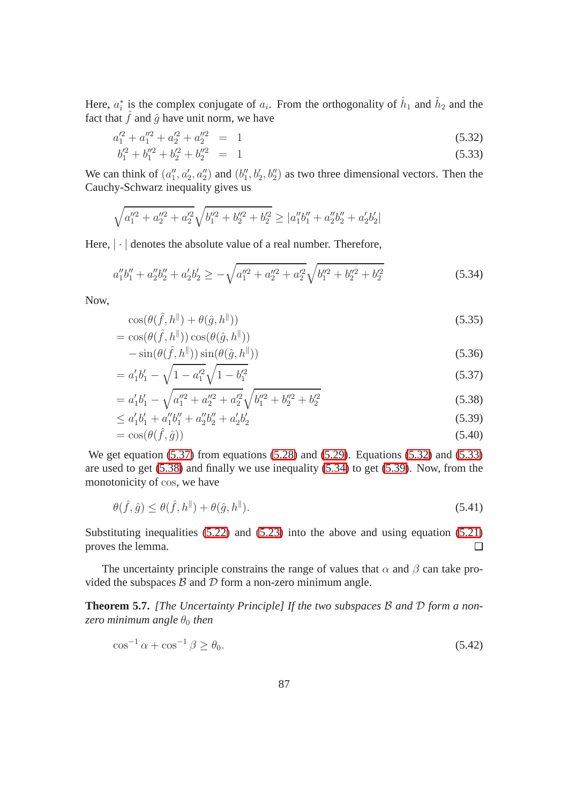<span id="page-95-1"></span>Here,  $a_i^*$  is the complex conjugate of  $a_i$ . From the orthogonality of  $\hat{h}_1$  and  $\hat{h}_2$  and the fact that  $\hat{f}$  and  $\hat{g}$  have unit norm, we have

$$
a_1^{\prime 2} + a_1^{\prime \prime 2} + a_2^{\prime 2} + a_3^{\prime \prime 2} = 1 \tag{5.32}
$$

$$
b_1^{\prime 2} + b_1^{\prime \prime 2} + b_2^{\prime 2} + b_2^{\prime \prime 2} = 1 \tag{5.33}
$$

We can think of  $(a''_1, a'_2, a''_2)$  and  $(b''_1, b'_2, b''_2)$  as two three dimensional vectors. Then the Cauchy-Schwarz inequality gives us

<span id="page-95-2"></span>
$$
\sqrt{a_1^{\prime\prime 2}+a_2^{\prime\prime 2}+a_2^{\prime 2}}\sqrt{b_1^{\prime\prime 2}+b_2^{\prime\prime 2}+b_2^{\prime 2}} \ge |a_1^{\prime\prime}b_1^{\prime\prime}+a_2^{\prime\prime}b_2^{\prime\prime}+a_2^{\prime}b_2^{\prime}|
$$

Here,  $|\cdot|$  denotes the absolute value of a real number. Therefore,

$$
a_1''b_1'' + a_2''b_2'' + a_2'b_2' \ge -\sqrt{a_1''^2 + a_2''^2 + a_2'^2}\sqrt{b_1''^2 + b_2''^2 + b_2'^2}
$$
\n
$$
(5.34)
$$

<span id="page-95-3"></span>Now,

$$
\cos(\theta(\hat{f}, h^{\parallel}) + \theta(\hat{g}, h^{\parallel}))
$$
  
= 
$$
\cos(\theta(\hat{f}, h^{\parallel})) \cos(\theta(\hat{g}, h^{\parallel}))
$$
 (5.35)

$$
-\sin(\theta(\hat{f}, h^{\parallel}))\sin(\theta(\hat{g}, h^{\parallel}))\tag{5.36}
$$

$$
= a_1'b_1' - \sqrt{1 - a_1'^2} \sqrt{1 - b_1'^2}
$$
\n(5.37)

$$
= a'_1b'_1 - \sqrt{a_1^{\prime\prime 2} + a_2^{\prime\prime 2} + a_2^{\prime 2}} \sqrt{b_1^{\prime\prime 2} + b_2^{\prime\prime 2} + b_2^{\prime 2}}
$$
(5.38)

$$
\leq a_1'b_1' + a_1''b_1'' + a_2'b_2' + a_2'b_2'
$$
\n
$$
(5.39)
$$

$$
= \cos(\theta(\hat{f}, \hat{g})) \tag{5.40}
$$

We get equation [\(5.37\)](#page-95-0) from equations [\(5.28\)](#page-95-1) and [\(5.29\)](#page-95-1). Equations [\(5.32\)](#page-95-2) and [\(5.33\)](#page-95-2) are used to get [\(5.38\)](#page-95-0) and finally we use inequality [\(5.34\)](#page-95-3) to get [\(5.39\)](#page-95-0). Now, from the monotonicity of cos, we have

<span id="page-95-0"></span>
$$
\theta(\hat{f}, \hat{g}) \le \theta(\hat{f}, h^{\parallel}) + \theta(\hat{g}, h^{\parallel}). \tag{5.41}
$$

Substituting inequalities [\(5.22\)](#page-94-0) and [\(5.23\)](#page-94-1) into the above and using equation [\(5.21\)](#page-94-2) proves the lemma. П

The uncertainty principle constrains the range of values that  $\alpha$  and  $\beta$  can take provided the subspaces  $\beta$  and  $\mathcal D$  form a non-zero minimum angle.

**Theorem 5.7.** *[The Uncertainty Principle] If the two subspaces* B *and* D *form a nonzero minimum angle*  $\theta_0$  *then* 

$$
\cos^{-1}\alpha + \cos^{-1}\beta \ge \theta_0. \tag{5.42}
$$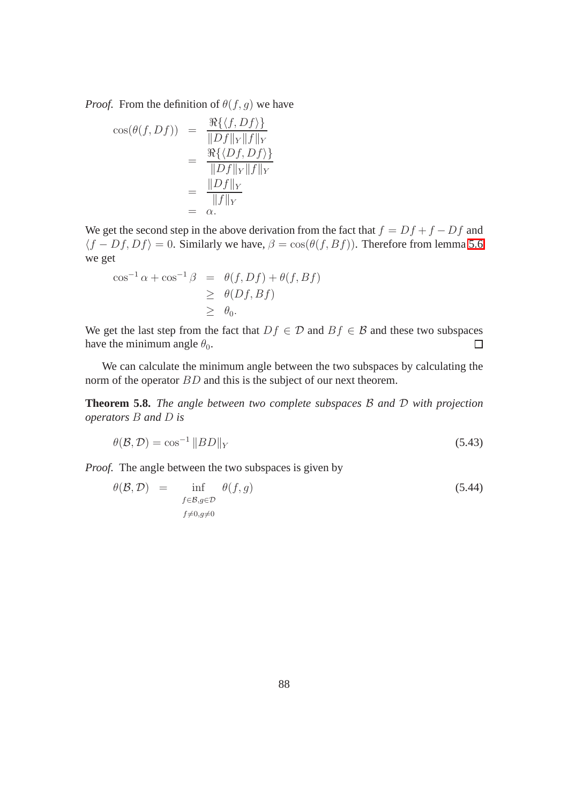*Proof.* From the definition of  $\theta(f, g)$  we have

$$
\cos(\theta(f, Df)) = \frac{\Re\{\langle f, Df \rangle\}}{\|Df\|_{Y}\|f\|_{Y}}
$$
  
= 
$$
\frac{\Re\{\langle Df, Df \rangle\}}{\|Df\|_{Y}\|f\|_{Y}}
$$
  
= 
$$
\frac{\|Df\|_{Y}}{\|f\|_{Y}}
$$
  
= 
$$
\alpha.
$$

We get the second step in the above derivation from the fact that  $f = Df + f - Df$  and  $\langle f - Df, Df \rangle = 0$ . Similarly we have,  $\beta = \cos(\theta(f, Bf))$ . Therefore from lemma 5.6 we get

$$
\cos^{-1} \alpha + \cos^{-1} \beta = \theta(f, Df) + \theta(f, Bf)
$$
  
\n
$$
\geq \theta(Df, Bf)
$$
  
\n
$$
\geq \theta_0.
$$

We get the last step from the fact that  $Df \in \mathcal{D}$  and  $Bf \in \mathcal{B}$  and these two subspaces have the minimum angle  $\theta_0$ . have the minimum angle  $\theta_0$ .

We can calculate the minimum angle between the two subspaces by calculating the norm of the operator BD and this is the subject of our next theorem.

**Theorem 5.8.** *The angle between two complete subspaces* B *and* D *with projection operators* B *and* D *is*

$$
\theta(\mathcal{B}, \mathcal{D}) = \cos^{-1} \|BD\|_{Y}
$$
\n(5.43)

*Proof.* The angle between the two subspaces is given by

$$
\theta(\mathcal{B}, \mathcal{D}) = \inf_{\substack{f \in \mathcal{B}, g \in \mathcal{D} \\ f \neq 0, g \neq 0}} \theta(f, g) \tag{5.44}
$$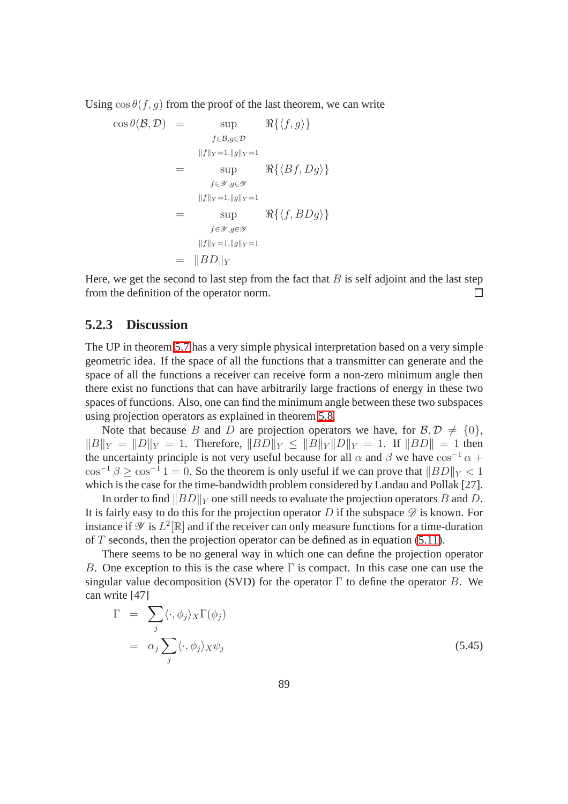Using  $\cos \theta(f, q)$  from the proof of the last theorem, we can write

$$
\cos \theta(\mathcal{B}, \mathcal{D}) = \sup_{\substack{f \in \mathcal{B}, g \in \mathcal{D} \\ ||f||_Y = 1, ||g||_Y = 1}} \Re{\{\langle f, g \rangle\}}
$$
  

$$
= \sup_{\substack{f \in \mathcal{Y}, g \in \mathcal{Y} \\ ||f||_Y = 1, ||g||_Y = 1}} \Re{\{\langle Bf, Dg \rangle\}}
$$
  

$$
= \sup_{\substack{f \in \mathcal{Y}, g \in \mathcal{Y} \\ ||f||_Y = 1, ||g||_Y = 1}} \Re{\{\langle f, BDg \rangle\}}
$$
  

$$
= ||BD||_Y
$$

Here, we get the second to last step from the fact that  $B$  is self adjoint and the last step from the definition of the operator norm.  $\Box$ 

#### **5.2.3 Discussion**

The UP in theorem 5.7 has a very simple physical interpretation based on a very simple geometric idea. If the space of all the functions that a transmitter can generate and the space of all the functions a receiver can receive form a non-zero minimum angle then there exist no functions that can have arbitrarily large fractions of energy in these two spaces of functions. Also, one can find the minimum angle between these two subspaces using projection operators as explained in theorem 5.8.

Note that because B and D are projection operators we have, for  $\mathcal{B}, \mathcal{D} \neq \{0\},\$  $||B||_Y = ||D||_Y = 1$ . Therefore,  $||BD||_Y < ||B||_Y ||D||_Y = 1$ . If  $||BD|| = 1$  then the uncertainty principle is not very useful because for all  $\alpha$  and  $\beta$  we have  $\cos^{-1} \alpha$  +  $\cos^{-1} \beta \ge \cos^{-1} 1 = 0$ . So the theorem is only useful if we can prove that  $||BD||_Y < 1$ which is the case for the time-bandwidth problem considered by Landau and Pollak [27].

In order to find  $||BD||_Y$  one still needs to evaluate the projection operators B and D. It is fairly easy to do this for the projection operator D if the subspace  $\mathscr D$  is known. For instance if  $\mathscr Y$  is  $L^2[\mathbb R]$  and if the receiver can only measure functions for a time-duration of  $T$  seconds, then the projection operator can be defined as in equation [\(5.11\)](#page-89-0).

There seems to be no general way in which one can define the projection operator B. One exception to this is the case where  $\Gamma$  is compact. In this case one can use the singular value decomposition (SVD) for the operator  $\Gamma$  to define the operator B. We can write [47]

$$
\Gamma = \sum_{j} \langle \cdot, \phi_j \rangle_X \Gamma(\phi_j)
$$
  
=  $\alpha_j \sum_j \langle \cdot, \phi_j \rangle_X \psi_j$  (5.45)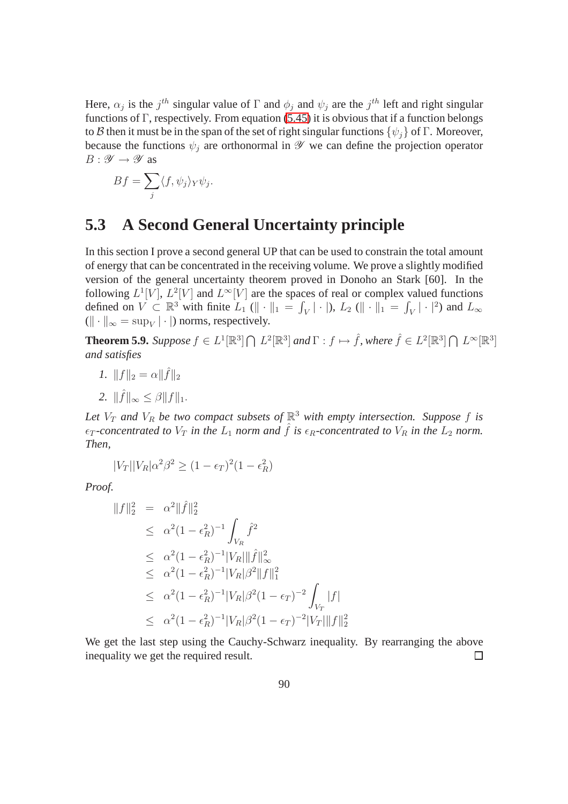Here,  $\alpha_j$  is the  $j^{th}$  singular value of  $\Gamma$  and  $\phi_j$  and  $\psi_j$  are the  $j^{th}$  left and right singular functions of Γ, respectively. From equation (5.45) it is obvious that if a function belongs to B then it must be in the span of the set of right singular functions  $\{\psi_i\}$  of Γ. Moreover, because the functions  $\psi_i$  are orthonormal in  $\mathscr Y$  we can define the projection operator  $B: \mathscr{Y} \to \mathscr{Y}$  as

$$
Bf = \sum_{j} \langle f, \psi_j \rangle_Y \psi_j.
$$

## **5.3 A Second General Uncertainty principle**

In this section I prove a second general UP that can be used to constrain the total amount of energy that can be concentrated in the receiving volume. We prove a slightly modified version of the general uncertainty theorem proved in Donoho an Stark [60]. In the following  $L^1[V], L^2[V]$  and  $L^{\infty}[V]$  are the spaces of real or complex valued functions defined on  $V \subset \mathbb{R}^3$  with finite  $L_1(\|\cdot\|_1 = \int_V |\cdot|), L_2(\|\cdot\|_1 = \int_V |\cdot|^2)$  and  $L_\infty$  $(\|\cdot\|_{\infty} = \sup_{V} |\cdot|)$  norms, respectively.

**Theorem 5.9.** Suppose  $f \in L^1[\mathbb{R}^3] \cap L^2[\mathbb{R}^3]$  and  $\Gamma : f \mapsto \hat{f}$ , where  $\hat{f} \in L^2[\mathbb{R}^3] \cap L^{\infty}[\mathbb{R}^3]$ *and satisfies*

- *1.*  $||f||_2 = \alpha ||\hat{f}||_2$
- 2.  $\|\hat{f}\|_{\infty} \leq \beta \|f\|_{1}.$

Let  $V_T$  and  $V_R$  be two compact subsets of  $\mathbb{R}^3$  with empty intersection. Suppose f is  $\epsilon_T$ -concentrated to  $V_T$  *in the*  $L_1$  *norm and*  $\hat{f}$  *is*  $\epsilon_R$ -concentrated to  $V_R$  *in the*  $L_2$  *norm. Then,*

$$
|V_T||V_R|\alpha^2\beta^2 \ge (1 - \epsilon_T)^2(1 - \epsilon_R^2)
$$

*Proof.*

$$
||f||_2^2 = \alpha^2 ||\hat{f}||_2^2
$$
  
\n
$$
\leq \alpha^2 (1 - \epsilon_R^2)^{-1} \int_{V_R} \hat{f}^2
$$
  
\n
$$
\leq \alpha^2 (1 - \epsilon_R^2)^{-1} |V_R||\hat{f}||_\infty^2
$$
  
\n
$$
\leq \alpha^2 (1 - \epsilon_R^2)^{-1} |V_R|\beta^2 ||f||_1^2
$$
  
\n
$$
\leq \alpha^2 (1 - \epsilon_R^2)^{-1} |V_R|\beta^2 (1 - \epsilon_T)^{-2} \int_{V_T} |f|
$$
  
\n
$$
\leq \alpha^2 (1 - \epsilon_R^2)^{-1} |V_R|\beta^2 (1 - \epsilon_T)^{-2} |V_T||f||_2^2
$$

We get the last step using the Cauchy-Schwarz inequality. By rearranging the above inequality we get the required result.  $\Box$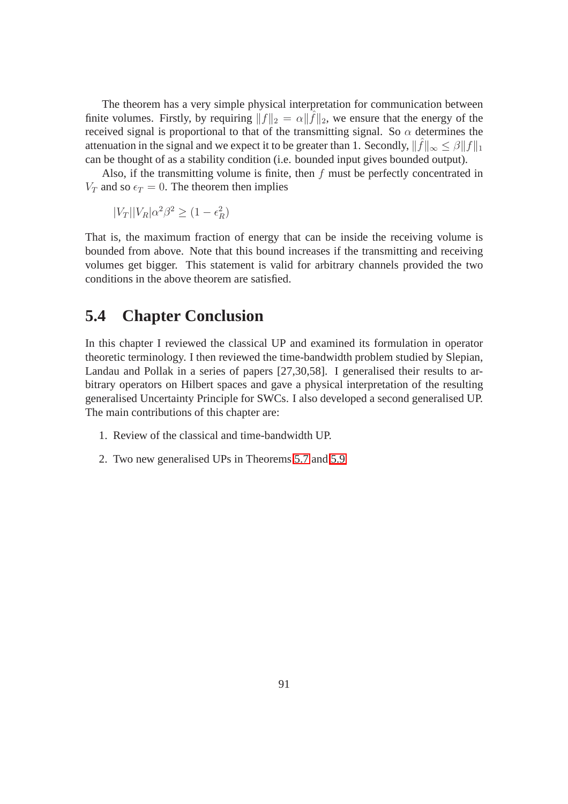The theorem has a very simple physical interpretation for communication between finite volumes. Firstly, by requiring  $||f||_2 = \alpha ||\hat{f}||_2$ , we ensure that the energy of the received signal is proportional to that of the transmitting signal. So  $\alpha$  determines the attenuation in the signal and we expect it to be greater than 1. Secondly,  $\|\hat{f}\|_{\infty} \leq \beta \|f\|_1$ can be thought of as a stability condition (i.e. bounded input gives bounded output).

Also, if the transmitting volume is finite, then  $f$  must be perfectly concentrated in  $V_T$  and so  $\epsilon_T = 0$ . The theorem then implies

 $|V_T||V_R|\alpha^2\beta^2 \geq (1-\epsilon_R^2)$ 

That is, the maximum fraction of energy that can be inside the receiving volume is bounded from above. Note that this bound increases if the transmitting and receiving volumes get bigger. This statement is valid for arbitrary channels provided the two conditions in the above theorem are satisfied.

## **5.4 Chapter Conclusion**

In this chapter I reviewed the classical UP and examined its formulation in operator theoretic terminology. I then reviewed the time-bandwidth problem studied by Slepian, Landau and Pollak in a series of papers [27,30,58]. I generalised their results to arbitrary operators on Hilbert spaces and gave a physical interpretation of the resulting generalised Uncertainty Principle for SWCs. I also developed a second generalised UP. The main contributions of this chapter are:

- 1. Review of the classical and time-bandwidth UP.
- 2. Two new generalised UPs in Theorems 5.7 and 5.9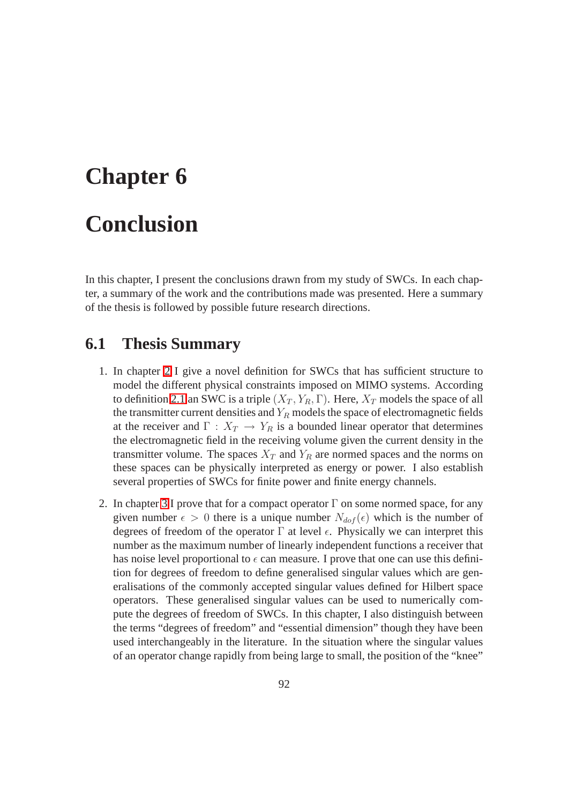# **Chapter 6 Conclusion**

In this chapter, I present the conclusions drawn from my study of SWCs. In each chapter, a summary of the work and the contributions made was presented. Here a summary of the thesis is followed by possible future research directions.

## **6.1 Thesis Summary**

- 1. In chapter 2 I give a novel definition for SWCs that has sufficient structure to model the different physical constraints imposed on MIMO systems. According to definition 2.1 an SWC is a triple  $(X_T, Y_R, \Gamma)$ . Here,  $X_T$  models the space of all the transmitter current densities and  $Y_R$  models the space of electromagnetic fields at the receiver and  $\Gamma : X_T \to Y_R$  is a bounded linear operator that determines the electromagnetic field in the receiving volume given the current density in the transmitter volume. The spaces  $X_T$  and  $Y_R$  are normed spaces and the norms on these spaces can be physically interpreted as energy or power. I also establish several properties of SWCs for finite power and finite energy channels.
- 2. In chapter 3 I prove that for a compact operator  $\Gamma$  on some normed space, for any given number  $\epsilon > 0$  there is a unique number  $N_{dof}(\epsilon)$  which is the number of degrees of freedom of the operator  $\Gamma$  at level  $\epsilon$ . Physically we can interpret this number as the maximum number of linearly independent functions a receiver that has noise level proportional to  $\epsilon$  can measure. I prove that one can use this definition for degrees of freedom to define generalised singular values which are generalisations of the commonly accepted singular values defined for Hilbert space operators. These generalised singular values can be used to numerically compute the degrees of freedom of SWCs. In this chapter, I also distinguish between the terms "degrees of freedom" and "essential dimension" though they have been used interchangeably in the literature. In the situation where the singular values of an operator change rapidly from being large to small, the position of the "knee"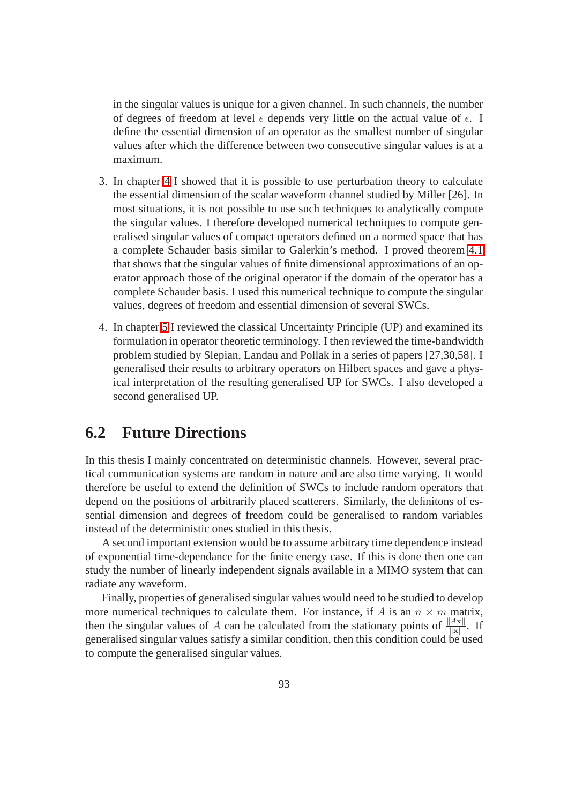in the singular values is unique for a given channel. In such channels, the number of degrees of freedom at level  $\epsilon$  depends very little on the actual value of  $\epsilon$ . I define the essential dimension of an operator as the smallest number of singular values after which the difference between two consecutive singular values is at a maximum.

- 3. In chapter 4 I showed that it is possible to use perturbation theory to calculate the essential dimension of the scalar waveform channel studied by Miller [26]. In most situations, it is not possible to use such techniques to analytically compute the singular values. I therefore developed numerical techniques to compute generalised singular values of compact operators defined on a normed space that has a complete Schauder basis similar to Galerkin's method. I proved theorem 4.1 that shows that the singular values of finite dimensional approximations of an operator approach those of the original operator if the domain of the operator has a complete Schauder basis. I used this numerical technique to compute the singular values, degrees of freedom and essential dimension of several SWCs.
- 4. In chapter 5 I reviewed the classical Uncertainty Principle (UP) and examined its formulation in operator theoretic terminology. I then reviewed the time-bandwidth problem studied by Slepian, Landau and Pollak in a series of papers [27,30,58]. I generalised their results to arbitrary operators on Hilbert spaces and gave a physical interpretation of the resulting generalised UP for SWCs. I also developed a second generalised UP.

## **6.2 Future Directions**

In this thesis I mainly concentrated on deterministic channels. However, several practical communication systems are random in nature and are also time varying. It would therefore be useful to extend the definition of SWCs to include random operators that depend on the positions of arbitrarily placed scatterers. Similarly, the definitons of essential dimension and degrees of freedom could be generalised to random variables instead of the deterministic ones studied in this thesis.

A second important extension would be to assume arbitrary time dependence instead of exponential time-dependance for the finite energy case. If this is done then one can study the number of linearly independent signals available in a MIMO system that can radiate any waveform.

Finally, properties of generalised singular values would need to be studied to develop more numerical techniques to calculate them. For instance, if A is an  $n \times m$  matrix, then the singular values of A can be calculated from the stationary points of  $\frac{||Ax||}{||x||}$ . If generalised singular values satisfy a similar condition, then this condition could be used to compute the generalised singular values.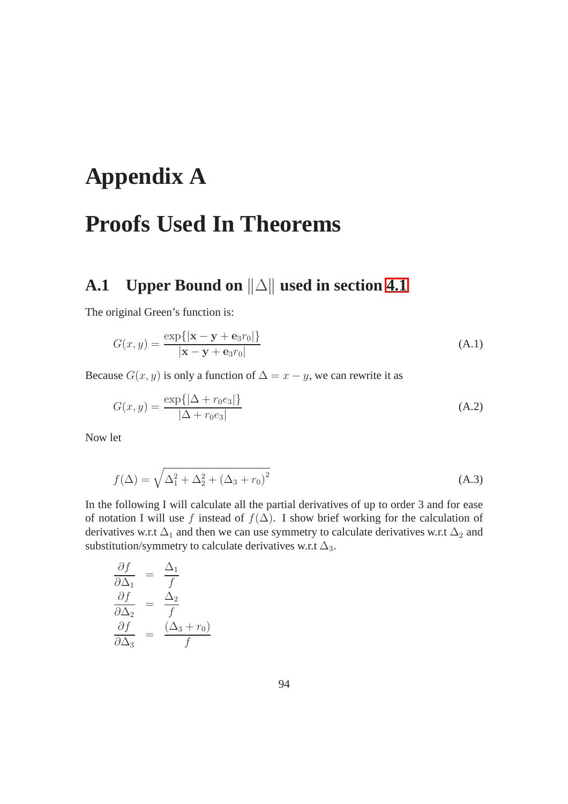# **Appendix A**

# **Proofs Used In Theorems**

## **A.1** Upper Bound on  $||\triangle||$  used in section 4.1

The original Green's function is:

$$
G(x,y) = \frac{\exp\{|\mathbf{x} - \mathbf{y} + \mathbf{e}_3 r_0|\}}{|\mathbf{x} - \mathbf{y} + \mathbf{e}_3 r_0|}
$$
 (A.1)

Because  $G(x, y)$  is only a function of  $\Delta = x - y$ , we can rewrite it as

$$
G(x,y) = \frac{\exp\{|\Delta + r_0 e_3|\}}{|\Delta + r_0 e_3|}
$$
 (A.2)

Now let

$$
f(\Delta) = \sqrt{\Delta_1^2 + \Delta_2^2 + (\Delta_3 + r_0)^2}
$$
 (A.3)

In the following I will calculate all the partial derivatives of up to order 3 and for ease of notation I will use f instead of  $f(\Delta)$ . I show brief working for the calculation of derivatives w.r.t  $\Delta_1$  and then we can use symmetry to calculate derivatives w.r.t  $\Delta_2$  and substitution/symmetry to calculate derivatives w.r.t  $\Delta_3$ .

$$
\begin{array}{rcl}\n\frac{\partial f}{\partial \Delta_1} &=& \frac{\Delta_1}{f} \\
\frac{\partial f}{\partial \Delta_2} &=& \frac{\Delta_2}{f} \\
\frac{\partial f}{\partial \Delta_3} &=& \frac{(\Delta_3 + r_0)}{f}\n\end{array}
$$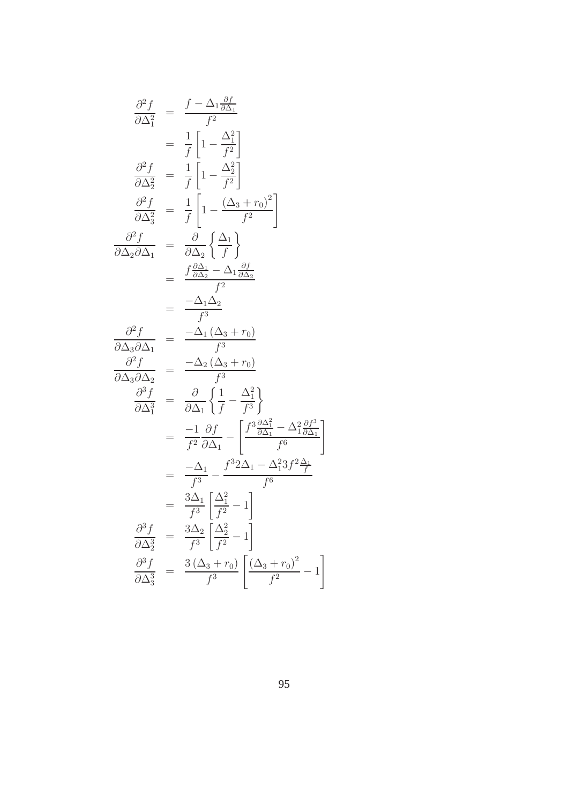$$
\frac{\partial^2 f}{\partial \Delta_1^2} = \frac{f - \Delta_1 \frac{\partial f}{\partial \Delta_1}}{f^2}
$$
\n
$$
= \frac{1}{f} \left[ 1 - \frac{\Delta_1^2}{f^2} \right]
$$
\n
$$
\frac{\partial^2 f}{\partial \Delta_2^2} = \frac{1}{f} \left[ 1 - \frac{\Delta_2^2}{f^2} \right]
$$
\n
$$
\frac{\partial^2 f}{\partial \Delta_3^2} = \frac{1}{f} \left[ 1 - \frac{(\Delta_3 + r_0)^2}{f^2} \right]
$$
\n
$$
\frac{\partial^2 f}{\partial \Delta_2 \partial \Delta_1} = \frac{\partial}{\partial \Delta_2} \left\{ \frac{\Delta_1}{f} \right\}
$$
\n
$$
= \frac{f \frac{\partial \Delta_1}{\partial \Delta_2} - \Delta_1 \frac{\partial f}{\partial \Delta_2}}{f^2}
$$
\n
$$
= \frac{-\Delta_1 \Delta_2}{f^3}
$$
\n
$$
\frac{\partial^2 f}{\partial \Delta_3 \partial \Delta_1} = \frac{-\Delta_1 (\Delta_3 + r_0)}{f^3}
$$
\n
$$
\frac{\partial^2 f}{\partial \Delta_3 \partial \Delta_2} = \frac{-\Delta_2 (\Delta_3 + r_0)}{f^3}
$$
\n
$$
\frac{\partial^3 f}{\partial \Delta_3^3} = \frac{\partial}{\partial \Delta_1} \left\{ \frac{1}{f} - \frac{\Delta_1^2}{f^3} \right\}
$$
\n
$$
= \frac{-1}{f^2} \frac{\partial f}{\partial \Delta_1} - \left[ \frac{f^3 \frac{\partial \Delta_1^2}{\partial \Delta_1} - \Delta_1^2 3f^2 \frac{\Delta_1}{f}}{f^6} \right]
$$
\n
$$
= \frac{3\Delta_1}{f^3} \left[ \frac{\Delta_1^2}{f^2} - 1 \right]
$$
\n
$$
\frac{\partial^3 f}{\partial \Delta_3^3} = \frac{3\Delta_2}{f^3} \left[ \frac{\Delta_2^2}{f^2} - 1 \right]
$$
\n
$$
\frac{\partial^3 f}{\partial \Delta_3^3} = \frac{3(\Delta_3 + r_0)}{f^3} \left[ \frac{(\Delta_3 + r_0)^
$$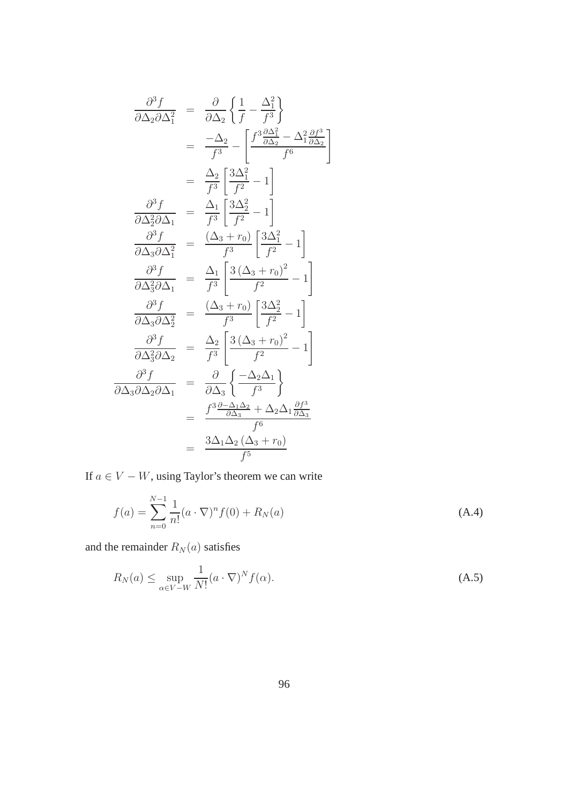$$
\frac{\partial^3 f}{\partial \Delta_2 \partial \Delta_1^2} = \frac{\partial}{\partial \Delta_2} \left\{ \frac{1}{f} - \frac{\Delta_1^2}{f^3} \right\}
$$

$$
= \frac{-\Delta_2}{f^3} - \left[ \frac{f^3 \frac{\partial \Delta_1^2}{\partial \Delta_2} - \Delta_1^2 \frac{\partial f^3}{\partial \Delta_2}}{f^6} \right]
$$

$$
= \frac{\Delta_2}{f^3} \left[ \frac{3\Delta_1^2}{f^2} - 1 \right]
$$

$$
\frac{\partial^3 f}{\partial \Delta_2^2 \partial \Delta_1} = \frac{\Delta_1}{f^3} \left[ \frac{3\Delta_2^2}{f^2} - 1 \right]
$$

$$
\frac{\partial^3 f}{\partial \Delta_3 \partial \Delta_1^2} = \frac{(\Delta_3 + r_0)}{f^3} \left[ \frac{3\Delta_1^2}{f^2} - 1 \right]
$$

$$
\frac{\partial^3 f}{\partial \Delta_3 \partial \Delta_2^2} = \frac{\Delta_1}{f^3} \left[ \frac{3(\Delta_3 + r_0)^2}{f^2} - 1 \right]
$$

$$
\frac{\partial^3 f}{\partial \Delta_3 \partial \Delta_2^2} = \frac{(\Delta_3 + r_0)}{f^3} \left[ \frac{3\Delta_2^2}{f^2} - 1 \right]
$$

$$
\frac{\partial^3 f}{\partial \Delta_3 \partial \Delta_2^2} = \frac{\Delta_2}{f^3} \left[ \frac{3(\Delta_3 + r_0)^2}{f^2} - 1 \right]
$$

$$
\frac{\partial^3 f}{\partial \Delta_3 \partial \Delta_2 \partial \Delta_1} = \frac{\partial}{\partial \Delta_3} \left\{ \frac{-\Delta_2 \Delta_1}{f^3} \right\}
$$

$$
= \frac{f^3 \frac{\partial - \Delta_1 \Delta_2}{\partial \Delta_3} + \Delta_2 \Delta_1 \frac{\partial f^3}{\partial \Delta_3^3}}{f^6}
$$

$$
= \frac{3\Delta_1 \Delta_2 (\Delta_3 + r_0)}{f^5}
$$

If  $a \in V - W$ , using Taylor's theorem we can write

$$
f(a) = \sum_{n=0}^{N-1} \frac{1}{n!} (a \cdot \nabla)^n f(0) + R_N(a)
$$
 (A.4)

and the remainder  $R_N(a)$  satisfies

$$
R_N(a) \le \sup_{\alpha \in V - W} \frac{1}{N!} (a \cdot \nabla)^N f(\alpha). \tag{A.5}
$$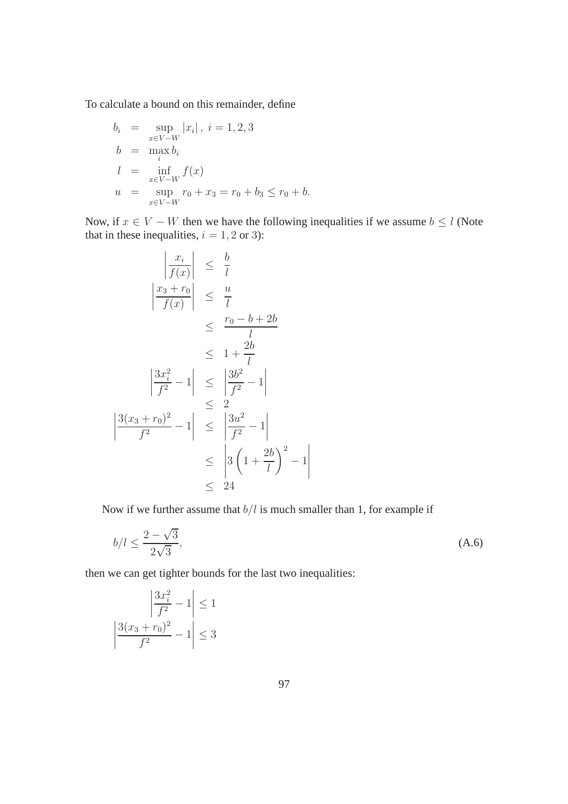To calculate a bound on this remainder, define

$$
b_i = \sup_{x \in V - W} |x_i|, i = 1, 2, 3
$$
  
\n
$$
b = \max_{i} b_i
$$
  
\n
$$
l = \inf_{x \in V - W} f(x)
$$
  
\n
$$
u = \sup_{x \in V - W} r_0 + x_3 = r_0 + b_3 \le r_0 + b.
$$

Now, if  $x \in V - W$  then we have the following inequalities if we assume  $b \leq l$  (Note that in these inequalities,  $i = 1, 2$  or 3):

$$
\left|\frac{x_i}{f(x)}\right| \leq \frac{b}{l}
$$
\n
$$
\left|\frac{x_3 + r_0}{f(x)}\right| \leq \frac{u}{l}
$$
\n
$$
\leq \frac{r_0 - b + 2b}{l}
$$
\n
$$
\leq 1 + \frac{2b}{l}
$$
\n
$$
\left|\frac{3x_i^2}{f^2} - 1\right| \leq \left|\frac{3b^2}{f^2} - 1\right|
$$
\n
$$
\leq 2
$$
\n
$$
\left|\frac{3(x_3 + r_0)^2}{f^2} - 1\right| \leq \left|\frac{3u^2}{f^2} - 1\right|
$$
\n
$$
\leq \left|3\left(1 + \frac{2b}{l}\right)^2 - 1\right|
$$
\n
$$
\leq 24
$$

Now if we further assume that  $b/l$  is much smaller than 1, for example if

$$
b/l \le \frac{2-\sqrt{3}}{2\sqrt{3}},\tag{A.6}
$$

 $\begin{array}{c} \end{array}$  $\mathsf{I}$  $\overline{\phantom{a}}$  $\mathbf{\mathbf{I}}$  $\overline{\phantom{a}}$ 

then we can get tighter bounds for the last two inequalities:

$$
\left| \frac{3x_i^2}{f^2} - 1 \right| \le 1
$$

$$
\left| \frac{3(x_3 + r_0)^2}{f^2} - 1 \right| \le 3
$$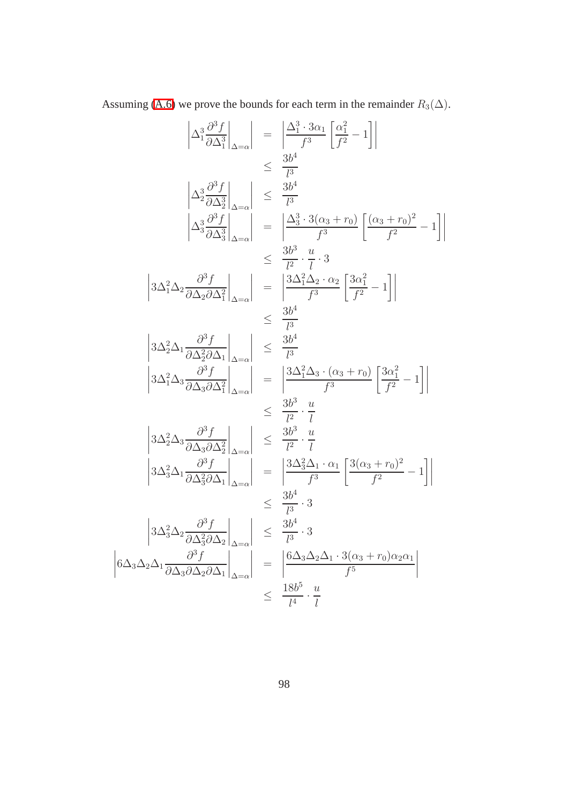Assuming [\(A.6\)](#page-107-0) we prove the bounds for each term in the remainder  $R_3(\Delta)$ .

$$
\begin{vmatrix}\n\Delta_1^3 \frac{\partial^3 f}{\partial \Delta_1^3}\n\Big|_{\Delta=\alpha}\n\end{vmatrix} = \begin{vmatrix}\n\frac{\Delta_1^3 \cdot 3\alpha_1}{f^3} \frac{\Delta_1^2}{f^2} - 1\n\end{vmatrix}
$$
\n
$$
\leq \frac{3b^4}{l^3}
$$
\n
$$
\begin{vmatrix}\n\Delta_2^3 \frac{\partial^3 f}{\partial \Delta_2^3}\n\Big|_{\Delta=\alpha}\n\end{vmatrix} = \begin{vmatrix}\n\frac{\Delta_3^3 \cdot 3(\alpha_3 + r_0)}{f^3} \frac{\alpha_3 + r_0}{f^2} - 1\n\end{vmatrix}
$$
\n
$$
\leq \frac{3b^3}{l^2} \cdot \frac{u}{l} \cdot 3
$$
\n
$$
\begin{vmatrix}\n3\Delta_1^2 \Delta_2 \frac{\partial^3 f}{\partial \Delta_2 \partial \Delta_1^2}\n\Big|_{\Delta=\alpha}\n\end{vmatrix} = \begin{vmatrix}\n\frac{3\Delta_1^2 \Delta_2 \cdot \alpha_2}{f^3} \frac{3\alpha_1^2}{f^2} - 1\n\end{vmatrix}
$$
\n
$$
\leq \frac{3b^4}{l^3}
$$
\n
$$
\begin{vmatrix}\n3\Delta_2^2 \Delta_1 \frac{\partial^3 f}{\partial \Delta_2 \partial \Delta_1}\n\Big|_{\Delta=\alpha}\n\end{vmatrix} = \begin{vmatrix}\n\frac{3\Delta_1^2 \Delta_2 \cdot \alpha_2}{f^3} \frac{\alpha_1^2}{f^2} - 1\n\end{vmatrix}
$$
\n
$$
\leq \frac{3b^4}{l^3}
$$
\n
$$
\begin{vmatrix}\n3\Delta_1^2 \Delta_3 \frac{\partial^3 f}{\partial \Delta_3 \partial \Delta_1^2}\n\Big|_{\Delta=\alpha}\n\end{vmatrix} = \begin{vmatrix}\n\frac{3\Delta_1^2 \Delta_3 \cdot (\alpha_3 + r_0)}{f^3} \frac{\alpha_1^2}{f^2} - 1\n\end{vmatrix}
$$
\n
$$
\leq \frac{3b^3}{l^2} \cdot \frac{u}{l}
$$
\n
$$
\begin{vmatrix}\n3\Delta_2^2 \Delta_3 \frac{\partial^3 f
$$

 $\begin{array}{c} \begin{array}{c} \begin{array}{c} \end{array} \\ \begin{array}{c} \end{array} \end{array} \end{array}$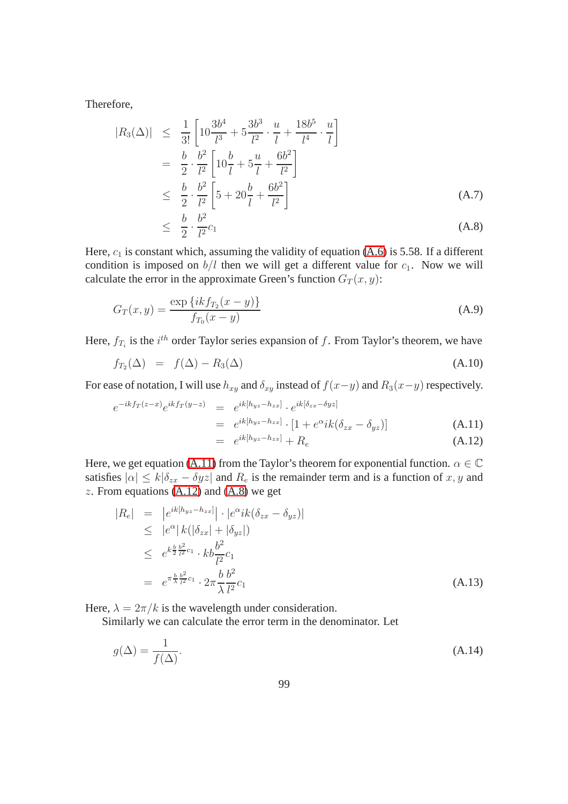<span id="page-107-0"></span>Therefore,

$$
|R_3(\Delta)| \leq \frac{1}{3!} \left[ 10 \frac{3b^4}{l^3} + 5 \frac{3b^3}{l^2} \cdot \frac{u}{l} + \frac{18b^5}{l^4} \cdot \frac{u}{l} \right]
$$
  
\n
$$
= \frac{b}{2} \cdot \frac{b^2}{l^2} \left[ 10 \frac{b}{l} + 5 \frac{u}{l} + \frac{6b^2}{l^2} \right]
$$
  
\n
$$
\leq \frac{b}{2} \cdot \frac{b^2}{l^2} \left[ 5 + 20 \frac{b}{l} + \frac{6b^2}{l^2} \right]
$$
  
\n
$$
\leq \frac{b}{2} \cdot \frac{b^2}{l^2} c_1
$$
  
\n(A.7)

Here,  $c_1$  is constant which, assuming the validity of equation [\(A.6\)](#page-107-0) is 5.58. If a different condition is imposed on  $b/l$  then we will get a different value for  $c_1$ . Now we will calculate the error in the approximate Green's function  $G_T(x, y)$ :

<span id="page-107-2"></span>
$$
G_T(x,y) = \frac{\exp\{ikf_{T_2}(x-y)\}}{f_{T_0}(x-y)}
$$
(A.9)

Here,  $f_{T_i}$  is the  $i^{th}$  order Taylor series expansion of f. From Taylor's theorem, we have

$$
f_{T_2}(\Delta) = f(\Delta) - R_3(\Delta) \tag{A.10}
$$

For ease of notation, I will use  $h_{xy}$  and  $\delta_{xy}$  instead of  $f(x-y)$  and  $R_3(x-y)$  respectively.

$$
e^{-ikf_T(z-x)}e^{ikf_T(y-z)} = e^{ik[h_{yz}-h_{zx}]} \cdot e^{ik[\delta_{zx}-\delta yz]} \n= e^{ik[h_{yz}-h_{zx}]} \cdot [1 + e^{\alpha}ik(\delta_{zx}-\delta_{yz})]
$$
\n(A.11)  
\n= e^{ik[h\_{yz}-h\_{zx}]} + R\_e (A.12)

<span id="page-107-1"></span>Here, we get equation [\(A.11\)](#page-107-1) from the Taylor's theorem for exponential function.  $\alpha \in \mathbb{C}$ satisfies  $|\alpha| \le k |\delta_{zx} - \delta yz|$  and  $R_e$  is the remainder term and is a function of x, y and  $z$ . From equations [\(A.12\)](#page-107-1) and [\(A.8\)](#page-107-2) we get

$$
|R_e| = |e^{ik[h_{yz} - h_{zx}]}| \cdot |e^{\alpha}ik(\delta_{zx} - \delta_{yz})|
$$
  
\n
$$
\leq |e^{\alpha}| k(|\delta_{zx}| + |\delta_{yz}|)
$$
  
\n
$$
\leq e^{k\frac{b}{2}\frac{b^2}{l^2}c_1} \cdot kb\frac{b^2}{l^2}c_1
$$
  
\n
$$
= e^{\pi \frac{b}{\lambda}\frac{b^2}{l^2}c_1} \cdot 2\pi \frac{b}{\lambda}\frac{b^2}{l^2}c_1
$$
\n(A.13)

Here,  $\lambda = 2\pi/k$  is the wavelength under consideration.

Similarly we can calculate the error term in the denominator. Let

$$
g(\Delta) = \frac{1}{f(\Delta)}.\tag{A.14}
$$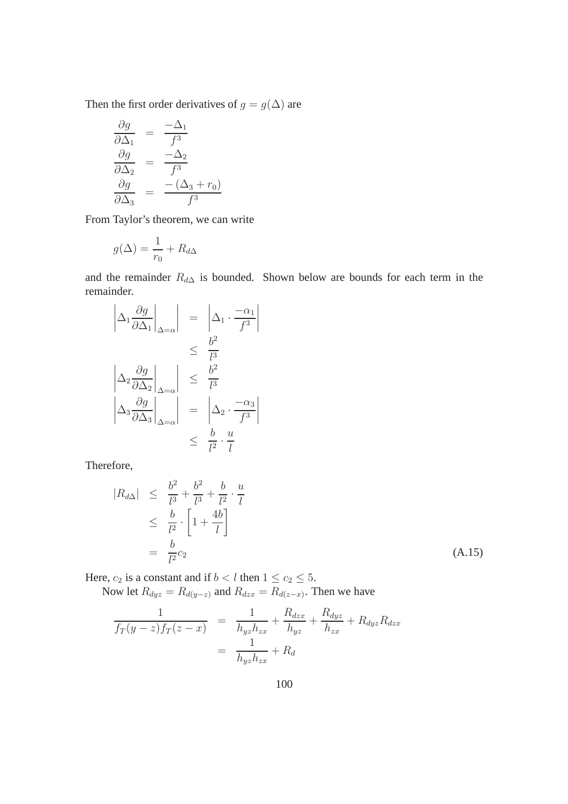Then the first order derivatives of  $g=g(\Delta)$  are

$$
\begin{array}{rcl}\n\frac{\partial g}{\partial \Delta_1} &=& \frac{-\Delta_1}{f^3} \\
\frac{\partial g}{\partial \Delta_2} &=& \frac{-\Delta_2}{f^3} \\
\frac{\partial g}{\partial \Delta_3} &=& \frac{-(\Delta_3 + r_0)}{f^3}\n\end{array}
$$

From Taylor's theorem, we can write

$$
g(\Delta) = \frac{1}{r_0} + R_{d\Delta}
$$

and the remainder  $R_{d\Delta}$  is bounded. Shown below are bounds for each term in the remainder.

$$
\left|\Delta_1 \frac{\partial g}{\partial \Delta_1}\right|_{\Delta=\alpha} = \left|\Delta_1 \cdot \frac{-\alpha_1}{f^3}\right|
$$
  

$$
\leq \frac{b^2}{l^3}
$$
  

$$
\left|\Delta_2 \frac{\partial g}{\partial \Delta_2}\right|_{\Delta=\alpha} = \frac{b^2}{l^3}
$$
  

$$
\left|\Delta_3 \frac{\partial g}{\partial \Delta_3}\right|_{\Delta=\alpha} = \left|\Delta_2 \cdot \frac{-\alpha_3}{f^3}\right|
$$
  

$$
\leq \frac{b}{l^2} \cdot \frac{u}{l}
$$

Therefore,

$$
|R_{d\Delta}| \leq \frac{b^2}{l^3} + \frac{b^2}{l^3} + \frac{b}{l^2} \cdot \frac{u}{l} \leq \frac{b}{l^2} \cdot \left[1 + \frac{4b}{l}\right] = \frac{b}{l^2} c_2
$$
 (A.15)

Here,  $c_2$  is a constant and if  $b < l$  then  $1 \le c_2 \le 5$ .

Now let  $R_{dyz} = R_{d(y-z)}$  and  $R_{dzx} = R_{d(z-x)}$ . Then we have

$$
\frac{1}{f_T(y-z)f_T(z-x)} = \frac{1}{h_{yz}h_{zx}} + \frac{R_{dzx}}{h_{yz}} + \frac{R_{dyz}}{h_{zx}} + R_{dyz}R_{dzx}
$$

$$
= \frac{1}{h_{yz}h_{zx}} + R_d
$$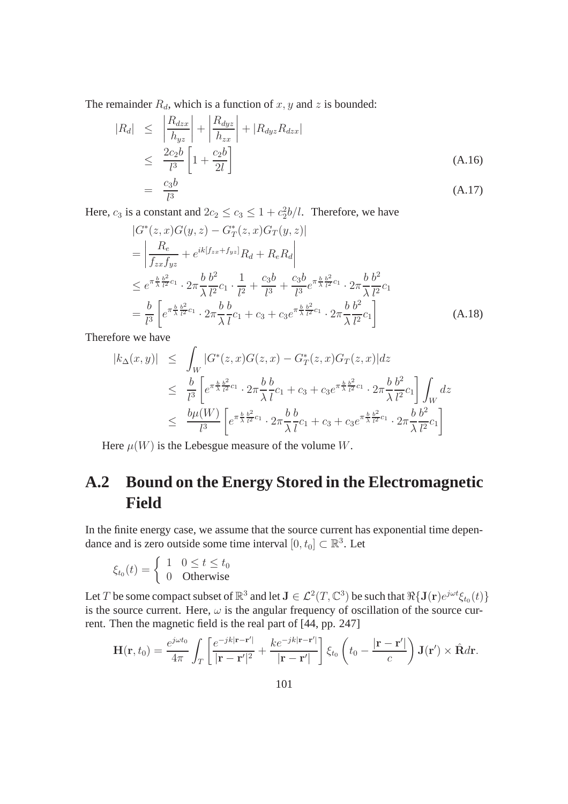The remainder  $R_d$ , which is a function of  $x, y$  and  $z$  is bounded:

$$
|R_d| \leq \left| \frac{R_{dzx}}{h_{yz}} \right| + \left| \frac{R_{dyz}}{h_{zx}} \right| + |R_{dyz} R_{dzx}|
$$
  
\n
$$
\leq \frac{2c_2b}{l^3} \left[ 1 + \frac{c_2b}{2l} \right]
$$
  
\n
$$
= \frac{c_3b}{l^3}
$$
 (A.17)

Here,  $c_3$  is a constant and  $2c_2 \le c_3 \le 1 + c_2^2b/l$ . Therefore, we have

$$
|G^*(z, x)G(y, z) - G_T^*(z, x)G_T(y, z)|
$$
  
\n
$$
= \left| \frac{R_e}{f_{zx}f_{yz}} + e^{ik[f_{zx} + f_{yz}]}R_d + R_eR_d \right|
$$
  
\n
$$
\leq e^{\pi \frac{b}{\lambda} \frac{b^2}{l^2} c_1} \cdot 2\pi \frac{b}{\lambda} \frac{b^2}{l^2} c_1 \cdot \frac{1}{l^2} + \frac{c_3 b}{l^3} + \frac{c_3 b}{l^3} e^{\pi \frac{b}{\lambda} \frac{b^2}{l^2} c_1} \cdot 2\pi \frac{b}{\lambda} \frac{b^2}{l^2} c_1
$$
  
\n
$$
= \frac{b}{l^3} \left[ e^{\pi \frac{b}{\lambda} \frac{b^2}{l^2} c_1} \cdot 2\pi \frac{b}{\lambda} \frac{b}{l} c_1 + c_3 + c_3 e^{\pi \frac{b}{\lambda} \frac{b^2}{l^2} c_1} \cdot 2\pi \frac{b}{\lambda} \frac{b^2}{l^2} c_1 \right]
$$
(A.18)

Therefore we have

$$
|k_{\Delta}(x,y)| \leq \int_{W} |G^*(z,x)G(z,x) - G^*_T(z,x)G_T(z,x)|dz
$$
  
\n
$$
\leq \frac{b}{l^3} \left[ e^{\pi \frac{b}{\lambda} \frac{b^2}{l^2} c_1} \cdot 2\pi \frac{b}{\lambda} \frac{b}{l} c_1 + c_3 + c_3 e^{\pi \frac{b}{\lambda} \frac{b^2}{l^2} c_1} \cdot 2\pi \frac{b}{\lambda} \frac{b^2}{l^2} c_1 \right] \int_{W} dz
$$
  
\n
$$
\leq \frac{b\mu(W)}{l^3} \left[ e^{\pi \frac{b}{\lambda} \frac{b^2}{l^2} c_1} \cdot 2\pi \frac{b}{\lambda} \frac{b}{l} c_1 + c_3 + c_3 e^{\pi \frac{b}{\lambda} \frac{b^2}{l^2} c_1} \cdot 2\pi \frac{b}{\lambda} \frac{b^2}{l^2} c_1 \right]
$$

Here  $\mu(W)$  is the Lebesgue measure of the volume W.

## **A.2 Bound on the Energy Stored in the Electromagnetic Field**

In the finite energy case, we assume that the source current has exponential time dependance and is zero outside some time interval  $[0, t_0] \subset \mathbb{R}^3$ . Let

$$
\xi_{t_0}(t) = \begin{cases} 1 & 0 \le t \le t_0 \\ 0 & \text{Otherwise} \end{cases}
$$

Let T be some compact subset of  $\mathbb{R}^3$  and let  $J \in \mathcal{L}^2(T, \mathbb{C}^3)$  be such that  $\Re\{J(\mathbf{r})e^{j\omega t}\xi_{t_0}(t)\}$ is the source current. Here,  $\omega$  is the angular frequency of oscillation of the source current. Then the magnetic field is the real part of [44, pp. 247]

$$
\mathbf{H}(\mathbf{r},t_0) = \frac{e^{j\omega t_0}}{4\pi} \int_T \left[ \frac{e^{-jk|\mathbf{r}-\mathbf{r}'|}}{|\mathbf{r}-\mathbf{r}'|^2} + \frac{ke^{-jk|\mathbf{r}-\mathbf{r}'|}}{|\mathbf{r}-\mathbf{r}'|} \right] \xi_{t_0} \left( t_0 - \frac{|\mathbf{r}-\mathbf{r}'|}{c} \right) \mathbf{J}(\mathbf{r}') \times \hat{\mathbf{R}} d\mathbf{r}.
$$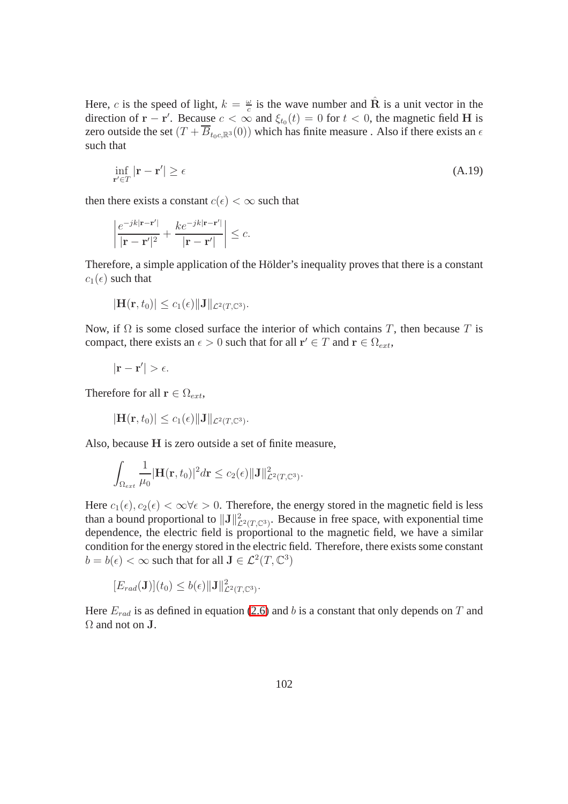Here, c is the speed of light,  $k = \frac{\omega}{c}$  $\frac{\omega}{c}$  is the wave number and  $\hat{\mathbf{R}}$  is a unit vector in the direction of  $\mathbf{r} - \mathbf{r}'$ . Because  $c < \infty$  and  $\xi_{t_0}(t) = 0$  for  $t < 0$ , the magnetic field H is zero outside the set  $(T + \overline{B}_{t_0c,R^3}(0))$  which has finite measure. Also if there exists an  $\epsilon$ such that

$$
\inf_{\mathbf{r}' \in T} |\mathbf{r} - \mathbf{r}'| \ge \epsilon \tag{A.19}
$$

then there exists a constant  $c(\epsilon) < \infty$  such that

$$
\left|\frac{e^{-jk|\mathbf{r}-\mathbf{r}'|}}{|\mathbf{r}-\mathbf{r}'|^2}+\frac{ke^{-jk|\mathbf{r}-\mathbf{r}'|}}{|\mathbf{r}-\mathbf{r}'|}\right|\leq c.
$$

Therefore, a simple application of the Hölder's inequality proves that there is a constant  $c_1(\epsilon)$  such that

$$
|\mathbf{H}(\mathbf{r},t_0)| \leq c_1(\epsilon) \|\mathbf{J}\|_{\mathcal{L}^2(T,\mathbb{C}^3)}.
$$

Now, if  $\Omega$  is some closed surface the interior of which contains T, then because T is compact, there exists an  $\epsilon > 0$  such that for all  $\mathbf{r}' \in T$  and  $\mathbf{r} \in \Omega_{ext}$ ,

$$
|\mathbf{r}-\mathbf{r}'|>\epsilon.
$$

Therefore for all  $\mathbf{r} \in \Omega_{ext}$ ,

$$
|\mathbf{H}(\mathbf{r},t_0)|\leq c_1(\epsilon)\|\mathbf{J}\|_{\mathcal{L}^2(T,\mathbb{C}^3)}.
$$

Also, because H is zero outside a set of finite measure,

$$
\int_{\Omega_{ext}} \frac{1}{\mu_0} |\mathbf{H}(\mathbf{r},t_0)|^2 d\mathbf{r} \leq c_2(\epsilon) ||\mathbf{J}||^2_{\mathcal{L}^2(T,\mathbb{C}^3)}.
$$

Here  $c_1(\epsilon), c_2(\epsilon) < \infty \forall \epsilon > 0$ . Therefore, the energy stored in the magnetic field is less than a bound proportional to  $\|\mathbf{J}\|_{\mathcal{L}^2(T,\mathbb{C}^3)}^2$ . Because in free space, with exponential time dependence, the electric field is proportional to the magnetic field, we have a similar condition for the energy stored in the electric field. Therefore, there exists some constant  $b = b(\epsilon) < \infty$  such that for all  $J \in \mathcal{L}^2(T, \mathbb{C}^3)$ 

$$
[E_{rad}(\mathbf{J})](t_0) \le b(\epsilon) \|\mathbf{J}\|_{\mathcal{L}^2(T,\mathbb{C}^3)}^2
$$

Here  $E_{rad}$  is as defined in equation [\(2.6\)](#page-25-0) and b is a constant that only depends on T and  $\Omega$  and not on **J**.

.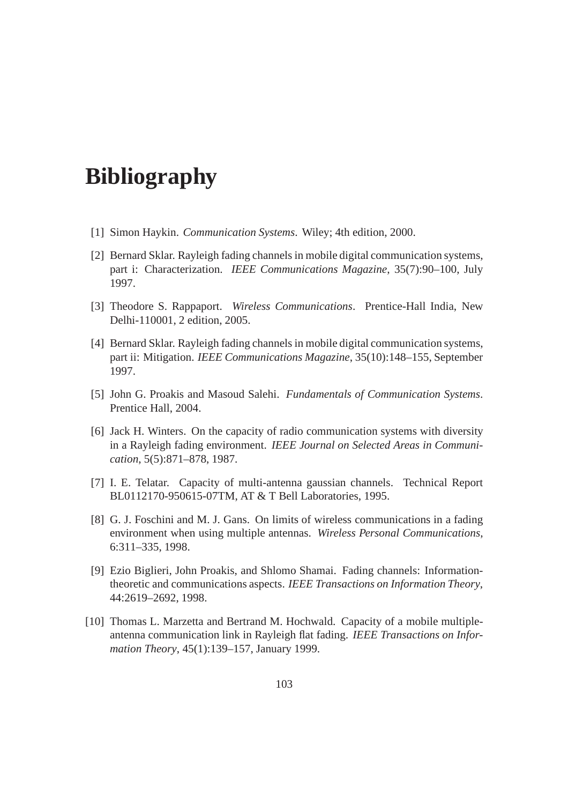## **Bibliography**

- [1] Simon Haykin. *Communication Systems*. Wiley; 4th edition, 2000.
- [2] Bernard Sklar. Rayleigh fading channels in mobile digital communication systems, part i: Characterization. *IEEE Communications Magazine*, 35(7):90–100, July 1997.
- [3] Theodore S. Rappaport. *Wireless Communications*. Prentice-Hall India, New Delhi-110001, 2 edition, 2005.
- [4] Bernard Sklar. Rayleigh fading channels in mobile digital communication systems, part ii: Mitigation. *IEEE Communications Magazine*, 35(10):148–155, September 1997.
- [5] John G. Proakis and Masoud Salehi. *Fundamentals of Communication Systems*. Prentice Hall, 2004.
- [6] Jack H. Winters. On the capacity of radio communication systems with diversity in a Rayleigh fading environment. *IEEE Journal on Selected Areas in Communication*, 5(5):871–878, 1987.
- [7] I. E. Telatar. Capacity of multi-antenna gaussian channels. Technical Report BL0112170-950615-07TM, AT & T Bell Laboratories, 1995.
- [8] G. J. Foschini and M. J. Gans. On limits of wireless communications in a fading environment when using multiple antennas. *Wireless Personal Communications*, 6:311–335, 1998.
- [9] Ezio Biglieri, John Proakis, and Shlomo Shamai. Fading channels: Informationtheoretic and communications aspects. *IEEE Transactions on Information Theory*, 44:2619–2692, 1998.
- [10] Thomas L. Marzetta and Bertrand M. Hochwald. Capacity of a mobile multipleantenna communication link in Rayleigh flat fading. *IEEE Transactions on Information Theory*, 45(1):139–157, January 1999.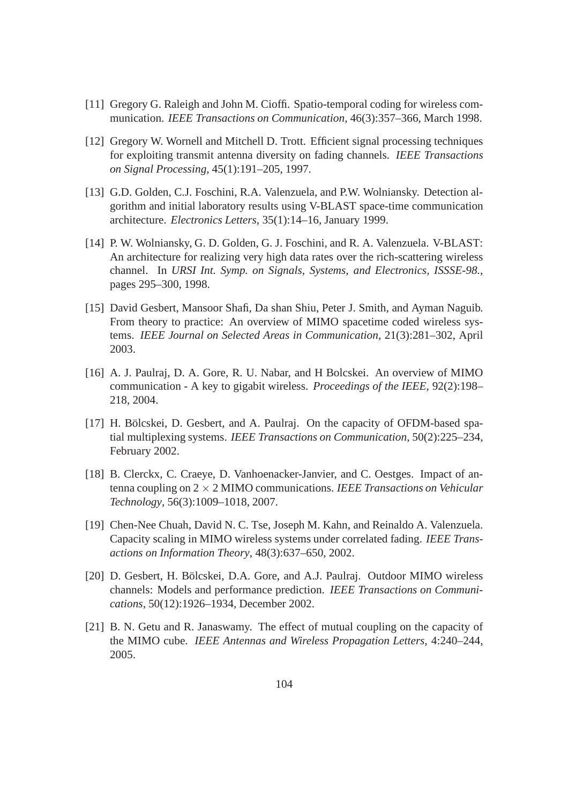- [11] Gregory G. Raleigh and John M. Cioffi. Spatio-temporal coding for wireless communication. *IEEE Transactions on Communication*, 46(3):357–366, March 1998.
- [12] Gregory W. Wornell and Mitchell D. Trott. Efficient signal processing techniques for exploiting transmit antenna diversity on fading channels. *IEEE Transactions on Signal Processing*, 45(1):191–205, 1997.
- [13] G.D. Golden, C.J. Foschini, R.A. Valenzuela, and P.W. Wolniansky. Detection algorithm and initial laboratory results using V-BLAST space-time communication architecture. *Electronics Letters*, 35(1):14–16, January 1999.
- [14] P. W. Wolniansky, G. D. Golden, G. J. Foschini, and R. A. Valenzuela. V-BLAST: An architecture for realizing very high data rates over the rich-scattering wireless channel. In *URSI Int. Symp. on Signals, Systems, and Electronics, ISSSE-98.*, pages 295–300, 1998.
- [15] David Gesbert, Mansoor Shafi, Da shan Shiu, Peter J. Smith, and Ayman Naguib. From theory to practice: An overview of MIMO spacetime coded wireless systems. *IEEE Journal on Selected Areas in Communication*, 21(3):281–302, April 2003.
- [16] A. J. Paulraj, D. A. Gore, R. U. Nabar, and H Bolcskei. An overview of MIMO communication - A key to gigabit wireless. *Proceedings of the IEEE*, 92(2):198– 218, 2004.
- [17] H. Bölcskei, D. Gesbert, and A. Paulraj. On the capacity of OFDM-based spatial multiplexing systems. *IEEE Transactions on Communication*, 50(2):225–234, February 2002.
- [18] B. Clerckx, C. Craeye, D. Vanhoenacker-Janvier, and C. Oestges. Impact of antenna coupling on 2 × 2 MIMO communications. *IEEE Transactions on Vehicular Technology*, 56(3):1009–1018, 2007.
- [19] Chen-Nee Chuah, David N. C. Tse, Joseph M. Kahn, and Reinaldo A. Valenzuela. Capacity scaling in MIMO wireless systems under correlated fading. *IEEE Transactions on Information Theory*, 48(3):637–650, 2002.
- [20] D. Gesbert, H. Bölcskei, D.A. Gore, and A.J. Paulraj. Outdoor MIMO wireless channels: Models and performance prediction. *IEEE Transactions on Communications*, 50(12):1926–1934, December 2002.
- [21] B. N. Getu and R. Janaswamy. The effect of mutual coupling on the capacity of the MIMO cube. *IEEE Antennas and Wireless Propagation Letters*, 4:240–244, 2005.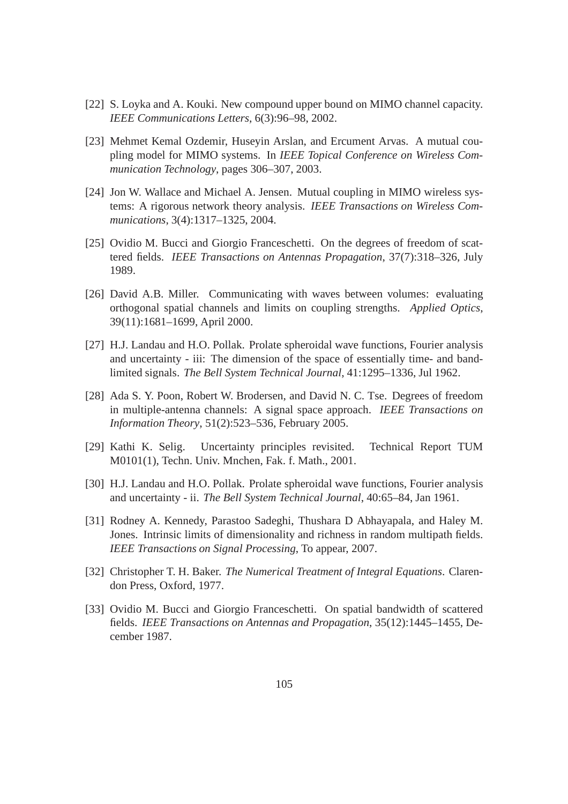- [22] S. Loyka and A. Kouki. New compound upper bound on MIMO channel capacity. *IEEE Communications Letters*, 6(3):96–98, 2002.
- [23] Mehmet Kemal Ozdemir, Huseyin Arslan, and Ercument Arvas. A mutual coupling model for MIMO systems. In *IEEE Topical Conference on Wireless Communication Technology*, pages 306–307, 2003.
- [24] Jon W. Wallace and Michael A. Jensen. Mutual coupling in MIMO wireless systems: A rigorous network theory analysis. *IEEE Transactions on Wireless Communications*, 3(4):1317–1325, 2004.
- [25] Ovidio M. Bucci and Giorgio Franceschetti. On the degrees of freedom of scattered fields. *IEEE Transactions on Antennas Propagation*, 37(7):318–326, July 1989.
- [26] David A.B. Miller. Communicating with waves between volumes: evaluating orthogonal spatial channels and limits on coupling strengths. *Applied Optics*, 39(11):1681–1699, April 2000.
- [27] H.J. Landau and H.O. Pollak. Prolate spheroidal wave functions, Fourier analysis and uncertainty - iii: The dimension of the space of essentially time- and bandlimited signals. *The Bell System Technical Journal*, 41:1295–1336, Jul 1962.
- [28] Ada S. Y. Poon, Robert W. Brodersen, and David N. C. Tse. Degrees of freedom in multiple-antenna channels: A signal space approach. *IEEE Transactions on Information Theory*, 51(2):523–536, February 2005.
- [29] Kathi K. Selig. Uncertainty principles revisited. Technical Report TUM M0101(1), Techn. Univ. Mnchen, Fak. f. Math., 2001.
- [30] H.J. Landau and H.O. Pollak. Prolate spheroidal wave functions, Fourier analysis and uncertainty - ii. *The Bell System Technical Journal*, 40:65–84, Jan 1961.
- [31] Rodney A. Kennedy, Parastoo Sadeghi, Thushara D Abhayapala, and Haley M. Jones. Intrinsic limits of dimensionality and richness in random multipath fields. *IEEE Transactions on Signal Processing*, To appear, 2007.
- [32] Christopher T. H. Baker. *The Numerical Treatment of Integral Equations*. Clarendon Press, Oxford, 1977.
- [33] Ovidio M. Bucci and Giorgio Franceschetti. On spatial bandwidth of scattered fields. *IEEE Transactions on Antennas and Propagation*, 35(12):1445–1455, December 1987.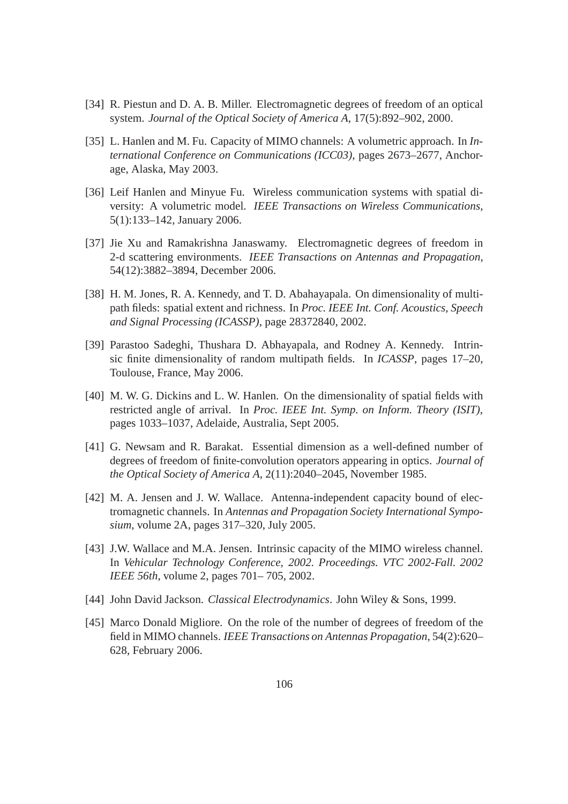- [34] R. Piestun and D. A. B. Miller. Electromagnetic degrees of freedom of an optical system. *Journal of the Optical Society of America A*, 17(5):892–902, 2000.
- [35] L. Hanlen and M. Fu. Capacity of MIMO channels: A volumetric approach. In *International Conference on Communications (ICC03)*, pages 2673–2677, Anchorage, Alaska, May 2003.
- [36] Leif Hanlen and Minyue Fu. Wireless communication systems with spatial diversity: A volumetric model. *IEEE Transactions on Wireless Communications*, 5(1):133–142, January 2006.
- [37] Jie Xu and Ramakrishna Janaswamy. Electromagnetic degrees of freedom in 2-d scattering environments. *IEEE Transactions on Antennas and Propagation*, 54(12):3882–3894, December 2006.
- [38] H. M. Jones, R. A. Kennedy, and T. D. Abahayapala. On dimensionality of multipath fileds: spatial extent and richness. In *Proc. IEEE Int. Conf. Acoustics, Speech and Signal Processing (ICASSP)*, page 28372840, 2002.
- [39] Parastoo Sadeghi, Thushara D. Abhayapala, and Rodney A. Kennedy. Intrinsic finite dimensionality of random multipath fields. In *ICASSP*, pages 17–20, Toulouse, France, May 2006.
- [40] M. W. G. Dickins and L. W. Hanlen. On the dimensionality of spatial fields with restricted angle of arrival. In *Proc. IEEE Int. Symp. on Inform. Theory (ISIT)*, pages 1033–1037, Adelaide, Australia, Sept 2005.
- [41] G. Newsam and R. Barakat. Essential dimension as a well-defined number of degrees of freedom of finite-convolution operators appearing in optics. *Journal of the Optical Society of America A*, 2(11):2040–2045, November 1985.
- [42] M. A. Jensen and J. W. Wallace. Antenna-independent capacity bound of electromagnetic channels. In *Antennas and Propagation Society International Symposium*, volume 2A, pages 317–320, July 2005.
- [43] J.W. Wallace and M.A. Jensen. Intrinsic capacity of the MIMO wireless channel. In *Vehicular Technology Conference, 2002. Proceedings. VTC 2002-Fall. 2002 IEEE 56th*, volume 2, pages 701– 705, 2002.
- [44] John David Jackson. *Classical Electrodynamics*. John Wiley & Sons, 1999.
- [45] Marco Donald Migliore. On the role of the number of degrees of freedom of the field in MIMO channels. *IEEE Transactions on Antennas Propagation*, 54(2):620– 628, February 2006.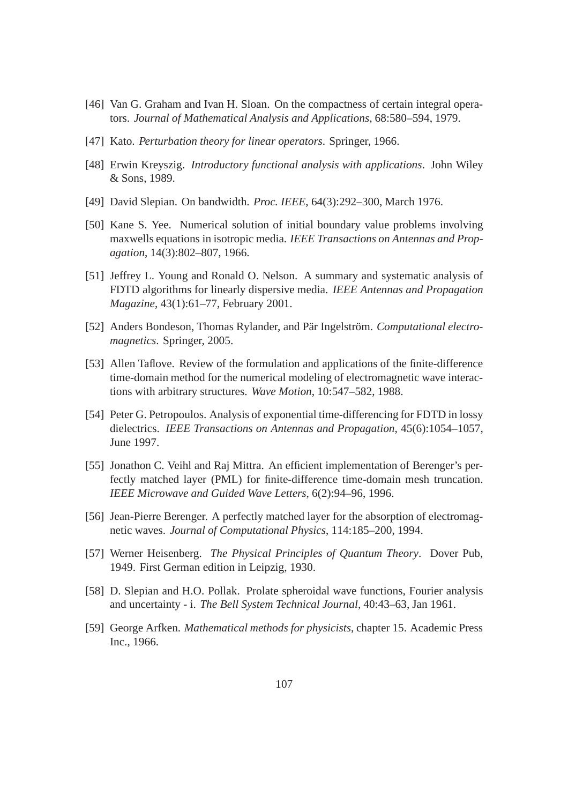- [46] Van G. Graham and Ivan H. Sloan. On the compactness of certain integral operators. *Journal of Mathematical Analysis and Applications*, 68:580–594, 1979.
- [47] Kato. *Perturbation theory for linear operators*. Springer, 1966.
- [48] Erwin Kreyszig. *Introductory functional analysis with applications*. John Wiley & Sons, 1989.
- [49] David Slepian. On bandwidth. *Proc. IEEE*, 64(3):292–300, March 1976.
- [50] Kane S. Yee. Numerical solution of initial boundary value problems involving maxwells equations in isotropic media. *IEEE Transactions on Antennas and Propagation*, 14(3):802–807, 1966.
- [51] Jeffrey L. Young and Ronald O. Nelson. A summary and systematic analysis of FDTD algorithms for linearly dispersive media. *IEEE Antennas and Propagation Magazine*, 43(1):61–77, February 2001.
- [52] Anders Bondeson, Thomas Rylander, and Pär Ingelström. *Computational electromagnetics*. Springer, 2005.
- [53] Allen Taflove. Review of the formulation and applications of the finite-difference time-domain method for the numerical modeling of electromagnetic wave interactions with arbitrary structures. *Wave Motion*, 10:547–582, 1988.
- [54] Peter G. Petropoulos. Analysis of exponential time-differencing for FDTD in lossy dielectrics. *IEEE Transactions on Antennas and Propagation*, 45(6):1054–1057, June 1997.
- [55] Jonathon C. Veihl and Raj Mittra. An efficient implementation of Berenger's perfectly matched layer (PML) for finite-difference time-domain mesh truncation. *IEEE Microwave and Guided Wave Letters*, 6(2):94–96, 1996.
- [56] Jean-Pierre Berenger. A perfectly matched layer for the absorption of electromagnetic waves. *Journal of Computational Physics*, 114:185–200, 1994.
- [57] Werner Heisenberg. *The Physical Principles of Quantum Theory*. Dover Pub, 1949. First German edition in Leipzig, 1930.
- [58] D. Slepian and H.O. Pollak. Prolate spheroidal wave functions, Fourier analysis and uncertainty - i. *The Bell System Technical Journal*, 40:43–63, Jan 1961.
- [59] George Arfken. *Mathematical methods for physicists*, chapter 15. Academic Press Inc., 1966.